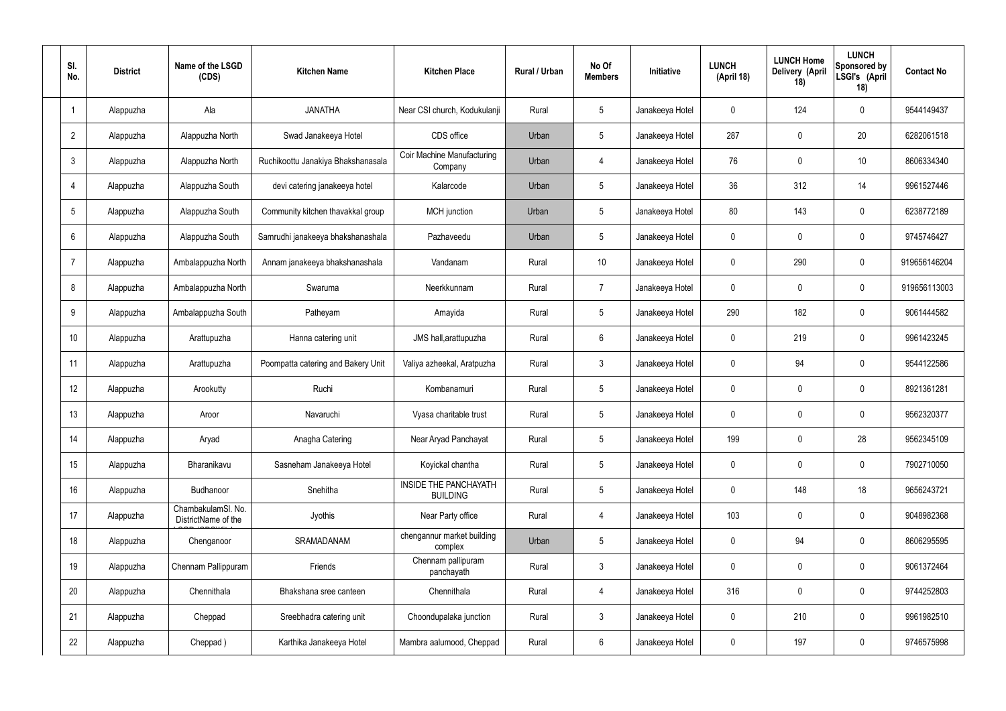| SI.<br>No.      | <b>District</b> | Name of the LSGD<br>(CDS)                 | <b>Kitchen Name</b>                | <b>Kitchen Place</b>                            | Rural / Urban | No Of<br><b>Members</b> | <b>Initiative</b> | <b>LUNCH</b><br>(April 18) | <b>LUNCH Home</b><br>Delivery (April<br>18) | <b>LUNCH</b><br>Sponsored by<br>LSGI's (April<br>18) | <b>Contact No</b> |
|-----------------|-----------------|-------------------------------------------|------------------------------------|-------------------------------------------------|---------------|-------------------------|-------------------|----------------------------|---------------------------------------------|------------------------------------------------------|-------------------|
|                 | Alappuzha       | Ala                                       | <b>JANATHA</b>                     | Near CSI church, Kodukulanji                    | Rural         | $5\phantom{.0}$         | Janakeeya Hotel   | $\mathbf 0$                | 124                                         | $\mathbf 0$                                          | 9544149437        |
| $\overline{2}$  | Alappuzha       | Alappuzha North                           | Swad Janakeeya Hotel               | CDS office                                      | Urban         | $5\phantom{.0}$         | Janakeeya Hotel   | 287                        | $\mathbf 0$                                 | 20                                                   | 6282061518        |
| $\mathbf{3}$    | Alappuzha       | Alappuzha North                           | Ruchikoottu Janakiya Bhakshanasala | <b>Coir Machine Manufacturing</b><br>Company    | Urban         | 4                       | Janakeeya Hotel   | 76                         | 0                                           | 10                                                   | 8606334340        |
| $\overline{4}$  | Alappuzha       | Alappuzha South                           | devi catering janakeeya hotel      | Kalarcode                                       | Urban         | $5\phantom{.0}$         | Janakeeya Hotel   | 36                         | 312                                         | 14                                                   | 9961527446        |
| $5\phantom{.0}$ | Alappuzha       | Alappuzha South                           | Community kitchen thavakkal group  | MCH junction                                    | Urban         | $5\phantom{.0}$         | Janakeeya Hotel   | 80                         | 143                                         | $\mathbf 0$                                          | 6238772189        |
| 6               | Alappuzha       | Alappuzha South                           | Samrudhi janakeeya bhakshanashala  | Pazhaveedu                                      | Urban         | $5\phantom{.0}$         | Janakeeya Hotel   | $\mathbf 0$                | $\mathbf 0$                                 | $\mathbf 0$                                          | 9745746427        |
| $\overline{7}$  | Alappuzha       | Ambalappuzha North                        | Annam janakeeya bhakshanashala     | Vandanam                                        | Rural         | 10 <sup>°</sup>         | Janakeeya Hotel   | $\mathbf 0$                | 290                                         | $\mathbf 0$                                          | 919656146204      |
| 8               | Alappuzha       | Ambalappuzha North                        | Swaruma                            | Neerkkunnam                                     | Rural         | $\overline{7}$          | Janakeeya Hotel   | $\mathbf 0$                | $\mathbf 0$                                 | $\mathbf 0$                                          | 919656113003      |
| 9               | Alappuzha       | Ambalappuzha South                        | Patheyam                           | Amayida                                         | Rural         | $5\phantom{.0}$         | Janakeeya Hotel   | 290                        | 182                                         | $\mathbf 0$                                          | 9061444582        |
| 10              | Alappuzha       | Arattupuzha                               | Hanna catering unit                | JMS hall, arattupuzha                           | Rural         | $6\phantom{.}6$         | Janakeeya Hotel   | $\mathbf 0$                | 219                                         | $\mathbf 0$                                          | 9961423245        |
| 11              | Alappuzha       | Arattupuzha                               | Poompatta catering and Bakery Unit | Valiya azheekal, Aratpuzha                      | Rural         | $\mathbf{3}$            | Janakeeya Hotel   | $\mathbf 0$                | 94                                          | $\mathbf 0$                                          | 9544122586        |
| 12              | Alappuzha       | Arookutty                                 | Ruchi                              | Kombanamuri                                     | Rural         | $5\phantom{.0}$         | Janakeeya Hotel   | $\mathbf 0$                | $\mathbf 0$                                 | $\mathbf 0$                                          | 8921361281        |
| 13              | Alappuzha       | Aroor                                     | Navaruchi                          | Vyasa charitable trust                          | Rural         | $5\phantom{.0}$         | Janakeeya Hotel   | $\mathbf 0$                | 0                                           | 0                                                    | 9562320377        |
| 14              | Alappuzha       | Aryad                                     | Anagha Catering                    | Near Aryad Panchayat                            | Rural         | $5\phantom{.0}$         | Janakeeya Hotel   | 199                        | $\mathbf 0$                                 | 28                                                   | 9562345109        |
| 15              | Alappuzha       | Bharanikavu                               | Sasneham Janakeeya Hotel           | Koyickal chantha                                | Rural         | $5\phantom{.0}$         | Janakeeya Hotel   | $\mathbf 0$                | $\mathbf 0$                                 | $\mathbf 0$                                          | 7902710050        |
| 16              | Alappuzha       | Budhanoor                                 | Snehitha                           | <b>INSIDE THE PANCHAYATH</b><br><b>BUILDING</b> | Rural         | $5\phantom{.0}$         | Janakeeya Hotel   | $\mathbf 0$                | 148                                         | 18                                                   | 9656243721        |
| 17              | Alappuzha       | ChambakulamSl. No.<br>DistrictName of the | Jyothis                            | Near Party office                               | Rural         | $\overline{4}$          | Janakeeya Hotel   | 103                        | $\mathbf 0$                                 | $\mathbf 0$                                          | 9048982368        |
| 18              | Alappuzha       | Chenganoor                                | SRAMADANAM                         | chengannur market building<br>complex           | Urban         | $5\phantom{.0}$         | Janakeeya Hotel   | $\mathbf 0$                | 94                                          | $\mathbf 0$                                          | 8606295595        |
| 19              | Alappuzha       | Chennam Pallippuram                       | Friends                            | Chennam pallipuram<br>panchayath                | Rural         | $\mathbf{3}$            | Janakeeya Hotel   | $\mathbf 0$                | 0                                           | $\mathbf 0$                                          | 9061372464        |
| 20              | Alappuzha       | Chennithala                               | Bhakshana sree canteen             | Chennithala                                     | Rural         | $\overline{4}$          | Janakeeya Hotel   | 316                        | 0                                           | $\mathbf 0$                                          | 9744252803        |
| 21              | Alappuzha       | Cheppad                                   | Sreebhadra catering unit           | Choondupalaka junction                          | Rural         | $\mathbf{3}$            | Janakeeya Hotel   | $\mathbf 0$                | 210                                         | $\mathbf 0$                                          | 9961982510        |
| 22              | Alappuzha       | Cheppad)                                  | Karthika Janakeeya Hotel           | Mambra aalumood, Cheppad                        | Rural         | $6\overline{6}$         | Janakeeya Hotel   | 0                          | 197                                         | $\mathbf 0$                                          | 9746575998        |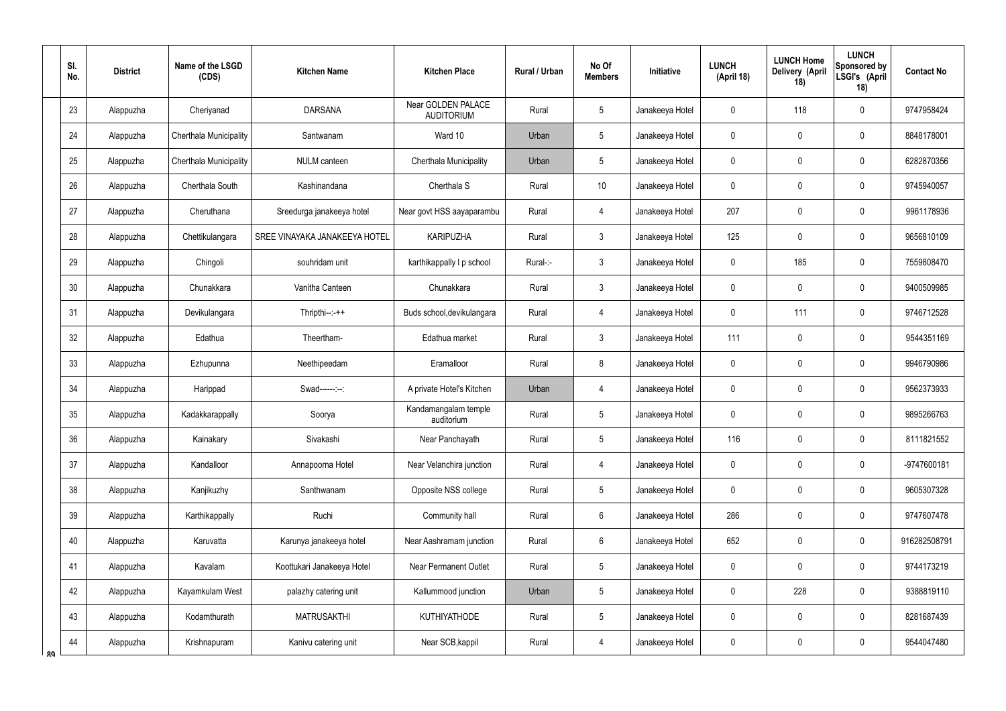|    | SI.<br>No. | <b>District</b> | Name of the LSGD<br>(CDS)     | <b>Kitchen Name</b>           | <b>Kitchen Place</b>                    | <b>Rural / Urban</b> | No Of<br><b>Members</b> | Initiative      | <b>LUNCH</b><br>(April 18) | <b>LUNCH Home</b><br>Delivery (April<br>18) | <b>LUNCH</b><br>Sponsored by<br>LSGI's (April<br>18) | <b>Contact No</b> |
|----|------------|-----------------|-------------------------------|-------------------------------|-----------------------------------------|----------------------|-------------------------|-----------------|----------------------------|---------------------------------------------|------------------------------------------------------|-------------------|
|    | 23         | Alappuzha       | Cheriyanad                    | <b>DARSANA</b>                | Near GOLDEN PALACE<br><b>AUDITORIUM</b> | Rural                | 5                       | Janakeeya Hotel | 0                          | 118                                         | $\mathbf 0$                                          | 9747958424        |
|    | 24         | Alappuzha       | <b>Cherthala Municipality</b> | Santwanam                     | Ward 10                                 | Urban                | 5                       | Janakeeya Hotel | 0                          | 0                                           | $\boldsymbol{0}$                                     | 8848178001        |
|    | 25         | Alappuzha       | Cherthala Municipality        | NULM canteen                  | Cherthala Municipality                  | Urban                | 5                       | Janakeeya Hotel | 0                          | 0                                           | $\mathbf 0$                                          | 6282870356        |
|    | 26         | Alappuzha       | Cherthala South               | Kashinandana                  | Cherthala S                             | Rural                | 10                      | Janakeeya Hotel | 0                          | $\mathbf 0$                                 | $\boldsymbol{0}$                                     | 9745940057        |
|    | 27         | Alappuzha       | Cheruthana                    | Sreedurga janakeeya hotel     | Near govt HSS aayaparambu               | Rural                | 4                       | Janakeeya Hotel | 207                        | 0                                           | $\mathbf 0$                                          | 9961178936        |
|    | 28         | Alappuzha       | Chettikulangara               | SREE VINAYAKA JANAKEEYA HOTEL | <b>KARIPUZHA</b>                        | Rural                | $\mathbf{3}$            | Janakeeya Hotel | 125                        | 0                                           | $\mathbf 0$                                          | 9656810109        |
|    | 29         | Alappuzha       | Chingoli                      | souhridam unit                | karthikappally I p school               | Rural-:-             | $\mathbf{3}$            | Janakeeya Hotel | 0                          | 185                                         | $\mathbf 0$                                          | 7559808470        |
|    | 30         | Alappuzha       | Chunakkara                    | Vanitha Canteen               | Chunakkara                              | Rural                | $\mathfrak{Z}$          | Janakeeya Hotel | 0                          | $\mathbf 0$                                 | $\mathbf 0$                                          | 9400509985        |
|    | 31         | Alappuzha       | Devikulangara                 | $Thripthi--++$                | Buds school, devikulangara              | Rural                | $\overline{4}$          | Janakeeya Hotel | 0                          | 111                                         | $\mathbf 0$                                          | 9746712528        |
|    | 32         | Alappuzha       | Edathua                       | Theertham-                    | Edathua market                          | Rural                | 3                       | Janakeeya Hotel | 111                        | $\mathbf 0$                                 | $\mathbf 0$                                          | 9544351169        |
|    | 33         | Alappuzha       | Ezhupunna                     | Neethipeedam                  | Eramalloor                              | Rural                | 8                       | Janakeeya Hotel | 0                          | 0                                           | $\mathbf 0$                                          | 9946790986        |
|    | 34         | Alappuzha       | Harippad                      | Swad------:--:                | A private Hotel's Kitchen               | Urban                | $\overline{4}$          | Janakeeya Hotel | 0                          | $\mathbf 0$                                 | $\mathbf 0$                                          | 9562373933        |
|    | 35         | Alappuzha       | Kadakkarappally               | Soorya                        | Kandamangalam temple<br>auditorium      | Rural                | 5                       | Janakeeya Hotel | 0                          | $\mathbf 0$                                 | $\mathbf 0$                                          | 9895266763        |
|    | 36         | Alappuzha       | Kainakary                     | Sivakashi                     | Near Panchayath                         | Rural                | 5                       | Janakeeya Hotel | 116                        | $\mathbf 0$                                 | $\mathbf 0$                                          | 8111821552        |
|    | 37         | Alappuzha       | Kandalloor                    | Annapoorna Hotel              | Near Velanchira junction                | Rural                | $\overline{4}$          | Janakeeya Hotel | 0                          | $\pmb{0}$                                   | $\pmb{0}$                                            | -9747600181       |
|    | 38         | Alappuzha       | Kanjikuzhy                    | Santhwanam                    | Opposite NSS college                    | Rural                | 5                       | Janakeeya Hotel | 0                          | $\pmb{0}$                                   | $\pmb{0}$                                            | 9605307328        |
|    | 39         | Alappuzha       | Karthikappally                | Ruchi                         | Community hall                          | Rural                | $6\overline{6}$         | Janakeeya Hotel | 286                        | $\mathbf 0$                                 | $\mathbf 0$                                          | 9747607478        |
|    | 40         | Alappuzha       | Karuvatta                     | Karunya janakeeya hotel       | Near Aashramam junction                 | Rural                | $6\overline{6}$         | Janakeeya Hotel | 652                        | $\pmb{0}$                                   | $\pmb{0}$                                            | 916282508791      |
|    | 41         | Alappuzha       | Kavalam                       | Koottukari Janakeeya Hotel    | <b>Near Permanent Outlet</b>            | Rural                | 5                       | Janakeeya Hotel | 0                          | $\pmb{0}$                                   | $\pmb{0}$                                            | 9744173219        |
|    | 42         | Alappuzha       | Kayamkulam West               | palazhy catering unit         | Kallummood junction                     | Urban                | $5\phantom{.0}$         | Janakeeya Hotel | 0                          | 228                                         | $\pmb{0}$                                            | 9388819110        |
|    | 43         | Alappuzha       | Kodamthurath                  | <b>MATRUSAKTHI</b>            | <b>KUTHIYATHODE</b>                     | Rural                | 5                       | Janakeeya Hotel | 0                          | $\overline{0}$                              | $\pmb{0}$                                            | 8281687439        |
| ՋQ | 44         | Alappuzha       | Krishnapuram                  | Kanivu catering unit          | Near SCB, kappil                        | Rural                | $\overline{4}$          | Janakeeya Hotel | 0                          | $\overline{0}$                              | $\pmb{0}$                                            | 9544047480        |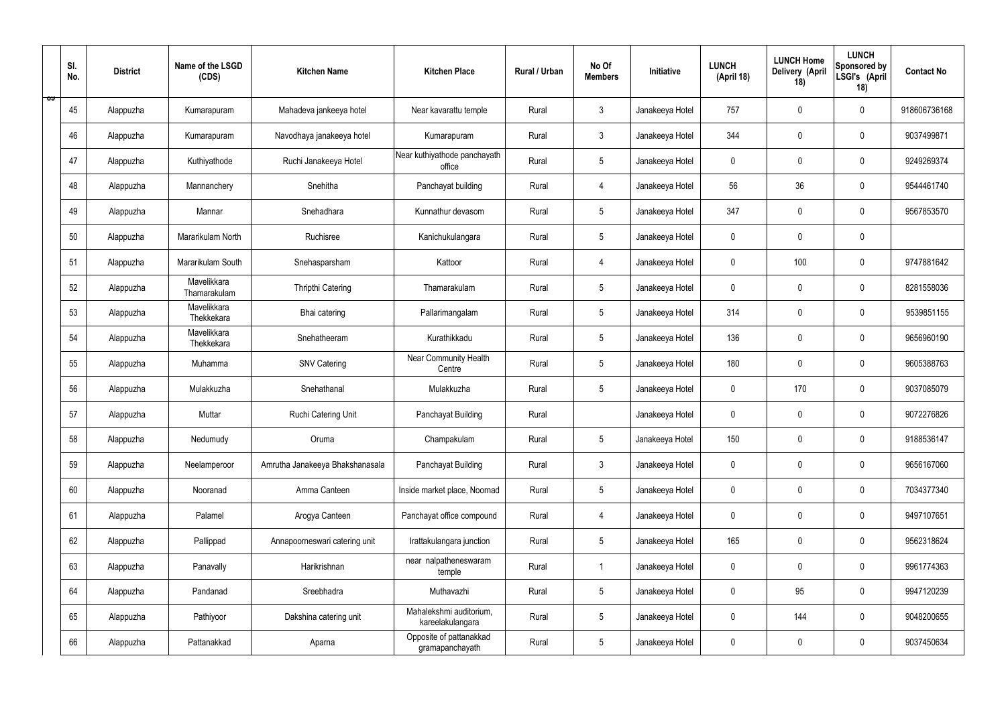|   | SI.<br>No. | <b>District</b> | Name of the LSGD<br>(CDS)   | <b>Kitchen Name</b>             | <b>Kitchen Place</b>                        | Rural / Urban | No Of<br><b>Members</b> | Initiative      | <b>LUNCH</b><br>(April 18) | <b>LUNCH Home</b><br>Delivery (April<br>18) | <b>LUNCH</b><br>Sponsored by<br>LSGI's (April<br>18) | <b>Contact No</b> |
|---|------------|-----------------|-----------------------------|---------------------------------|---------------------------------------------|---------------|-------------------------|-----------------|----------------------------|---------------------------------------------|------------------------------------------------------|-------------------|
| ಾ | 45         | Alappuzha       | Kumarapuram                 | Mahadeva jankeeya hotel         | Near kavarattu temple                       | Rural         | $\mathfrak{Z}$          | Janakeeya Hotel | 757                        | $\mathbf 0$                                 | $\mathbf 0$                                          | 918606736168      |
|   | 46         | Alappuzha       | Kumarapuram                 | Navodhaya janakeeya hotel       | Kumarapuram                                 | Rural         | $\mathbf{3}$            | Janakeeya Hotel | 344                        | $\mathbf 0$                                 | $\mathbf 0$                                          | 9037499871        |
|   | 47         | Alappuzha       | Kuthiyathode                | Ruchi Janakeeya Hotel           | Near kuthiyathode panchayath<br>office      | Rural         | $5\phantom{.0}$         | Janakeeya Hotel | $\mathbf 0$                | 0                                           | $\mathbf 0$                                          | 9249269374        |
|   | 48         | Alappuzha       | Mannanchery                 | Snehitha                        | Panchayat building                          | Rural         | 4                       | Janakeeya Hotel | 56                         | 36                                          | $\mathbf 0$                                          | 9544461740        |
|   | 49         | Alappuzha       | Mannar                      | Snehadhara                      | Kunnathur devasom                           | Rural         | $5\phantom{.0}$         | Janakeeya Hotel | 347                        | 0                                           | $\mathbf 0$                                          | 9567853570        |
|   | 50         | Alappuzha       | Mararikulam North           | Ruchisree                       | Kanichukulangara                            | Rural         | $5\phantom{.0}$         | Janakeeya Hotel | $\mathbf 0$                | $\mathbf 0$                                 | $\mathbf 0$                                          |                   |
|   | 51         | Alappuzha       | Mararikulam South           | Snehasparsham                   | Kattoor                                     | Rural         | 4                       | Janakeeya Hotel | $\mathbf 0$                | 100                                         | $\mathbf 0$                                          | 9747881642        |
|   | 52         | Alappuzha       | Mavelikkara<br>Thamarakulam | Thripthi Catering               | Thamarakulam                                | Rural         | $5\overline{)}$         | Janakeeya Hotel | $\mathbf 0$                | $\mathbf 0$                                 | $\mathbf 0$                                          | 8281558036        |
|   | 53         | Alappuzha       | Mavelikkara<br>Thekkekara   | Bhai catering                   | Pallarimangalam                             | Rural         | $5\phantom{.0}$         | Janakeeya Hotel | 314                        | $\mathbf 0$                                 | $\mathbf 0$                                          | 9539851155        |
|   | 54         | Alappuzha       | Mavelikkara<br>Thekkekara   | Snehatheeram                    | Kurathikkadu                                | Rural         | $5\overline{)}$         | Janakeeya Hotel | 136                        | $\mathbf 0$                                 | $\mathbf 0$                                          | 9656960190        |
|   | 55         | Alappuzha       | Muhamma                     | <b>SNV Catering</b>             | Near Community Health<br>Centre             | Rural         | $5\phantom{.0}$         | Janakeeya Hotel | 180                        | $\mathbf 0$                                 | $\mathbf 0$                                          | 9605388763        |
|   | 56         | Alappuzha       | Mulakkuzha                  | Snehathanal                     | Mulakkuzha                                  | Rural         | $5\phantom{.0}$         | Janakeeya Hotel | $\mathbf 0$                | 170                                         | $\mathbf 0$                                          | 9037085079        |
|   | 57         | Alappuzha       | Muttar                      | Ruchi Catering Unit             | Panchayat Building                          | Rural         |                         | Janakeeya Hotel | $\pmb{0}$                  | 0                                           | $\mathbf 0$                                          | 9072276826        |
|   | 58         | Alappuzha       | Nedumudy                    | Oruma                           | Champakulam                                 | Rural         | $5\phantom{.0}$         | Janakeeya Hotel | 150                        | $\pmb{0}$                                   | $\mathbf 0$                                          | 9188536147        |
|   | 59         | Alappuzha       | Neelamperoor                | Amrutha Janakeeya Bhakshanasala | Panchayat Building                          | Rural         | $\mathbf{3}$            | Janakeeya Hotel | $\mathbf 0$                | $\pmb{0}$                                   | $\mathbf 0$                                          | 9656167060        |
|   | 60         | Alappuzha       | Nooranad                    | Amma Canteen                    | Inside market place, Noornad                | Rural         | $5\phantom{.0}$         | Janakeeya Hotel | $\pmb{0}$                  | $\mathbf 0$                                 | $\mathbf 0$                                          | 7034377340        |
|   | 61         | Alappuzha       | Palamel                     | Arogya Canteen                  | Panchayat office compound                   | Rural         | $\overline{4}$          | Janakeeya Hotel | $\mathbf 0$                | $\mathbf 0$                                 | $\mathbf 0$                                          | 9497107651        |
|   | 62         | Alappuzha       | Pallippad                   | Annapoorneswari catering unit   | Irattakulangara junction                    | Rural         | $5\phantom{.0}$         | Janakeeya Hotel | 165                        | $\mathbf 0$                                 | $\mathbf 0$                                          | 9562318624        |
|   | 63         | Alappuzha       | Panavally                   | Harikrishnan                    | near nalpatheneswaram<br>temple             | Rural         | $\mathbf{1}$            | Janakeeya Hotel | $\mathbf 0$                | $\pmb{0}$                                   | $\mathbf 0$                                          | 9961774363        |
|   | 64         | Alappuzha       | Pandanad                    | Sreebhadra                      | Muthavazhi                                  | Rural         | $5\phantom{.0}$         | Janakeeya Hotel | $\pmb{0}$                  | 95                                          | $\mathbf 0$                                          | 9947120239        |
|   | 65         | Alappuzha       | Pathiyoor                   | Dakshina catering unit          | Mahalekshmi auditorium,<br>kareelakulangara | Rural         | $5\phantom{.0}$         | Janakeeya Hotel | $\mathbf 0$                | 144                                         | $\mathbf 0$                                          | 9048200655        |
|   | 66         | Alappuzha       | Pattanakkad                 | Aparna                          | Opposite of pattanakkad<br>gramapanchayath  | Rural         | $5\phantom{.0}$         | Janakeeya Hotel | 0                          | $\pmb{0}$                                   | $\mathbf 0$                                          | 9037450634        |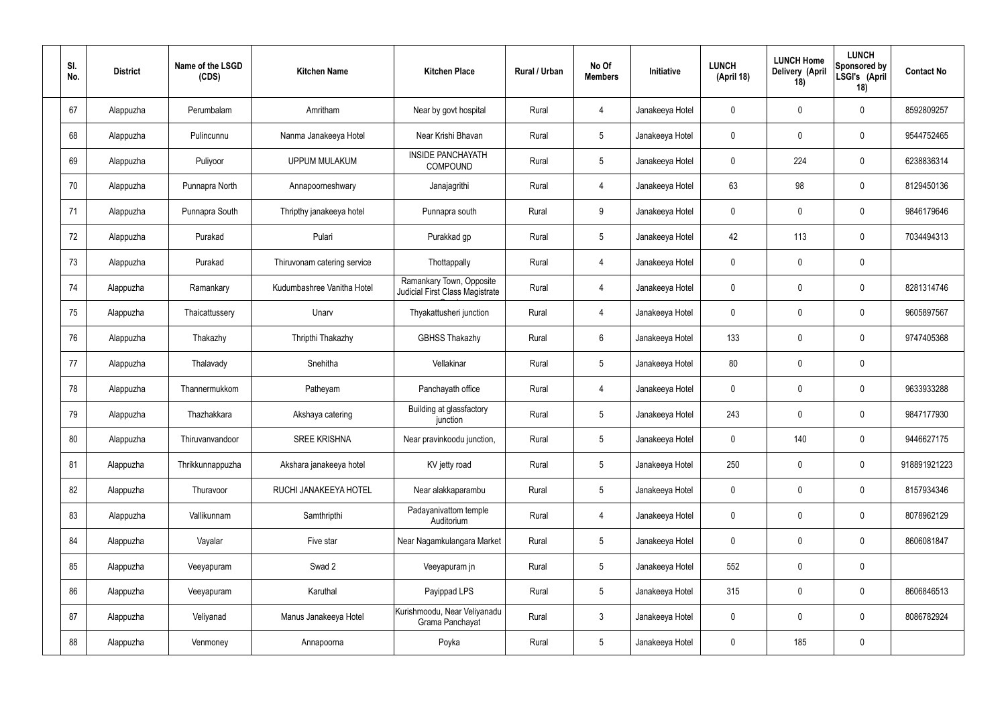| SI.<br>No. | <b>District</b> | Name of the LSGD<br>(CDS) | <b>Kitchen Name</b>         | <b>Kitchen Place</b>                                        | Rural / Urban | No Of<br><b>Members</b> | Initiative      | <b>LUNCH</b><br>(April 18) | <b>LUNCH Home</b><br>Delivery (April<br>18) | <b>LUNCH</b><br>Sponsored by<br>LSGI's (April<br>18) | <b>Contact No</b> |
|------------|-----------------|---------------------------|-----------------------------|-------------------------------------------------------------|---------------|-------------------------|-----------------|----------------------------|---------------------------------------------|------------------------------------------------------|-------------------|
| 67         | Alappuzha       | Perumbalam                | Amritham                    | Near by govt hospital                                       | Rural         | $\overline{4}$          | Janakeeya Hotel | $\mathbf 0$                | $\mathbf 0$                                 | $\pmb{0}$                                            | 8592809257        |
| 68         | Alappuzha       | Pulincunnu                | Nanma Janakeeya Hotel       | Near Krishi Bhavan                                          | Rural         | $5\phantom{.0}$         | Janakeeya Hotel | $\mathbf 0$                | $\mathbf 0$                                 | $\pmb{0}$                                            | 9544752465        |
| 69         | Alappuzha       | Puliyoor                  | <b>UPPUM MULAKUM</b>        | <b>INSIDE PANCHAYATH</b><br>COMPOUND                        | Rural         | $5\phantom{.0}$         | Janakeeya Hotel | $\mathbf 0$                | 224                                         | $\pmb{0}$                                            | 6238836314        |
| 70         | Alappuzha       | Punnapra North            | Annapoorneshwary            | Janajagrithi                                                | Rural         | $\overline{4}$          | Janakeeya Hotel | 63                         | 98                                          | $\pmb{0}$                                            | 8129450136        |
| 71         | Alappuzha       | Punnapra South            | Thripthy janakeeya hotel    | Punnapra south                                              | Rural         | 9                       | Janakeeya Hotel | $\mathbf 0$                | $\mathbf 0$                                 | $\pmb{0}$                                            | 9846179646        |
| 72         | Alappuzha       | Purakad                   | Pulari                      | Purakkad gp                                                 | Rural         | $5\phantom{.0}$         | Janakeeya Hotel | 42                         | 113                                         | $\pmb{0}$                                            | 7034494313        |
| 73         | Alappuzha       | Purakad                   | Thiruvonam catering service | Thottappally                                                | Rural         | $\overline{4}$          | Janakeeya Hotel | $\mathbf 0$                | $\mathbf 0$                                 | $\pmb{0}$                                            |                   |
| 74         | Alappuzha       | Ramankary                 | Kudumbashree Vanitha Hotel  | Ramankary Town, Opposite<br>Judicial First Class Magistrate | Rural         | 4                       | Janakeeya Hotel | $\mathbf 0$                | $\mathbf 0$                                 | $\pmb{0}$                                            | 8281314746        |
| 75         | Alappuzha       | Thaicattussery            | Unarv                       | Thyakattusheri junction                                     | Rural         | 4                       | Janakeeya Hotel | $\mathbf 0$                | $\mathbf 0$                                 | $\pmb{0}$                                            | 9605897567        |
| 76         | Alappuzha       | Thakazhy                  | Thripthi Thakazhy           | <b>GBHSS Thakazhy</b>                                       | Rural         | $6\overline{6}$         | Janakeeya Hotel | 133                        | $\mathbf 0$                                 | $\pmb{0}$                                            | 9747405368        |
| 77         | Alappuzha       | Thalavady                 | Snehitha                    | Vellakinar                                                  | Rural         | $5\phantom{.0}$         | Janakeeya Hotel | 80                         | $\pmb{0}$                                   | $\pmb{0}$                                            |                   |
| 78         | Alappuzha       | Thannermukkom             | Patheyam                    | Panchayath office                                           | Rural         | 4                       | Janakeeya Hotel | $\mathbf 0$                | $\mathbf 0$                                 | $\pmb{0}$                                            | 9633933288        |
| 79         | Alappuzha       | Thazhakkara               | Akshaya catering            | Building at glassfactory<br>junction                        | Rural         | 5                       | Janakeeya Hotel | 243                        | $\mathbf 0$                                 | $\mathbf 0$                                          | 9847177930        |
| 80         | Alappuzha       | Thiruvanvandoor           | <b>SREE KRISHNA</b>         | Near pravinkoodu junction,                                  | Rural         | 5 <sup>5</sup>          | Janakeeya Hotel | $\pmb{0}$                  | 140                                         | $\pmb{0}$                                            | 9446627175        |
| 81         | Alappuzha       | Thrikkunnappuzha          | Akshara janakeeya hotel     | KV jetty road                                               | Rural         | 5 <sup>5</sup>          | Janakeeya Hotel | 250                        | $\pmb{0}$                                   | $\mathbf 0$                                          | 918891921223      |
| 82         | Alappuzha       | Thuravoor                 | RUCHI JANAKEEYA HOTEL       | Near alakkaparambu                                          | Rural         | 5 <sup>5</sup>          | Janakeeya Hotel | $\pmb{0}$                  | $\pmb{0}$                                   | $\mathbf 0$                                          | 8157934346        |
| 83         | Alappuzha       | Vallikunnam               | Samthripthi                 | Padayanivattom temple<br>Auditorium                         | Rural         | $\overline{4}$          | Janakeeya Hotel | $\mathbf 0$                | $\pmb{0}$                                   | $\mathbf 0$                                          | 8078962129        |
| 84         | Alappuzha       | Vayalar                   | Five star                   | Near Nagamkulangara Market                                  | Rural         | 5 <sup>5</sup>          | Janakeeya Hotel | $\pmb{0}$                  | $\pmb{0}$                                   | $\mathbf 0$                                          | 8606081847        |
| 85         | Alappuzha       | Veeyapuram                | Swad 2                      | Veeyapuram jn                                               | Rural         | 5 <sup>5</sup>          | Janakeeya Hotel | 552                        | $\pmb{0}$                                   | $\mathbf 0$                                          |                   |
| 86         | Alappuzha       | Veeyapuram                | Karuthal                    | Payippad LPS                                                | Rural         | 5 <sub>5</sub>          | Janakeeya Hotel | 315                        | $\pmb{0}$                                   | $\mathbf 0$                                          | 8606846513        |
| 87         | Alappuzha       | Veliyanad                 | Manus Janakeeya Hotel       | Kurishmoodu, Near Veliyanadu<br>Grama Panchayat             | Rural         | $3\phantom{a}$          | Janakeeya Hotel | $\mathbf 0$                | $\pmb{0}$                                   | $\mathbf 0$                                          | 8086782924        |
| 88         | Alappuzha       | Venmoney                  | Annapoorna                  | Poyka                                                       | Rural         | 5 <sub>5</sub>          | Janakeeya Hotel | 0                          | 185                                         | $\pmb{0}$                                            |                   |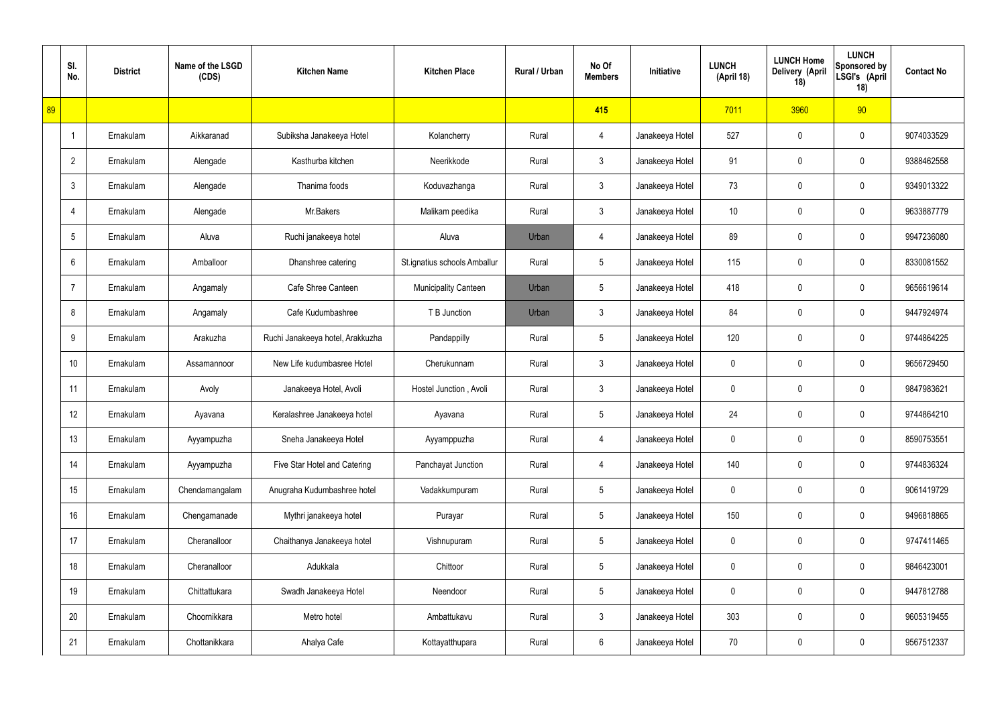|    | SI.<br>No.      | <b>District</b> | Name of the LSGD<br>(CDS) | <b>Kitchen Name</b>              | <b>Kitchen Place</b>         | Rural / Urban | No Of<br><b>Members</b> | Initiative      | <b>LUNCH</b><br>(April 18) | <b>LUNCH Home</b><br>Delivery (April<br>18) | <b>LUNCH</b><br>Sponsored by<br>LSGI's (April<br>18) | <b>Contact No</b> |
|----|-----------------|-----------------|---------------------------|----------------------------------|------------------------------|---------------|-------------------------|-----------------|----------------------------|---------------------------------------------|------------------------------------------------------|-------------------|
| 89 |                 |                 |                           |                                  |                              |               | 415                     |                 | 7011                       | 3960                                        | 90                                                   |                   |
|    | $\overline{1}$  | Ernakulam       | Aikkaranad                | Subiksha Janakeeya Hotel         | Kolancherry                  | Rural         | 4                       | Janakeeya Hotel | 527                        | 0                                           | $\boldsymbol{0}$                                     | 9074033529        |
|    | $\overline{2}$  | Ernakulam       | Alengade                  | Kasthurba kitchen                | Neerikkode                   | Rural         | $\mathbf{3}$            | Janakeeya Hotel | 91                         | 0                                           | $\boldsymbol{0}$                                     | 9388462558        |
|    | $\mathbf{3}$    | Ernakulam       | Alengade                  | Thanima foods                    | Koduvazhanga                 | Rural         | $\mathfrak{Z}$          | Janakeeya Hotel | 73                         | 0                                           | $\boldsymbol{0}$                                     | 9349013322        |
|    | $\overline{4}$  | Ernakulam       | Alengade                  | Mr.Bakers                        | Malikam peedika              | Rural         | $\mathbf{3}$            | Janakeeya Hotel | 10 <sup>°</sup>            | 0                                           | $\boldsymbol{0}$                                     | 9633887779        |
|    | $5\phantom{.0}$ | Ernakulam       | Aluva                     | Ruchi janakeeya hotel            | Aluva                        | Urban         | 4                       | Janakeeya Hotel | 89                         | 0                                           | $\boldsymbol{0}$                                     | 9947236080        |
|    | 6               | Ernakulam       | Amballoor                 | Dhanshree catering               | St.ignatius schools Amballur | Rural         | $5\phantom{.0}$         | Janakeeya Hotel | 115                        | 0                                           | $\boldsymbol{0}$                                     | 8330081552        |
|    | $\overline{7}$  | Ernakulam       | Angamaly                  | Cafe Shree Canteen               | <b>Municipality Canteen</b>  | Urban         | $5\phantom{.0}$         | Janakeeya Hotel | 418                        | 0                                           | $\boldsymbol{0}$                                     | 9656619614        |
|    | 8               | Ernakulam       | Angamaly                  | Cafe Kudumbashree                | T B Junction                 | Urban         | $\mathfrak{Z}$          | Janakeeya Hotel | 84                         | 0                                           | $\boldsymbol{0}$                                     | 9447924974        |
|    | 9               | Ernakulam       | Arakuzha                  | Ruchi Janakeeya hotel, Arakkuzha | Pandappilly                  | Rural         | $5\phantom{.0}$         | Janakeeya Hotel | 120                        | 0                                           | $\mathbf 0$                                          | 9744864225        |
|    | 10              | Ernakulam       | Assamannoor               | New Life kudumbasree Hotel       | Cherukunnam                  | Rural         | $\mathfrak{Z}$          | Janakeeya Hotel | 0                          | 0                                           | $\boldsymbol{0}$                                     | 9656729450        |
|    | 11              | Ernakulam       | Avoly                     | Janakeeya Hotel, Avoli           | Hostel Junction, Avoli       | Rural         | $\mathfrak{Z}$          | Janakeeya Hotel | 0                          | 0                                           | $\mathbf 0$                                          | 9847983621        |
|    | 12              | Ernakulam       | Ayavana                   | Keralashree Janakeeya hotel      | Ayavana                      | Rural         | $5\phantom{.0}$         | Janakeeya Hotel | 24                         | 0                                           | $\mathbf 0$                                          | 9744864210        |
|    | 13              | Ernakulam       | Ayyampuzha                | Sneha Janakeeya Hotel            | Ayyamppuzha                  | Rural         | $\overline{4}$          | Janakeeya Hotel | 0                          | 0                                           | $\mathbf 0$                                          | 8590753551        |
|    | 14              | Ernakulam       | Ayyampuzha                | Five Star Hotel and Catering     | Panchayat Junction           | Rural         | 4                       | Janakeeya Hotel | 140                        | 0                                           | $\mathbf 0$                                          | 9744836324        |
|    | 15              | Ernakulam       | Chendamangalam            | Anugraha Kudumbashree hotel      | Vadakkumpuram                | Rural         | $5\,$                   | Janakeeya Hotel | 0                          | 0                                           | $\mathbf 0$                                          | 9061419729        |
|    | 16              | Ernakulam       | Chengamanade              | Mythri janakeeya hotel           | Purayar                      | Rural         | $5\,$                   | Janakeeya Hotel | 150                        | 0                                           | $\mathbf 0$                                          | 9496818865        |
|    | 17              | Ernakulam       | Cheranalloor              | Chaithanya Janakeeya hotel       | Vishnupuram                  | Rural         | $5\,$                   | Janakeeya Hotel | 0                          | 0                                           | $\mathbf 0$                                          | 9747411465        |
|    | 18              | Ernakulam       | Cheranalloor              | Adukkala                         | Chittoor                     | Rural         | $5\,$                   | Janakeeya Hotel | 0                          | 0                                           | $\mathbf 0$                                          | 9846423001        |
|    | 19              | Ernakulam       | Chittattukara             | Swadh Janakeeya Hotel            | Neendoor                     | Rural         | $5\,$                   | Janakeeya Hotel | 0                          | 0                                           | $\mathbf 0$                                          | 9447812788        |
|    | 20              | Ernakulam       | Choornikkara              | Metro hotel                      | Ambattukavu                  | Rural         | $\mathbf{3}$            | Janakeeya Hotel | 303                        | 0                                           | $\mathbf 0$                                          | 9605319455        |
|    | 21              | Ernakulam       | Chottanikkara             | Ahalya Cafe                      | Kottayatthupara              | Rural         | 6                       | Janakeeya Hotel | 70                         | 0                                           | $\boldsymbol{0}$                                     | 9567512337        |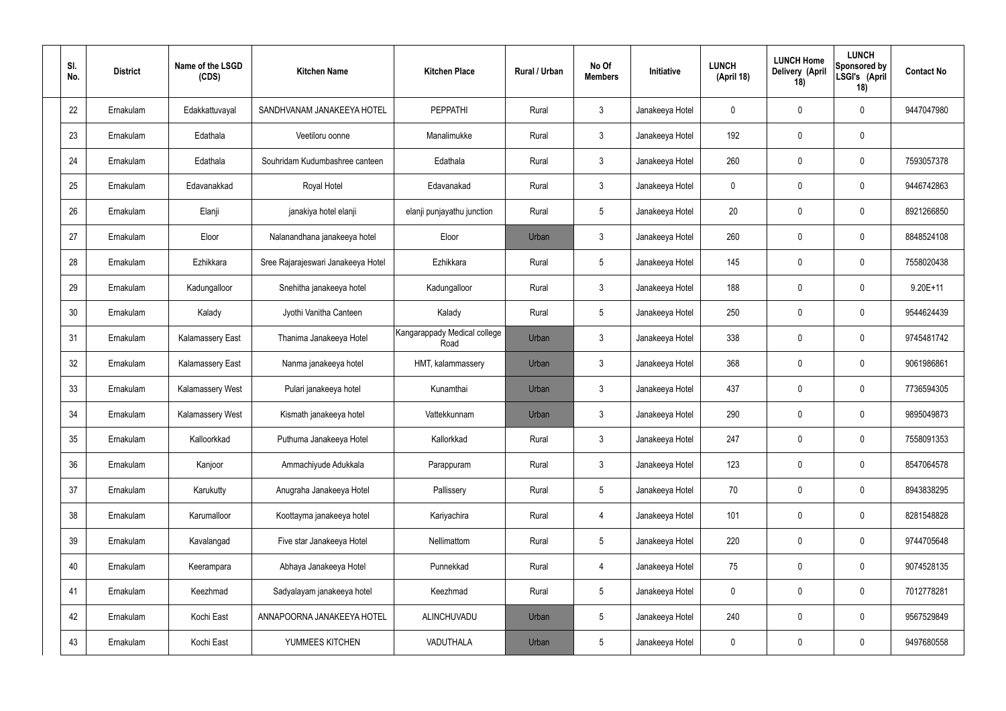| SI.<br>No. | <b>District</b> | Name of the LSGD<br>(CDS) | <b>Kitchen Name</b>                | <b>Kitchen Place</b>                 | Rural / Urban | No Of<br><b>Members</b> | Initiative      | <b>LUNCH</b><br>(April 18) | <b>LUNCH Home</b><br>Delivery (April<br>18) | <b>LUNCH</b><br>Sponsored by<br>LSGI's (April<br>18) | <b>Contact No</b> |
|------------|-----------------|---------------------------|------------------------------------|--------------------------------------|---------------|-------------------------|-----------------|----------------------------|---------------------------------------------|------------------------------------------------------|-------------------|
| 22         | Ernakulam       | Edakkattuvayal            | SANDHVANAM JANAKEEYA HOTEL         | <b>PEPPATHI</b>                      | Rural         | $\mathbf{3}$            | Janakeeya Hotel | 0                          | 0                                           | 0                                                    | 9447047980        |
| 23         | Ernakulam       | Edathala                  | Veetiloru oonne                    | Manalimukke                          | Rural         | $\mathbf{3}$            | Janakeeya Hotel | 192                        | 0                                           | $\mathbf 0$                                          |                   |
| 24         | Ernakulam       | Edathala                  | Souhridam Kudumbashree canteen     | Edathala                             | Rural         | $\mathbf{3}$            | Janakeeya Hotel | 260                        | 0                                           | $\mathbf 0$                                          | 7593057378        |
| 25         | Ernakulam       | Edavanakkad               | Royal Hotel                        | Edavanakad                           | Rural         | $\mathbf{3}$            | Janakeeya Hotel | $\mathbf 0$                | 0                                           | $\boldsymbol{0}$                                     | 9446742863        |
| 26         | Ernakulam       | Elanji                    | janakiya hotel elanji              | elanji punjayathu junction           | Rural         | $5\phantom{.0}$         | Janakeeya Hotel | 20                         | 0                                           | $\mathbf 0$                                          | 8921266850        |
| 27         | Ernakulam       | Eloor                     | Nalanandhana janakeeya hotel       | Eloor                                | Urban         | $\mathbf{3}$            | Janakeeya Hotel | 260                        | 0                                           | $\mathbf 0$                                          | 8848524108        |
| 28         | Ernakulam       | Ezhikkara                 | Sree Rajarajeswari Janakeeya Hotel | Ezhikkara                            | Rural         | $5\phantom{.0}$         | Janakeeya Hotel | 145                        | 0                                           | $\mathbf 0$                                          | 7558020438        |
| 29         | Ernakulam       | Kadungalloor              | Snehitha janakeeya hotel           | Kadungalloor                         | Rural         | $\mathbf{3}$            | Janakeeya Hotel | 188                        | 0                                           | $\boldsymbol{0}$                                     | $9.20E+11$        |
| 30         | Ernakulam       | Kalady                    | Jyothi Vanitha Canteen             | Kalady                               | Rural         | $5\phantom{.0}$         | Janakeeya Hotel | 250                        | 0                                           | $\mathbf 0$                                          | 9544624439        |
| 31         | Ernakulam       | <b>Kalamassery East</b>   | Thanima Janakeeya Hotel            | Kangarappady Medical college<br>Road | Urban         | $\mathbf{3}$            | Janakeeya Hotel | 338                        | 0                                           | $\mathbf 0$                                          | 9745481742        |
| 32         | Ernakulam       | <b>Kalamassery East</b>   | Nanma janakeeya hotel              | HMT, kalammassery                    | Urban         | $\mathbf{3}$            | Janakeeya Hotel | 368                        | $\boldsymbol{0}$                            | $\mathbf 0$                                          | 9061986861        |
| 33         | Ernakulam       | <b>Kalamassery West</b>   | Pulari janakeeya hotel             | Kunamthai                            | Urban         | $\mathbf{3}$            | Janakeeya Hotel | 437                        | 0                                           | $\mathbf 0$                                          | 7736594305        |
| 34         | Ernakulam       | <b>Kalamassery West</b>   | Kismath janakeeya hotel            | Vattekkunnam                         | Urban         | $\mathbf{3}$            | Janakeeya Hotel | 290                        | $\boldsymbol{0}$                            | 0                                                    | 9895049873        |
| 35         | Ernakulam       | Kalloorkkad               | Puthuma Janakeeya Hotel            | Kallorkkad                           | Rural         | $\mathbf{3}$            | Janakeeya Hotel | 247                        | $\mathsf{0}$                                | $\pmb{0}$                                            | 7558091353        |
| 36         | Ernakulam       | Kanjoor                   | Ammachiyude Adukkala               | Parappuram                           | Rural         | 3 <sup>1</sup>          | Janakeeya Hotel | 123                        | 0                                           | $\mathbf 0$                                          | 8547064578        |
| 37         | Ernakulam       | Karukutty                 | Anugraha Janakeeya Hotel           | Pallissery                           | Rural         | $5\phantom{.0}$         | Janakeeya Hotel | 70                         | 0                                           | $\mathbf 0$                                          | 8943838295        |
| 38         | Ernakulam       | Karumalloor               | Koottayma janakeeya hotel          | Kariyachira                          | Rural         | $\overline{4}$          | Janakeeya Hotel | 101                        | 0                                           | $\mathbf 0$                                          | 8281548828        |
| 39         | Ernakulam       | Kavalangad                | Five star Janakeeya Hotel          | Nellimattom                          | Rural         | $5\phantom{.0}$         | Janakeeya Hotel | 220                        | 0                                           | $\mathbf 0$                                          | 9744705648        |
| 40         | Ernakulam       | Keerampara                | Abhaya Janakeeya Hotel             | Punnekkad                            | Rural         | $\overline{4}$          | Janakeeya Hotel | 75                         | 0                                           | $\mathbf 0$                                          | 9074528135        |
| 41         | Ernakulam       | Keezhmad                  | Sadyalayam janakeeya hotel         | Keezhmad                             | Rural         | $5\phantom{.0}$         | Janakeeya Hotel | 0                          | 0                                           | $\mathbf 0$                                          | 7012778281        |
| 42         | Ernakulam       | Kochi East                | ANNAPOORNA JANAKEEYA HOTEL         | ALINCHUVADU                          | Urban         | $5\phantom{.0}$         | Janakeeya Hotel | 240                        | 0                                           | $\mathbf 0$                                          | 9567529849        |
| 43         | Ernakulam       | Kochi East                | YUMMEES KITCHEN                    | VADUTHALA                            | Urban         | $5\phantom{.0}$         | Janakeeya Hotel | 0                          | 0                                           | $\boldsymbol{0}$                                     | 9497680558        |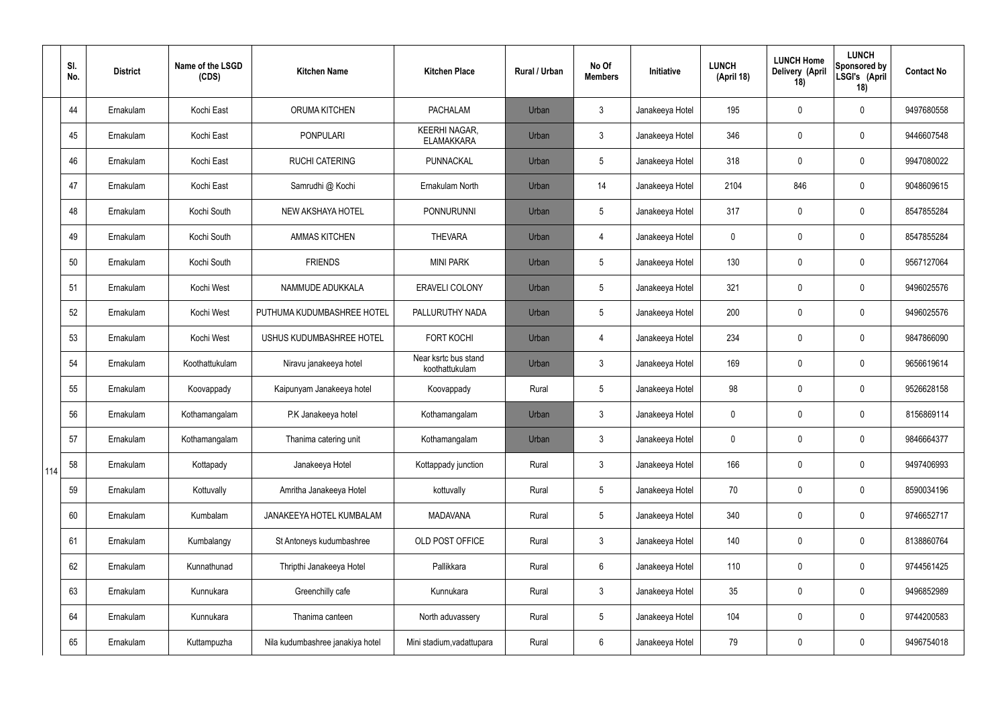|     | SI.<br>No. | <b>District</b> | Name of the LSGD<br>(CDS) | <b>Kitchen Name</b>              | <b>Kitchen Place</b>                      | <b>Rural / Urban</b> | No Of<br><b>Members</b> | Initiative      | <b>LUNCH</b><br>(April 18) | <b>LUNCH Home</b><br>Delivery (April<br>18) | <b>LUNCH</b><br><b>Sponsored by</b><br>LSGI's (April<br>18) | <b>Contact No</b> |
|-----|------------|-----------------|---------------------------|----------------------------------|-------------------------------------------|----------------------|-------------------------|-----------------|----------------------------|---------------------------------------------|-------------------------------------------------------------|-------------------|
|     | 44         | Ernakulam       | Kochi East                | ORUMA KITCHEN                    | <b>PACHALAM</b>                           | Urban                | $\mathbf{3}$            | Janakeeya Hotel | 195                        | 0                                           | $\mathbf 0$                                                 | 9497680558        |
|     | 45         | Ernakulam       | Kochi East                | <b>PONPULARI</b>                 | <b>KEERHI NAGAR,</b><br><b>ELAMAKKARA</b> | Urban                | $\mathfrak{Z}$          | Janakeeya Hotel | 346                        | 0                                           | $\boldsymbol{0}$                                            | 9446607548        |
|     | 46         | Ernakulam       | Kochi East                | <b>RUCHI CATERING</b>            | PUNNACKAL                                 | Urban                | 5                       | Janakeeya Hotel | 318                        | 0                                           | $\mathbf 0$                                                 | 9947080022        |
|     | 47         | Ernakulam       | Kochi East                | Samrudhi @ Kochi                 | Ernakulam North                           | Urban                | 14                      | Janakeeya Hotel | 2104                       | 846                                         | $\pmb{0}$                                                   | 9048609615        |
|     | 48         | Ernakulam       | Kochi South               | NEW AKSHAYA HOTEL                | <b>PONNURUNNI</b>                         | Urban                | 5                       | Janakeeya Hotel | 317                        | 0                                           | $\mathbf 0$                                                 | 8547855284        |
|     | 49         | Ernakulam       | Kochi South               | <b>AMMAS KITCHEN</b>             | <b>THEVARA</b>                            | Urban                | $\overline{4}$          | Janakeeya Hotel | 0                          | 0                                           | $\mathbf 0$                                                 | 8547855284        |
|     | 50         | Ernakulam       | Kochi South               | <b>FRIENDS</b>                   | <b>MINI PARK</b>                          | Urban                | 5                       | Janakeeya Hotel | 130                        | 0                                           | $\mathbf 0$                                                 | 9567127064        |
|     | 51         | Ernakulam       | Kochi West                | NAMMUDE ADUKKALA                 | <b>ERAVELI COLONY</b>                     | Urban                | 5                       | Janakeeya Hotel | 321                        | 0                                           | $\mathbf 0$                                                 | 9496025576        |
|     | 52         | Ernakulam       | Kochi West                | PUTHUMA KUDUMBASHREE HOTEL       | PALLURUTHY NADA                           | Urban                | 5                       | Janakeeya Hotel | 200                        | 0                                           | $\mathbf 0$                                                 | 9496025576        |
|     | 53         | Ernakulam       | Kochi West                | USHUS KUDUMBASHREE HOTEL         | <b>FORT KOCHI</b>                         | Urban                | $\overline{4}$          | Janakeeya Hotel | 234                        | 0                                           | $\pmb{0}$                                                   | 9847866090        |
|     | 54         | Ernakulam       | Koothattukulam            | Niravu janakeeya hotel           | Near ksrtc bus stand<br>koothattukulam    | Urban                | $\mathfrak{Z}$          | Janakeeya Hotel | 169                        | 0                                           | $\pmb{0}$                                                   | 9656619614        |
|     | 55         | Ernakulam       | Koovappady                | Kaipunyam Janakeeya hotel        | Koovappady                                | Rural                | 5                       | Janakeeya Hotel | 98                         | 0                                           | $\boldsymbol{0}$                                            | 9526628158        |
|     | 56         | Ernakulam       | Kothamangalam             | P.K Janakeeya hotel              | Kothamangalam                             | Urban                | $\mathbf{3}$            | Janakeeya Hotel | 0                          | 0                                           | $\mathbf 0$                                                 | 8156869114        |
|     | 57         | Ernakulam       | Kothamangalam             | Thanima catering unit            | Kothamangalam                             | Urban                | $\mathbf{3}$            | Janakeeya Hotel | 0                          | 0                                           | $\mathbf 0$                                                 | 9846664377        |
| 114 | 58         | Ernakulam       | Kottapady                 | Janakeeya Hotel                  | Kottappady junction                       | Rural                | $\mathbf{3}$            | Janakeeya Hotel | 166                        | 0                                           | $\mathbf 0$                                                 | 9497406993        |
|     | 59         | Ernakulam       | Kottuvally                | Amritha Janakeeya Hotel          | kottuvally                                | Rural                | 5                       | Janakeeya Hotel | 70                         | 0                                           | $\mathbf 0$                                                 | 8590034196        |
|     | 60         | Ernakulam       | Kumbalam                  | JANAKEEYA HOTEL KUMBALAM         | <b>MADAVANA</b>                           | Rural                | 5                       | Janakeeya Hotel | 340                        | 0                                           | $\pmb{0}$                                                   | 9746652717        |
|     | 61         | Ernakulam       | Kumbalangy                | St Antoneys kudumbashree         | OLD POST OFFICE                           | Rural                | $\mathbf{3}$            | Janakeeya Hotel | 140                        | 0                                           | $\pmb{0}$                                                   | 8138860764        |
|     | 62         | Ernakulam       | Kunnathunad               | Thripthi Janakeeya Hotel         | Pallikkara                                | Rural                | 6                       | Janakeeya Hotel | 110                        | 0                                           | $\pmb{0}$                                                   | 9744561425        |
|     | 63         | Ernakulam       | Kunnukara                 | Greenchilly cafe                 | Kunnukara                                 | Rural                | $\mathfrak{Z}$          | Janakeeya Hotel | 35 <sub>5</sub>            | 0                                           | $\pmb{0}$                                                   | 9496852989        |
|     | 64         | Ernakulam       | Kunnukara                 | Thanima canteen                  | North aduvassery                          | Rural                | $5\phantom{.0}$         | Janakeeya Hotel | 104                        | 0                                           | $\pmb{0}$                                                   | 9744200583        |
|     | 65         | Ernakulam       | Kuttampuzha               | Nila kudumbashree janakiya hotel | Mini stadium, vadattupara                 | Rural                | $6\phantom{.}$          | Janakeeya Hotel | 79                         | 0                                           | $\pmb{0}$                                                   | 9496754018        |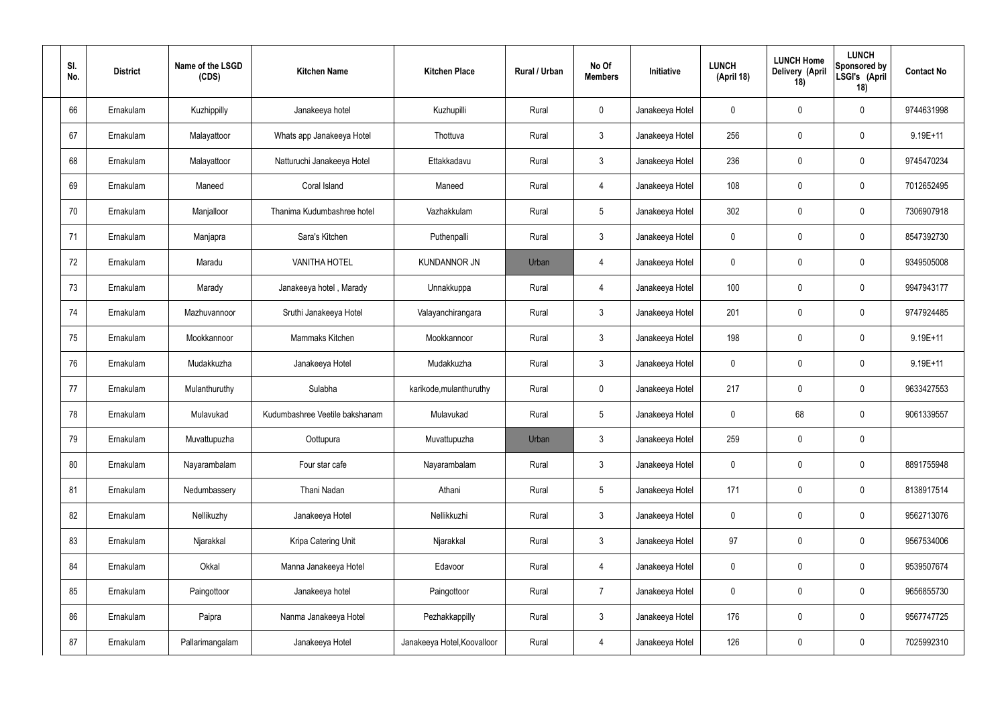| SI.<br>No. | <b>District</b> | Name of the LSGD<br>(CDS) | <b>Kitchen Name</b>            | <b>Kitchen Place</b>        | Rural / Urban | No Of<br><b>Members</b> | Initiative      | <b>LUNCH</b><br>(April 18) | <b>LUNCH Home</b><br>Delivery (April<br>18) | <b>LUNCH</b><br>Sponsored by<br>LSGI's (April<br>18) | <b>Contact No</b> |
|------------|-----------------|---------------------------|--------------------------------|-----------------------------|---------------|-------------------------|-----------------|----------------------------|---------------------------------------------|------------------------------------------------------|-------------------|
| 66         | Ernakulam       | Kuzhippilly               | Janakeeya hotel                | Kuzhupilli                  | Rural         | $\mathbf 0$             | Janakeeya Hotel | 0                          | 0                                           | $\mathbf 0$                                          | 9744631998        |
| 67         | Ernakulam       | Malayattoor               | Whats app Janakeeya Hotel      | Thottuva                    | Rural         | $\mathbf{3}$            | Janakeeya Hotel | 256                        | 0                                           | $\mathbf 0$                                          | 9.19E+11          |
| 68         | Ernakulam       | Malayattoor               | Natturuchi Janakeeya Hotel     | Ettakkadavu                 | Rural         | $\mathbf{3}$            | Janakeeya Hotel | 236                        | 0                                           | $\mathbf 0$                                          | 9745470234        |
| 69         | Ernakulam       | Maneed                    | Coral Island                   | Maneed                      | Rural         | $\overline{4}$          | Janakeeya Hotel | 108                        | 0                                           | $\mathbf 0$                                          | 7012652495        |
| 70         | Ernakulam       | Manjalloor                | Thanima Kudumbashree hotel     | Vazhakkulam                 | Rural         | $5\phantom{.0}$         | Janakeeya Hotel | 302                        | $\boldsymbol{0}$                            | $\mathbf 0$                                          | 7306907918        |
| 71         | Ernakulam       | Manjapra                  | Sara's Kitchen                 | Puthenpalli                 | Rural         | $\mathbf{3}$            | Janakeeya Hotel | $\mathbf 0$                | 0                                           | $\mathbf 0$                                          | 8547392730        |
| 72         | Ernakulam       | Maradu                    | <b>VANITHA HOTEL</b>           | <b>KUNDANNOR JN</b>         | Urban         | $\overline{4}$          | Janakeeya Hotel | $\mathbf 0$                | 0                                           | $\mathbf 0$                                          | 9349505008        |
| 73         | Ernakulam       | Marady                    | Janakeeya hotel, Marady        | Unnakkuppa                  | Rural         | $\overline{4}$          | Janakeeya Hotel | 100                        | 0                                           | $\mathbf 0$                                          | 9947943177        |
| 74         | Ernakulam       | Mazhuvannoor              | Sruthi Janakeeya Hotel         | Valayanchirangara           | Rural         | $\mathbf{3}$            | Janakeeya Hotel | 201                        | $\boldsymbol{0}$                            | $\mathbf 0$                                          | 9747924485        |
| 75         | Ernakulam       | Mookkannoor               | Mammaks Kitchen                | Mookkannoor                 | Rural         | $\mathfrak{Z}$          | Janakeeya Hotel | 198                        | 0                                           | $\mathbf 0$                                          | $9.19E + 11$      |
| 76         | Ernakulam       | Mudakkuzha                | Janakeeya Hotel                | Mudakkuzha                  | Rural         | $\mathbf{3}$            | Janakeeya Hotel | $\mathbf 0$                | 0                                           | $\boldsymbol{0}$                                     | $9.19E + 11$      |
| 77         | Ernakulam       | Mulanthuruthy             | Sulabha                        | karikode, mulanthuruthy     | Rural         | $\mathbf 0$             | Janakeeya Hotel | 217                        | 0                                           | $\boldsymbol{0}$                                     | 9633427553        |
| 78         | Ernakulam       | Mulavukad                 | Kudumbashree Veetile bakshanam | Mulavukad                   | Rural         | $5\phantom{.0}$         | Janakeeya Hotel | 0                          | 68                                          | $\boldsymbol{0}$                                     | 9061339557        |
| 79         | Ernakulam       | Muvattupuzha              | Oottupura                      | Muvattupuzha                | Urban         | 3                       | Janakeeya Hotel | 259                        | $\mathbf 0$                                 | $\pmb{0}$                                            |                   |
| 80         | Ernakulam       | Nayarambalam              | Four star cafe                 | Nayarambalam                | Rural         | $3\phantom{a}$          | Janakeeya Hotel | $\mathbf 0$                | $\mathbf 0$                                 | $\mathbf 0$                                          | 8891755948        |
| 81         | Ernakulam       | Nedumbassery              | Thani Nadan                    | Athani                      | Rural         | $5\phantom{.0}$         | Janakeeya Hotel | 171                        | $\mathbf 0$                                 | $\mathbf 0$                                          | 8138917514        |
| 82         | Ernakulam       | Nellikuzhy                | Janakeeya Hotel                | Nellikkuzhi                 | Rural         | $\mathbf{3}$            | Janakeeya Hotel | $\mathbf 0$                | $\mathbf 0$                                 | $\mathbf 0$                                          | 9562713076        |
| 83         | Ernakulam       | Njarakkal                 | Kripa Catering Unit            | Njarakkal                   | Rural         | $\mathbf{3}$            | Janakeeya Hotel | 97                         | $\mathbf 0$                                 | $\mathbf 0$                                          | 9567534006        |
| 84         | Ernakulam       | Okkal                     | Manna Janakeeya Hotel          | Edavoor                     | Rural         | $\overline{4}$          | Janakeeya Hotel | $\mathbf 0$                | $\mathbf 0$                                 | $\mathbf 0$                                          | 9539507674        |
| 85         | Ernakulam       | Paingottoor               | Janakeeya hotel                | Paingottoor                 | Rural         | $\overline{7}$          | Janakeeya Hotel | $\mathbf 0$                | $\mathbf 0$                                 | $\mathbf 0$                                          | 9656855730        |
| 86         | Ernakulam       | Paipra                    | Nanma Janakeeya Hotel          | Pezhakkappilly              | Rural         | $\mathfrak{Z}$          | Janakeeya Hotel | 176                        | 0                                           | $\mathbf 0$                                          | 9567747725        |
| 87         | Ernakulam       | Pallarimangalam           | Janakeeya Hotel                | Janakeeya Hotel, Koovalloor | Rural         | 4                       | Janakeeya Hotel | 126                        | $\pmb{0}$                                   | $\boldsymbol{0}$                                     | 7025992310        |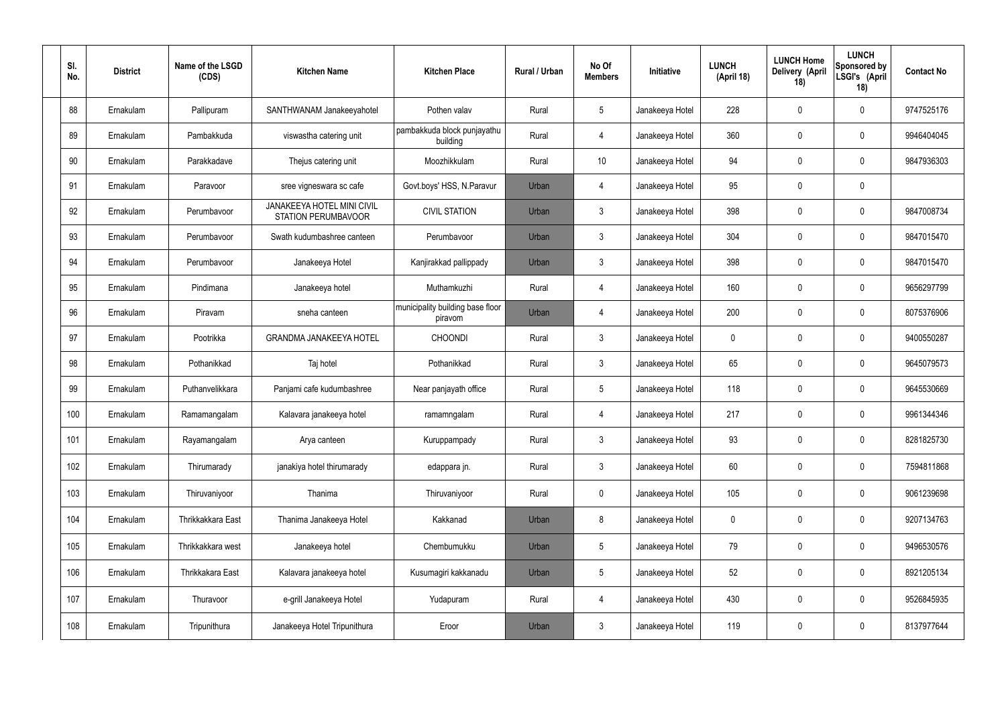| SI.<br>No. | <b>District</b> | Name of the LSGD<br>(CDS) | <b>Kitchen Name</b>                                      | <b>Kitchen Place</b>                        | Rural / Urban | No Of<br><b>Members</b> | Initiative      | <b>LUNCH</b><br>(April 18) | <b>LUNCH Home</b><br><b>Delivery (April</b><br>18) | <b>LUNCH</b><br>Sponsored by<br>LSGI's (April<br>18) | <b>Contact No</b> |
|------------|-----------------|---------------------------|----------------------------------------------------------|---------------------------------------------|---------------|-------------------------|-----------------|----------------------------|----------------------------------------------------|------------------------------------------------------|-------------------|
| 88         | Ernakulam       | Pallipuram                | SANTHWANAM Janakeeyahotel                                | Pothen valav                                | Rural         | $5\phantom{.0}$         | Janakeeya Hotel | 228                        | 0                                                  | $\mathbf 0$                                          | 9747525176        |
| 89         | Ernakulam       | Pambakkuda                | viswastha catering unit                                  | pambakkuda block punjayathu<br>building     | Rural         | $\overline{4}$          | Janakeeya Hotel | 360                        | 0                                                  | $\pmb{0}$                                            | 9946404045        |
| 90         | Ernakulam       | Parakkadave               | Thejus catering unit                                     | Moozhikkulam                                | Rural         | 10                      | Janakeeya Hotel | 94                         | 0                                                  | $\mathbf 0$                                          | 9847936303        |
| 91         | Ernakulam       | Paravoor                  | sree vigneswara sc cafe                                  | Govt.boys' HSS, N.Paravur                   | Urban         | 4                       | Janakeeya Hotel | 95                         | 0                                                  | $\pmb{0}$                                            |                   |
| 92         | Ernakulam       | Perumbavoor               | <b>JANAKEEYA HOTEL MINI CIVIL</b><br>STATION PERUMBAVOOR | <b>CIVIL STATION</b>                        | Urban         | $\mathfrak{Z}$          | Janakeeya Hotel | 398                        | 0                                                  | $\mathbf 0$                                          | 9847008734        |
| 93         | Ernakulam       | Perumbayoor               | Swath kudumbashree canteen                               | Perumbavoor                                 | Urban         | $\mathbf{3}$            | Janakeeya Hotel | 304                        | 0                                                  | $\pmb{0}$                                            | 9847015470        |
| 94         | Ernakulam       | Perumbavoor               | Janakeeya Hotel                                          | Kanjirakkad pallippady                      | Urban         | $\mathfrak{Z}$          | Janakeeya Hotel | 398                        | 0                                                  | $\mathbf 0$                                          | 9847015470        |
| 95         | Ernakulam       | Pindimana                 | Janakeeya hotel                                          | Muthamkuzhi                                 | Rural         | $\overline{4}$          | Janakeeya Hotel | 160                        | 0                                                  | $\pmb{0}$                                            | 9656297799        |
| 96         | Ernakulam       | Piravam                   | sneha canteen                                            | municipality building base floor<br>piravom | Urban         | 4                       | Janakeeya Hotel | 200                        | 0                                                  | $\mathbf 0$                                          | 8075376906        |
| 97         | Ernakulam       | Pootrikka                 | <b>GRANDMA JANAKEEYA HOTEL</b>                           | <b>CHOONDI</b>                              | Rural         | $\mathfrak{Z}$          | Janakeeya Hotel | 0                          | 0                                                  | $\mathbf 0$                                          | 9400550287        |
| 98         | Ernakulam       | Pothanikkad               | Taj hotel                                                | Pothanikkad                                 | Rural         | $\mathbf{3}$            | Janakeeya Hotel | 65                         | 0                                                  | $\mathbf 0$                                          | 9645079573        |
| 99         | Ernakulam       | Puthanvelikkara           | Panjami cafe kudumbashree                                | Near panjayath office                       | Rural         | $5\phantom{.0}$         | Janakeeya Hotel | 118                        | 0                                                  | $\mathbf 0$                                          | 9645530669        |
| 100        | Ernakulam       | Ramamangalam              | Kalavara janakeeya hotel                                 | ramamngalam                                 | Rural         | 4                       | Janakeeya Hotel | 217                        | 0                                                  | $\mathbf 0$                                          | 9961344346        |
| 101        | Ernakulam       | Rayamangalam              | Arya canteen                                             | Kuruppampady                                | Rural         | $\mathfrak{Z}$          | Janakeeya Hotel | 93                         | $\mathbf 0$                                        | $\pmb{0}$                                            | 8281825730        |
| 102        | Ernakulam       | Thirumarady               | janakiya hotel thirumarady                               | edappara jn.                                | Rural         | $\mathbf{3}$            | Janakeeya Hotel | 60                         | $\mathbf 0$                                        | $\pmb{0}$                                            | 7594811868        |
| 103        | Ernakulam       | Thiruvaniyoor             | Thanima                                                  | Thiruvaniyoor                               | Rural         | $\mathbf 0$             | Janakeeya Hotel | 105                        | 0                                                  | $\pmb{0}$                                            | 9061239698        |
| 104        | Ernakulam       | Thrikkakkara East         | Thanima Janakeeya Hotel                                  | Kakkanad                                    | Urban         | 8                       | Janakeeya Hotel | 0                          | 0                                                  | $\pmb{0}$                                            | 9207134763        |
| 105        | Ernakulam       | Thrikkakkara west         | Janakeeya hotel                                          | Chembumukku                                 | Urban         | $5\phantom{.0}$         | Janakeeya Hotel | 79                         | 0                                                  | $\pmb{0}$                                            | 9496530576        |
| 106        | Ernakulam       | Thrikkakara East          | Kalavara janakeeya hotel                                 | Kusumagiri kakkanadu                        | Urban         | $5\phantom{.0}$         | Janakeeya Hotel | 52                         | $\mathbf 0$                                        | $\pmb{0}$                                            | 8921205134        |
| 107        | Ernakulam       | Thuravoor                 | e-grill Janakeeya Hotel                                  | Yudapuram                                   | Rural         | $\overline{4}$          | Janakeeya Hotel | 430                        | $\pmb{0}$                                          | $\pmb{0}$                                            | 9526845935        |
| 108        | Ernakulam       | Tripunithura              | Janakeeya Hotel Tripunithura                             | Eroor                                       | Urban         | $\mathfrak{Z}$          | Janakeeya Hotel | 119                        | 0                                                  | $\pmb{0}$                                            | 8137977644        |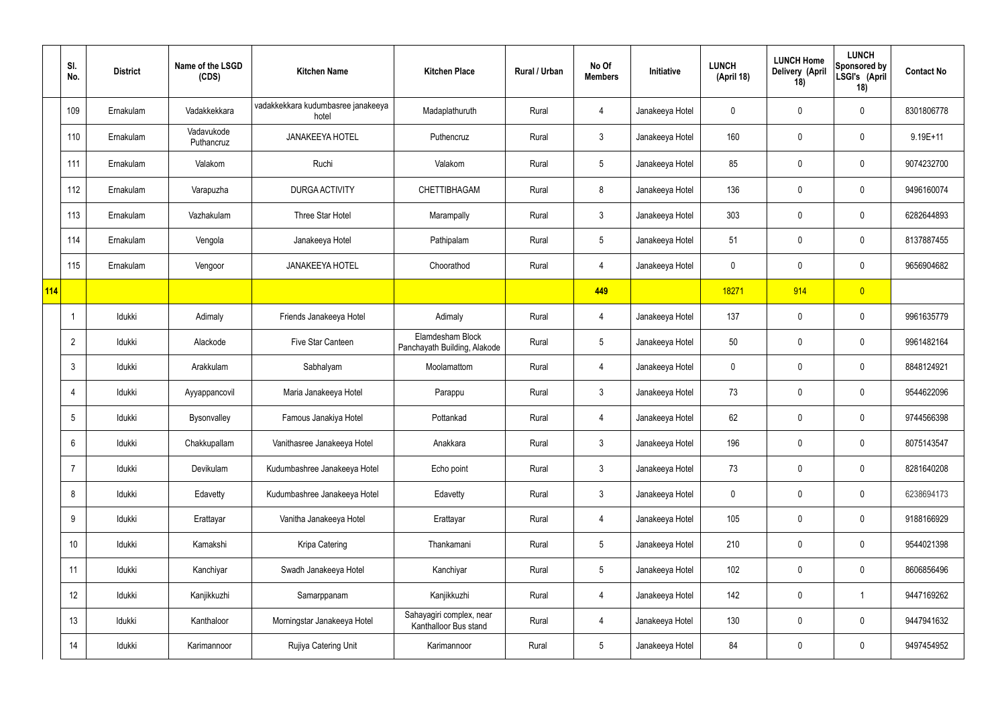|            | SI.<br>No.      | <b>District</b> | Name of the LSGD<br>(CDS) | <b>Kitchen Name</b>                         | <b>Kitchen Place</b>                              | Rural / Urban | No Of<br><b>Members</b> | Initiative      | <b>LUNCH</b><br>(April 18) | <b>LUNCH Home</b><br>Delivery (April<br>18) | <b>LUNCH</b><br><b>Sponsored by</b><br>LSGI's (April<br>18) | <b>Contact No</b> |
|------------|-----------------|-----------------|---------------------------|---------------------------------------------|---------------------------------------------------|---------------|-------------------------|-----------------|----------------------------|---------------------------------------------|-------------------------------------------------------------|-------------------|
|            | 109             | Ernakulam       | Vadakkekkara              | vadakkekkara kudumbasree janakeeya<br>hotel | Madaplathuruth                                    | Rural         | 4                       | Janakeeya Hotel | 0                          | 0                                           | 0                                                           | 8301806778        |
|            | 110             | Ernakulam       | Vadavukode<br>Puthancruz  | <b>JANAKEEYA HOTEL</b>                      | Puthencruz                                        | Rural         | 3                       | Janakeeya Hotel | 160                        | 0                                           | 0                                                           | $9.19E + 11$      |
|            | 111             | Ernakulam       | Valakom                   | Ruchi                                       | Valakom                                           | Rural         | $5\phantom{.0}$         | Janakeeya Hotel | 85                         | 0                                           | $\pmb{0}$                                                   | 9074232700        |
|            | 112             | Ernakulam       | Varapuzha                 | <b>DURGA ACTIVITY</b>                       | <b>CHETTIBHAGAM</b>                               | Rural         | 8                       | Janakeeya Hotel | 136                        | 0                                           | $\pmb{0}$                                                   | 9496160074        |
|            | 113             | Ernakulam       | Vazhakulam                | Three Star Hotel                            | Marampally                                        | Rural         | $\mathfrak{Z}$          | Janakeeya Hotel | 303                        | $\mathbf 0$                                 | $\pmb{0}$                                                   | 6282644893        |
|            | 114             | Ernakulam       | Vengola                   | Janakeeya Hotel                             | Pathipalam                                        | Rural         | $5\phantom{.0}$         | Janakeeya Hotel | 51                         | $\mathbf 0$                                 | $\pmb{0}$                                                   | 8137887455        |
|            | 115             | Ernakulam       | Vengoor                   | <b>JANAKEEYA HOTEL</b>                      | Choorathod                                        | Rural         | 4                       | Janakeeya Hotel | $\mathbf 0$                | $\mathbf 0$                                 | $\pmb{0}$                                                   | 9656904682        |
| <b>114</b> |                 |                 |                           |                                             |                                                   |               | 449                     |                 | 18271                      | 914                                         | $\overline{0}$                                              |                   |
|            | $\overline{1}$  | Idukki          | Adimaly                   | Friends Janakeeya Hotel                     | Adimaly                                           | Rural         | 4                       | Janakeeya Hotel | 137                        | $\mathbf 0$                                 | $\pmb{0}$                                                   | 9961635779        |
|            | $\overline{2}$  | Idukki          | Alackode                  | Five Star Canteen                           | Elamdesham Block<br>Panchayath Building, Alakode  | Rural         | $5\phantom{.0}$         | Janakeeya Hotel | 50                         | $\mathbf 0$                                 | $\pmb{0}$                                                   | 9961482164        |
|            | $\mathbf{3}$    | Idukki          | Arakkulam                 | Sabhalyam                                   | Moolamattom                                       | Rural         | 4                       | Janakeeya Hotel | 0                          | $\mathbf 0$                                 | $\pmb{0}$                                                   | 8848124921        |
|            | $\overline{4}$  | Idukki          | Ayyappancovil             | Maria Janakeeya Hotel                       | Parappu                                           | Rural         | $\mathfrak{Z}$          | Janakeeya Hotel | 73                         | 0                                           | $\pmb{0}$                                                   | 9544622096        |
|            | 5               | Idukki          | Bysonvalley               | Famous Janakiya Hotel                       | Pottankad                                         | Rural         | 4                       | Janakeeya Hotel | 62                         | $\mathbf 0$                                 | $\pmb{0}$                                                   | 9744566398        |
|            | $6\,$           | Idukki          | Chakkupallam              | Vanithasree Janakeeya Hotel                 | Anakkara                                          | Rural         | $\mathbf{3}$            | Janakeeya Hotel | 196                        | $\mathbf 0$                                 | $\pmb{0}$                                                   | 8075143547        |
|            | $\overline{7}$  | Idukki          | Devikulam                 | Kudumbashree Janakeeya Hotel                | Echo point                                        | Rural         | $\mathfrak{Z}$          | Janakeeya Hotel | 73                         | $\mathbf 0$                                 | $\mathbf 0$                                                 | 8281640208        |
|            | 8               | Idukki          | Edavetty                  | Kudumbashree Janakeeya Hotel                | Edavetty                                          | Rural         | $\mathbf{3}$            | Janakeeya Hotel | $\mathbf 0$                | $\mathbf 0$                                 | $\mathbf 0$                                                 | 6238694173        |
|            | 9               | Idukki          | Erattayar                 | Vanitha Janakeeya Hotel                     | Erattayar                                         | Rural         | 4                       | Janakeeya Hotel | 105                        | $\mathbf 0$                                 | $\mathbf 0$                                                 | 9188166929        |
|            | 10 <sup>°</sup> | Idukki          | Kamakshi                  | Kripa Catering                              | Thankamani                                        | Rural         | $5\phantom{.0}$         | Janakeeya Hotel | 210                        | $\mathbf 0$                                 | $\mathbf 0$                                                 | 9544021398        |
|            | 11              | Idukki          | Kanchiyar                 | Swadh Janakeeya Hotel                       | Kanchiyar                                         | Rural         | $5\phantom{.0}$         | Janakeeya Hotel | 102                        | $\mathbf 0$                                 | $\mathbf 0$                                                 | 8606856496        |
|            | 12              | Idukki          | Kanjikkuzhi               | Samarppanam                                 | Kanjikkuzhi                                       | Rural         | 4                       | Janakeeya Hotel | 142                        | $\mathbf 0$                                 | $\mathbf{1}$                                                | 9447169262        |
|            | 13              | Idukki          | Kanthaloor                | Morningstar Janakeeya Hotel                 | Sahayagiri complex, near<br>Kanthalloor Bus stand | Rural         | 4                       | Janakeeya Hotel | 130                        | $\mathbf 0$                                 | $\mathbf 0$                                                 | 9447941632        |
|            | 14              | Idukki          | Karimannoor               | Rujiya Catering Unit                        | Karimannoor                                       | Rural         | $\overline{5}$          | Janakeeya Hotel | 84                         | 0                                           | $\pmb{0}$                                                   | 9497454952        |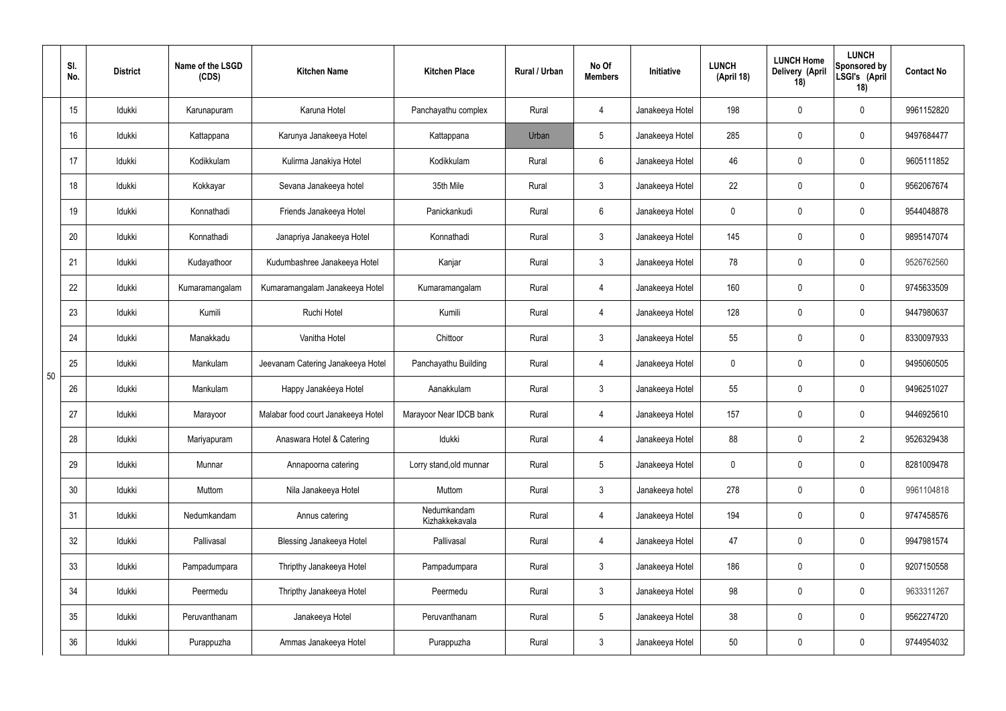|    | SI.<br>No. | <b>District</b> | Name of the LSGD<br>(CDS) | <b>Kitchen Name</b>                | <b>Kitchen Place</b>          | <b>Rural / Urban</b> | No Of<br><b>Members</b> | Initiative      | <b>LUNCH</b><br>(April 18) | <b>LUNCH Home</b><br>Delivery (April<br>18) | <b>LUNCH</b><br>Sponsored by<br>LSGI's (April<br>18) | <b>Contact No</b> |
|----|------------|-----------------|---------------------------|------------------------------------|-------------------------------|----------------------|-------------------------|-----------------|----------------------------|---------------------------------------------|------------------------------------------------------|-------------------|
|    | 15         | Idukki          | Karunapuram               | Karuna Hotel                       | Panchayathu complex           | Rural                | 4                       | Janakeeya Hotel | 198                        | $\mathbf 0$                                 | $\mathbf 0$                                          | 9961152820        |
|    | 16         | Idukki          | Kattappana                | Karunya Janakeeya Hotel            | Kattappana                    | Urban                | 5                       | Janakeeya Hotel | 285                        | $\pmb{0}$                                   | $\pmb{0}$                                            | 9497684477        |
|    | 17         | Idukki          | Kodikkulam                | Kulirma Janakiya Hotel             | Kodikkulam                    | Rural                | $6\phantom{.}$          | Janakeeya Hotel | 46                         | 0                                           | $\pmb{0}$                                            | 9605111852        |
|    | 18         | Idukki          | Kokkayar                  | Sevana Janakeeya hotel             | 35th Mile                     | Rural                | $\mathfrak{Z}$          | Janakeeya Hotel | 22                         | $\pmb{0}$                                   | $\pmb{0}$                                            | 9562067674        |
|    | 19         | Idukki          | Konnathadi                | Friends Janakeeya Hotel            | Panickankudi                  | Rural                | $6\overline{6}$         | Janakeeya Hotel | 0                          | 0                                           | $\pmb{0}$                                            | 9544048878        |
|    | 20         | Idukki          | Konnathadi                | Janapriya Janakeeya Hotel          | Konnathadi                    | Rural                | $\mathbf{3}$            | Janakeeya Hotel | 145                        | $\mathbf 0$                                 | $\pmb{0}$                                            | 9895147074        |
|    | 21         | Idukki          | Kudayathoor               | Kudumbashree Janakeeya Hotel       | Kanjar                        | Rural                | $\mathbf{3}$            | Janakeeya Hotel | 78                         | $\mathbf 0$                                 | $\pmb{0}$                                            | 9526762560        |
|    | 22         | Idukki          | Kumaramangalam            | Kumaramangalam Janakeeya Hotel     | Kumaramangalam                | Rural                | 4                       | Janakeeya Hotel | 160                        | $\mathbf 0$                                 | $\pmb{0}$                                            | 9745633509        |
|    | 23         | Idukki          | Kumili                    | Ruchi Hotel                        | Kumili                        | Rural                | 4                       | Janakeeya Hotel | 128                        | $\mathbf 0$                                 | $\mathbf 0$                                          | 9447980637        |
|    | 24         | Idukki          | Manakkadu                 | Vanitha Hotel                      | Chittoor                      | Rural                | $\mathbf{3}$            | Janakeeya Hotel | 55                         | $\pmb{0}$                                   | $\pmb{0}$                                            | 8330097933        |
| 50 | 25         | Idukki          | Mankulam                  | Jeevanam Catering Janakeeya Hotel  | Panchayathu Building          | Rural                | 4                       | Janakeeya Hotel | 0                          | 0                                           | $\pmb{0}$                                            | 9495060505        |
|    | 26         | Idukki          | Mankulam                  | Happy Janakéeya Hotel              | Aanakkulam                    | Rural                | 3                       | Janakeeya Hotel | 55                         | $\mathbf 0$                                 | $\pmb{0}$                                            | 9496251027        |
|    | 27         | Idukki          | Marayoor                  | Malabar food court Janakeeya Hotel | Marayoor Near IDCB bank       | Rural                | 4                       | Janakeeya Hotel | 157                        | $\mathbf 0$                                 | $\mathbf 0$                                          | 9446925610        |
|    | 28         | Idukki          | Mariyapuram               | Anaswara Hotel & Catering          | Idukki                        | Rural                | 4                       | Janakeeya Hotel | 88                         | $\mathbf 0$                                 | $\overline{2}$                                       | 9526329438        |
|    | 29         | Idukki          | Munnar                    | Annapoorna catering                | Lorry stand, old munnar       | Rural                | 5 <sub>5</sub>          | Janakeeya Hotel | $\mathbf 0$                | $\mathbf 0$                                 | $\mathbf 0$                                          | 8281009478        |
|    | 30         | Idukki          | Muttom                    | Nila Janakeeya Hotel               | Muttom                        | Rural                | $\mathbf{3}$            | Janakeeya hotel | 278                        | $\mathbf 0$                                 | $\mathbf 0$                                          | 9961104818        |
|    | 31         | Idukki          | Nedumkandam               | Annus catering                     | Nedumkandam<br>Kizhakkekavala | Rural                | $\overline{4}$          | Janakeeya Hotel | 194                        | $\mathbf 0$                                 | $\mathbf 0$                                          | 9747458576        |
|    | 32         | Idukki          | Pallivasal                | <b>Blessing Janakeeya Hotel</b>    | Pallivasal                    | Rural                | 4                       | Janakeeya Hotel | 47                         | $\mathbf 0$                                 | $\mathbf 0$                                          | 9947981574        |
|    | 33         | Idukki          | Pampadumpara              | Thripthy Janakeeya Hotel           | Pampadumpara                  | Rural                | $\mathbf{3}$            | Janakeeya Hotel | 186                        | $\mathbf 0$                                 | $\mathbf 0$                                          | 9207150558        |
|    | 34         | Idukki          | Peermedu                  | Thripthy Janakeeya Hotel           | Peermedu                      | Rural                | $\mathbf{3}$            | Janakeeya Hotel | 98                         | $\mathbf 0$                                 | $\mathbf 0$                                          | 9633311267        |
|    | 35         | Idukki          | Peruvanthanam             | Janakeeya Hotel                    | Peruvanthanam                 | Rural                | $5\phantom{.0}$         | Janakeeya Hotel | 38                         | $\mathbf 0$                                 | $\pmb{0}$                                            | 9562274720        |
|    | 36         | Idukki          | Purappuzha                | Ammas Janakeeya Hotel              | Purappuzha                    | Rural                | $\mathfrak{Z}$          | Janakeeya Hotel | 50                         | 0                                           | $\pmb{0}$                                            | 9744954032        |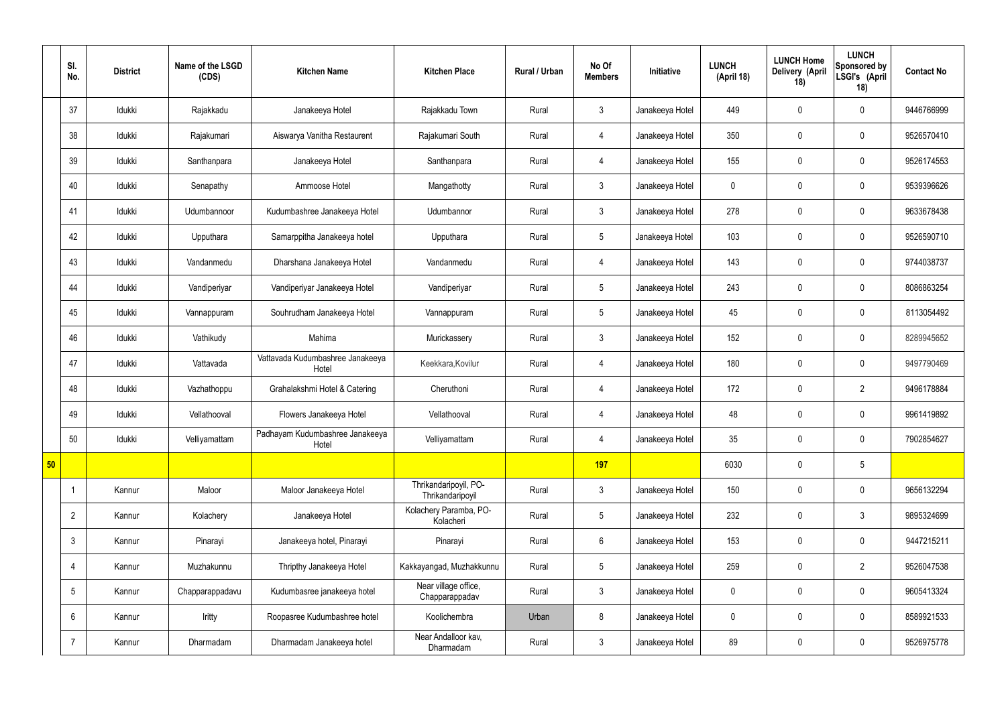|    | SI.<br>No.      | <b>District</b> | Name of the LSGD<br>(CDS) | <b>Kitchen Name</b>                       | <b>Kitchen Place</b>                      | Rural / Urban | No Of<br><b>Members</b> | <b>Initiative</b> | <b>LUNCH</b><br>(April 18) | <b>LUNCH Home</b><br>Delivery (April<br>18) | <b>LUNCH</b><br>Sponsored by<br>LSGI's (April<br>18) | <b>Contact No</b> |
|----|-----------------|-----------------|---------------------------|-------------------------------------------|-------------------------------------------|---------------|-------------------------|-------------------|----------------------------|---------------------------------------------|------------------------------------------------------|-------------------|
|    | 37              | Idukki          | Rajakkadu                 | Janakeeya Hotel                           | Rajakkadu Town                            | Rural         | $\mathbf{3}$            | Janakeeya Hotel   | 449                        | $\mathbf 0$                                 | $\mathbf 0$                                          | 9446766999        |
|    | 38              | Idukki          | Rajakumari                | Aiswarya Vanitha Restaurent               | Rajakumari South                          | Rural         | $\overline{4}$          | Janakeeya Hotel   | 350                        | $\mathbf 0$                                 | $\mathbf 0$                                          | 9526570410        |
|    | 39              | Idukki          | Santhanpara               | Janakeeya Hotel                           | Santhanpara                               | Rural         | $\overline{4}$          | Janakeeya Hotel   | 155                        | $\mathbf 0$                                 | $\mathbf 0$                                          | 9526174553        |
|    | 40              | Idukki          | Senapathy                 | Ammoose Hotel                             | Mangathotty                               | Rural         | $\mathbf{3}$            | Janakeeya Hotel   | $\mathbf 0$                | $\mathbf 0$                                 | $\mathbf 0$                                          | 9539396626        |
|    | 41              | Idukki          | Udumbannoor               | Kudumbashree Janakeeya Hotel              | Udumbannor                                | Rural         | $\mathbf{3}$            | Janakeeya Hotel   | 278                        | $\mathbf 0$                                 | $\mathbf 0$                                          | 9633678438        |
|    | 42              | Idukki          | Upputhara                 | Samarppitha Janakeeya hotel               | Upputhara                                 | Rural         | $5\overline{)}$         | Janakeeya Hotel   | 103                        | $\mathbf 0$                                 | $\mathbf 0$                                          | 9526590710        |
|    | 43              | Idukki          | Vandanmedu                | Dharshana Janakeeya Hotel                 | Vandanmedu                                | Rural         | $\overline{4}$          | Janakeeya Hotel   | 143                        | $\mathbf 0$                                 | $\mathbf 0$                                          | 9744038737        |
|    | 44              | Idukki          | Vandiperiyar              | Vandiperiyar Janakeeya Hotel              | Vandiperiyar                              | Rural         | $5\phantom{.0}$         | Janakeeya Hotel   | 243                        | $\mathbf 0$                                 | $\mathbf 0$                                          | 8086863254        |
|    | 45              | Idukki          | Vannappuram               | Souhrudham Janakeeya Hotel                | Vannappuram                               | Rural         | $5\overline{)}$         | Janakeeya Hotel   | 45                         | $\mathbf 0$                                 | $\mathbf 0$                                          | 8113054492        |
|    | 46              | Idukki          | Vathikudy                 | Mahima                                    | Murickassery                              | Rural         | $\mathbf{3}$            | Janakeeya Hotel   | 152                        | $\mathbf 0$                                 | $\mathbf 0$                                          | 8289945652        |
|    | 47              | Idukki          | Vattavada                 | Vattavada Kudumbashree Janakeeya<br>Hotel | Keekkara, Kovilur                         | Rural         | $\overline{4}$          | Janakeeya Hotel   | 180                        | $\pmb{0}$                                   | $\mathbf 0$                                          | 9497790469        |
|    | 48              | Idukki          | Vazhathoppu               | Grahalakshmi Hotel & Catering             | Cheruthoni                                | Rural         | 4                       | Janakeeya Hotel   | 172                        | $\mathbf 0$                                 | $\overline{2}$                                       | 9496178884        |
|    | 49              | Idukki          | Vellathooval              | Flowers Janakeeya Hotel                   | Vellathooval                              | Rural         | $\overline{4}$          | Janakeeya Hotel   | 48                         | $\mathbf 0$                                 | $\mathbf 0$                                          | 9961419892        |
|    | 50              | Idukki          | Velliyamattam             | Padhayam Kudumbashree Janakeeya<br>Hotel  | Velliyamattam                             | Rural         | $\overline{4}$          | Janakeeya Hotel   | 35                         | $\pmb{0}$                                   | $\mathbf 0$                                          | 7902854627        |
| 50 |                 |                 |                           |                                           |                                           |               | 197                     |                   | 6030                       | $\pmb{0}$                                   | $5\phantom{.0}$                                      |                   |
|    | $\overline{1}$  | Kannur          | Maloor                    | Maloor Janakeeya Hotel                    | Thrikandaripoyil, PO-<br>Thrikandaripoyil | Rural         | $\mathbf{3}$            | Janakeeya Hotel   | 150                        | $\pmb{0}$                                   | $\mathbf 0$                                          | 9656132294        |
|    | $\overline{2}$  | Kannur          | Kolachery                 | Janakeeya Hotel                           | Kolachery Paramba, PO-<br>Kolacheri       | Rural         | $5\overline{)}$         | Janakeeya Hotel   | 232                        | $\pmb{0}$                                   | $\mathbf{3}$                                         | 9895324699        |
|    | $\mathfrak{Z}$  | Kannur          | Pinarayi                  | Janakeeya hotel, Pinarayi                 | Pinarayi                                  | Rural         | $6\phantom{.}6$         | Janakeeya Hotel   | 153                        | $\pmb{0}$                                   | $\mathbf 0$                                          | 9447215211        |
|    | $\overline{4}$  | Kannur          | Muzhakunnu                | Thripthy Janakeeya Hotel                  | Kakkayangad, Muzhakkunnu                  | Rural         | $5\phantom{.0}$         | Janakeeya Hotel   | 259                        | $\pmb{0}$                                   | $\overline{2}$                                       | 9526047538        |
|    | $5\phantom{.0}$ | Kannur          | Chapparappadavu           | Kudumbasree janakeeya hotel               | Near village office,<br>Chapparappadav    | Rural         | $\mathbf{3}$            | Janakeeya Hotel   | $\mathbf 0$                | $\pmb{0}$                                   | $\mathbf 0$                                          | 9605413324        |
|    | 6               | Kannur          | Iritty                    | Roopasree Kudumbashree hotel              | Koolichembra                              | Urban         | 8                       | Janakeeya Hotel   | $\mathbf 0$                | $\pmb{0}$                                   | $\mathbf 0$                                          | 8589921533        |
|    | $\overline{7}$  | Kannur          | Dharmadam                 | Dharmadam Janakeeya hotel                 | Near Andalloor kav,<br>Dharmadam          | Rural         | $\mathbf{3}$            | Janakeeya Hotel   | 89                         | $\pmb{0}$                                   | $\mathbf 0$                                          | 9526975778        |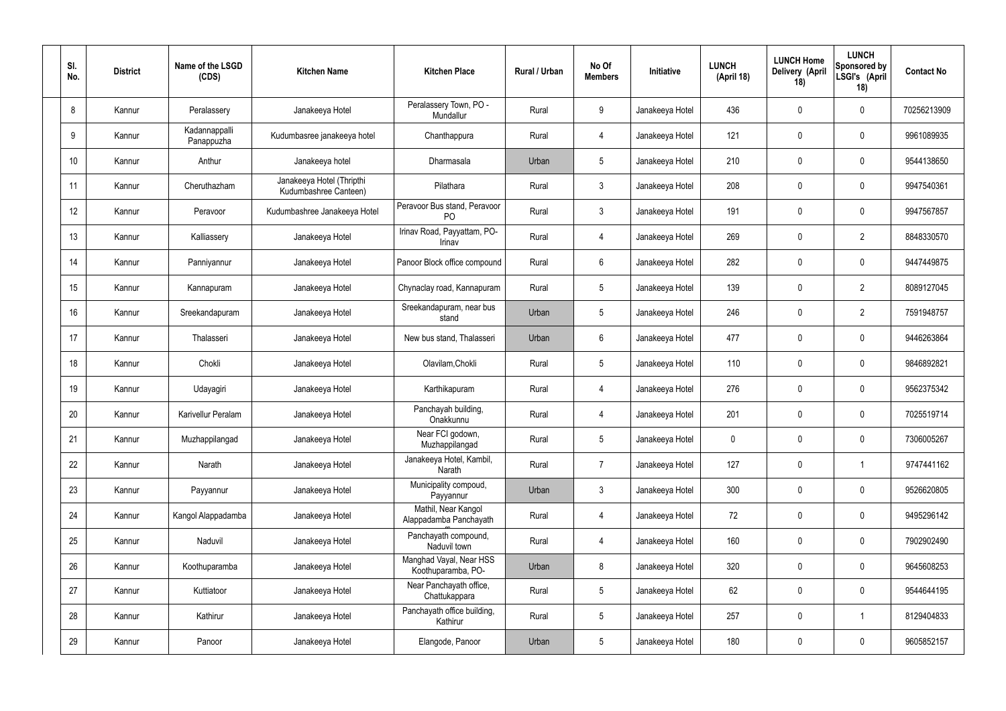| SI.<br>No. | <b>District</b> | Name of the LSGD<br>(CDS)   | <b>Kitchen Name</b>                                | <b>Kitchen Place</b>                           | Rural / Urban | No Of<br><b>Members</b> | Initiative      | <b>LUNCH</b><br>(April 18) | <b>LUNCH Home</b><br>Delivery (April<br>18) | <b>LUNCH</b><br>Sponsored by<br>LSGI's (April<br>18) | <b>Contact No</b> |
|------------|-----------------|-----------------------------|----------------------------------------------------|------------------------------------------------|---------------|-------------------------|-----------------|----------------------------|---------------------------------------------|------------------------------------------------------|-------------------|
| 8          | Kannur          | Peralassery                 | Janakeeya Hotel                                    | Peralassery Town, PO -<br>Mundallur            | Rural         | 9                       | Janakeeya Hotel | 436                        | 0                                           | $\mathbf 0$                                          | 70256213909       |
| 9          | Kannur          | Kadannappalli<br>Panappuzha | Kudumbasree janakeeya hotel                        | Chanthappura                                   | Rural         | $\overline{4}$          | Janakeeya Hotel | 121                        | 0                                           | $\mathbf 0$                                          | 9961089935        |
| 10         | Kannur          | Anthur                      | Janakeeya hotel                                    | Dharmasala                                     | Urban         | $5\phantom{.0}$         | Janakeeya Hotel | 210                        | 0                                           | $\mathbf 0$                                          | 9544138650        |
| 11         | Kannur          | Cheruthazham                | Janakeeya Hotel (Thripthi<br>Kudumbashree Canteen) | Pilathara                                      | Rural         | $\mathbf{3}$            | Janakeeya Hotel | 208                        | 0                                           | $\mathbf 0$                                          | 9947540361        |
| 12         | Kannur          | Peravoor                    | Kudumbashree Janakeeya Hotel                       | Peravoor Bus stand, Peravoor<br>P <sub>O</sub> | Rural         | $\mathbf{3}$            | Janakeeya Hotel | 191                        | 0                                           | $\mathbf 0$                                          | 9947567857        |
| 13         | Kannur          | Kalliassery                 | Janakeeya Hotel                                    | Irinav Road, Payyattam, PO-<br>Irinav          | Rural         | $\overline{4}$          | Janakeeya Hotel | 269                        | 0                                           | $\overline{2}$                                       | 8848330570        |
| 14         | Kannur          | Panniyannur                 | Janakeeya Hotel                                    | Panoor Block office compound                   | Rural         | $6\phantom{.}6$         | Janakeeya Hotel | 282                        | 0                                           | $\mathbf 0$                                          | 9447449875        |
| 15         | Kannur          | Kannapuram                  | Janakeeya Hotel                                    | Chynaclay road, Kannapuram                     | Rural         | $5\phantom{.0}$         | Janakeeya Hotel | 139                        | 0                                           | $\overline{2}$                                       | 8089127045        |
| 16         | Kannur          | Sreekandapuram              | Janakeeya Hotel                                    | Sreekandapuram, near bus<br>stand              | Urban         | $5\phantom{.0}$         | Janakeeya Hotel | 246                        | 0                                           | $\overline{2}$                                       | 7591948757        |
| 17         | Kannur          | Thalasseri                  | Janakeeya Hotel                                    | New bus stand, Thalasseri                      | Urban         | $6\phantom{.}6$         | Janakeeya Hotel | 477                        | 0                                           | $\mathbf 0$                                          | 9446263864        |
| 18         | Kannur          | Chokli                      | Janakeeya Hotel                                    | Olavilam, Chokli                               | Rural         | $5\,$                   | Janakeeya Hotel | 110                        | $\boldsymbol{0}$                            | $\mathbf 0$                                          | 9846892821        |
| 19         | Kannur          | Udayagiri                   | Janakeeya Hotel                                    | Karthikapuram                                  | Rural         | 4                       | Janakeeya Hotel | 276                        | 0                                           | $\mathbf 0$                                          | 9562375342        |
| 20         | Kannur          | Karivellur Peralam          | Janakeeya Hotel                                    | Panchayah building,<br>Onakkunnu               | Rural         | 4                       | Janakeeya Hotel | 201                        | 0                                           | 0                                                    | 7025519714        |
| 21         | Kannur          | Muzhappilangad              | Janakeeya Hotel                                    | Near FCI godown,<br>Muzhappilangad             | Rural         | $5\phantom{.0}$         | Janakeeya Hotel | $\mathbf 0$                | 0                                           | $\mathbf 0$                                          | 7306005267        |
| 22         | Kannur          | Narath                      | Janakeeya Hotel                                    | Janakeeya Hotel, Kambil,<br>Narath             | Rural         | $\overline{7}$          | Janakeeya Hotel | 127                        | $\pmb{0}$                                   | $\mathbf{1}$                                         | 9747441162        |
| 23         | Kannur          | Payyannur                   | Janakeeya Hotel                                    | Municipality compoud,<br>Payyannur             | Urban         | $\mathbf{3}$            | Janakeeya Hotel | 300                        | 0                                           | $\mathbf 0$                                          | 9526620805        |
| 24         | Kannur          | Kangol Alappadamba          | Janakeeya Hotel                                    | Mathil, Near Kangol<br>Alappadamba Panchayath  | Rural         | $\overline{4}$          | Janakeeya Hotel | 72                         | 0                                           | $\mathbf 0$                                          | 9495296142        |
| 25         | Kannur          | Naduvil                     | Janakeeya Hotel                                    | Panchayath compound,<br>Naduvil town           | Rural         | $\overline{4}$          | Janakeeya Hotel | 160                        | 0                                           | $\mathbf 0$                                          | 7902902490        |
| 26         | Kannur          | Koothuparamba               | Janakeeya Hotel                                    | Manghad Vayal, Near HSS<br>Koothuparamba, PO-  | Urban         | 8                       | Janakeeya Hotel | 320                        | 0                                           | $\mathbf 0$                                          | 9645608253        |
| 27         | Kannur          | Kuttiatoor                  | Janakeeya Hotel                                    | Near Panchayath office,<br>Chattukappara       | Rural         | $5\phantom{.0}$         | Janakeeya Hotel | 62                         | 0                                           | $\mathbf 0$                                          | 9544644195        |
| 28         | Kannur          | Kathirur                    | Janakeeya Hotel                                    | Panchayath office building,<br>Kathirur        | Rural         | $5\phantom{.0}$         | Janakeeya Hotel | 257                        | 0                                           | $\overline{1}$                                       | 8129404833        |
| 29         | Kannur          | Panoor                      | Janakeeya Hotel                                    | Elangode, Panoor                               | Urban         | $5\phantom{.0}$         | Janakeeya Hotel | 180                        | $\pmb{0}$                                   | $\bm{0}$                                             | 9605852157        |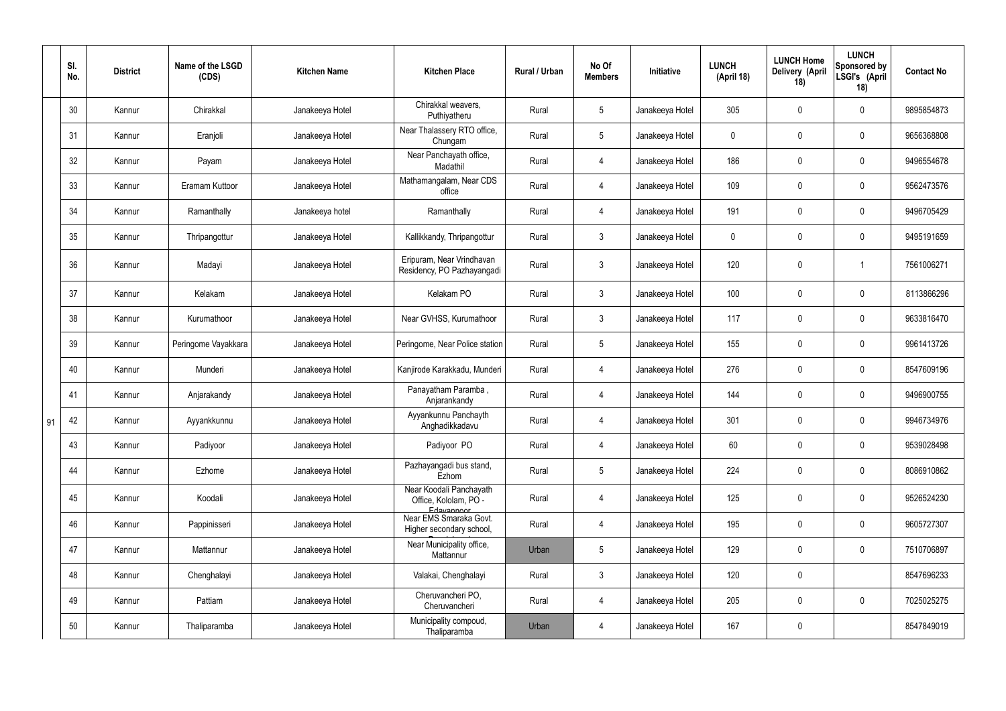|    | SI.<br>No. | <b>District</b> | Name of the LSGD<br>(CDS) | <b>Kitchen Name</b> | <b>Kitchen Place</b>                                           | Rural / Urban | No Of<br><b>Members</b> | Initiative      | <b>LUNCH</b><br>(April 18) | <b>LUNCH Home</b><br><b>Delivery (April</b><br>18) | <b>LUNCH</b><br>Sponsored by<br>LSGI's (April<br>18) | <b>Contact No</b> |
|----|------------|-----------------|---------------------------|---------------------|----------------------------------------------------------------|---------------|-------------------------|-----------------|----------------------------|----------------------------------------------------|------------------------------------------------------|-------------------|
|    | 30         | Kannur          | Chirakkal                 | Janakeeya Hotel     | Chirakkal weavers,<br>Puthiyatheru                             | Rural         | $5\overline{)}$         | Janakeeya Hotel | 305                        | 0                                                  | $\mathbf 0$                                          | 9895854873        |
|    | 31         | Kannur          | Eranjoli                  | Janakeeya Hotel     | Near Thalassery RTO office,<br>Chungam                         | Rural         | 5 <sup>5</sup>          | Janakeeya Hotel | $\mathbf 0$                | $\mathbf 0$                                        | $\mathbf 0$                                          | 9656368808        |
|    | 32         | Kannur          | Payam                     | Janakeeya Hotel     | Near Panchayath office,<br>Madathil                            | Rural         | 4                       | Janakeeya Hotel | 186                        | 0                                                  | $\mathbf 0$                                          | 9496554678        |
|    | 33         | Kannur          | Eramam Kuttoor            | Janakeeya Hotel     | Mathamangalam, Near CDS<br>office                              | Rural         | 4                       | Janakeeya Hotel | 109                        | 0                                                  | $\mathbf 0$                                          | 9562473576        |
|    | 34         | Kannur          | Ramanthally               | Janakeeya hotel     | Ramanthally                                                    | Rural         | 4                       | Janakeeya Hotel | 191                        | 0                                                  | $\mathbf 0$                                          | 9496705429        |
|    | 35         | Kannur          | Thripangottur             | Janakeeya Hotel     | Kallikkandy, Thripangottur                                     | Rural         | $\mathbf{3}$            | Janakeeya Hotel | $\mathbf 0$                | 0                                                  | $\mathbf 0$                                          | 9495191659        |
|    | 36         | Kannur          | Madayi                    | Janakeeya Hotel     | Eripuram, Near Vrindhavan<br>Residency, PO Pazhayangadi        | Rural         | $\mathfrak{Z}$          | Janakeeya Hotel | 120                        | $\pmb{0}$                                          |                                                      | 7561006271        |
|    | 37         | Kannur          | Kelakam                   | Janakeeya Hotel     | Kelakam PO                                                     | Rural         | $\mathbf{3}$            | Janakeeya Hotel | 100                        | 0                                                  | $\mathbf 0$                                          | 8113866296        |
|    | 38         | Kannur          | Kurumathoor               | Janakeeya Hotel     | Near GVHSS, Kurumathoor                                        | Rural         | $\mathbf{3}$            | Janakeeya Hotel | 117                        | 0                                                  | $\mathbf 0$                                          | 9633816470        |
|    | 39         | Kannur          | Peringome Vayakkara       | Janakeeya Hotel     | Peringome, Near Police station                                 | Rural         | $5\overline{)}$         | Janakeeya Hotel | 155                        | 0                                                  | $\mathbf 0$                                          | 9961413726        |
|    | 40         | Kannur          | Munderi                   | Janakeeya Hotel     | Kanjirode Karakkadu, Munderi                                   | Rural         | 4                       | Janakeeya Hotel | 276                        | 0                                                  | $\mathbf 0$                                          | 8547609196        |
|    | 41         | Kannur          | Anjarakandy               | Janakeeya Hotel     | Panayatham Paramba,<br>Anjarankandy                            | Rural         | $\overline{4}$          | Janakeeya Hotel | 144                        | 0                                                  | $\mathbf 0$                                          | 9496900755        |
| 91 | 42         | Kannur          | Ayyankkunnu               | Janakeeya Hotel     | Ayyankunnu Panchayth<br>Anghadikkadavu                         | Rural         | 4                       | Janakeeya Hotel | 301                        | 0                                                  | $\Omega$                                             | 9946734976        |
|    | 43         | Kannur          | Padiyoor                  | Janakeeya Hotel     | Padiyoor PO                                                    | Rural         | $\overline{4}$          | Janakeeya Hotel | 60                         | 0                                                  | $\mathbf 0$                                          | 9539028498        |
|    | 44         | Kannur          | Ezhome                    | Janakeeya Hotel     | Pazhayangadi bus stand,<br>Ezhom                               | Rural         | 5 <sub>5</sub>          | Janakeeya Hotel | 224                        | 0                                                  | $\mathbf 0$                                          | 8086910862        |
|    | 45         | Kannur          | Koodali                   | Janakeeya Hotel     | Near Koodali Panchayath<br>Office, Kololam, PO -<br>Edavannoor | Rural         | $\overline{4}$          | Janakeeya Hotel | 125                        | $\pmb{0}$                                          | $\mathbf 0$                                          | 9526524230        |
|    | 46         | Kannur          | Pappinisseri              | Janakeeya Hotel     | Near EMS Smaraka Govt.<br>Higher secondary school,             | Rural         | $\overline{4}$          | Janakeeya Hotel | 195                        | $\pmb{0}$                                          | $\mathbf 0$                                          | 9605727307        |
|    | 47         | Kannur          | Mattannur                 | Janakeeya Hotel     | Near Municipality office,<br>Mattannur                         | Urban         | $5\overline{)}$         | Janakeeya Hotel | 129                        | $\pmb{0}$                                          | $\mathbf 0$                                          | 7510706897        |
|    | 48         | Kannur          | Chenghalayi               | Janakeeya Hotel     | Valakai, Chenghalayi                                           | Rural         | 3                       | Janakeeya Hotel | 120                        | $\pmb{0}$                                          |                                                      | 8547696233        |
|    | 49         | Kannur          | Pattiam                   | Janakeeya Hotel     | Cheruvancheri PO,<br>Cheruvancheri                             | Rural         | $\overline{4}$          | Janakeeya Hotel | 205                        | $\pmb{0}$                                          | $\mathbf 0$                                          | 7025025275        |
|    | 50         | Kannur          | Thaliparamba              | Janakeeya Hotel     | Municipality compoud,<br>Thaliparamba                          | Urban         | 4                       | Janakeeya Hotel | 167                        | 0                                                  |                                                      | 8547849019        |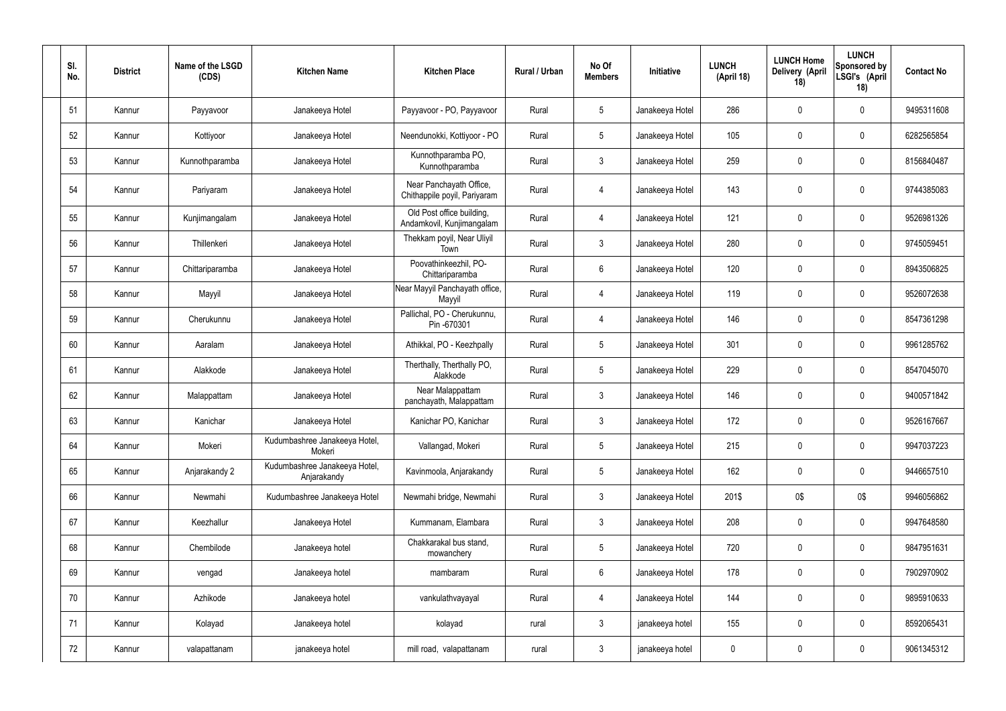| SI.<br>No. | <b>District</b> | Name of the LSGD<br>(CDS) | <b>Kitchen Name</b>                          | <b>Kitchen Place</b>                                    | Rural / Urban | No Of<br><b>Members</b> | Initiative      | <b>LUNCH</b><br>(April 18) | <b>LUNCH Home</b><br>Delivery (April<br>18) | <b>LUNCH</b><br>Sponsored by<br>LSGI's (April<br>18) | <b>Contact No</b> |
|------------|-----------------|---------------------------|----------------------------------------------|---------------------------------------------------------|---------------|-------------------------|-----------------|----------------------------|---------------------------------------------|------------------------------------------------------|-------------------|
| 51         | Kannur          | Payyavoor                 | Janakeeya Hotel                              | Payyavoor - PO, Payyavoor                               | Rural         | $5\overline{)}$         | Janakeeya Hotel | 286                        | 0                                           | $\mathbf 0$                                          | 9495311608        |
| 52         | Kannur          | Kottiyoor                 | Janakeeya Hotel                              | Neendunokki, Kottiyoor - PO                             | Rural         | $5\phantom{.0}$         | Janakeeya Hotel | 105                        | 0                                           | $\mathbf 0$                                          | 6282565854        |
| 53         | Kannur          | Kunnothparamba            | Janakeeya Hotel                              | Kunnothparamba PO,<br>Kunnothparamba                    | Rural         | $\mathbf{3}$            | Janakeeya Hotel | 259                        | 0                                           | $\mathbf 0$                                          | 8156840487        |
| 54         | Kannur          | Pariyaram                 | Janakeeya Hotel                              | Near Panchayath Office,<br>Chithappile poyil, Pariyaram | Rural         | 4                       | Janakeeya Hotel | 143                        | 0                                           | $\mathbf 0$                                          | 9744385083        |
| 55         | Kannur          | Kunjimangalam             | Janakeeya Hotel                              | Old Post office building,<br>Andamkovil, Kunjimangalam  | Rural         | 4                       | Janakeeya Hotel | 121                        | $\mathbf 0$                                 | $\mathbf 0$                                          | 9526981326        |
| 56         | Kannur          | Thillenkeri               | Janakeeya Hotel                              | Thekkam poyil, Near Uliyil<br>Town                      | Rural         | $\mathbf{3}$            | Janakeeya Hotel | 280                        | 0                                           | $\mathbf 0$                                          | 9745059451        |
| 57         | Kannur          | Chittariparamba           | Janakeeya Hotel                              | Poovathinkeezhil, PO-<br>Chittariparamba                | Rural         | $6\overline{6}$         | Janakeeya Hotel | 120                        | 0                                           | $\mathbf 0$                                          | 8943506825        |
| 58         | Kannur          | Mayyil                    | Janakeeya Hotel                              | Near Mayyil Panchayath office,<br>Mayyil                | Rural         | $\overline{4}$          | Janakeeya Hotel | 119                        | 0                                           | $\mathbf 0$                                          | 9526072638        |
| 59         | Kannur          | Cherukunnu                | Janakeeya Hotel                              | Pallichal, PO - Cherukunnu,<br>Pin -670301              | Rural         | 4                       | Janakeeya Hotel | 146                        | 0                                           | $\mathbf 0$                                          | 8547361298        |
| 60         | Kannur          | Aaralam                   | Janakeeya Hotel                              | Athikkal, PO - Keezhpally                               | Rural         | $5\overline{)}$         | Janakeeya Hotel | 301                        | 0                                           | $\mathbf 0$                                          | 9961285762        |
| 61         | Kannur          | Alakkode                  | Janakeeya Hotel                              | Therthally, Therthally PO,<br>Alakkode                  | Rural         | $5\overline{)}$         | Janakeeya Hotel | 229                        | 0                                           | $\mathbf 0$                                          | 8547045070        |
| 62         | Kannur          | Malappattam               | Janakeeya Hotel                              | Near Malappattam<br>panchayath, Malappattam             | Rural         | $\mathbf{3}$            | Janakeeya Hotel | 146                        | 0                                           | $\overline{0}$                                       | 9400571842        |
| 63         | Kannur          | Kanichar                  | Janakeeya Hotel                              | Kanichar PO, Kanichar                                   | Rural         | 3                       | Janakeeya Hotel | 172                        | 0                                           | 0                                                    | 9526167667        |
| 64         | Kannur          | Mokeri                    | Kudumbashree Janakeeya Hotel,<br>Mokeri      | Vallangad, Mokeri                                       | Rural         | $5\phantom{.0}$         | Janakeeya Hotel | 215                        | 0                                           | $\mathbf 0$                                          | 9947037223        |
| 65         | Kannur          | Anjarakandy 2             | Kudumbashree Janakeeya Hotel,<br>Anjarakandy | Kavinmoola, Anjarakandy                                 | Rural         | 5 <sub>5</sub>          | Janakeeya Hotel | 162                        | 0                                           | $\mathbf 0$                                          | 9446657510        |
| 66         | Kannur          | Newmahi                   | Kudumbashree Janakeeya Hotel                 | Newmahi bridge, Newmahi                                 | Rural         | $\mathbf{3}$            | Janakeeya Hotel | 201\$                      | 0\$                                         | 0\$                                                  | 9946056862        |
| 67         | Kannur          | Keezhallur                | Janakeeya Hotel                              | Kummanam, Elambara                                      | Rural         | $\mathbf{3}$            | Janakeeya Hotel | 208                        | 0                                           | $\mathbf 0$                                          | 9947648580        |
| 68         | Kannur          | Chembilode                | Janakeeya hotel                              | Chakkarakal bus stand,<br>mowanchery                    | Rural         | $5\phantom{.0}$         | Janakeeya Hotel | 720                        | 0                                           | $\mathbf 0$                                          | 9847951631        |
| 69         | Kannur          | vengad                    | Janakeeya hotel                              | mambaram                                                | Rural         | $6\phantom{.}6$         | Janakeeya Hotel | 178                        | 0                                           | $\mathbf 0$                                          | 7902970902        |
| 70         | Kannur          | Azhikode                  | Janakeeya hotel                              | vankulathvayayal                                        | Rural         | 4                       | Janakeeya Hotel | 144                        | 0                                           | $\mathbf 0$                                          | 9895910633        |
| 71         | Kannur          | Kolayad                   | Janakeeya hotel                              | kolayad                                                 | rural         | $\mathbf{3}$            | janakeeya hotel | 155                        | 0                                           | $\boldsymbol{0}$                                     | 8592065431        |
| 72         | Kannur          | valapattanam              | janakeeya hotel                              | mill road, valapattanam                                 | rural         | $\mathbf{3}$            | janakeeya hotel | $\pmb{0}$                  | 0                                           | $\boldsymbol{0}$                                     | 9061345312        |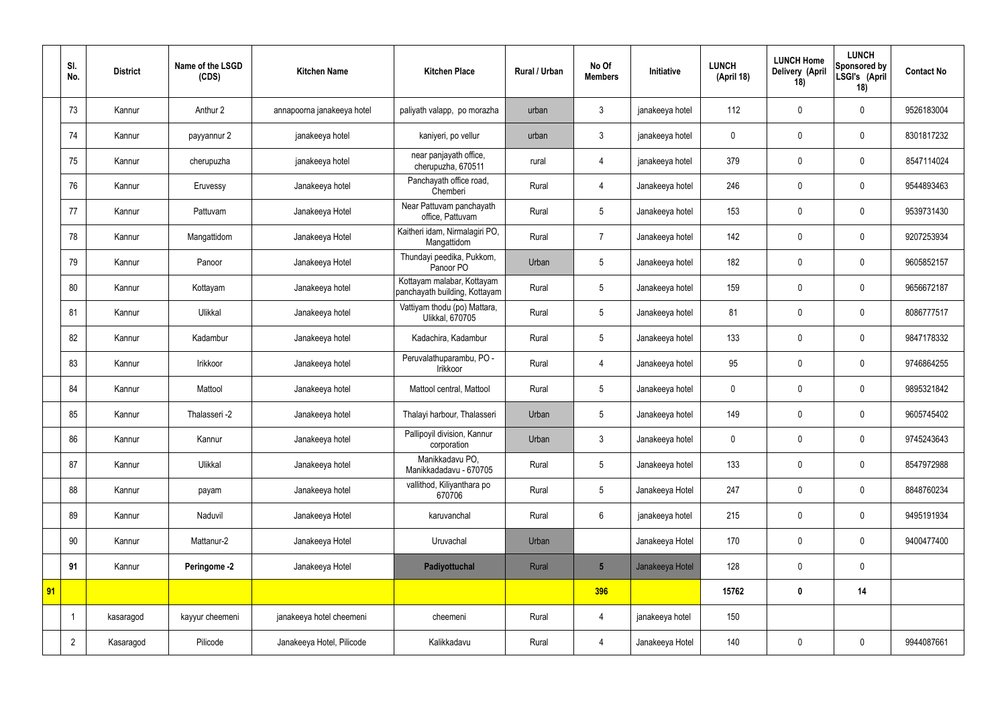|    | SI.<br>No.     | <b>District</b> | Name of the LSGD<br>(CDS) | <b>Kitchen Name</b>        | <b>Kitchen Place</b>                                        | <b>Rural / Urban</b> | No Of<br><b>Members</b> | Initiative      | <b>LUNCH</b><br>(April 18) | <b>LUNCH Home</b><br>Delivery (April<br>18) | <b>LUNCH</b><br>Sponsored by<br>LSGI's (April<br>18) | <b>Contact No</b> |
|----|----------------|-----------------|---------------------------|----------------------------|-------------------------------------------------------------|----------------------|-------------------------|-----------------|----------------------------|---------------------------------------------|------------------------------------------------------|-------------------|
|    | 73             | Kannur          | Anthur 2                  | annapoorna janakeeya hotel | paliyath valapp, po morazha                                 | urban                | 3                       | janakeeya hotel | 112                        | $\mathbf 0$                                 | $\mathbf 0$                                          | 9526183004        |
|    | 74             | Kannur          | payyannur 2               | janakeeya hotel            | kaniyeri, po vellur                                         | urban                | $\mathbf{3}$            | janakeeya hotel | $\mathbf 0$                | $\mathbf 0$                                 | $\mathbf 0$                                          | 8301817232        |
|    | 75             | Kannur          | cherupuzha                | janakeeya hotel            | near panjayath office,<br>cherupuzha, 670511                | rural                | 4                       | janakeeya hotel | 379                        | $\mathbf 0$                                 | $\mathbf 0$                                          | 8547114024        |
|    | 76             | Kannur          | Eruvessy                  | Janakeeya hotel            | Panchayath office road,<br>Chemberi                         | Rural                | 4                       | Janakeeya hotel | 246                        | $\mathbf 0$                                 | $\mathbf 0$                                          | 9544893463        |
|    | 77             | Kannur          | Pattuvam                  | Janakeeya Hotel            | Near Pattuvam panchayath<br>office, Pattuvam                | Rural                | 5                       | Janakeeya hotel | 153                        | $\mathbf 0$                                 | $\mathbf 0$                                          | 9539731430        |
|    | 78             | Kannur          | Mangattidom               | Janakeeya Hotel            | Kaitheri idam, Nirmalagiri PO,<br>Mangattidom               | Rural                | $\overline{7}$          | Janakeeya hotel | 142                        | $\mathbf 0$                                 | $\mathbf 0$                                          | 9207253934        |
|    | 79             | Kannur          | Panoor                    | Janakeeya Hotel            | Thundayi peedika, Pukkom,<br>Panoor PO                      | Urban                | 5                       | Janakeeya hotel | 182                        | $\mathbf 0$                                 | $\mathbf 0$                                          | 9605852157        |
|    | 80             | Kannur          | Kottayam                  | Janakeeya hotel            | Kottayam malabar, Kottayam<br>panchayath building, Kottayam | Rural                | 5                       | Janakeeya hotel | 159                        | $\mathbf 0$                                 | $\mathbf 0$                                          | 9656672187        |
|    | 81             | Kannur          | Ulikkal                   | Janakeeya hotel            | Vattiyam thodu (po) Mattara,<br>Ulikkal, 670705             | Rural                | 5                       | Janakeeya hotel | 81                         | $\mathbf 0$                                 | $\mathbf 0$                                          | 8086777517        |
|    | 82             | Kannur          | Kadambur                  | Janakeeya hotel            | Kadachira, Kadambur                                         | Rural                | 5                       | Janakeeya hotel | 133                        | $\mathbf 0$                                 | $\mathbf 0$                                          | 9847178332        |
|    | 83             | Kannur          | Irikkoor                  | Janakeeya hotel            | Peruvalathuparambu, PO -<br>Irikkoor                        | Rural                | $\overline{4}$          | Janakeeya hotel | 95                         | $\mathbf 0$                                 | $\mathbf 0$                                          | 9746864255        |
|    | 84             | Kannur          | Mattool                   | Janakeeya hotel            | Mattool central, Mattool                                    | Rural                | 5                       | Janakeeya hotel | $\boldsymbol{0}$           | $\mathbf 0$                                 | $\mathbf 0$                                          | 9895321842        |
|    | 85             | Kannur          | Thalasseri -2             | Janakeeya hotel            | Thalayi harbour, Thalasseri                                 | Urban                | 5                       | Janakeeya hotel | 149                        | $\mathbf 0$                                 | $\mathbf 0$                                          | 9605745402        |
|    | 86             | Kannur          | Kannur                    | Janakeeya hotel            | Pallipoyil division, Kannur<br>corporation                  | Urban                | $\mathfrak{Z}$          | Janakeeya hotel | $\pmb{0}$                  | $\pmb{0}$                                   | $\mathbf 0$                                          | 9745243643        |
|    | 87             | Kannur          | Ulikkal                   | Janakeeya hotel            | Manikkadavu PO,<br>Manikkadadavu - 670705                   | Rural                | 5                       | Janakeeya hotel | 133                        | $\pmb{0}$                                   | $\mathbf 0$                                          | 8547972988        |
|    | 88             | Kannur          | payam                     | Janakeeya hotel            | vallithod, Kiliyanthara po<br>670706                        | Rural                | 5                       | Janakeeya Hotel | 247                        | $\pmb{0}$                                   | $\mathbf 0$                                          | 8848760234        |
|    | 89             | Kannur          | Naduvil                   | Janakeeya Hotel            | karuvanchal                                                 | Rural                | $6\overline{6}$         | janakeeya hotel | 215                        | $\pmb{0}$                                   | $\mathbf 0$                                          | 9495191934        |
|    | 90             | Kannur          | Mattanur-2                | Janakeeya Hotel            | Uruvachal                                                   | Urban                |                         | Janakeeya Hotel | 170                        | $\pmb{0}$                                   | $\mathbf 0$                                          | 9400477400        |
|    | 91             | Kannur          | Peringome -2              | Janakeeya Hotel            | Padiyottuchal                                               | Rural                | $5\overline{)}$         | Janakeeya Hotel | 128                        | $\pmb{0}$                                   | $\mathbf 0$                                          |                   |
| 91 |                |                 |                           |                            |                                                             |                      | 396                     |                 | 15762                      | $\pmb{0}$                                   | 14                                                   |                   |
|    |                | kasaragod       | kayyur cheemeni           | janakeeya hotel cheemeni   | cheemeni                                                    | Rural                | 4                       | janakeeya hotel | 150                        |                                             |                                                      |                   |
|    | $\overline{2}$ | Kasaragod       | Pilicode                  | Janakeeya Hotel, Pilicode  | Kalikkadavu                                                 | Rural                | 4                       | Janakeeya Hotel | 140                        | $\pmb{0}$                                   | $\mathbf 0$                                          | 9944087661        |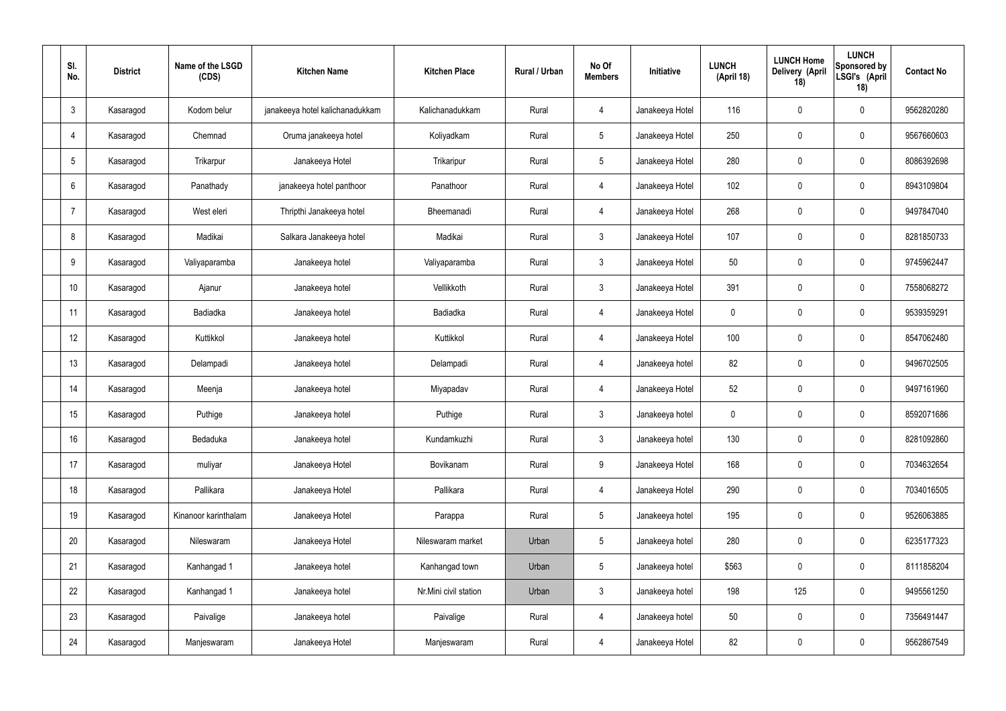| SI.<br>No.     | <b>District</b> | Name of the LSGD<br>(CDS) | <b>Kitchen Name</b>             | <b>Kitchen Place</b>  | Rural / Urban | No Of<br><b>Members</b> | Initiative      | <b>LUNCH</b><br>(April 18) | <b>LUNCH Home</b><br>Delivery (April<br>18) | <b>LUNCH</b><br>Sponsored by<br>LSGI's (April<br>18) | <b>Contact No</b> |
|----------------|-----------------|---------------------------|---------------------------------|-----------------------|---------------|-------------------------|-----------------|----------------------------|---------------------------------------------|------------------------------------------------------|-------------------|
| $\mathbf{3}$   | Kasaragod       | Kodom belur               | janakeeya hotel kalichanadukkam | Kalichanadukkam       | Rural         | 4                       | Janakeeya Hotel | 116                        | $\mathbf 0$                                 | $\mathbf 0$                                          | 9562820280        |
| 4              | Kasaragod       | Chemnad                   | Oruma janakeeya hotel           | Koliyadkam            | Rural         | $5\overline{)}$         | Janakeeya Hotel | 250                        | $\mathbf 0$                                 | $\mathbf 0$                                          | 9567660603        |
| 5              | Kasaragod       | Trikarpur                 | Janakeeya Hotel                 | Trikaripur            | Rural         | $5\overline{)}$         | Janakeeya Hotel | 280                        | $\mathbf 0$                                 | $\mathbf 0$                                          | 8086392698        |
| 6              | Kasaragod       | Panathady                 | janakeeya hotel panthoor        | Panathoor             | Rural         | $\overline{4}$          | Janakeeya Hotel | 102                        | $\mathbf 0$                                 | $\mathbf 0$                                          | 8943109804        |
| $\overline{7}$ | Kasaragod       | West eleri                | Thripthi Janakeeya hotel        | Bheemanadi            | Rural         | $\overline{4}$          | Janakeeya Hotel | 268                        | $\pmb{0}$                                   | $\mathbf 0$                                          | 9497847040        |
| 8              | Kasaragod       | Madikai                   | Salkara Janakeeya hotel         | Madikai               | Rural         | $\mathbf{3}$            | Janakeeya Hotel | 107                        | $\pmb{0}$                                   | $\mathbf 0$                                          | 8281850733        |
| 9              | Kasaragod       | Valiyaparamba             | Janakeeya hotel                 | Valiyaparamba         | Rural         | $\mathbf{3}$            | Janakeeya Hotel | 50                         | $\pmb{0}$                                   | $\mathbf 0$                                          | 9745962447        |
| 10             | Kasaragod       | Ajanur                    | Janakeeya hotel                 | Vellikkoth            | Rural         | $\mathbf{3}$            | Janakeeya Hotel | 391                        | $\mathbf 0$                                 | $\mathbf 0$                                          | 7558068272        |
| 11             | Kasaragod       | Badiadka                  | Janakeeya hotel                 | Badiadka              | Rural         | $\overline{4}$          | Janakeeya Hotel | $\mathbf 0$                | $\pmb{0}$                                   | $\mathbf 0$                                          | 9539359291        |
| 12             | Kasaragod       | Kuttikkol                 | Janakeeya hotel                 | Kuttikkol             | Rural         | $\overline{4}$          | Janakeeya Hotel | 100                        | $\mathbf 0$                                 | $\mathbf 0$                                          | 8547062480        |
| 13             | Kasaragod       | Delampadi                 | Janakeeya hotel                 | Delampadi             | Rural         | $\overline{4}$          | Janakeeya hotel | 82                         | $\pmb{0}$                                   | $\mathbf 0$                                          | 9496702505        |
| 14             | Kasaragod       | Meenja                    | Janakeeya hotel                 | Miyapadav             | Rural         | $\overline{4}$          | Janakeeya Hotel | 52                         | $\pmb{0}$                                   | $\mathbf 0$                                          | 9497161960        |
| 15             | Kasaragod       | Puthige                   | Janakeeya hotel                 | Puthige               | Rural         | $\mathfrak{Z}$          | Janakeeya hotel | $\mathbf 0$                | $\mathbf 0$                                 | $\mathbf 0$                                          | 8592071686        |
| 16             | Kasaragod       | Bedaduka                  | Janakeeya hotel                 | Kundamkuzhi           | Rural         | $\mathbf{3}$            | Janakeeya hotel | 130                        | $\pmb{0}$                                   | $\mathbf 0$                                          | 8281092860        |
| 17             | Kasaragod       | muliyar                   | Janakeeya Hotel                 | Bovikanam             | Rural         | 9                       | Janakeeya Hotel | 168                        | $\pmb{0}$                                   | $\mathbf 0$                                          | 7034632654        |
| 18             | Kasaragod       | Pallikara                 | Janakeeya Hotel                 | Pallikara             | Rural         | $\overline{4}$          | Janakeeya Hotel | 290                        | $\pmb{0}$                                   | $\mathbf 0$                                          | 7034016505        |
| 19             | Kasaragod       | Kinanoor karinthalam      | Janakeeya Hotel                 | Parappa               | Rural         | $5\phantom{.0}$         | Janakeeya hotel | 195                        | $\pmb{0}$                                   | $\mathbf 0$                                          | 9526063885        |
| 20             | Kasaragod       | Nileswaram                | Janakeeya Hotel                 | Nileswaram market     | Urban         | $5\phantom{.0}$         | Janakeeya hotel | 280                        | $\pmb{0}$                                   | $\mathbf 0$                                          | 6235177323        |
| 21             | Kasaragod       | Kanhangad 1               | Janakeeya hotel                 | Kanhangad town        | Urban         | $5\phantom{.0}$         | Janakeeya hotel | \$563                      | $\pmb{0}$                                   | $\mathbf 0$                                          | 8111858204        |
| 22             | Kasaragod       | Kanhangad 1               | Janakeeya hotel                 | Nr.Mini civil station | Urban         | $\mathbf{3}$            | Janakeeya hotel | 198                        | 125                                         | $\mathbf 0$                                          | 9495561250        |
| 23             | Kasaragod       | Paivalige                 | Janakeeya hotel                 | Paivalige             | Rural         | $\overline{4}$          | Janakeeya hotel | 50                         | $\pmb{0}$                                   | $\mathbf 0$                                          | 7356491447        |
| 24             | Kasaragod       | Manjeswaram               | Janakeeya Hotel                 | Manjeswaram           | Rural         | 4                       | Janakeeya Hotel | 82                         | $\pmb{0}$                                   | $\boldsymbol{0}$                                     | 9562867549        |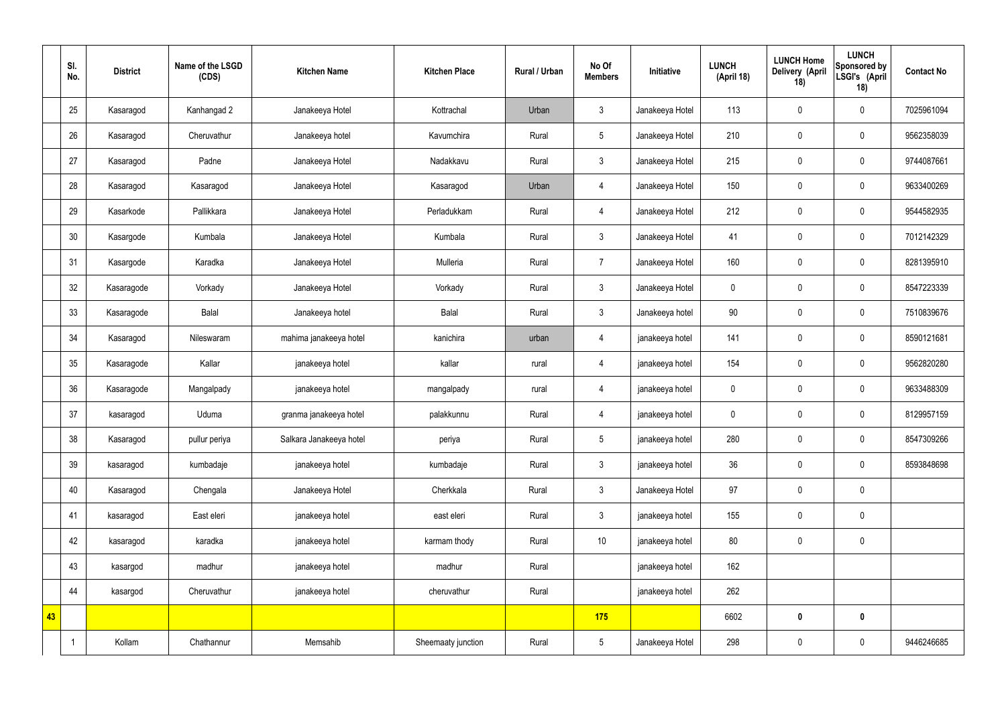|    | SI.<br>No. | <b>District</b> | Name of the LSGD<br>(CDS) | <b>Kitchen Name</b>     | <b>Kitchen Place</b> | <b>Rural / Urban</b> | No Of<br><b>Members</b> | Initiative      | <b>LUNCH</b><br>(April 18) | <b>LUNCH Home</b><br>Delivery (April<br>18) | <b>LUNCH</b><br>Sponsored by<br>LSGI's (April<br>18) | <b>Contact No</b> |
|----|------------|-----------------|---------------------------|-------------------------|----------------------|----------------------|-------------------------|-----------------|----------------------------|---------------------------------------------|------------------------------------------------------|-------------------|
|    | 25         | Kasaragod       | Kanhangad 2               | Janakeeya Hotel         | Kottrachal           | Urban                | $\mathbf{3}$            | Janakeeya Hotel | 113                        | $\pmb{0}$                                   | $\mathbf 0$                                          | 7025961094        |
|    | 26         | Kasaragod       | Cheruvathur               | Janakeeya hotel         | Kavumchira           | Rural                | 5                       | Janakeeya Hotel | 210                        | $\mathbf 0$                                 | $\mathbf 0$                                          | 9562358039        |
|    | 27         | Kasaragod       | Padne                     | Janakeeya Hotel         | Nadakkavu            | Rural                | $\mathbf{3}$            | Janakeeya Hotel | 215                        | $\pmb{0}$                                   | $\mathbf 0$                                          | 9744087661        |
|    | 28         | Kasaragod       | Kasaragod                 | Janakeeya Hotel         | Kasaragod            | Urban                | $\overline{4}$          | Janakeeya Hotel | 150                        | $\pmb{0}$                                   | $\pmb{0}$                                            | 9633400269        |
|    | 29         | Kasarkode       | Pallikkara                | Janakeeya Hotel         | Perladukkam          | Rural                | $\overline{4}$          | Janakeeya Hotel | 212                        | $\pmb{0}$                                   | $\mathbf 0$                                          | 9544582935        |
|    | 30         | Kasargode       | Kumbala                   | Janakeeya Hotel         | Kumbala              | Rural                | $\mathfrak{Z}$          | Janakeeya Hotel | 41                         | $\pmb{0}$                                   | $\pmb{0}$                                            | 7012142329        |
|    | 31         | Kasargode       | Karadka                   | Janakeeya Hotel         | Mulleria             | Rural                | $\overline{7}$          | Janakeeya Hotel | 160                        | $\pmb{0}$                                   | $\mathbf 0$                                          | 8281395910        |
|    | 32         | Kasaragode      | Vorkady                   | Janakeeya Hotel         | Vorkady              | Rural                | $\mathbf{3}$            | Janakeeya Hotel | $\mathbf 0$                | $\mathbf 0$                                 | $\mathbf 0$                                          | 8547223339        |
|    | 33         | Kasaragode      | Balal                     | Janakeeya hotel         | Balal                | Rural                | $\mathbf{3}$            | Janakeeya hotel | 90                         | $\pmb{0}$                                   | $\mathbf 0$                                          | 7510839676        |
|    | 34         | Kasaragod       | Nileswaram                | mahima janakeeya hotel  | kanichira            | urban                | $\overline{4}$          | janakeeya hotel | 141                        | $\pmb{0}$                                   | $\pmb{0}$                                            | 8590121681        |
|    | 35         | Kasaragode      | Kallar                    | janakeeya hotel         | kallar               | rural                | $\overline{4}$          | janakeeya hotel | 154                        | $\pmb{0}$                                   | $\pmb{0}$                                            | 9562820280        |
|    | 36         | Kasaragode      | Mangalpady                | janakeeya hotel         | mangalpady           | rural                | $\overline{4}$          | janakeeya hotel | $\mathbf 0$                | $\pmb{0}$                                   | $\pmb{0}$                                            | 9633488309        |
|    | 37         | kasaragod       | Uduma                     | granma janakeeya hotel  | palakkunnu           | Rural                | $\overline{4}$          | janakeeya hotel | $\mathbf 0$                | $\mathbf 0$                                 | $\mathbf 0$                                          | 8129957159        |
|    | 38         | Kasaragod       | pullur periya             | Salkara Janakeeya hotel | periya               | Rural                | 5                       | janakeeya hotel | 280                        | $\pmb{0}$                                   | $\mathbf 0$                                          | 8547309266        |
|    | 39         | kasaragod       | kumbadaje                 | janakeeya hotel         | kumbadaje            | Rural                | $\mathfrak{Z}$          | janakeeya hotel | 36                         | $\pmb{0}$                                   | $\pmb{0}$                                            | 8593848698        |
|    | 40         | Kasaragod       | Chengala                  | Janakeeya Hotel         | Cherkkala            | Rural                | $\mathfrak{Z}$          | Janakeeya Hotel | 97                         | $\pmb{0}$                                   | $\pmb{0}$                                            |                   |
|    | 41         | kasaragod       | East eleri                | janakeeya hotel         | east eleri           | Rural                | $\mathfrak{Z}$          | janakeeya hotel | 155                        | $\pmb{0}$                                   | $\pmb{0}$                                            |                   |
|    | 42         | kasaragod       | karadka                   | janakeeya hotel         | karmam thody         | Rural                | $10$                    | janakeeya hotel | 80                         | $\boldsymbol{0}$                            | $\pmb{0}$                                            |                   |
|    | 43         | kasargod        | madhur                    | janakeeya hotel         | madhur               | Rural                |                         | janakeeya hotel | 162                        |                                             |                                                      |                   |
|    | 44         | kasargod        | Cheruvathur               | janakeeya hotel         | cheruvathur          | Rural                |                         | janakeeya hotel | 262                        |                                             |                                                      |                   |
| 43 |            |                 |                           |                         |                      |                      | 175                     |                 | 6602                       | $\pmb{0}$                                   | $\pmb{0}$                                            |                   |
|    |            | Kollam          | Chathannur                | Memsahib                | Sheemaaty junction   | Rural                | $5\phantom{.0}$         | Janakeeya Hotel | 298                        | $\pmb{0}$                                   | $\pmb{0}$                                            | 9446246685        |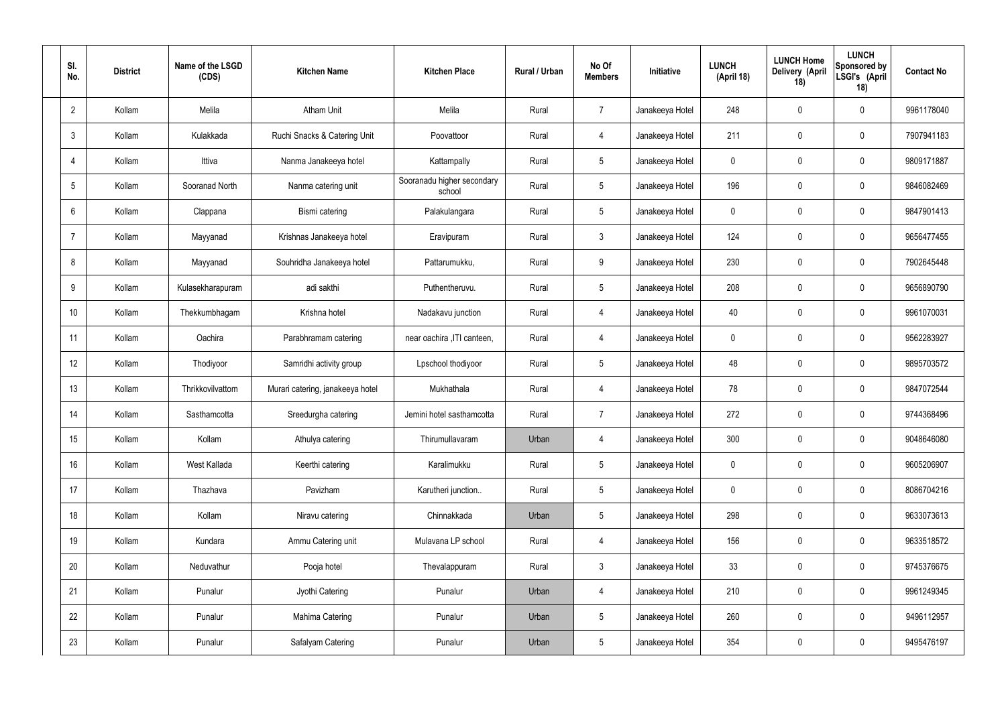| SI.<br>No.     | <b>District</b> | Name of the LSGD<br>(CDS) | <b>Kitchen Name</b>              | <b>Kitchen Place</b>                 | Rural / Urban | No Of<br><b>Members</b> | Initiative      | <b>LUNCH</b><br>(April 18) | <b>LUNCH Home</b><br>Delivery (April<br>18) | <b>LUNCH</b><br>Sponsored by<br>LSGI's (April<br>18) | <b>Contact No</b> |
|----------------|-----------------|---------------------------|----------------------------------|--------------------------------------|---------------|-------------------------|-----------------|----------------------------|---------------------------------------------|------------------------------------------------------|-------------------|
| $\overline{2}$ | Kollam          | Melila                    | <b>Atham Unit</b>                | Melila                               | Rural         | $\overline{7}$          | Janakeeya Hotel | 248                        | $\mathbf 0$                                 | $\mathbf 0$                                          | 9961178040        |
| 3              | Kollam          | Kulakkada                 | Ruchi Snacks & Catering Unit     | Poovattoor                           | Rural         | $\overline{4}$          | Janakeeya Hotel | 211                        | $\mathbf 0$                                 | $\mathbf 0$                                          | 7907941183        |
| $\overline{4}$ | Kollam          | Ittiva                    | Nanma Janakeeya hotel            | Kattampally                          | Rural         | $5\overline{)}$         | Janakeeya Hotel | 0                          | $\mathbf 0$                                 | $\mathbf 0$                                          | 9809171887        |
| 5              | Kollam          | Sooranad North            | Nanma catering unit              | Sooranadu higher secondary<br>school | Rural         | $5\overline{)}$         | Janakeeya Hotel | 196                        | $\mathbf 0$                                 | $\mathbf 0$                                          | 9846082469        |
| 6              | Kollam          | Clappana                  | Bismi catering                   | Palakulangara                        | Rural         | $5\overline{)}$         | Janakeeya Hotel | 0                          | $\mathbf 0$                                 | $\mathbf 0$                                          | 9847901413        |
| $\overline{7}$ | Kollam          | Mayyanad                  | Krishnas Janakeeya hotel         | Eravipuram                           | Rural         | $\mathbf{3}$            | Janakeeya Hotel | 124                        | $\mathbf 0$                                 | $\mathbf 0$                                          | 9656477455        |
| 8              | Kollam          | Mayyanad                  | Souhridha Janakeeya hotel        | Pattarumukku,                        | Rural         | 9                       | Janakeeya Hotel | 230                        | $\mathbf 0$                                 | $\mathbf 0$                                          | 7902645448        |
| 9              | Kollam          | Kulasekharapuram          | adi sakthi                       | Puthentheruvu.                       | Rural         | $5\overline{)}$         | Janakeeya Hotel | 208                        | $\mathbf 0$                                 | $\mathbf 0$                                          | 9656890790        |
| 10             | Kollam          | Thekkumbhagam             | Krishna hotel                    | Nadakavu junction                    | Rural         | $\overline{4}$          | Janakeeya Hotel | 40                         | $\mathbf 0$                                 | $\mathbf 0$                                          | 9961070031        |
| 11             | Kollam          | Oachira                   | Parabhramam catering             | near oachira , ITI canteen,          | Rural         | 4                       | Janakeeya Hotel | 0                          | $\mathbf 0$                                 | $\mathbf 0$                                          | 9562283927        |
| 12             | Kollam          | Thodiyoor                 | Samridhi activity group          | Lpschool thodiyoor                   | Rural         | $5\overline{)}$         | Janakeeya Hotel | 48                         | 0                                           | $\mathbf 0$                                          | 9895703572        |
| 13             | Kollam          | Thrikkovilvattom          | Murari catering, janakeeya hotel | Mukhathala                           | Rural         | 4                       | Janakeeya Hotel | 78                         | $\mathbf 0$                                 | $\mathbf 0$                                          | 9847072544        |
| 14             | Kollam          | Sasthamcotta              | Sreedurgha catering              | Jemini hotel sasthamcotta            | Rural         | $\overline{7}$          | Janakeeya Hotel | 272                        | 0                                           | $\mathbf 0$                                          | 9744368496        |
| 15             | Kollam          | Kollam                    | Athulya catering                 | Thirumullavaram                      | Urban         | $\overline{4}$          | Janakeeya Hotel | 300                        | $\mathbf 0$                                 | $\mathbf 0$                                          | 9048646080        |
| 16             | Kollam          | West Kallada              | Keerthi catering                 | Karalimukku                          | Rural         | $5\phantom{.0}$         | Janakeeya Hotel | $\mathbf 0$                | 0                                           | $\mathbf 0$                                          | 9605206907        |
| 17             | Kollam          | Thazhava                  | Pavizham                         | Karutheri junction                   | Rural         | $5\overline{)}$         | Janakeeya Hotel | 0                          | 0                                           | $\mathbf 0$                                          | 8086704216        |
| 18             | Kollam          | Kollam                    | Niravu catering                  | Chinnakkada                          | Urban         | $5\overline{)}$         | Janakeeya Hotel | 298                        | 0                                           | $\mathbf 0$                                          | 9633073613        |
| 19             | Kollam          | Kundara                   | Ammu Catering unit               | Mulavana LP school                   | Rural         | $\overline{4}$          | Janakeeya Hotel | 156                        | 0                                           | $\mathbf 0$                                          | 9633518572        |
| 20             | Kollam          | Neduvathur                | Pooja hotel                      | Thevalappuram                        | Rural         | $\mathbf{3}$            | Janakeeya Hotel | 33                         | 0                                           | $\mathbf 0$                                          | 9745376675        |
| 21             | Kollam          | Punalur                   | Jyothi Catering                  | Punalur                              | Urban         | $\overline{4}$          | Janakeeya Hotel | 210                        | 0                                           | $\mathbf 0$                                          | 9961249345        |
| 22             | Kollam          | Punalur                   | Mahima Catering                  | Punalur                              | Urban         | $5\phantom{.0}$         | Janakeeya Hotel | 260                        | 0                                           | $\mathbf 0$                                          | 9496112957        |
| 23             | Kollam          | Punalur                   | Safalyam Catering                | Punalur                              | Urban         | $5\phantom{.0}$         | Janakeeya Hotel | 354                        | 0                                           | $\overline{0}$                                       | 9495476197        |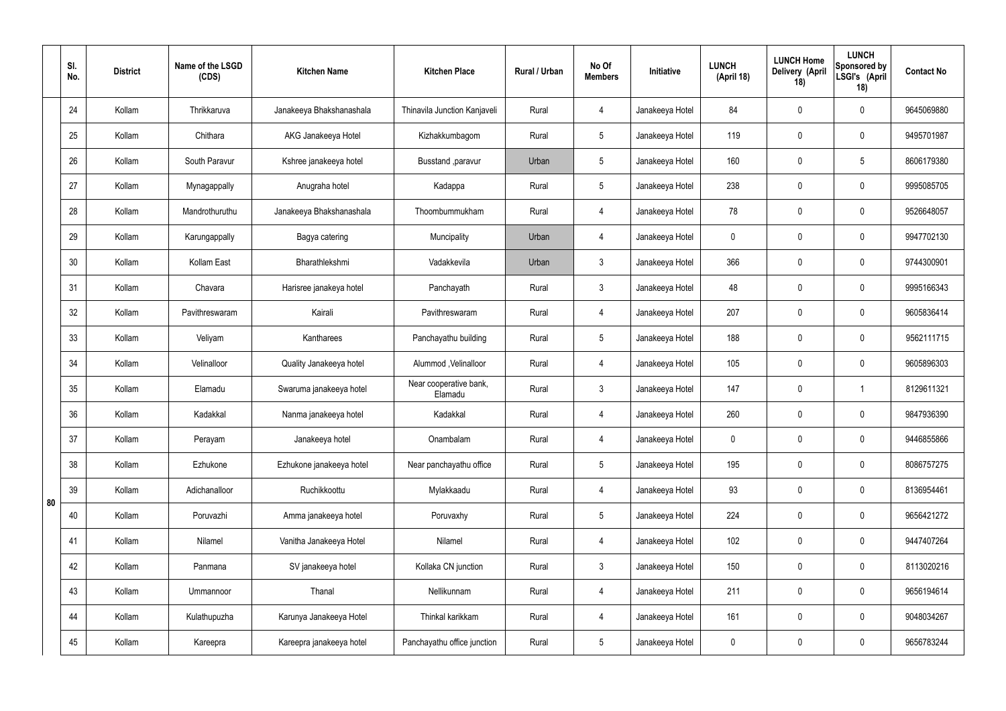|    | SI.<br>No. | <b>District</b> | Name of the LSGD<br>(CDS) | <b>Kitchen Name</b>      | <b>Kitchen Place</b>              | Rural / Urban | No Of<br><b>Members</b> | Initiative      | <b>LUNCH</b><br>(April 18) | <b>LUNCH Home</b><br>Delivery (April<br>18) | <b>LUNCH</b><br>Sponsored by<br>LSGI's (April<br>18) | <b>Contact No</b> |
|----|------------|-----------------|---------------------------|--------------------------|-----------------------------------|---------------|-------------------------|-----------------|----------------------------|---------------------------------------------|------------------------------------------------------|-------------------|
|    | 24         | Kollam          | Thrikkaruva               | Janakeeya Bhakshanashala | Thinavila Junction Kanjaveli      | Rural         | 4                       | Janakeeya Hotel | 84                         | $\mathbf 0$                                 | $\mathbf 0$                                          | 9645069880        |
|    | 25         | Kollam          | Chithara                  | AKG Janakeeya Hotel      | Kizhakkumbagom                    | Rural         | $5\phantom{.0}$         | Janakeeya Hotel | 119                        | $\mathbf 0$                                 | $\mathbf 0$                                          | 9495701987        |
|    | 26         | Kollam          | South Paravur             | Kshree janakeeya hotel   | Busstand , paravur                | Urban         | $5\phantom{.0}$         | Janakeeya Hotel | 160                        | $\mathbf 0$                                 | $5\phantom{.0}$                                      | 8606179380        |
|    | 27         | Kollam          | Mynagappally              | Anugraha hotel           | Kadappa                           | Rural         | $5\phantom{.0}$         | Janakeeya Hotel | 238                        | $\mathbf 0$                                 | $\mathbf 0$                                          | 9995085705        |
|    | 28         | Kollam          | Mandrothuruthu            | Janakeeya Bhakshanashala | Thoombummukham                    | Rural         | 4                       | Janakeeya Hotel | 78                         | $\mathbf 0$                                 | $\mathbf 0$                                          | 9526648057        |
|    | 29         | Kollam          | Karungappally             | Bagya catering           | Muncipality                       | Urban         | 4                       | Janakeeya Hotel | $\mathbf 0$                | $\mathbf 0$                                 | $\mathbf 0$                                          | 9947702130        |
|    | 30         | Kollam          | Kollam East               | Bharathlekshmi           | Vadakkevila                       | Urban         | $\mathbf{3}$            | Janakeeya Hotel | 366                        | $\mathbf 0$                                 | $\mathbf 0$                                          | 9744300901        |
|    | 31         | Kollam          | Chavara                   | Harisree janakeya hotel  | Panchayath                        | Rural         | $\mathbf{3}$            | Janakeeya Hotel | 48                         | $\mathbf 0$                                 | $\mathbf 0$                                          | 9995166343        |
|    | 32         | Kollam          | Pavithreswaram            | Kairali                  | Pavithreswaram                    | Rural         | 4                       | Janakeeya Hotel | 207                        | 0                                           | $\mathbf 0$                                          | 9605836414        |
|    | 33         | Kollam          | Veliyam                   | Kantharees               | Panchayathu building              | Rural         | $5\phantom{.0}$         | Janakeeya Hotel | 188                        | $\mathbf 0$                                 | $\mathbf 0$                                          | 9562111715        |
|    | 34         | Kollam          | Velinalloor               | Quality Janakeeya hotel  | Alummod, Velinalloor              | Rural         | 4                       | Janakeeya Hotel | 105                        | 0                                           | $\mathbf 0$                                          | 9605896303        |
|    | 35         | Kollam          | Elamadu                   | Swaruma janakeeya hotel  | Near cooperative bank,<br>Elamadu | Rural         | $\mathbf{3}$            | Janakeeya Hotel | 147                        | $\mathbf 0$                                 | -1                                                   | 8129611321        |
|    | 36         | Kollam          | Kadakkal                  | Nanma janakeeya hotel    | Kadakkal                          | Rural         | 4                       | Janakeeya Hotel | 260                        | $\mathbf 0$                                 | $\mathbf 0$                                          | 9847936390        |
|    | 37         | Kollam          | Perayam                   | Janakeeya hotel          | Onambalam                         | Rural         | $\overline{4}$          | Janakeeya Hotel | $\mathbf 0$                | $\pmb{0}$                                   | $\mathbf 0$                                          | 9446855866        |
|    | 38         | Kollam          | Ezhukone                  | Ezhukone janakeeya hotel | Near panchayathu office           | Rural         | $5\phantom{.0}$         | Janakeeya Hotel | 195                        | $\pmb{0}$                                   | $\mathbf 0$                                          | 8086757275        |
| 80 | 39         | Kollam          | Adichanalloor             | Ruchikkoottu             | Mylakkaadu                        | Rural         | $\overline{4}$          | Janakeeya Hotel | 93                         | 0                                           | $\mathbf 0$                                          | 8136954461        |
|    | 40         | Kollam          | Poruvazhi                 | Amma janakeeya hotel     | Poruvaxhy                         | Rural         | $5\phantom{.0}$         | Janakeeya Hotel | 224                        | $\pmb{0}$                                   | $\mathbf 0$                                          | 9656421272        |
|    | 41         | Kollam          | Nilamel                   | Vanitha Janakeeya Hotel  | Nilamel                           | Rural         | $\overline{4}$          | Janakeeya Hotel | 102                        | 0                                           | $\mathbf 0$                                          | 9447407264        |
|    | 42         | Kollam          | Panmana                   | SV janakeeya hotel       | Kollaka CN junction               | Rural         | 3                       | Janakeeya Hotel | 150                        | $\pmb{0}$                                   | $\mathbf 0$                                          | 8113020216        |
|    | 43         | Kollam          | Ummannoor                 | Thanal                   | Nellikunnam                       | Rural         | $\overline{4}$          | Janakeeya Hotel | 211                        | 0                                           | $\mathbf 0$                                          | 9656194614        |
|    | 44         | Kollam          | Kulathupuzha              | Karunya Janakeeya Hotel  | Thinkal karikkam                  | Rural         | 4                       | Janakeeya Hotel | 161                        | 0                                           | $\mathbf 0$                                          | 9048034267        |
|    | 45         | Kollam          | Kareepra                  | Kareepra janakeeya hotel | Panchayathu office junction       | Rural         | $5\phantom{.0}$         | Janakeeya Hotel | $\pmb{0}$                  | $\pmb{0}$                                   | $\boldsymbol{0}$                                     | 9656783244        |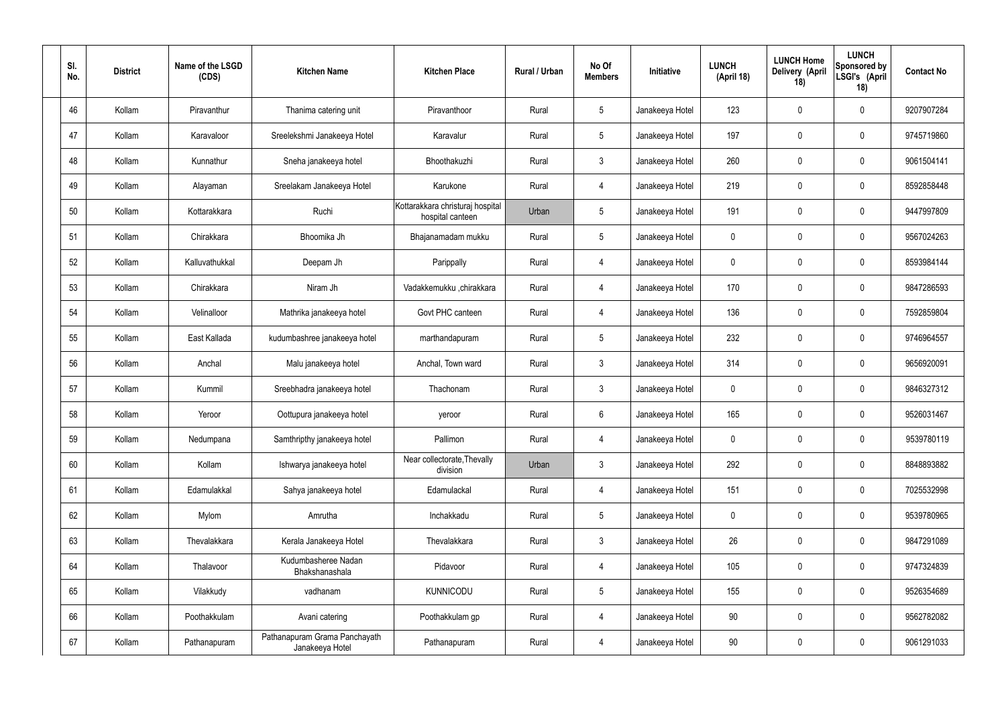| SI.<br>No. | <b>District</b> | Name of the LSGD<br>(CDS) | <b>Kitchen Name</b>                              | <b>Kitchen Place</b>                                 | Rural / Urban | No Of<br><b>Members</b> | Initiative      | <b>LUNCH</b><br>(April 18) | <b>LUNCH Home</b><br>Delivery (April<br>18) | <b>LUNCH</b><br>Sponsored by<br>LSGI's (April<br>18) | <b>Contact No</b> |
|------------|-----------------|---------------------------|--------------------------------------------------|------------------------------------------------------|---------------|-------------------------|-----------------|----------------------------|---------------------------------------------|------------------------------------------------------|-------------------|
| 46         | Kollam          | Piravanthur               | Thanima catering unit                            | Piravanthoor                                         | Rural         | $5\phantom{.0}$         | Janakeeya Hotel | 123                        | $\mathbf 0$                                 | $\mathbf 0$                                          | 9207907284        |
| 47         | Kollam          | Karavaloor                | Sreelekshmi Janakeeya Hotel                      | Karavalur                                            | Rural         | $\sqrt{5}$              | Janakeeya Hotel | 197                        | 0                                           | $\mathbf 0$                                          | 9745719860        |
| 48         | Kollam          | Kunnathur                 | Sneha janakeeya hotel                            | Bhoothakuzhi                                         | Rural         | $\mathbf{3}$            | Janakeeya Hotel | 260                        | $\boldsymbol{0}$                            | $\mathbf 0$                                          | 9061504141        |
| 49         | Kollam          | Alayaman                  | Sreelakam Janakeeya Hotel                        | Karukone                                             | Rural         | $\overline{4}$          | Janakeeya Hotel | 219                        | 0                                           | $\mathbf 0$                                          | 8592858448        |
| 50         | Kollam          | Kottarakkara              | Ruchi                                            | Kottarakkara christuraj hospital<br>hospital canteen | Urban         | $\sqrt{5}$              | Janakeeya Hotel | 191                        | 0                                           | $\mathbf 0$                                          | 9447997809        |
| 51         | Kollam          | Chirakkara                | Bhoomika Jh                                      | Bhajanamadam mukku                                   | Rural         | $\sqrt{5}$              | Janakeeya Hotel | $\mathbf 0$                | 0                                           | $\mathbf 0$                                          | 9567024263        |
| 52         | Kollam          | Kalluvathukkal            | Deepam Jh                                        | Parippally                                           | Rural         | 4                       | Janakeeya Hotel | $\mathbf 0$                | 0                                           | $\mathbf 0$                                          | 8593984144        |
| 53         | Kollam          | Chirakkara                | Niram Jh                                         | Vadakkemukku ,chirakkara                             | Rural         | 4                       | Janakeeya Hotel | 170                        | 0                                           | $\mathbf 0$                                          | 9847286593        |
| 54         | Kollam          | Velinalloor               | Mathrika janakeeya hotel                         | Govt PHC canteen                                     | Rural         | 4                       | Janakeeya Hotel | 136                        | $\boldsymbol{0}$                            | $\mathbf 0$                                          | 7592859804        |
| 55         | Kollam          | East Kallada              | kudumbashree janakeeya hotel                     | marthandapuram                                       | Rural         | $\sqrt{5}$              | Janakeeya Hotel | 232                        | 0                                           | $\mathbf 0$                                          | 9746964557        |
| 56         | Kollam          | Anchal                    | Malu janakeeya hotel                             | Anchal, Town ward                                    | Rural         | $\mathbf{3}$            | Janakeeya Hotel | 314                        | 0                                           | $\boldsymbol{0}$                                     | 9656920091        |
| 57         | Kollam          | Kummil                    | Sreebhadra janakeeya hotel                       | Thachonam                                            | Rural         | $\mathfrak{Z}$          | Janakeeya Hotel | $\mathbf 0$                | 0                                           | $\boldsymbol{0}$                                     | 9846327312        |
| 58         | Kollam          | Yeroor                    | Oottupura janakeeya hotel                        | yeroor                                               | Rural         | 6                       | Janakeeya Hotel | 165                        | 0                                           | 0                                                    | 9526031467        |
| 59         | Kollam          | Nedumpana                 | Samthripthy janakeeya hotel                      | Pallimon                                             | Rural         | $\overline{4}$          | Janakeeya Hotel | $\mathbf 0$                | 0                                           | $\mathbf 0$                                          | 9539780119        |
| 60         | Kollam          | Kollam                    | Ishwarya janakeeya hotel                         | Near collectorate, Thevally<br>division              | Urban         | $\mathbf{3}$            | Janakeeya Hotel | 292                        | $\mathbf 0$                                 | $\mathbf 0$                                          | 8848893882        |
| 61         | Kollam          | Edamulakkal               | Sahya janakeeya hotel                            | Edamulackal                                          | Rural         | $\overline{4}$          | Janakeeya Hotel | 151                        | $\mathbf 0$                                 | $\mathbf 0$                                          | 7025532998        |
| 62         | Kollam          | Mylom                     | Amrutha                                          | Inchakkadu                                           | Rural         | $5\phantom{.0}$         | Janakeeya Hotel | $\mathbf 0$                | $\mathbf 0$                                 | $\mathbf 0$                                          | 9539780965        |
| 63         | Kollam          | Thevalakkara              | Kerala Janakeeya Hotel                           | Thevalakkara                                         | Rural         | $\mathbf{3}$            | Janakeeya Hotel | 26                         | 0                                           | $\mathbf 0$                                          | 9847291089        |
| 64         | Kollam          | Thalavoor                 | Kudumbasheree Nadan<br>Bhakshanashala            | Pidavoor                                             | Rural         | 4                       | Janakeeya Hotel | 105                        | $\mathbf 0$                                 | $\mathbf 0$                                          | 9747324839        |
| 65         | Kollam          | Vilakkudy                 | vadhanam                                         | <b>KUNNICODU</b>                                     | Rural         | $\sqrt{5}$              | Janakeeya Hotel | 155                        | $\mathbf 0$                                 | $\mathbf 0$                                          | 9526354689        |
| 66         | Kollam          | Poothakkulam              | Avani catering                                   | Poothakkulam gp                                      | Rural         | $\overline{4}$          | Janakeeya Hotel | 90                         | 0                                           | $\mathbf 0$                                          | 9562782082        |
| 67         | Kollam          | Pathanapuram              | Pathanapuram Grama Panchayath<br>Janakeeya Hotel | Pathanapuram                                         | Rural         | 4                       | Janakeeya Hotel | 90                         | 0                                           | $\boldsymbol{0}$                                     | 9061291033        |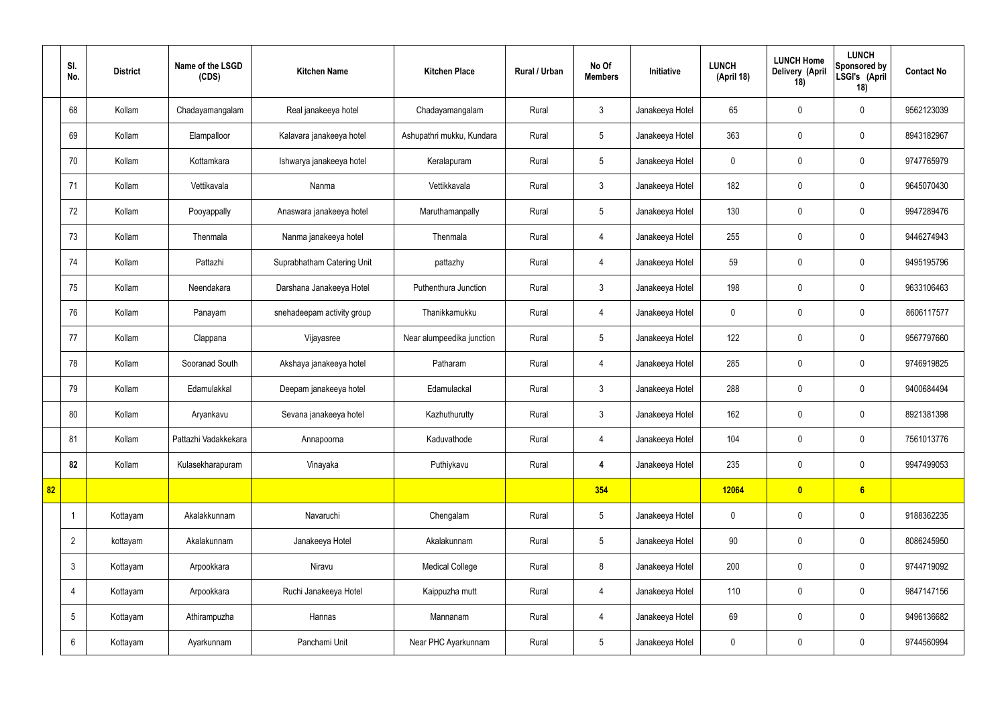|    | SI.<br>No.      | <b>District</b> | Name of the LSGD<br>(CDS) | <b>Kitchen Name</b>        | <b>Kitchen Place</b>      | Rural / Urban | No Of<br><b>Members</b> | Initiative      | <b>LUNCH</b><br>(April 18) | <b>LUNCH Home</b><br>Delivery (April<br>18) | <b>LUNCH</b><br>Sponsored by<br>LSGI's (April<br>18) | <b>Contact No</b> |
|----|-----------------|-----------------|---------------------------|----------------------------|---------------------------|---------------|-------------------------|-----------------|----------------------------|---------------------------------------------|------------------------------------------------------|-------------------|
|    | 68              | Kollam          | Chadayamangalam           | Real janakeeya hotel       | Chadayamangalam           | Rural         | $\mathbf{3}$            | Janakeeya Hotel | 65                         | $\mathbf 0$                                 | $\mathbf 0$                                          | 9562123039        |
|    | 69              | Kollam          | Elampalloor               | Kalavara janakeeya hotel   | Ashupathri mukku, Kundara | Rural         | $5\phantom{.0}$         | Janakeeya Hotel | 363                        | $\mathbf 0$                                 | $\mathbf 0$                                          | 8943182967        |
|    | 70              | Kollam          | Kottamkara                | Ishwarya janakeeya hotel   | Keralapuram               | Rural         | $5\phantom{.0}$         | Janakeeya Hotel | $\mathbf 0$                | $\mathbf 0$                                 | $\mathbf 0$                                          | 9747765979        |
|    | 71              | Kollam          | Vettikavala               | Nanma                      | Vettikkavala              | Rural         | $\mathbf{3}$            | Janakeeya Hotel | 182                        | $\mathbf 0$                                 | $\mathbf 0$                                          | 9645070430        |
|    | 72              | Kollam          | Pooyappally               | Anaswara janakeeya hotel   | Maruthamanpally           | Rural         | $5\phantom{.0}$         | Janakeeya Hotel | 130                        | $\mathbf 0$                                 | $\mathbf 0$                                          | 9947289476        |
|    | 73              | Kollam          | Thenmala                  | Nanma janakeeya hotel      | Thenmala                  | Rural         | $\overline{4}$          | Janakeeya Hotel | 255                        | $\mathbf 0$                                 | $\mathbf 0$                                          | 9446274943        |
|    | 74              | Kollam          | Pattazhi                  | Suprabhatham Catering Unit | pattazhy                  | Rural         | $\overline{4}$          | Janakeeya Hotel | 59                         | $\mathbf 0$                                 | $\mathbf 0$                                          | 9495195796        |
|    | 75              | Kollam          | Neendakara                | Darshana Janakeeya Hotel   | Puthenthura Junction      | Rural         | $\mathbf{3}$            | Janakeeya Hotel | 198                        | $\mathbf 0$                                 | $\mathbf 0$                                          | 9633106463        |
|    | 76              | Kollam          | Panayam                   | snehadeepam activity group | Thanikkamukku             | Rural         | $\overline{4}$          | Janakeeya Hotel | $\mathbf 0$                | $\mathbf 0$                                 | $\mathbf 0$                                          | 8606117577        |
|    | 77              | Kollam          | Clappana                  | Vijayasree                 | Near alumpeedika junction | Rural         | $5\phantom{.0}$         | Janakeeya Hotel | 122                        | $\mathbf 0$                                 | $\mathbf 0$                                          | 9567797660        |
|    | 78              | Kollam          | Sooranad South            | Akshaya janakeeya hotel    | Patharam                  | Rural         | $\overline{4}$          | Janakeeya Hotel | 285                        | $\mathbf 0$                                 | $\mathbf 0$                                          | 9746919825        |
|    | 79              | Kollam          | Edamulakkal               | Deepam janakeeya hotel     | Edamulackal               | Rural         | $\mathbf{3}$            | Janakeeya Hotel | 288                        | $\mathbf 0$                                 | $\mathbf 0$                                          | 9400684494        |
|    | 80              | Kollam          | Aryankavu                 | Sevana janakeeya hotel     | Kazhuthurutty             | Rural         | $\mathbf{3}$            | Janakeeya Hotel | 162                        | $\mathbf 0$                                 | $\mathbf 0$                                          | 8921381398        |
|    | 81              | Kollam          | Pattazhi Vadakkekara      | Annapoorna                 | Kaduvathode               | Rural         | $\overline{4}$          | Janakeeya Hotel | 104                        | $\mathbf 0$                                 | $\mathbf 0$                                          | 7561013776        |
|    | 82              | Kollam          | Kulasekharapuram          | Vinayaka                   | Puthiykavu                | Rural         | $\overline{\mathbf{4}}$ | Janakeeya Hotel | 235                        | $\mathbf 0$                                 | $\mathbf 0$                                          | 9947499053        |
| 82 |                 |                 |                           |                            |                           |               | 354                     |                 | 12064                      | $\bullet$                                   | 6                                                    |                   |
|    |                 | Kottayam        | Akalakkunnam              | Navaruchi                  | Chengalam                 | Rural         | $5\phantom{.0}$         | Janakeeya Hotel | $\mathbf 0$                | $\mathbf 0$                                 | $\mathbf 0$                                          | 9188362235        |
|    | $\overline{2}$  | kottayam        | Akalakunnam               | Janakeeya Hotel            | Akalakunnam               | Rural         | $5\overline{)}$         | Janakeeya Hotel | $90\,$                     | $\pmb{0}$                                   | $\mathbf 0$                                          | 8086245950        |
|    | $\mathfrak{Z}$  | Kottayam        | Arpookkara                | Niravu                     | <b>Medical College</b>    | Rural         | 8                       | Janakeeya Hotel | 200                        | $\pmb{0}$                                   | $\mathbf 0$                                          | 9744719092        |
|    | $\overline{4}$  | Kottayam        | Arpookkara                | Ruchi Janakeeya Hotel      | Kaippuzha mutt            | Rural         | $\overline{4}$          | Janakeeya Hotel | 110                        | $\pmb{0}$                                   | $\mathbf 0$                                          | 9847147156        |
|    | $5\phantom{.0}$ | Kottayam        | Athirampuzha              | Hannas                     | Mannanam                  | Rural         | $\overline{4}$          | Janakeeya Hotel | 69                         | $\pmb{0}$                                   | $\mathbf 0$                                          | 9496136682        |
|    | 6               | Kottayam        | Ayarkunnam                | Panchami Unit              | Near PHC Ayarkunnam       | Rural         | $5\overline{)}$         | Janakeeya Hotel | $\pmb{0}$                  | $\pmb{0}$                                   | $\boldsymbol{0}$                                     | 9744560994        |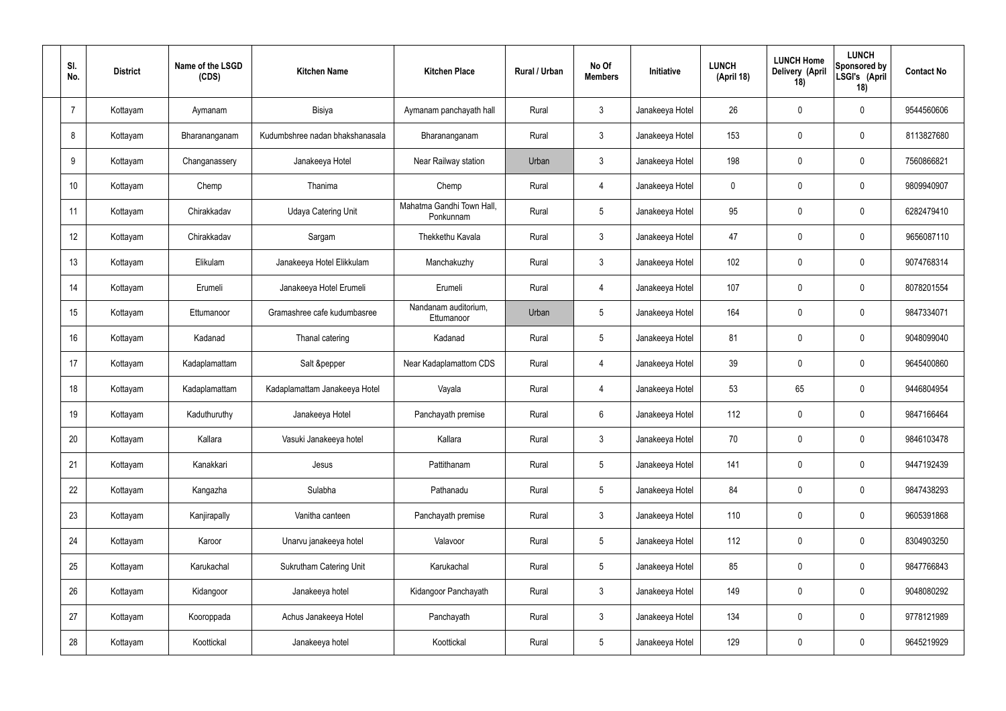| SI.<br>No.     | <b>District</b> | Name of the LSGD<br>(CDS) | <b>Kitchen Name</b>             | <b>Kitchen Place</b>                   | Rural / Urban | No Of<br><b>Members</b> | <b>Initiative</b> | <b>LUNCH</b><br>(April 18) | <b>LUNCH Home</b><br>Delivery (April<br>18) | <b>LUNCH</b><br>Sponsored by<br>LSGI's (April<br>18) | <b>Contact No</b> |
|----------------|-----------------|---------------------------|---------------------------------|----------------------------------------|---------------|-------------------------|-------------------|----------------------------|---------------------------------------------|------------------------------------------------------|-------------------|
| $\overline{7}$ | Kottayam        | Aymanam                   | Bisiya                          | Aymanam panchayath hall                | Rural         | $\mathbf{3}$            | Janakeeya Hotel   | 26                         | $\mathbf 0$                                 | $\mathbf 0$                                          | 9544560606        |
| 8              | Kottayam        | Bharananganam             | Kudumbshree nadan bhakshanasala | Bharananganam                          | Rural         | $\mathbf{3}$            | Janakeeya Hotel   | 153                        | $\mathbf 0$                                 | $\mathbf 0$                                          | 8113827680        |
| 9              | Kottayam        | Changanassery             | Janakeeya Hotel                 | Near Railway station                   | Urban         | $\mathbf{3}$            | Janakeeya Hotel   | 198                        | $\mathbf 0$                                 | $\mathbf 0$                                          | 7560866821        |
| 10             | Kottayam        | Chemp                     | Thanima                         | Chemp                                  | Rural         | $\overline{4}$          | Janakeeya Hotel   | $\mathbf 0$                | 0                                           | $\mathbf 0$                                          | 9809940907        |
| 11             | Kottayam        | Chirakkadav               | <b>Udaya Catering Unit</b>      | Mahatma Gandhi Town Hall,<br>Ponkunnam | Rural         | $5\phantom{.0}$         | Janakeeya Hotel   | 95                         | $\mathbf 0$                                 | $\mathbf 0$                                          | 6282479410        |
| 12             | Kottayam        | Chirakkadav               | Sargam                          | Thekkethu Kavala                       | Rural         | $\mathbf{3}$            | Janakeeya Hotel   | 47                         | 0                                           | $\mathbf 0$                                          | 9656087110        |
| 13             | Kottayam        | Elikulam                  | Janakeeya Hotel Elikkulam       | Manchakuzhy                            | Rural         | $\mathbf{3}$            | Janakeeya Hotel   | 102                        | $\mathbf 0$                                 | $\mathbf 0$                                          | 9074768314        |
| 14             | Kottayam        | Erumeli                   | Janakeeya Hotel Erumeli         | Erumeli                                | Rural         | $\overline{4}$          | Janakeeya Hotel   | 107                        | 0                                           | $\mathbf 0$                                          | 8078201554        |
| 15             | Kottayam        | Ettumanoor                | Gramashree cafe kudumbasree     | Nandanam auditorium,<br>Ettumanoor     | Urban         | $5\phantom{.0}$         | Janakeeya Hotel   | 164                        | $\mathbf 0$                                 | $\mathbf 0$                                          | 9847334071        |
| 16             | Kottayam        | Kadanad                   | Thanal catering                 | Kadanad                                | Rural         | $5\phantom{.0}$         | Janakeeya Hotel   | 81                         | 0                                           | $\mathbf 0$                                          | 9048099040        |
| 17             | Kottayam        | Kadaplamattam             | Salt &pepper                    | Near Kadaplamattom CDS                 | Rural         | 4                       | Janakeeya Hotel   | 39                         | 0                                           | $\mathbf 0$                                          | 9645400860        |
| 18             | Kottayam        | Kadaplamattam             | Kadaplamattam Janakeeya Hotel   | Vayala                                 | Rural         | 4                       | Janakeeya Hotel   | 53                         | 65                                          | $\mathbf 0$                                          | 9446804954        |
| 19             | Kottayam        | Kaduthuruthy              | Janakeeya Hotel                 | Panchayath premise                     | Rural         | $6\phantom{.}6$         | Janakeeya Hotel   | 112                        | 0                                           | $\mathbf 0$                                          | 9847166464        |
| 20             | Kottayam        | Kallara                   | Vasuki Janakeeya hotel          | Kallara                                | Rural         | $\mathbf{3}$            | Janakeeya Hotel   | 70                         | $\mathbf 0$                                 | $\mathbf 0$                                          | 9846103478        |
| 21             | Kottayam        | Kanakkari                 | Jesus                           | Pattithanam                            | Rural         | $5\overline{)}$         | Janakeeya Hotel   | 141                        | $\mathbf 0$                                 | $\mathbf 0$                                          | 9447192439        |
| 22             | Kottayam        | Kangazha                  | Sulabha                         | Pathanadu                              | Rural         | $5\overline{)}$         | Janakeeya Hotel   | 84                         | 0                                           | $\mathbf 0$                                          | 9847438293        |
| 23             | Kottayam        | Kanjirapally              | Vanitha canteen                 | Panchayath premise                     | Rural         | $\mathfrak{Z}$          | Janakeeya Hotel   | 110                        | 0                                           | $\mathbf 0$                                          | 9605391868        |
| 24             | Kottayam        | Karoor                    | Unarvu janakeeya hotel          | Valavoor                               | Rural         | $5\phantom{.0}$         | Janakeeya Hotel   | 112                        | 0                                           | $\mathbf 0$                                          | 8304903250        |
| 25             | Kottayam        | Karukachal                | Sukrutham Catering Unit         | Karukachal                             | Rural         | $5\phantom{.0}$         | Janakeeya Hotel   | 85                         | 0                                           | $\mathbf 0$                                          | 9847766843        |
| 26             | Kottayam        | Kidangoor                 | Janakeeya hotel                 | Kidangoor Panchayath                   | Rural         | $\mathfrak{Z}$          | Janakeeya Hotel   | 149                        | 0                                           | $\mathbf 0$                                          | 9048080292        |
| 27             | Kottayam        | Kooroppada                | Achus Janakeeya Hotel           | Panchayath                             | Rural         | $\mathfrak{Z}$          | Janakeeya Hotel   | 134                        | 0                                           | $\mathbf 0$                                          | 9778121989        |
| 28             | Kottayam        | Koottickal                | Janakeeya hotel                 | Koottickal                             | Rural         | $5\,$                   | Janakeeya Hotel   | 129                        | 0                                           | $\mathbf 0$                                          | 9645219929        |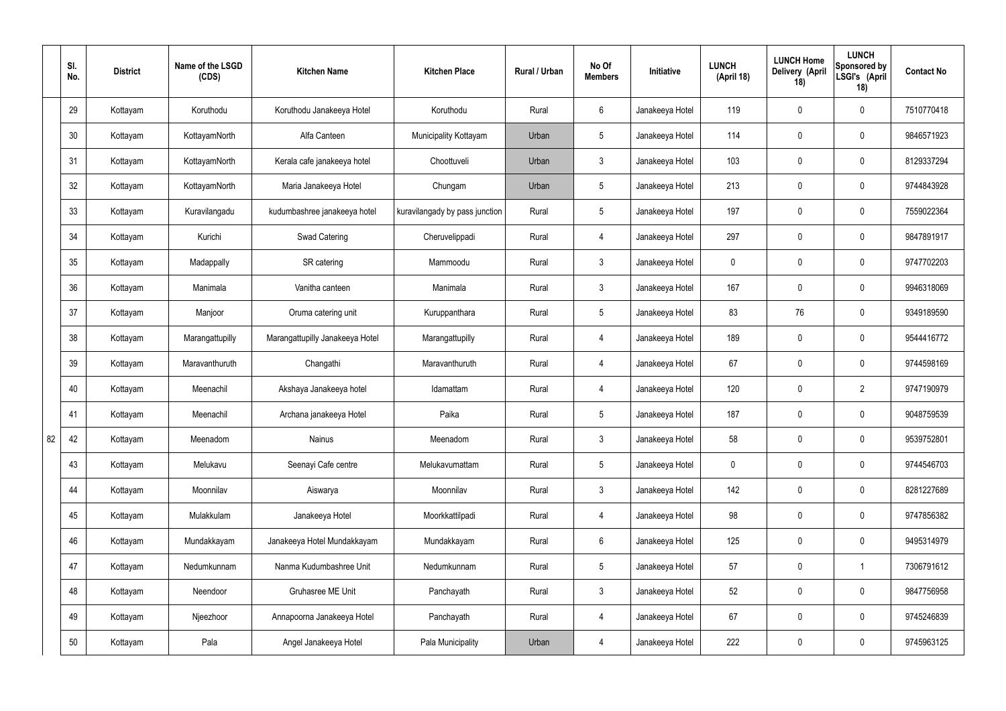|    | SI.<br>No. | <b>District</b> | Name of the LSGD<br>(CDS) | <b>Kitchen Name</b>             | <b>Kitchen Place</b>           | Rural / Urban | No Of<br><b>Members</b> | Initiative      | <b>LUNCH</b><br>(April 18) | <b>LUNCH Home</b><br>Delivery (April<br>18) | <b>LUNCH</b><br>Sponsored by<br>LSGI's (April<br>18) | <b>Contact No</b> |
|----|------------|-----------------|---------------------------|---------------------------------|--------------------------------|---------------|-------------------------|-----------------|----------------------------|---------------------------------------------|------------------------------------------------------|-------------------|
|    | 29         | Kottayam        | Koruthodu                 | Koruthodu Janakeeya Hotel       | Koruthodu                      | Rural         | $6\overline{6}$         | Janakeeya Hotel | 119                        | $\mathbf 0$                                 | $\mathbf 0$                                          | 7510770418        |
|    | 30         | Kottayam        | KottayamNorth             | Alfa Canteen                    | Municipality Kottayam          | Urban         | $5\phantom{.0}$         | Janakeeya Hotel | 114                        | $\mathbf 0$                                 | $\mathbf 0$                                          | 9846571923        |
|    | 31         | Kottayam        | KottayamNorth             | Kerala cafe janakeeya hotel     | Choottuveli                    | Urban         | $\mathbf{3}$            | Janakeeya Hotel | 103                        | 0                                           | $\mathbf 0$                                          | 8129337294        |
|    | 32         | Kottayam        | KottayamNorth             | Maria Janakeeya Hotel           | Chungam                        | Urban         | $5\phantom{.0}$         | Janakeeya Hotel | 213                        | $\mathbf 0$                                 | $\mathbf 0$                                          | 9744843928        |
|    | 33         | Kottayam        | Kuravilangadu             | kudumbashree janakeeya hotel    | kuravilangady by pass junction | Rural         | $5\phantom{.0}$         | Janakeeya Hotel | 197                        | $\mathbf 0$                                 | $\mathbf 0$                                          | 7559022364        |
|    | 34         | Kottayam        | Kurichi                   | <b>Swad Catering</b>            | Cheruvelippadi                 | Rural         | $\overline{4}$          | Janakeeya Hotel | 297                        | $\mathbf 0$                                 | $\mathbf 0$                                          | 9847891917        |
|    | 35         | Kottayam        | Madappally                | SR catering                     | Mammoodu                       | Rural         | $\mathbf{3}$            | Janakeeya Hotel | $\mathbf 0$                | $\mathbf 0$                                 | $\mathbf 0$                                          | 9747702203        |
|    | 36         | Kottayam        | Manimala                  | Vanitha canteen                 | Manimala                       | Rural         | $\mathbf{3}$            | Janakeeya Hotel | 167                        | $\mathbf 0$                                 | $\mathbf 0$                                          | 9946318069        |
|    | 37         | Kottayam        | Manjoor                   | Oruma catering unit             | Kuruppanthara                  | Rural         | $5\phantom{.0}$         | Janakeeya Hotel | 83                         | 76                                          | $\mathbf 0$                                          | 9349189590        |
|    | 38         | Kottayam        | Marangattupilly           | Marangattupilly Janakeeya Hotel | Marangattupilly                | Rural         | 4                       | Janakeeya Hotel | 189                        | $\mathbf 0$                                 | $\mathbf 0$                                          | 9544416772        |
|    | 39         | Kottayam        | Maravanthuruth            | Changathi                       | Maravanthuruth                 | Rural         | 4                       | Janakeeya Hotel | 67                         | 0                                           | $\mathbf 0$                                          | 9744598169        |
|    | 40         | Kottayam        | Meenachil                 | Akshaya Janakeeya hotel         | Idamattam                      | Rural         | 4                       | Janakeeya Hotel | 120                        | $\mathbf 0$                                 | $\overline{2}$                                       | 9747190979        |
|    | 41         | Kottayam        | Meenachil                 | Archana janakeeya Hotel         | Paika                          | Rural         | $5\overline{)}$         | Janakeeya Hotel | 187                        | $\mathbf 0$                                 | $\mathbf 0$                                          | 9048759539        |
| 82 | 42         | Kottayam        | Meenadom                  | Nainus                          | Meenadom                       | Rural         | $\mathbf{3}$            | Janakeeya Hotel | 58                         | $\pmb{0}$                                   | $\mathbf 0$                                          | 9539752801        |
|    | 43         | Kottayam        | Melukavu                  | Seenayi Cafe centre             | Melukavumattam                 | Rural         | $5\overline{)}$         | Janakeeya Hotel | $\mathbf 0$                | $\pmb{0}$                                   | $\mathbf 0$                                          | 9744546703        |
|    | 44         | Kottayam        | Moonnilav                 | Aiswarya                        | Moonnilav                      | Rural         | 3                       | Janakeeya Hotel | 142                        | 0                                           | $\mathbf 0$                                          | 8281227689        |
|    | 45         | Kottayam        | Mulakkulam                | Janakeeya Hotel                 | Moorkkattilpadi                | Rural         | $\overline{4}$          | Janakeeya Hotel | 98                         | 0                                           | $\mathbf 0$                                          | 9747856382        |
|    | 46         | Kottayam        | Mundakkayam               | Janakeeya Hotel Mundakkayam     | Mundakkayam                    | Rural         | $6\overline{6}$         | Janakeeya Hotel | 125                        | 0                                           | $\mathbf 0$                                          | 9495314979        |
|    | 47         | Kottayam        | Nedumkunnam               | Nanma Kudumbashree Unit         | Nedumkunnam                    | Rural         | $5\phantom{.0}$         | Janakeeya Hotel | 57                         | $\pmb{0}$                                   | $\mathbf{1}$                                         | 7306791612        |
|    | 48         | Kottayam        | Neendoor                  | Gruhasree ME Unit               | Panchayath                     | Rural         | $\mathbf{3}$            | Janakeeya Hotel | 52                         | 0                                           | $\mathbf 0$                                          | 9847756958        |
|    | 49         | Kottayam        | Njeezhoor                 | Annapoorna Janakeeya Hotel      | Panchayath                     | Rural         | $\overline{4}$          | Janakeeya Hotel | 67                         | 0                                           | $\mathbf 0$                                          | 9745246839        |
|    | 50         | Kottayam        | Pala                      | Angel Janakeeya Hotel           | Pala Municipality              | Urban         | 4                       | Janakeeya Hotel | 222                        | 0                                           | $\overline{0}$                                       | 9745963125        |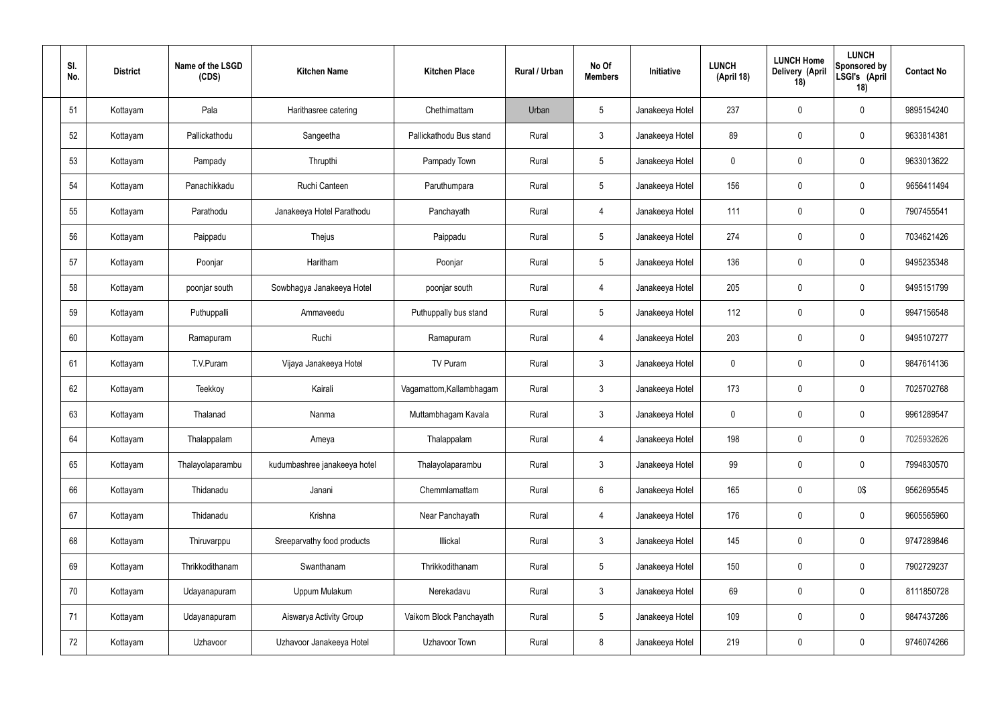| SI.<br>No. | <b>District</b> | Name of the LSGD<br>(CDS) | <b>Kitchen Name</b>          | <b>Kitchen Place</b>     | Rural / Urban | No Of<br><b>Members</b> | Initiative      | <b>LUNCH</b><br>(April 18) | <b>LUNCH Home</b><br>Delivery (April<br>18) | <b>LUNCH</b><br>Sponsored by<br>LSGI's (April<br>18) | <b>Contact No</b> |
|------------|-----------------|---------------------------|------------------------------|--------------------------|---------------|-------------------------|-----------------|----------------------------|---------------------------------------------|------------------------------------------------------|-------------------|
| 51         | Kottayam        | Pala                      | Harithasree catering         | Chethimattam             | Urban         | $5\phantom{.0}$         | Janakeeya Hotel | 237                        | $\mathbf 0$                                 | $\mathbf 0$                                          | 9895154240        |
| 52         | Kottayam        | Pallickathodu             | Sangeetha                    | Pallickathodu Bus stand  | Rural         | $\mathbf{3}$            | Janakeeya Hotel | 89                         | $\mathbf 0$                                 | $\mathbf 0$                                          | 9633814381        |
| 53         | Kottayam        | Pampady                   | Thrupthi                     | Pampady Town             | Rural         | $5\phantom{.0}$         | Janakeeya Hotel | $\mathbf 0$                | $\mathbf 0$                                 | $\mathbf 0$                                          | 9633013622        |
| 54         | Kottayam        | Panachikkadu              | Ruchi Canteen                | Paruthumpara             | Rural         | $5\phantom{.0}$         | Janakeeya Hotel | 156                        | $\mathbf 0$                                 | $\mathbf 0$                                          | 9656411494        |
| 55         | Kottayam        | Parathodu                 | Janakeeya Hotel Parathodu    | Panchayath               | Rural         | 4                       | Janakeeya Hotel | 111                        | $\boldsymbol{0}$                            | $\mathbf 0$                                          | 7907455541        |
| 56         | Kottayam        | Paippadu                  | Thejus                       | Paippadu                 | Rural         | $5\phantom{.0}$         | Janakeeya Hotel | 274                        | $\boldsymbol{0}$                            | $\pmb{0}$                                            | 7034621426        |
| 57         | Kottayam        | Poonjar                   | Haritham                     | Poonjar                  | Rural         | $5\phantom{.0}$         | Janakeeya Hotel | 136                        | $\boldsymbol{0}$                            | $\mathbf 0$                                          | 9495235348        |
| 58         | Kottayam        | poonjar south             | Sowbhagya Janakeeya Hotel    | poonjar south            | Rural         | $\overline{4}$          | Janakeeya Hotel | 205                        | $\mathbf 0$                                 | $\mathbf 0$                                          | 9495151799        |
| 59         | Kottayam        | Puthuppalli               | Ammaveedu                    | Puthuppally bus stand    | Rural         | $5\phantom{.0}$         | Janakeeya Hotel | 112                        | $\boldsymbol{0}$                            | $\mathbf 0$                                          | 9947156548        |
| 60         | Kottayam        | Ramapuram                 | Ruchi                        | Ramapuram                | Rural         | $\overline{4}$          | Janakeeya Hotel | 203                        | $\mathbf 0$                                 | $\mathbf 0$                                          | 9495107277        |
| 61         | Kottayam        | T.V.Puram                 | Vijaya Janakeeya Hotel       | TV Puram                 | Rural         | $\mathbf{3}$            | Janakeeya Hotel | $\mathbf 0$                | 0                                           | $\mathbf 0$                                          | 9847614136        |
| 62         | Kottayam        | Teekkoy                   | Kairali                      | Vagamattom, Kallambhagam | Rural         | $\mathbf{3}$            | Janakeeya Hotel | 173                        | 0                                           | $\mathbf 0$                                          | 7025702768        |
| 63         | Kottayam        | Thalanad                  | Nanma                        | Muttambhagam Kavala      | Rural         | $\mathbf{3}$            | Janakeeya Hotel | $\mathbf 0$                | $\boldsymbol{0}$                            | $\mathbf 0$                                          | 9961289547        |
| 64         | Kottayam        | Thalappalam               | Ameya                        | Thalappalam              | Rural         | $\overline{4}$          | Janakeeya Hotel | 198                        | $\mathbf 0$                                 | $\mathbf 0$                                          | 7025932626        |
| 65         | Kottayam        | Thalayolaparambu          | kudumbashree janakeeya hotel | Thalayolaparambu         | Rural         | $\mathbf{3}$            | Janakeeya Hotel | 99                         | $\mathbf 0$                                 | $\pmb{0}$                                            | 7994830570        |
| 66         | Kottayam        | Thidanadu                 | Janani                       | Chemmlamattam            | Rural         | $6\overline{6}$         | Janakeeya Hotel | 165                        | $\boldsymbol{0}$                            | 0\$                                                  | 9562695545        |
| 67         | Kottayam        | Thidanadu                 | Krishna                      | Near Panchayath          | Rural         | $\overline{4}$          | Janakeeya Hotel | 176                        | $\mathbf 0$                                 | $\pmb{0}$                                            | 9605565960        |
| 68         | Kottayam        | Thiruvarppu               | Sreeparvathy food products   | Illickal                 | Rural         | $\mathbf{3}$            | Janakeeya Hotel | 145                        | $\boldsymbol{0}$                            | $\mathbf 0$                                          | 9747289846        |
| 69         | Kottayam        | Thrikkodithanam           | Swanthanam                   | Thrikkodithanam          | Rural         | $5\phantom{.0}$         | Janakeeya Hotel | 150                        | $\mathbf 0$                                 | $\pmb{0}$                                            | 7902729237        |
| 70         | Kottayam        | Udayanapuram              | Uppum Mulakum                | Nerekadavu               | Rural         | $\mathbf{3}$            | Janakeeya Hotel | 69                         | $\mathbf 0$                                 | $\mathbf 0$                                          | 8111850728        |
| 71         | Kottayam        | Udayanapuram              | Aiswarya Activity Group      | Vaikom Block Panchayath  | Rural         | $5\phantom{.0}$         | Janakeeya Hotel | 109                        | $\mathbf 0$                                 | $\pmb{0}$                                            | 9847437286        |
| 72         | Kottayam        | Uzhavoor                  | Uzhavoor Janakeeya Hotel     | Uzhavoor Town            | Rural         | 8                       | Janakeeya Hotel | 219                        | $\boldsymbol{0}$                            | $\pmb{0}$                                            | 9746074266        |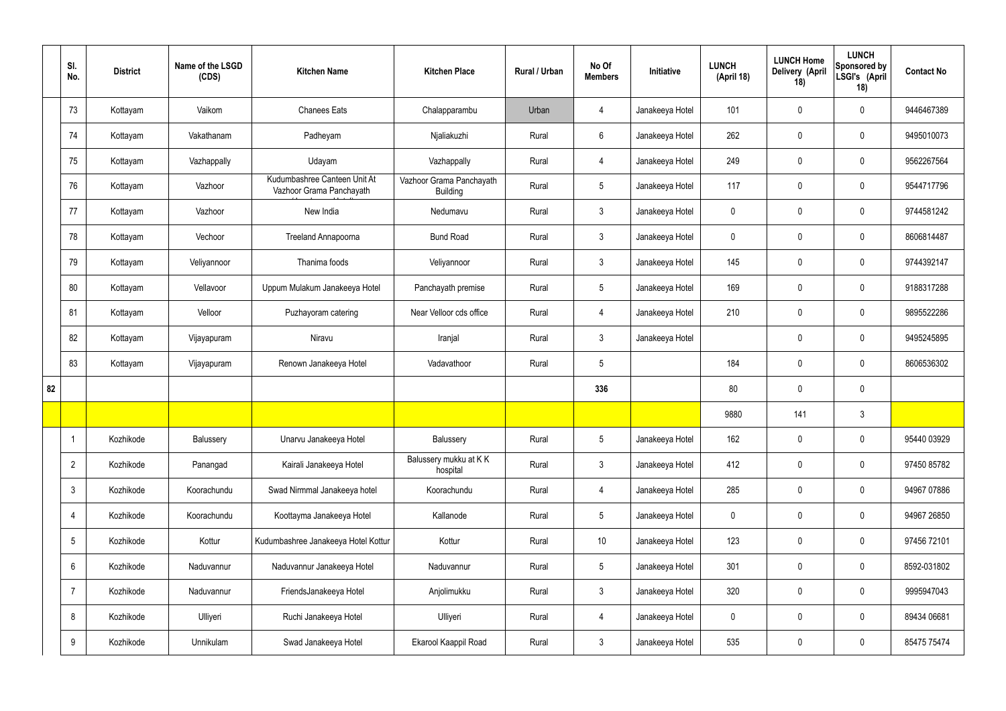|    | SI.<br>No.      | <b>District</b> | Name of the LSGD<br>(CDS) | <b>Kitchen Name</b>                                      | <b>Kitchen Place</b>                        | Rural / Urban | No Of<br><b>Members</b> | Initiative      | <b>LUNCH</b><br>(April 18) | <b>LUNCH Home</b><br><b>Delivery (April</b><br>18) | <b>LUNCH</b><br>Sponsored by<br>LSGI's (April<br>18) | <b>Contact No</b> |
|----|-----------------|-----------------|---------------------------|----------------------------------------------------------|---------------------------------------------|---------------|-------------------------|-----------------|----------------------------|----------------------------------------------------|------------------------------------------------------|-------------------|
|    | 73              | Kottayam        | Vaikom                    | <b>Chanees Eats</b>                                      | Chalapparambu                               | Urban         | 4                       | Janakeeya Hotel | 101                        | $\mathbf 0$                                        | $\mathbf 0$                                          | 9446467389        |
|    | 74              | Kottayam        | Vakathanam                | Padheyam                                                 | Njaliakuzhi                                 | Rural         | $6\overline{6}$         | Janakeeya Hotel | 262                        | $\mathbf 0$                                        | $\mathbf 0$                                          | 9495010073        |
|    | 75              | Kottayam        | Vazhappally               | Udayam                                                   | Vazhappally                                 | Rural         | $\overline{4}$          | Janakeeya Hotel | 249                        | $\mathbf 0$                                        | $\mathbf 0$                                          | 9562267564        |
|    | 76              | Kottayam        | Vazhoor                   | Kudumbashree Canteen Unit At<br>Vazhoor Grama Panchayath | Vazhoor Grama Panchayath<br><b>Building</b> | Rural         | $5\phantom{.0}$         | Janakeeya Hotel | 117                        | $\mathbf 0$                                        | $\mathbf 0$                                          | 9544717796        |
|    | 77              | Kottayam        | Vazhoor                   | New India                                                | Nedumavu                                    | Rural         | $\mathbf{3}$            | Janakeeya Hotel | $\mathbf 0$                | $\mathbf 0$                                        | $\mathbf 0$                                          | 9744581242        |
|    | 78              | Kottayam        | Vechoor                   | Treeland Annapoorna                                      | <b>Bund Road</b>                            | Rural         | $\mathbf{3}$            | Janakeeya Hotel | $\mathbf 0$                | $\mathbf 0$                                        | $\mathbf 0$                                          | 8606814487        |
|    | 79              | Kottayam        | Veliyannoor               | Thanima foods                                            | Veliyannoor                                 | Rural         | $\mathbf{3}$            | Janakeeya Hotel | 145                        | $\mathbf 0$                                        | $\mathbf 0$                                          | 9744392147        |
|    | 80              | Kottayam        | Vellavoor                 | Uppum Mulakum Janakeeya Hotel                            | Panchayath premise                          | Rural         | $5\phantom{.0}$         | Janakeeya Hotel | 169                        | $\mathbf 0$                                        | $\mathbf 0$                                          | 9188317288        |
|    | 81              | Kottayam        | Velloor                   | Puzhayoram catering                                      | Near Velloor cds office                     | Rural         | $\overline{4}$          | Janakeeya Hotel | 210                        | $\mathbf 0$                                        | $\mathbf 0$                                          | 9895522286        |
|    | 82              | Kottayam        | Vijayapuram               | Niravu                                                   | Iranjal                                     | Rural         | $\mathbf{3}$            | Janakeeya Hotel |                            | $\mathbf 0$                                        | $\mathbf 0$                                          | 9495245895        |
|    | 83              | Kottayam        | Vijayapuram               | Renown Janakeeya Hotel                                   | Vadavathoor                                 | Rural         | 5                       |                 | 184                        | $\pmb{0}$                                          | $\mathbf 0$                                          | 8606536302        |
| 82 |                 |                 |                           |                                                          |                                             |               | 336                     |                 | 80                         | $\mathbf 0$                                        | $\mathbf 0$                                          |                   |
|    |                 |                 |                           |                                                          |                                             |               |                         |                 | 9880                       | 141                                                | $\mathfrak{Z}$                                       |                   |
|    |                 | Kozhikode       | Balussery                 | Unarvu Janakeeya Hotel                                   | Balussery                                   | Rural         | 5 <sub>5</sub>          | Janakeeya Hotel | 162                        | $\pmb{0}$                                          | $\mathbf 0$                                          | 95440 03929       |
|    | $\overline{2}$  | Kozhikode       | Panangad                  | Kairali Janakeeya Hotel                                  | Balussery mukku at KK<br>hospital           | Rural         | $\mathbf{3}$            | Janakeeya Hotel | 412                        | $\pmb{0}$                                          | $\mathbf 0$                                          | 97450 85782       |
|    | $\mathbf{3}$    | Kozhikode       | Koorachundu               | Swad Nirmmal Janakeeya hotel                             | Koorachundu                                 | Rural         | $\overline{4}$          | Janakeeya Hotel | 285                        | $\pmb{0}$                                          | $\mathbf 0$                                          | 94967 07886       |
|    | 4               | Kozhikode       | Koorachundu               | Koottayma Janakeeya Hotel                                | Kallanode                                   | Rural         | $5\phantom{.0}$         | Janakeeya Hotel | $\pmb{0}$                  | $\pmb{0}$                                          | $\mathbf 0$                                          | 94967 26850       |
|    | $5\phantom{.0}$ | Kozhikode       | Kottur                    | Kudumbashree Janakeeya Hotel Kottur                      | Kottur                                      | Rural         | $10$                    | Janakeeya Hotel | 123                        | $\pmb{0}$                                          | $\mathbf 0$                                          | 97456 72101       |
|    | 6               | Kozhikode       | Naduvannur                | Naduvannur Janakeeya Hotel                               | Naduvannur                                  | Rural         | $5\phantom{.0}$         | Janakeeya Hotel | 301                        | $\pmb{0}$                                          | $\mathbf 0$                                          | 8592-031802       |
|    | $\overline{7}$  | Kozhikode       | Naduvannur                | FriendsJanakeeya Hotel                                   | Anjolimukku                                 | Rural         | $\mathbf{3}$            | Janakeeya Hotel | 320                        | $\pmb{0}$                                          | $\mathbf 0$                                          | 9995947043        |
|    | 8               | Kozhikode       | Ulliyeri                  | Ruchi Janakeeya Hotel                                    | Ulliyeri                                    | Rural         | 4                       | Janakeeya Hotel | $\pmb{0}$                  | $\pmb{0}$                                          | $\mathbf 0$                                          | 89434 06681       |
|    | 9               | Kozhikode       | Unnikulam                 | Swad Janakeeya Hotel                                     | Ekarool Kaappil Road                        | Rural         | $\mathbf{3}$            | Janakeeya Hotel | 535                        | $\pmb{0}$                                          | $\boldsymbol{0}$                                     | 85475 75474       |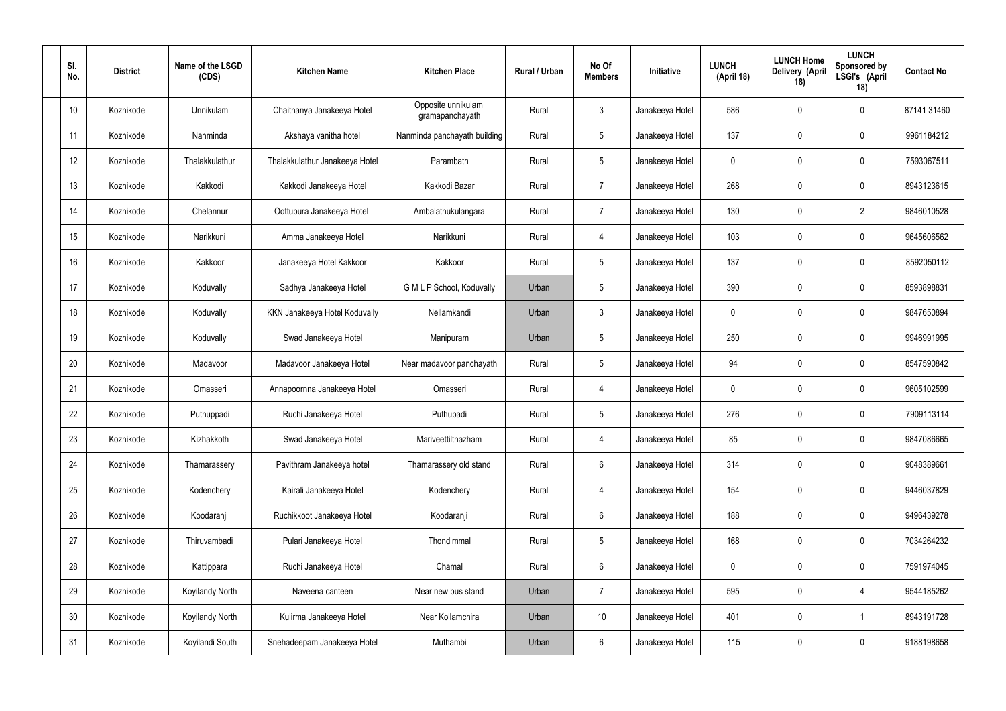| SI.<br>No.      | <b>District</b> | Name of the LSGD<br>(CDS) | <b>Kitchen Name</b>            | <b>Kitchen Place</b>                  | Rural / Urban | No Of<br><b>Members</b> | Initiative      | <b>LUNCH</b><br>(April 18) | <b>LUNCH Home</b><br>Delivery (April<br>18) | <b>LUNCH</b><br>Sponsored by<br>LSGI's (April<br>18) | <b>Contact No</b> |
|-----------------|-----------------|---------------------------|--------------------------------|---------------------------------------|---------------|-------------------------|-----------------|----------------------------|---------------------------------------------|------------------------------------------------------|-------------------|
| 10 <sup>°</sup> | Kozhikode       | <b>Unnikulam</b>          | Chaithanya Janakeeya Hotel     | Opposite unnikulam<br>gramapanchayath | Rural         | $\mathbf{3}$            | Janakeeya Hotel | 586                        | 0                                           | $\mathbf 0$                                          | 87141 31460       |
| 11              | Kozhikode       | Nanminda                  | Akshaya vanitha hotel          | Nanminda panchayath building          | Rural         | $5\phantom{.0}$         | Janakeeya Hotel | 137                        | 0                                           | $\mathbf 0$                                          | 9961184212        |
| 12              | Kozhikode       | Thalakkulathur            | Thalakkulathur Janakeeya Hotel | Parambath                             | Rural         | $5\phantom{.0}$         | Janakeeya Hotel | $\mathbf 0$                | 0                                           | $\mathbf 0$                                          | 7593067511        |
| 13              | Kozhikode       | Kakkodi                   | Kakkodi Janakeeya Hotel        | Kakkodi Bazar                         | Rural         | $\overline{7}$          | Janakeeya Hotel | 268                        | 0                                           | $\mathbf 0$                                          | 8943123615        |
| 14              | Kozhikode       | Chelannur                 | Oottupura Janakeeya Hotel      | Ambalathukulangara                    | Rural         | $\overline{7}$          | Janakeeya Hotel | 130                        | 0                                           | $\overline{2}$                                       | 9846010528        |
| 15              | Kozhikode       | Narikkuni                 | Amma Janakeeya Hotel           | Narikkuni                             | Rural         | $\overline{4}$          | Janakeeya Hotel | 103                        | 0                                           | $\mathbf 0$                                          | 9645606562        |
| 16              | Kozhikode       | Kakkoor                   | Janakeeya Hotel Kakkoor        | Kakkoor                               | Rural         | $5\phantom{.0}$         | Janakeeya Hotel | 137                        | 0                                           | $\mathbf 0$                                          | 8592050112        |
| 17              | Kozhikode       | Koduvally                 | Sadhya Janakeeya Hotel         | G M L P School, Koduvally             | Urban         | $5\phantom{.0}$         | Janakeeya Hotel | 390                        | 0                                           | $\mathbf 0$                                          | 8593898831        |
| 18              | Kozhikode       | Koduvally                 | KKN Janakeeya Hotel Koduvally  | Nellamkandi                           | Urban         | $\mathbf{3}$            | Janakeeya Hotel | $\mathbf 0$                | 0                                           | $\mathbf 0$                                          | 9847650894        |
| 19              | Kozhikode       | Koduvally                 | Swad Janakeeya Hotel           | Manipuram                             | Urban         | $5\phantom{.0}$         | Janakeeya Hotel | 250                        | 0                                           | $\mathbf 0$                                          | 9946991995        |
| 20              | Kozhikode       | Madavoor                  | Madavoor Janakeeya Hotel       | Near madavoor panchayath              | Rural         | $5\phantom{.0}$         | Janakeeya Hotel | 94                         | 0                                           | $\mathbf 0$                                          | 8547590842        |
| 21              | Kozhikode       | Omasseri                  | Annapoornna Janakeeya Hotel    | Omasseri                              | Rural         | 4                       | Janakeeya Hotel | $\mathbf 0$                | 0                                           | $\boldsymbol{0}$                                     | 9605102599        |
| 22              | Kozhikode       | Puthuppadi                | Ruchi Janakeeya Hotel          | Puthupadi                             | Rural         | $5\phantom{.0}$         | Janakeeya Hotel | 276                        | 0                                           | 0                                                    | 7909113114        |
| 23              | Kozhikode       | Kizhakkoth                | Swad Janakeeya Hotel           | Mariveettilthazham                    | Rural         | $\overline{4}$          | Janakeeya Hotel | 85                         | $\mathbf 0$                                 | $\mathbf 0$                                          | 9847086665        |
| 24              | Kozhikode       | Thamarassery              | Pavithram Janakeeya hotel      | Thamarassery old stand                | Rural         | $6\phantom{.}$          | Janakeeya Hotel | 314                        | $\mathbf 0$                                 | $\mathbf 0$                                          | 9048389661        |
| 25              | Kozhikode       | Kodenchery                | Kairali Janakeeya Hotel        | Kodenchery                            | Rural         | 4                       | Janakeeya Hotel | 154                        | $\mathbf 0$                                 | $\mathbf 0$                                          | 9446037829        |
| 26              | Kozhikode       | Koodaranji                | Ruchikkoot Janakeeya Hotel     | Koodaranji                            | Rural         | $6\phantom{.}$          | Janakeeya Hotel | 188                        | $\mathbf 0$                                 | $\mathbf 0$                                          | 9496439278        |
| 27              | Kozhikode       | Thiruvambadi              | Pulari Janakeeya Hotel         | Thondimmal                            | Rural         | $5\phantom{.0}$         | Janakeeya Hotel | 168                        | $\mathbf 0$                                 | $\mathbf 0$                                          | 7034264232        |
| 28              | Kozhikode       | Kattippara                | Ruchi Janakeeya Hotel          | Chamal                                | Rural         | $6\phantom{.}$          | Janakeeya Hotel | $\mathbf 0$                | $\mathbf 0$                                 | $\mathbf 0$                                          | 7591974045        |
| 29              | Kozhikode       | Koyilandy North           | Naveena canteen                | Near new bus stand                    | Urban         | $\overline{7}$          | Janakeeya Hotel | 595                        | $\mathbf 0$                                 | $\overline{4}$                                       | 9544185262        |
| 30 <sup>°</sup> | Kozhikode       | Koyilandy North           | Kulirma Janakeeya Hotel        | Near Kollamchira                      | Urban         | $10$                    | Janakeeya Hotel | 401                        | 0                                           | $\mathbf 1$                                          | 8943191728        |
| 31              | Kozhikode       | Koyilandi South           | Snehadeepam Janakeeya Hotel    | Muthambi                              | Urban         | $6\,$                   | Janakeeya Hotel | 115                        | $\pmb{0}$                                   | $\bf{0}$                                             | 9188198658        |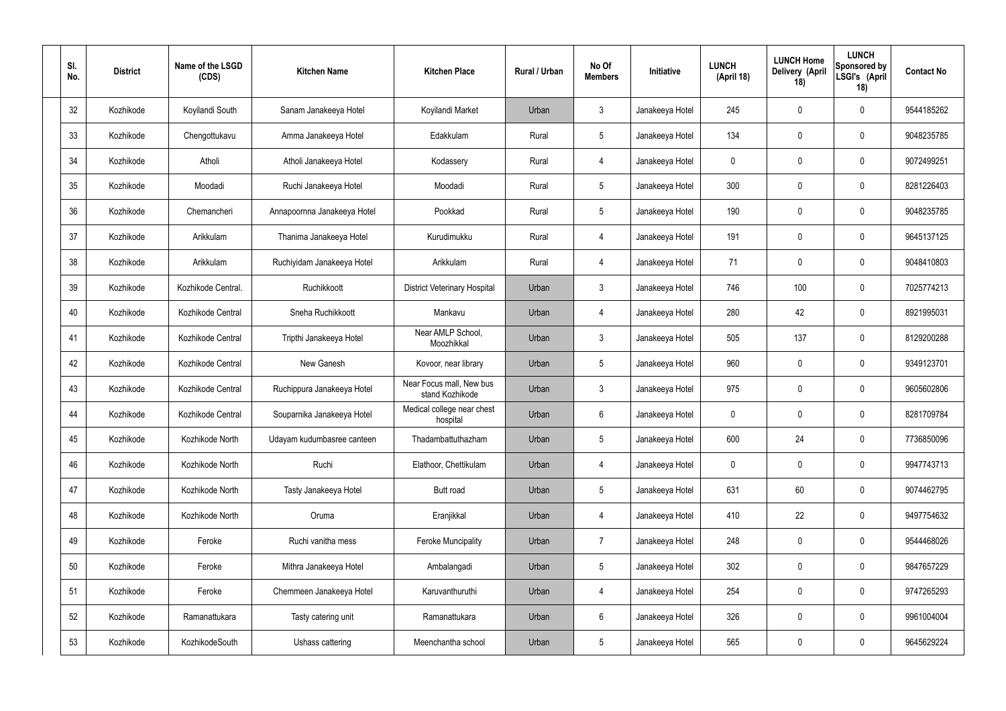| SI.<br>No. | <b>District</b> | Name of the LSGD<br>(CDS) | <b>Kitchen Name</b>         | <b>Kitchen Place</b>                        | <b>Rural / Urban</b> | No Of<br><b>Members</b> | Initiative      | <b>LUNCH</b><br>(April 18) | <b>LUNCH Home</b><br>Delivery (April<br>18) | <b>LUNCH</b><br>Sponsored by<br>LSGI's (April<br>18) | <b>Contact No</b> |
|------------|-----------------|---------------------------|-----------------------------|---------------------------------------------|----------------------|-------------------------|-----------------|----------------------------|---------------------------------------------|------------------------------------------------------|-------------------|
| 32         | Kozhikode       | Koyilandi South           | Sanam Janakeeya Hotel       | Koyilandi Market                            | Urban                | $\mathbf{3}$            | Janakeeya Hotel | 245                        | 0                                           | $\mathbf 0$                                          | 9544185262        |
| 33         | Kozhikode       | Chengottukavu             | Amma Janakeeya Hotel        | Edakkulam                                   | Rural                | $5\phantom{.0}$         | Janakeeya Hotel | 134                        | 0                                           | $\pmb{0}$                                            | 9048235785        |
| 34         | Kozhikode       | Atholi                    | Atholi Janakeeya Hotel      | Kodassery                                   | Rural                | $\overline{4}$          | Janakeeya Hotel | $\mathbf 0$                | 0                                           | $\mathbf 0$                                          | 9072499251        |
| 35         | Kozhikode       | Moodadi                   | Ruchi Janakeeya Hotel       | Moodadi                                     | Rural                | $5\phantom{.0}$         | Janakeeya Hotel | 300                        | 0                                           | $\mathbf 0$                                          | 8281226403        |
| 36         | Kozhikode       | Chemancheri               | Annapoornna Janakeeya Hotel | Pookkad                                     | Rural                | $5\phantom{.0}$         | Janakeeya Hotel | 190                        | 0                                           | $\mathbf 0$                                          | 9048235785        |
| 37         | Kozhikode       | Arikkulam                 | Thanima Janakeeya Hotel     | Kurudimukku                                 | Rural                | $\overline{4}$          | Janakeeya Hotel | 191                        | 0                                           | $\pmb{0}$                                            | 9645137125        |
| 38         | Kozhikode       | Arikkulam                 | Ruchiyidam Janakeeya Hotel  | Arikkulam                                   | Rural                | $\overline{4}$          | Janakeeya Hotel | 71                         | $\boldsymbol{0}$                            | $\mathbf 0$                                          | 9048410803        |
| 39         | Kozhikode       | Kozhikode Central.        | Ruchikkoott                 | <b>District Veterinary Hospital</b>         | Urban                | $\mathbf{3}$            | Janakeeya Hotel | 746                        | 100                                         | $\mathbf 0$                                          | 7025774213        |
| 40         | Kozhikode       | Kozhikode Central         | Sneha Ruchikkoott           | Mankavu                                     | Urban                | $\overline{4}$          | Janakeeya Hotel | 280                        | 42                                          | $\mathbf 0$                                          | 8921995031        |
| 41         | Kozhikode       | Kozhikode Central         | Tripthi Janakeeya Hotel     | Near AMLP School,<br>Moozhikkal             | Urban                | $\mathbf{3}$            | Janakeeya Hotel | 505                        | 137                                         | $\boldsymbol{0}$                                     | 8129200288        |
| 42         | Kozhikode       | Kozhikode Central         | New Ganesh                  | Kovoor, near library                        | Urban                | $5\phantom{.0}$         | Janakeeya Hotel | 960                        | 0                                           | $\boldsymbol{0}$                                     | 9349123701        |
| 43         | Kozhikode       | Kozhikode Central         | Ruchippura Janakeeya Hotel  | Near Focus mall, New bus<br>stand Kozhikode | Urban                | $\mathbf{3}$            | Janakeeya Hotel | 975                        | 0                                           | $\boldsymbol{0}$                                     | 9605602806        |
| 44         | Kozhikode       | Kozhikode Central         | Souparnika Janakeeya Hotel  | Medical college near chest<br>hospital      | Urban                | $6\phantom{.}$          | Janakeeya Hotel | 0                          | 0                                           | 0                                                    | 8281709784        |
| 45         | Kozhikode       | Kozhikode North           | Udayam kudumbasree canteen  | Thadambattuthazham                          | Urban                | $5\phantom{.0}$         | Janakeeya Hotel | 600                        | 24                                          | $\mathbf 0$                                          | 7736850096        |
| 46         | Kozhikode       | Kozhikode North           | Ruchi                       | Elathoor, Chettikulam                       | Urban                | 4                       | Janakeeya Hotel | $\mathbf 0$                | $\mathbf 0$                                 | $\mathbf 0$                                          | 9947743713        |
| 47         | Kozhikode       | Kozhikode North           | Tasty Janakeeya Hotel       | Butt road                                   | Urban                | $5\phantom{.0}$         | Janakeeya Hotel | 631                        | 60                                          | $\mathbf 0$                                          | 9074462795        |
| 48         | Kozhikode       | Kozhikode North           | Oruma                       | Eranjikkal                                  | Urban                | $\overline{4}$          | Janakeeya Hotel | 410                        | 22                                          | $\mathbf 0$                                          | 9497754632        |
| 49         | Kozhikode       | Feroke                    | Ruchi vanitha mess          | <b>Feroke Muncipality</b>                   | Urban                | $\overline{7}$          | Janakeeya Hotel | 248                        | 0                                           | $\mathbf 0$                                          | 9544468026        |
| 50         | Kozhikode       | Feroke                    | Mithra Janakeeya Hotel      | Ambalangadi                                 | Urban                | $5\phantom{.0}$         | Janakeeya Hotel | 302                        | 0                                           | $\mathbf 0$                                          | 9847657229        |
| 51         | Kozhikode       | Feroke                    | Chemmeen Janakeeya Hotel    | Karuvanthuruthi                             | Urban                | $\overline{4}$          | Janakeeya Hotel | 254                        | 0                                           | $\mathbf 0$                                          | 9747265293        |
| 52         | Kozhikode       | Ramanattukara             | Tasty catering unit         | Ramanattukara                               | Urban                | $6\,$                   | Janakeeya Hotel | 326                        | 0                                           | $\mathbf 0$                                          | 9961004004        |
| 53         | Kozhikode       | KozhikodeSouth            | Ushass cattering            | Meenchantha school                          | Urban                | $5\,$                   | Janakeeya Hotel | 565                        | $\pmb{0}$                                   | $\boldsymbol{0}$                                     | 9645629224        |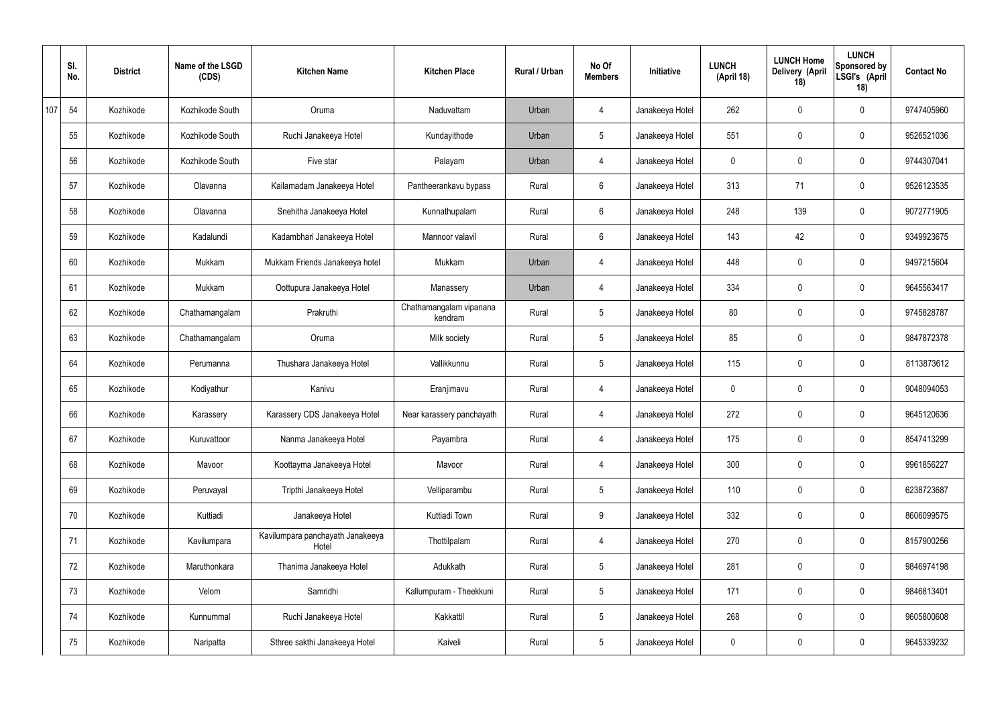|     | SI.<br>No. | <b>District</b> | Name of the LSGD<br>(CDS) | <b>Kitchen Name</b>                       | <b>Kitchen Place</b>               | Rural / Urban | No Of<br><b>Members</b> | Initiative      | <b>LUNCH</b><br>(April 18) | <b>LUNCH Home</b><br>Delivery (April<br>18) | <b>LUNCH</b><br>Sponsored by<br>LSGI's (April<br>18) | <b>Contact No</b> |
|-----|------------|-----------------|---------------------------|-------------------------------------------|------------------------------------|---------------|-------------------------|-----------------|----------------------------|---------------------------------------------|------------------------------------------------------|-------------------|
| 107 | 54         | Kozhikode       | Kozhikode South           | Oruma                                     | Naduvattam                         | Urban         | 4                       | Janakeeya Hotel | 262                        | $\mathbf 0$                                 | $\mathbf 0$                                          | 9747405960        |
|     | 55         | Kozhikode       | Kozhikode South           | Ruchi Janakeeya Hotel                     | Kundayithode                       | Urban         | $5\overline{)}$         | Janakeeya Hotel | 551                        | $\mathbf 0$                                 | $\mathbf 0$                                          | 9526521036        |
|     | 56         | Kozhikode       | Kozhikode South           | Five star                                 | Palayam                            | Urban         | $\overline{4}$          | Janakeeya Hotel | 0                          | $\mathbf 0$                                 | $\mathbf 0$                                          | 9744307041        |
|     | 57         | Kozhikode       | Olavanna                  | Kailamadam Janakeeya Hotel                | Pantheerankavu bypass              | Rural         | $6\phantom{.}6$         | Janakeeya Hotel | 313                        | 71                                          | $\mathbf 0$                                          | 9526123535        |
|     | 58         | Kozhikode       | Olavanna                  | Snehitha Janakeeya Hotel                  | Kunnathupalam                      | Rural         | $6\overline{6}$         | Janakeeya Hotel | 248                        | 139                                         | $\mathbf 0$                                          | 9072771905        |
|     | 59         | Kozhikode       | Kadalundi                 | Kadambhari Janakeeya Hotel                | Mannoor valavil                    | Rural         | $6\phantom{.}6$         | Janakeeya Hotel | 143                        | 42                                          | $\mathbf 0$                                          | 9349923675        |
|     | 60         | Kozhikode       | Mukkam                    | Mukkam Friends Janakeeya hotel            | Mukkam                             | Urban         | 4                       | Janakeeya Hotel | 448                        | $\mathbf 0$                                 | $\mathbf 0$                                          | 9497215604        |
|     | 61         | Kozhikode       | Mukkam                    | Oottupura Janakeeya Hotel                 | Manassery                          | Urban         | 4                       | Janakeeya Hotel | 334                        | $\mathbf 0$                                 | $\mathbf 0$                                          | 9645563417        |
|     | 62         | Kozhikode       | Chathamangalam            | Prakruthi                                 | Chathamangalam vipanana<br>kendram | Rural         | $5\overline{)}$         | Janakeeya Hotel | 80                         | 0                                           | $\mathbf 0$                                          | 9745828787        |
|     | 63         | Kozhikode       | Chathamangalam            | Oruma                                     | Milk society                       | Rural         | $5\overline{)}$         | Janakeeya Hotel | 85                         | $\mathbf 0$                                 | $\mathbf 0$                                          | 9847872378        |
|     | 64         | Kozhikode       | Perumanna                 | Thushara Janakeeya Hotel                  | Vallikkunnu                        | Rural         | $5\overline{)}$         | Janakeeya Hotel | 115                        | $\mathbf 0$                                 | $\mathbf 0$                                          | 8113873612        |
|     | 65         | Kozhikode       | Kodiyathur                | Kanivu                                    | Eranjimavu                         | Rural         | 4                       | Janakeeya Hotel | 0                          | $\mathbf 0$                                 | $\mathbf 0$                                          | 9048094053        |
|     | 66         | Kozhikode       | Karassery                 | Karassery CDS Janakeeya Hotel             | Near karassery panchayath          | Rural         | 4                       | Janakeeya Hotel | 272                        | $\mathbf 0$                                 | $\mathbf 0$                                          | 9645120636        |
|     | 67         | Kozhikode       | Kuruvattoor               | Nanma Janakeeya Hotel                     | Payambra                           | Rural         | $\overline{4}$          | Janakeeya Hotel | 175                        | 0                                           | $\mathbf 0$                                          | 8547413299        |
|     | 68         | Kozhikode       | Mavoor                    | Koottayma Janakeeya Hotel                 | Mavoor                             | Rural         | $\overline{4}$          | Janakeeya Hotel | 300                        | 0                                           | $\mathbf 0$                                          | 9961856227        |
|     | 69         | Kozhikode       | Peruvayal                 | Tripthi Janakeeya Hotel                   | Velliparambu                       | Rural         | $5\overline{)}$         | Janakeeya Hotel | 110                        | 0                                           | $\mathbf 0$                                          | 6238723687        |
|     | 70         | Kozhikode       | Kuttiadi                  | Janakeeya Hotel                           | Kuttiadi Town                      | Rural         | 9                       | Janakeeya Hotel | 332                        | 0                                           | $\mathbf 0$                                          | 8606099575        |
|     | 71         | Kozhikode       | Kavilumpara               | Kavilumpara panchayath Janakeeya<br>Hotel | Thottilpalam                       | Rural         | $\overline{4}$          | Janakeeya Hotel | 270                        | 0                                           | $\mathbf 0$                                          | 8157900256        |
|     | 72         | Kozhikode       | Maruthonkara              | Thanima Janakeeya Hotel                   | Adukkath                           | Rural         | $5\phantom{.0}$         | Janakeeya Hotel | 281                        | 0                                           | $\mathbf 0$                                          | 9846974198        |
|     | 73         | Kozhikode       | Velom                     | Samridhi                                  | Kallumpuram - Theekkuni            | Rural         | $5\phantom{.0}$         | Janakeeya Hotel | 171                        | 0                                           | $\mathbf 0$                                          | 9846813401        |
|     | 74         | Kozhikode       | Kunnummal                 | Ruchi Janakeeya Hotel                     | Kakkattil                          | Rural         | $5\phantom{.0}$         | Janakeeya Hotel | 268                        | 0                                           | $\mathbf 0$                                          | 9605800608        |
|     | 75         | Kozhikode       | Naripatta                 | Sthree sakthi Janakeeya Hotel             | Kaiveli                            | Rural         | $5\phantom{.0}$         | Janakeeya Hotel | 0                          | 0                                           | $\boldsymbol{0}$                                     | 9645339232        |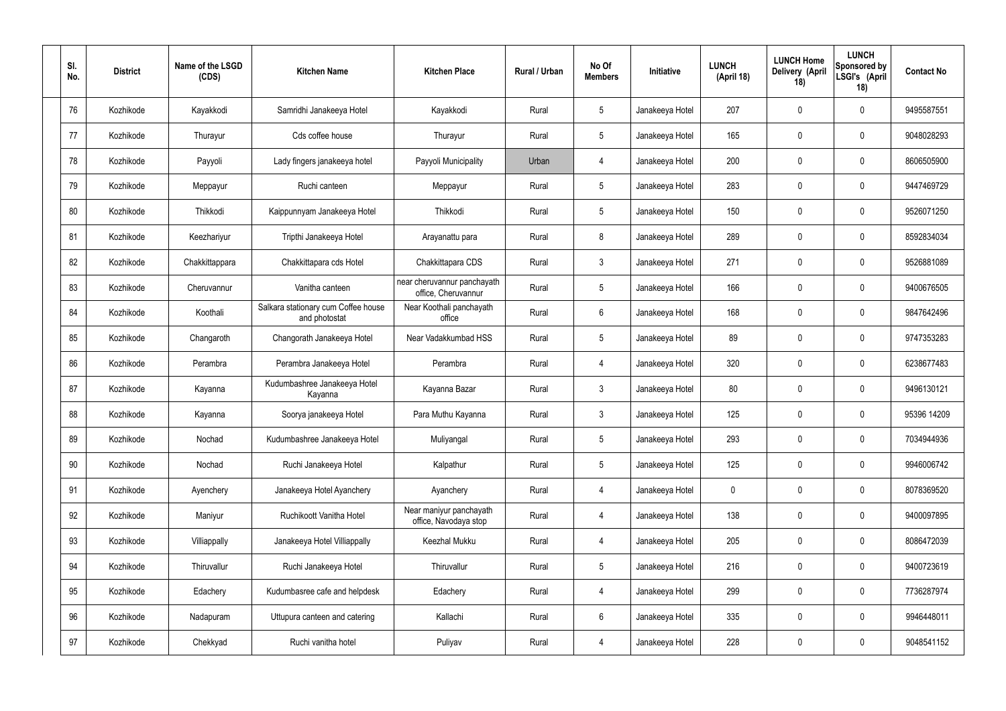| SI.<br>No. | <b>District</b> | Name of the LSGD<br>(CDS) | <b>Kitchen Name</b>                                  | <b>Kitchen Place</b>                               | Rural / Urban | No Of<br><b>Members</b> | Initiative      | <b>LUNCH</b><br>(April 18) | <b>LUNCH Home</b><br>Delivery (April<br>18) | <b>LUNCH</b><br>Sponsored by<br>LSGI's (April<br>18) | <b>Contact No</b> |
|------------|-----------------|---------------------------|------------------------------------------------------|----------------------------------------------------|---------------|-------------------------|-----------------|----------------------------|---------------------------------------------|------------------------------------------------------|-------------------|
| 76         | Kozhikode       | Kayakkodi                 | Samridhi Janakeeya Hotel                             | Kayakkodi                                          | Rural         | $5\phantom{.0}$         | Janakeeya Hotel | 207                        | 0                                           | $\mathbf 0$                                          | 9495587551        |
| 77         | Kozhikode       | Thurayur                  | Cds coffee house                                     | Thurayur                                           | Rural         | $5\phantom{.0}$         | Janakeeya Hotel | 165                        | $\mathbf 0$                                 | $\mathbf 0$                                          | 9048028293        |
| 78         | Kozhikode       | Payyoli                   | Lady fingers janakeeya hotel                         | Payyoli Municipality                               | Urban         | $\overline{4}$          | Janakeeya Hotel | 200                        | 0                                           | $\mathbf 0$                                          | 8606505900        |
| 79         | Kozhikode       | Meppayur                  | Ruchi canteen                                        | Meppayur                                           | Rural         | $5\phantom{.0}$         | Janakeeya Hotel | 283                        | $\mathbf 0$                                 | $\mathbf 0$                                          | 9447469729        |
| 80         | Kozhikode       | Thikkodi                  | Kaippunnyam Janakeeya Hotel                          | Thikkodi                                           | Rural         | $5\phantom{.0}$         | Janakeeya Hotel | 150                        | 0                                           | $\mathbf 0$                                          | 9526071250        |
| 81         | Kozhikode       | Keezhariyur               | Tripthi Janakeeya Hotel                              | Arayanattu para                                    | Rural         | 8                       | Janakeeya Hotel | 289                        | 0                                           | $\mathbf 0$                                          | 8592834034        |
| 82         | Kozhikode       | Chakkittappara            | Chakkittapara cds Hotel                              | Chakkittapara CDS                                  | Rural         | $\mathbf{3}$            | Janakeeya Hotel | 271                        | 0                                           | $\mathbf 0$                                          | 9526881089        |
| 83         | Kozhikode       | Cheruvannur               | Vanitha canteen                                      | near cheruvannur panchayath<br>office, Cheruvannur | Rural         | $5\phantom{.0}$         | Janakeeya Hotel | 166                        | $\mathbf 0$                                 | $\mathbf 0$                                          | 9400676505        |
| 84         | Kozhikode       | Koothali                  | Salkara stationary cum Coffee house<br>and photostat | Near Koothali panchayath<br>office                 | Rural         | $6\phantom{.}6$         | Janakeeya Hotel | 168                        | 0                                           | $\mathbf 0$                                          | 9847642496        |
| 85         | Kozhikode       | Changaroth                | Changorath Janakeeya Hotel                           | Near Vadakkumbad HSS                               | Rural         | $5\phantom{.0}$         | Janakeeya Hotel | 89                         | 0                                           | $\mathbf 0$                                          | 9747353283        |
| 86         | Kozhikode       | Perambra                  | Perambra Janakeeya Hotel                             | Perambra                                           | Rural         | $\overline{4}$          | Janakeeya Hotel | 320                        | $\mathbf 0$                                 | $\boldsymbol{0}$                                     | 6238677483        |
| 87         | Kozhikode       | Kayanna                   | Kudumbashree Janakeeya Hotel<br>Kayanna              | Kayanna Bazar                                      | Rural         | $\mathfrak{Z}$          | Janakeeya Hotel | 80                         | 0                                           | $\boldsymbol{0}$                                     | 9496130121        |
| 88         | Kozhikode       | Kayanna                   | Soorya janakeeya Hotel                               | Para Muthu Kayanna                                 | Rural         | $\mathbf{3}$            | Janakeeya Hotel | 125                        | $\mathbf 0$                                 | 0                                                    | 95396 14209       |
| 89         | Kozhikode       | Nochad                    | Kudumbashree Janakeeya Hotel                         | Muliyangal                                         | Rural         | $5\phantom{.0}$         | Janakeeya Hotel | 293                        | 0                                           | $\mathbf 0$                                          | 7034944936        |
| 90         | Kozhikode       | Nochad                    | Ruchi Janakeeya Hotel                                | Kalpathur                                          | Rural         | $5\phantom{.0}$         | Janakeeya Hotel | 125                        | $\mathsf{0}$                                | $\mathbf 0$                                          | 9946006742        |
| 91         | Kozhikode       | Ayenchery                 | Janakeeya Hotel Ayanchery                            | Ayanchery                                          | Rural         | $\overline{4}$          | Janakeeya Hotel | $\mathbf 0$                | $\mathbf 0$                                 | $\mathbf 0$                                          | 8078369520        |
| 92         | Kozhikode       | Maniyur                   | Ruchikoott Vanitha Hotel                             | Near maniyur panchayath<br>office, Navodaya stop   | Rural         | 4                       | Janakeeya Hotel | 138                        | $\mathsf{0}$                                | $\mathbf 0$                                          | 9400097895        |
| 93         | Kozhikode       | Villiappally              | Janakeeya Hotel Villiappally                         | Keezhal Mukku                                      | Rural         | 4                       | Janakeeya Hotel | 205                        | $\mathbf 0$                                 | $\mathbf 0$                                          | 8086472039        |
| 94         | Kozhikode       | Thiruvallur               | Ruchi Janakeeya Hotel                                | Thiruvallur                                        | Rural         | $5\phantom{.0}$         | Janakeeya Hotel | 216                        | $\mathbf 0$                                 | $\mathbf 0$                                          | 9400723619        |
| 95         | Kozhikode       | Edachery                  | Kudumbasree cafe and helpdesk                        | Edachery                                           | Rural         | 4                       | Janakeeya Hotel | 299                        | $\mathbf 0$                                 | $\mathbf 0$                                          | 7736287974        |
| 96         | Kozhikode       | Nadapuram                 | Uttupura canteen and catering                        | Kallachi                                           | Rural         | $6\,$                   | Janakeeya Hotel | 335                        | 0                                           | $\mathbf 0$                                          | 9946448011        |
| 97         | Kozhikode       | Chekkyad                  | Ruchi vanitha hotel                                  | Puliyav                                            | Rural         | 4                       | Janakeeya Hotel | 228                        | $\pmb{0}$                                   | $\bf{0}$                                             | 9048541152        |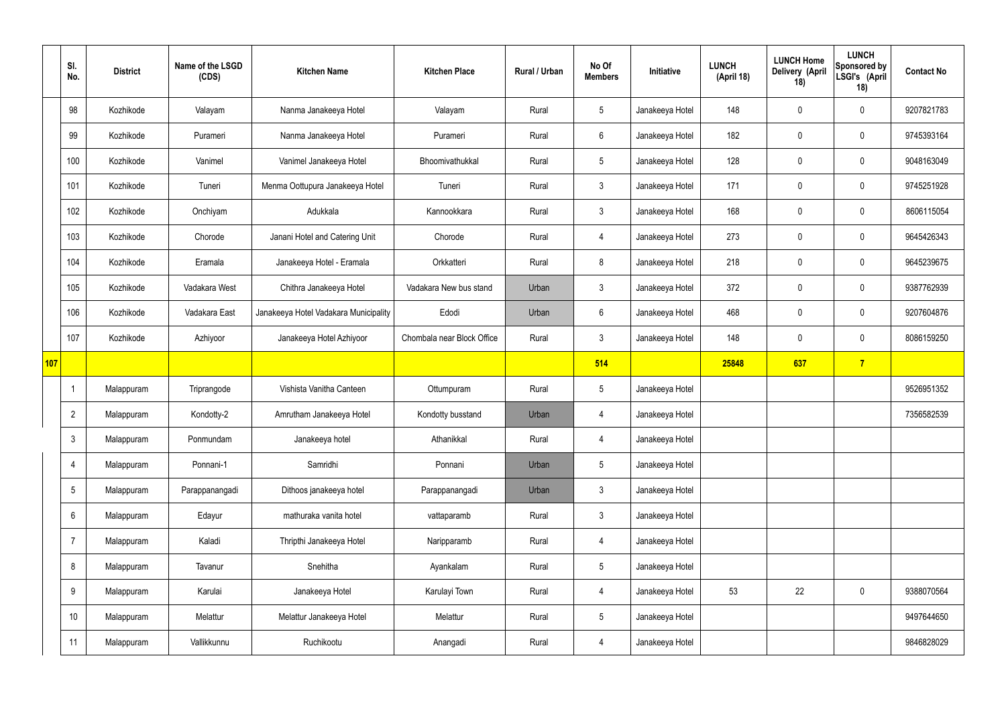|     | SI.<br>No.      | <b>District</b> | Name of the LSGD<br>(CDS) | <b>Kitchen Name</b>                   | <b>Kitchen Place</b>       | Rural / Urban | No Of<br><b>Members</b> | Initiative      | <b>LUNCH</b><br>(April 18) | <b>LUNCH Home</b><br>Delivery (April<br>18) | <b>LUNCH</b><br>Sponsored by<br>LSGI's (April<br>18) | <b>Contact No</b> |
|-----|-----------------|-----------------|---------------------------|---------------------------------------|----------------------------|---------------|-------------------------|-----------------|----------------------------|---------------------------------------------|------------------------------------------------------|-------------------|
|     | 98              | Kozhikode       | Valayam                   | Nanma Janakeeya Hotel                 | Valayam                    | Rural         | $5\phantom{.0}$         | Janakeeya Hotel | 148                        | $\mathbf 0$                                 | $\mathbf 0$                                          | 9207821783        |
|     | 99              | Kozhikode       | Purameri                  | Nanma Janakeeya Hotel                 | Purameri                   | Rural         | $6\overline{6}$         | Janakeeya Hotel | 182                        | $\mathbf 0$                                 | $\mathbf 0$                                          | 9745393164        |
|     | 100             | Kozhikode       | Vanimel                   | Vanimel Janakeeya Hotel               | Bhoomivathukkal            | Rural         | 5 <sup>5</sup>          | Janakeeya Hotel | 128                        | $\mathbf 0$                                 | $\mathbf 0$                                          | 9048163049        |
|     | 101             | Kozhikode       | Tuneri                    | Menma Oottupura Janakeeya Hotel       | Tuneri                     | Rural         | 3 <sup>5</sup>          | Janakeeya Hotel | 171                        | $\mathbf 0$                                 | $\mathbf 0$                                          | 9745251928        |
|     | 102             | Kozhikode       | Onchiyam                  | Adukkala                              | Kannookkara                | Rural         | 3 <sup>5</sup>          | Janakeeya Hotel | 168                        | $\mathbf 0$                                 | $\mathbf 0$                                          | 8606115054        |
|     | 103             | Kozhikode       | Chorode                   | Janani Hotel and Catering Unit        | Chorode                    | Rural         | 4                       | Janakeeya Hotel | 273                        | $\mathbf 0$                                 | $\mathbf 0$                                          | 9645426343        |
|     | 104             | Kozhikode       | Eramala                   | Janakeeya Hotel - Eramala             | Orkkatteri                 | Rural         | 8                       | Janakeeya Hotel | 218                        | $\mathbf 0$                                 | $\mathbf 0$                                          | 9645239675        |
|     | 105             | Kozhikode       | Vadakara West             | Chithra Janakeeya Hotel               | Vadakara New bus stand     | Urban         | $\mathbf{3}$            | Janakeeya Hotel | 372                        | $\mathbf 0$                                 | $\mathbf 0$                                          | 9387762939        |
|     | 106             | Kozhikode       | Vadakara East             | Janakeeya Hotel Vadakara Municipality | Edodi                      | Urban         | $6\overline{6}$         | Janakeeya Hotel | 468                        | $\mathbf 0$                                 | $\mathbf 0$                                          | 9207604876        |
|     | 107             | Kozhikode       | Azhiyoor                  | Janakeeya Hotel Azhiyoor              | Chombala near Block Office | Rural         | 3                       | Janakeeya Hotel | 148                        | $\mathbf 0$                                 | $\mathbf 0$                                          | 8086159250        |
| 107 |                 |                 |                           |                                       |                            |               | 514                     |                 | 25848                      | 637                                         | $\overline{7}$                                       |                   |
|     | -1              | Malappuram      | Triprangode               | Vishista Vanitha Canteen              | Ottumpuram                 | Rural         | $5\phantom{.0}$         | Janakeeya Hotel |                            |                                             |                                                      | 9526951352        |
|     | $\overline{2}$  | Malappuram      | Kondotty-2                | Amrutham Janakeeya Hotel              | Kondotty busstand          | Urban         | 4                       | Janakeeya Hotel |                            |                                             |                                                      | 7356582539        |
|     | $\mathbf{3}$    | Malappuram      | Ponmundam                 | Janakeeya hotel                       | Athanikkal                 | Rural         | 4                       | Janakeeya Hotel |                            |                                             |                                                      |                   |
|     | 4               | Malappuram      | Ponnani-1                 | Samridhi                              | Ponnani                    | Urban         | 5 <sup>5</sup>          | Janakeeya Hotel |                            |                                             |                                                      |                   |
|     | $5\phantom{.0}$ | Malappuram      | Parappanangadi            | Dithoos janakeeya hotel               | Parappanangadi             | Urban         | 3 <sup>5</sup>          | Janakeeya Hotel |                            |                                             |                                                      |                   |
|     | 6               | Malappuram      | Edayur                    | mathuraka vanita hotel                | vattaparamb                | Rural         | $3\phantom{a}$          | Janakeeya Hotel |                            |                                             |                                                      |                   |
|     | 7               | Malappuram      | Kaladi                    | Thripthi Janakeeya Hotel              | Naripparamb                | Rural         | $\overline{4}$          | Janakeeya Hotel |                            |                                             |                                                      |                   |
|     | 8               | Malappuram      | Tavanur                   | Snehitha                              | Ayankalam                  | Rural         | 5 <sup>5</sup>          | Janakeeya Hotel |                            |                                             |                                                      |                   |
|     | 9               | Malappuram      | Karulai                   | Janakeeya Hotel                       | Karulayi Town              | Rural         | $\overline{4}$          | Janakeeya Hotel | 53                         | 22                                          | $\mathbf 0$                                          | 9388070564        |
|     | 10              | Malappuram      | Melattur                  | Melattur Janakeeya Hotel              | Melattur                   | Rural         | $5\phantom{.0}$         | Janakeeya Hotel |                            |                                             |                                                      | 9497644650        |
|     | 11              | Malappuram      | Vallikkunnu               | Ruchikootu                            | Anangadi                   | Rural         | 4                       | Janakeeya Hotel |                            |                                             |                                                      | 9846828029        |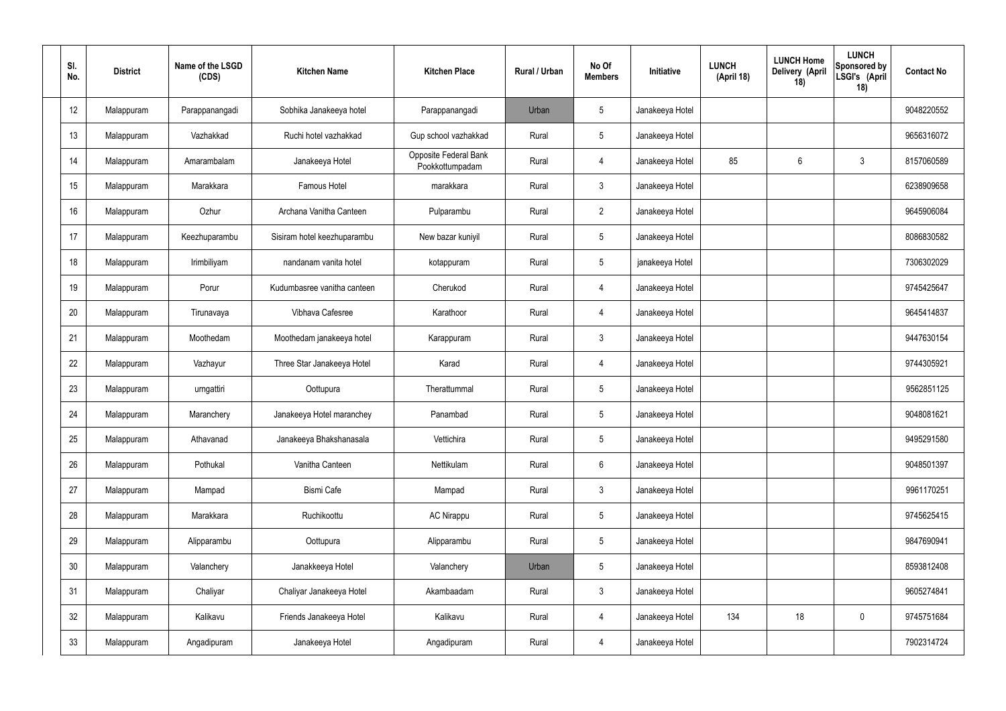| SI.<br>No. | <b>District</b> | Name of the LSGD<br>(CDS) | <b>Kitchen Name</b>         | <b>Kitchen Place</b>                     | Rural / Urban | No Of<br><b>Members</b> | Initiative      | <b>LUNCH</b><br>(April 18) | <b>LUNCH Home</b><br>Delivery (April<br>18) | <b>LUNCH</b><br>Sponsored by<br>LSGI's (April<br>18) | <b>Contact No</b> |
|------------|-----------------|---------------------------|-----------------------------|------------------------------------------|---------------|-------------------------|-----------------|----------------------------|---------------------------------------------|------------------------------------------------------|-------------------|
| 12         | Malappuram      | Parappanangadi            | Sobhika Janakeeya hotel     | Parappanangadi                           | Urban         | 5                       | Janakeeya Hotel |                            |                                             |                                                      | 9048220552        |
| 13         | Malappuram      | Vazhakkad                 | Ruchi hotel vazhakkad       | Gup school vazhakkad                     | Rural         | $5\overline{)}$         | Janakeeya Hotel |                            |                                             |                                                      | 9656316072        |
| 14         | Malappuram      | Amarambalam               | Janakeeya Hotel             | Opposite Federal Bank<br>Pookkottumpadam | Rural         | 4                       | Janakeeya Hotel | 85                         | $6\phantom{.}$                              | $\mathbf{3}$                                         | 8157060589        |
| 15         | Malappuram      | Marakkara                 | <b>Famous Hotel</b>         | marakkara                                | Rural         | $\mathbf{3}$            | Janakeeya Hotel |                            |                                             |                                                      | 6238909658        |
| 16         | Malappuram      | Ozhur                     | Archana Vanitha Canteen     | Pulparambu                               | Rural         | $\overline{2}$          | Janakeeya Hotel |                            |                                             |                                                      | 9645906084        |
| 17         | Malappuram      | Keezhuparambu             | Sisiram hotel keezhuparambu | New bazar kuniyil                        | Rural         | $5\overline{)}$         | Janakeeya Hotel |                            |                                             |                                                      | 8086830582        |
| 18         | Malappuram      | Irimbiliyam               | nandanam vanita hotel       | kotappuram                               | Rural         | $5\overline{)}$         | janakeeya Hotel |                            |                                             |                                                      | 7306302029        |
| 19         | Malappuram      | Porur                     | Kudumbasree vanitha canteen | Cherukod                                 | Rural         | 4                       | Janakeeya Hotel |                            |                                             |                                                      | 9745425647        |
| 20         | Malappuram      | Tirunavaya                | Vibhava Cafesree            | Karathoor                                | Rural         | 4                       | Janakeeya Hotel |                            |                                             |                                                      | 9645414837        |
| 21         | Malappuram      | Moothedam                 | Moothedam janakeeya hotel   | Karappuram                               | Rural         | $\mathfrak{Z}$          | Janakeeya Hotel |                            |                                             |                                                      | 9447630154        |
| 22         | Malappuram      | Vazhayur                  | Three Star Janakeeya Hotel  | Karad                                    | Rural         | 4                       | Janakeeya Hotel |                            |                                             |                                                      | 9744305921        |
| 23         | Malappuram      | urngattiri                | Oottupura                   | Therattummal                             | Rural         | $5\phantom{.0}$         | Janakeeya Hotel |                            |                                             |                                                      | 9562851125        |
| 24         | Malappuram      | Maranchery                | Janakeeya Hotel maranchey   | Panambad                                 | Rural         | $5\phantom{.0}$         | Janakeeya Hotel |                            |                                             |                                                      | 9048081621        |
| 25         | Malappuram      | Athavanad                 | Janakeeya Bhakshanasala     | Vettichira                               | Rural         | $5\phantom{.0}$         | Janakeeya Hotel |                            |                                             |                                                      | 9495291580        |
| 26         | Malappuram      | Pothukal                  | Vanitha Canteen             | Nettikulam                               | Rural         | $6\,$                   | Janakeeya Hotel |                            |                                             |                                                      | 9048501397        |
| 27         | Malappuram      | Mampad                    | Bismi Cafe                  | Mampad                                   | Rural         | $\mathbf{3}$            | Janakeeya Hotel |                            |                                             |                                                      | 9961170251        |
| 28         | Malappuram      | Marakkara                 | Ruchikoottu                 | AC Nirappu                               | Rural         | $5\phantom{.0}$         | Janakeeya Hotel |                            |                                             |                                                      | 9745625415        |
| 29         | Malappuram      | Alipparambu               | Oottupura                   | Alipparambu                              | Rural         | $5\phantom{.0}$         | Janakeeya Hotel |                            |                                             |                                                      | 9847690941        |
| 30         | Malappuram      | Valanchery                | Janakkeeya Hotel            | Valanchery                               | Urban         | $5\phantom{.0}$         | Janakeeya Hotel |                            |                                             |                                                      | 8593812408        |
| 31         | Malappuram      | Chaliyar                  | Chaliyar Janakeeya Hotel    | Akambaadam                               | Rural         | $\mathfrak{Z}$          | Janakeeya Hotel |                            |                                             |                                                      | 9605274841        |
| 32         | Malappuram      | Kalikavu                  | Friends Janakeeya Hotel     | Kalikavu                                 | Rural         | 4                       | Janakeeya Hotel | 134                        | 18                                          | $\mathbf 0$                                          | 9745751684        |
| 33         | Malappuram      | Angadipuram               | Janakeeya Hotel             | Angadipuram                              | Rural         | 4                       | Janakeeya Hotel |                            |                                             |                                                      | 7902314724        |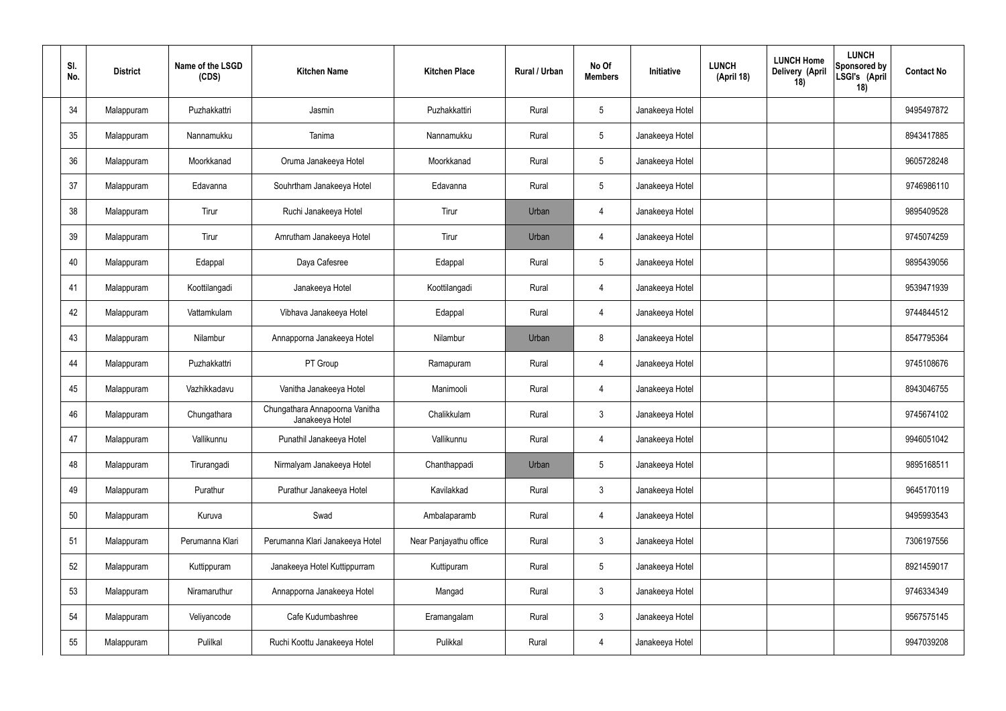| SI.<br>No. | <b>District</b> | Name of the LSGD<br>(CDS) | <b>Kitchen Name</b>                               | <b>Kitchen Place</b>   | Rural / Urban | No Of<br><b>Members</b> | Initiative      | <b>LUNCH Home</b><br><b>LUNCH</b><br>Delivery (April<br>(April 18)<br>18) | <b>LUNCH</b><br>Sponsored by<br>LSGI's (April<br>18) | <b>Contact No</b> |
|------------|-----------------|---------------------------|---------------------------------------------------|------------------------|---------------|-------------------------|-----------------|---------------------------------------------------------------------------|------------------------------------------------------|-------------------|
| 34         | Malappuram      | Puzhakkattri              | Jasmin                                            | Puzhakkattiri          | Rural         | $5\phantom{.0}$         | Janakeeya Hotel |                                                                           |                                                      | 9495497872        |
| 35         | Malappuram      | Nannamukku                | Tanima                                            | Nannamukku             | Rural         | $5\phantom{.0}$         | Janakeeya Hotel |                                                                           |                                                      | 8943417885        |
| 36         | Malappuram      | Moorkkanad                | Oruma Janakeeya Hotel                             | Moorkkanad             | Rural         | $5\phantom{.0}$         | Janakeeya Hotel |                                                                           |                                                      | 9605728248        |
| 37         | Malappuram      | Edavanna                  | Souhrtham Janakeeya Hotel                         | Edavanna               | Rural         | $5\phantom{.0}$         | Janakeeya Hotel |                                                                           |                                                      | 9746986110        |
| 38         | Malappuram      | Tirur                     | Ruchi Janakeeya Hotel                             | Tirur                  | Urban         | 4                       | Janakeeya Hotel |                                                                           |                                                      | 9895409528        |
| 39         | Malappuram      | Tirur                     | Amrutham Janakeeya Hotel                          | Tirur                  | Urban         | 4                       | Janakeeya Hotel |                                                                           |                                                      | 9745074259        |
| 40         | Malappuram      | Edappal                   | Daya Cafesree                                     | Edappal                | Rural         | $5\phantom{.0}$         | Janakeeya Hotel |                                                                           |                                                      | 9895439056        |
| 41         | Malappuram      | Koottilangadi             | Janakeeya Hotel                                   | Koottilangadi          | Rural         | $\overline{4}$          | Janakeeya Hotel |                                                                           |                                                      | 9539471939        |
| 42         | Malappuram      | Vattamkulam               | Vibhava Janakeeya Hotel                           | Edappal                | Rural         | 4                       | Janakeeya Hotel |                                                                           |                                                      | 9744844512        |
| 43         | Malappuram      | Nilambur                  | Annapporna Janakeeya Hotel                        | Nilambur               | Urban         | 8                       | Janakeeya Hotel |                                                                           |                                                      | 8547795364        |
| 44         | Malappuram      | Puzhakkattri              | PT Group                                          | Ramapuram              | Rural         | 4                       | Janakeeya Hotel |                                                                           |                                                      | 9745108676        |
| 45         | Malappuram      | Vazhikkadavu              | Vanitha Janakeeya Hotel                           | Manimooli              | Rural         | 4                       | Janakeeya Hotel |                                                                           |                                                      | 8943046755        |
| 46         | Malappuram      | Chungathara               | Chungathara Annapoorna Vanitha<br>Janakeeya Hotel | Chalikkulam            | Rural         | $\mathbf{3}$            | Janakeeya Hotel |                                                                           |                                                      | 9745674102        |
| 47         | Malappuram      | Vallikunnu                | Punathil Janakeeya Hotel                          | Vallikunnu             | Rural         | $\overline{4}$          | Janakeeya Hotel |                                                                           |                                                      | 9946051042        |
| 48         | Malappuram      | Tirurangadi               | Nirmalyam Janakeeya Hotel                         | Chanthappadi           | Urban         | $5\phantom{.0}$         | Janakeeya Hotel |                                                                           |                                                      | 9895168511        |
| 49         | Malappuram      | Purathur                  | Purathur Janakeeya Hotel                          | Kavilakkad             | Rural         | $\mathbf{3}$            | Janakeeya Hotel |                                                                           |                                                      | 9645170119        |
| 50         | Malappuram      | Kuruva                    | Swad                                              | Ambalaparamb           | Rural         | $\overline{4}$          | Janakeeya Hotel |                                                                           |                                                      | 9495993543        |
| 51         | Malappuram      | Perumanna Klari           | Perumanna Klari Janakeeya Hotel                   | Near Panjayathu office | Rural         | $\mathfrak{Z}$          | Janakeeya Hotel |                                                                           |                                                      | 7306197556        |
| 52         | Malappuram      | Kuttippuram               | Janakeeya Hotel Kuttippurram                      | Kuttipuram             | Rural         | $5\phantom{.0}$         | Janakeeya Hotel |                                                                           |                                                      | 8921459017        |
| 53         | Malappuram      | Niramaruthur              | Annapporna Janakeeya Hotel                        | Mangad                 | Rural         | $\mathfrak{Z}$          | Janakeeya Hotel |                                                                           |                                                      | 9746334349        |
| 54         | Malappuram      | Veliyancode               | Cafe Kudumbashree                                 | Eramangalam            | Rural         | $\mathbf{3}$            | Janakeeya Hotel |                                                                           |                                                      | 9567575145        |
| 55         | Malappuram      | Pulilkal                  | Ruchi Koottu Janakeeya Hotel                      | Pulikkal               | Rural         | 4                       | Janakeeya Hotel |                                                                           |                                                      | 9947039208        |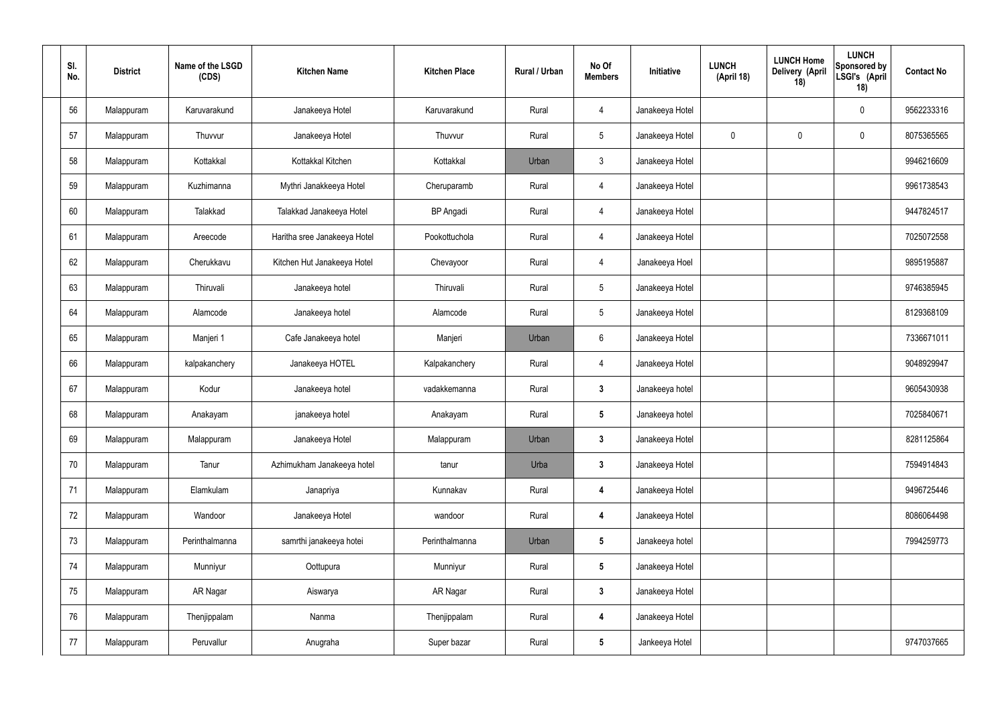| SI.<br>No. | <b>District</b> | Name of the LSGD<br>(CDS) | <b>Kitchen Name</b>          | <b>Kitchen Place</b> | Rural / Urban | No Of<br><b>Members</b> | Initiative      | <b>LUNCH</b><br>(April 18) | <b>LUNCH Home</b><br>Delivery (April<br>18) | <b>LUNCH</b><br>Sponsored by<br>LSGI's (April<br>18) | <b>Contact No</b> |
|------------|-----------------|---------------------------|------------------------------|----------------------|---------------|-------------------------|-----------------|----------------------------|---------------------------------------------|------------------------------------------------------|-------------------|
| 56         | Malappuram      | Karuvarakund              | Janakeeya Hotel              | Karuvarakund         | Rural         | 4                       | Janakeeya Hotel |                            |                                             | $\mathbf 0$                                          | 9562233316        |
| 57         | Malappuram      | Thuvvur                   | Janakeeya Hotel              | Thuvvur              | Rural         | $5\overline{)}$         | Janakeeya Hotel | $\mathbf 0$                | $\mathbf 0$                                 | $\mathbf 0$                                          | 8075365565        |
| 58         | Malappuram      | Kottakkal                 | Kottakkal Kitchen            | Kottakkal            | Urban         | $\mathbf{3}$            | Janakeeya Hotel |                            |                                             |                                                      | 9946216609        |
| 59         | Malappuram      | Kuzhimanna                | Mythri Janakkeeya Hotel      | Cheruparamb          | Rural         | $\overline{4}$          | Janakeeya Hotel |                            |                                             |                                                      | 9961738543        |
| 60         | Malappuram      | Talakkad                  | Talakkad Janakeeya Hotel     | <b>BP</b> Angadi     | Rural         | $\overline{4}$          | Janakeeya Hotel |                            |                                             |                                                      | 9447824517        |
| 61         | Malappuram      | Areecode                  | Haritha sree Janakeeya Hotel | Pookottuchola        | Rural         | $\overline{4}$          | Janakeeya Hotel |                            |                                             |                                                      | 7025072558        |
| 62         | Malappuram      | Cherukkavu                | Kitchen Hut Janakeeya Hotel  | Chevayoor            | Rural         | $\overline{4}$          | Janakeeya Hoel  |                            |                                             |                                                      | 9895195887        |
| 63         | Malappuram      | Thiruvali                 | Janakeeya hotel              | Thiruvali            | Rural         | $5\overline{)}$         | Janakeeya Hotel |                            |                                             |                                                      | 9746385945        |
| 64         | Malappuram      | Alamcode                  | Janakeeya hotel              | Alamcode             | Rural         | $5\overline{)}$         | Janakeeya Hotel |                            |                                             |                                                      | 8129368109        |
| 65         | Malappuram      | Manjeri 1                 | Cafe Janakeeya hotel         | Manjeri              | Urban         | $6\phantom{.}6$         | Janakeeya Hotel |                            |                                             |                                                      | 7336671011        |
| 66         | Malappuram      | kalpakanchery             | Janakeeya HOTEL              | Kalpakanchery        | Rural         | $\overline{4}$          | Janakeeya Hotel |                            |                                             |                                                      | 9048929947        |
| 67         | Malappuram      | Kodur                     | Janakeeya hotel              | vadakkemanna         | Rural         | $3\phantom{a}$          | Janakeeya hotel |                            |                                             |                                                      | 9605430938        |
| 68         | Malappuram      | Anakayam                  | janakeeya hotel              | Anakayam             | Rural         | $5\phantom{.0}$         | Janakeeya hotel |                            |                                             |                                                      | 7025840671        |
| 69         | Malappuram      | Malappuram                | Janakeeya Hotel              | Malappuram           | Urban         | $\mathbf{3}$            | Janakeeya Hotel |                            |                                             |                                                      | 8281125864        |
| 70         | Malappuram      | Tanur                     | Azhimukham Janakeeya hotel   | tanur                | Urba          | $3\phantom{a}$          | Janakeeya Hotel |                            |                                             |                                                      | 7594914843        |
| 71         | Malappuram      | Elamkulam                 | Janapriya                    | Kunnakav             | Rural         | 4                       | Janakeeya Hotel |                            |                                             |                                                      | 9496725446        |
| 72         | Malappuram      | Wandoor                   | Janakeeya Hotel              | wandoor              | Rural         | 4                       | Janakeeya Hotel |                            |                                             |                                                      | 8086064498        |
| 73         | Malappuram      | Perinthalmanna            | samrthi janakeeya hotei      | Perinthalmanna       | Urban         | $5\phantom{.0}$         | Janakeeya hotel |                            |                                             |                                                      | 7994259773        |
| 74         | Malappuram      | Munniyur                  | Oottupura                    | Munniyur             | Rural         | $5\phantom{.0}$         | Janakeeya Hotel |                            |                                             |                                                      |                   |
| 75         | Malappuram      | AR Nagar                  | Aiswarya                     | AR Nagar             | Rural         | $3\phantom{a}$          | Janakeeya Hotel |                            |                                             |                                                      |                   |
| 76         | Malappuram      | Thenjippalam              | Nanma                        | Thenjippalam         | Rural         | 4                       | Janakeeya Hotel |                            |                                             |                                                      |                   |
| 77         | Malappuram      | Peruvallur                | Anugraha                     | Super bazar          | Rural         | $5\phantom{.0}$         | Jankeeya Hotel  |                            |                                             |                                                      | 9747037665        |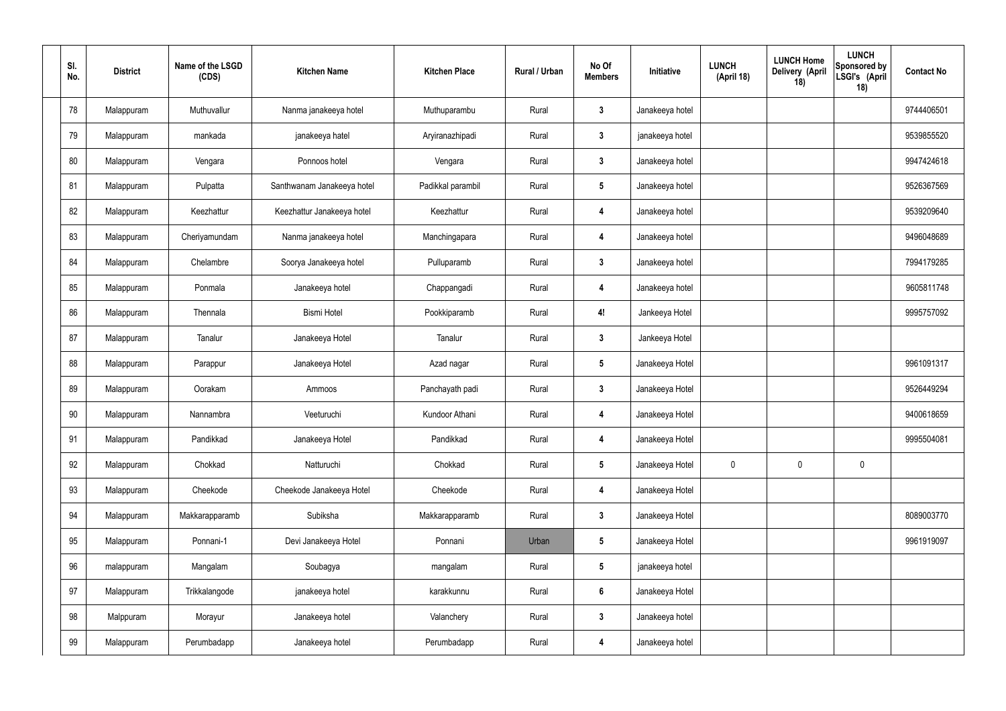| SI.<br>No. | <b>District</b> | Name of the LSGD<br>(CDS) | <b>Kitchen Name</b>        | <b>Kitchen Place</b> | Rural / Urban | No Of<br><b>Members</b> | Initiative      | <b>LUNCH</b><br>(April 18) | <b>LUNCH Home</b><br>Delivery (April<br>18) | <b>LUNCH</b><br><b>Sponsored by</b><br>LSGI's (April<br>18) | <b>Contact No</b> |
|------------|-----------------|---------------------------|----------------------------|----------------------|---------------|-------------------------|-----------------|----------------------------|---------------------------------------------|-------------------------------------------------------------|-------------------|
| 78         | Malappuram      | Muthuvallur               | Nanma janakeeya hotel      | Muthuparambu         | Rural         | 3                       | Janakeeya hotel |                            |                                             |                                                             | 9744406501        |
| 79         | Malappuram      | mankada                   | janakeeya hatel            | Aryiranazhipadi      | Rural         | 3                       | janakeeya hotel |                            |                                             |                                                             | 9539855520        |
| 80         | Malappuram      | Vengara                   | Ponnoos hotel              | Vengara              | Rural         | 3                       | Janakeeya hotel |                            |                                             |                                                             | 9947424618        |
| 81         | Malappuram      | Pulpatta                  | Santhwanam Janakeeya hotel | Padikkal parambil    | Rural         | $5\phantom{.0}$         | Janakeeya hotel |                            |                                             |                                                             | 9526367569        |
| 82         | Malappuram      | Keezhattur                | Keezhattur Janakeeya hotel | Keezhattur           | Rural         | 4                       | Janakeeya hotel |                            |                                             |                                                             | 9539209640        |
| 83         | Malappuram      | Cheriyamundam             | Nanma janakeeya hotel      | Manchingapara        | Rural         | 4                       | Janakeeya hotel |                            |                                             |                                                             | 9496048689        |
| 84         | Malappuram      | Chelambre                 | Soorya Janakeeya hotel     | Pulluparamb          | Rural         | 3                       | Janakeeya hotel |                            |                                             |                                                             | 7994179285        |
| 85         | Malappuram      | Ponmala                   | Janakeeya hotel            | Chappangadi          | Rural         | 4                       | Janakeeya hotel |                            |                                             |                                                             | 9605811748        |
| 86         | Malappuram      | Thennala                  | <b>Bismi Hotel</b>         | Pookkiparamb         | Rural         | 4!                      | Jankeeya Hotel  |                            |                                             |                                                             | 9995757092        |
| 87         | Malappuram      | Tanalur                   | Janakeeya Hotel            | Tanalur              | Rural         | 3                       | Jankeeya Hotel  |                            |                                             |                                                             |                   |
| 88         | Malappuram      | Parappur                  | Janakeeya Hotel            | Azad nagar           | Rural         | 5                       | Janakeeya Hotel |                            |                                             |                                                             | 9961091317        |
| 89         | Malappuram      | Oorakam                   | Ammoos                     | Panchayath padi      | Rural         | 3                       | Janakeeya Hotel |                            |                                             |                                                             | 9526449294        |
| 90         | Malappuram      | Nannambra                 | Veeturuchi                 | Kundoor Athani       | Rural         | 4                       | Janakeeya Hotel |                            |                                             |                                                             | 9400618659        |
| 91         | Malappuram      | Pandikkad                 | Janakeeya Hotel            | Pandikkad            | Rural         | 4                       | Janakeeya Hotel |                            |                                             |                                                             | 9995504081        |
| 92         | Malappuram      | Chokkad                   | Natturuchi                 | Chokkad              | Rural         | $5\phantom{.0}$         | Janakeeya Hotel | $\pmb{0}$                  | 0                                           | $\mathbf 0$                                                 |                   |
| 93         | Malappuram      | Cheekode                  | Cheekode Janakeeya Hotel   | Cheekode             | Rural         | 4                       | Janakeeya Hotel |                            |                                             |                                                             |                   |
| 94         | Malappuram      | Makkarapparamb            | Subiksha                   | Makkarapparamb       | Rural         | $\mathbf{3}$            | Janakeeya Hotel |                            |                                             |                                                             | 8089003770        |
| 95         | Malappuram      | Ponnani-1                 | Devi Janakeeya Hotel       | Ponnani              | Urban         | $\sqrt{5}$              | Janakeeya Hotel |                            |                                             |                                                             | 9961919097        |
| 96         | malappuram      | Mangalam                  | Soubagya                   | mangalam             | Rural         | $5\phantom{.0}$         | janakeeya hotel |                            |                                             |                                                             |                   |
| 97         | Malappuram      | Trikkalangode             | janakeeya hotel            | karakkunnu           | Rural         | $6\phantom{.}$          | Janakeeya Hotel |                            |                                             |                                                             |                   |
| 98         | Malppuram       | Morayur                   | Janakeeya hotel            | Valanchery           | Rural         | 3                       | Janakeeya hotel |                            |                                             |                                                             |                   |
| 99         | Malappuram      | Perumbadapp               | Janakeeya hotel            | Perumbadapp          | Rural         | 4                       | Janakeeya hotel |                            |                                             |                                                             |                   |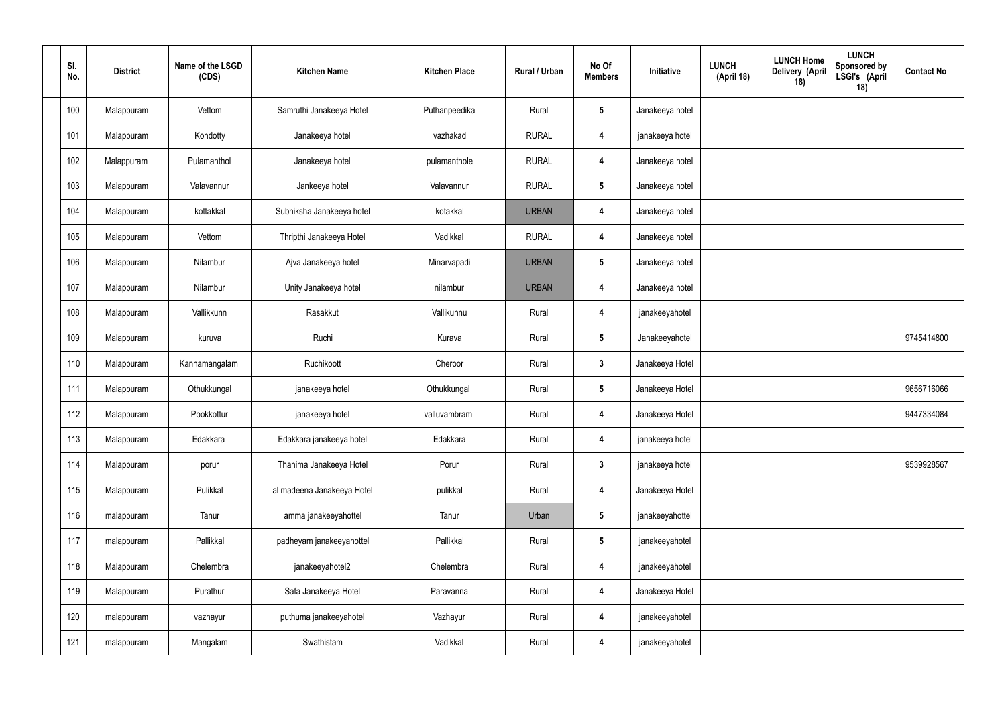| SI.<br>No. | <b>District</b> | Name of the LSGD<br>(CDS) | <b>Kitchen Name</b>        | <b>Kitchen Place</b> | Rural / Urban | No Of<br><b>Members</b> | Initiative      | <b>LUNCH</b><br>(April 18) | <b>LUNCH Home</b><br>Delivery (April<br>18) | <b>LUNCH</b><br>Sponsored by<br>LSGI's (April<br>18) | <b>Contact No</b> |
|------------|-----------------|---------------------------|----------------------------|----------------------|---------------|-------------------------|-----------------|----------------------------|---------------------------------------------|------------------------------------------------------|-------------------|
| 100        | Malappuram      | Vettom                    | Samruthi Janakeeya Hotel   | Puthanpeedika        | Rural         | 5                       | Janakeeya hotel |                            |                                             |                                                      |                   |
| 101        | Malappuram      | Kondotty                  | Janakeeya hotel            | vazhakad             | <b>RURAL</b>  | 4                       | janakeeya hotel |                            |                                             |                                                      |                   |
| 102        | Malappuram      | Pulamanthol               | Janakeeya hotel            | pulamanthole         | <b>RURAL</b>  | 4                       | Janakeeya hotel |                            |                                             |                                                      |                   |
| 103        | Malappuram      | Valavannur                | Jankeeya hotel             | Valavannur           | <b>RURAL</b>  | $5\phantom{.0}$         | Janakeeya hotel |                            |                                             |                                                      |                   |
| 104        | Malappuram      | kottakkal                 | Subhiksha Janakeeya hotel  | kotakkal             | <b>URBAN</b>  | 4                       | Janakeeya hotel |                            |                                             |                                                      |                   |
| 105        | Malappuram      | Vettom                    | Thripthi Janakeeya Hotel   | Vadikkal             | <b>RURAL</b>  | 4                       | Janakeeya hotel |                            |                                             |                                                      |                   |
| 106        | Malappuram      | Nilambur                  | Ajva Janakeeya hotel       | Minarvapadi          | <b>URBAN</b>  | -5                      | Janakeeya hotel |                            |                                             |                                                      |                   |
| 107        | Malappuram      | Nilambur                  | Unity Janakeeya hotel      | nilambur             | <b>URBAN</b>  | 4                       | Janakeeya hotel |                            |                                             |                                                      |                   |
| 108        | Malappuram      | Vallikkunn                | Rasakkut                   | Vallikunnu           | Rural         | 4                       | janakeeyahotel  |                            |                                             |                                                      |                   |
| 109        | Malappuram      | kuruva                    | Ruchi                      | Kurava               | Rural         | $5\phantom{.0}$         | Janakeeyahotel  |                            |                                             |                                                      | 9745414800        |
| 110        | Malappuram      | Kannamangalam             | Ruchikoott                 | Cheroor              | Rural         | $\mathbf{3}$            | Janakeeya Hotel |                            |                                             |                                                      |                   |
| 111        | Malappuram      | Othukkungal               | janakeeya hotel            | Othukkungal          | Rural         | $5\phantom{.0}$         | Janakeeya Hotel |                            |                                             |                                                      | 9656716066        |
| 112        | Malappuram      | Pookkottur                | janakeeya hotel            | valluvambram         | Rural         | 4                       | Janakeeya Hotel |                            |                                             |                                                      | 9447334084        |
| 113        | Malappuram      | Edakkara                  | Edakkara janakeeya hotel   | Edakkara             | Rural         | $\overline{4}$          | janakeeya hotel |                            |                                             |                                                      |                   |
| 114        | Malappuram      | porur                     | Thanima Janakeeya Hotel    | Porur                | Rural         | $\mathbf{3}$            | janakeeya hotel |                            |                                             |                                                      | 9539928567        |
| 115        | Malappuram      | Pulikkal                  | al madeena Janakeeya Hotel | pulikkal             | Rural         | $\overline{\mathbf{4}}$ | Janakeeya Hotel |                            |                                             |                                                      |                   |
| 116        | malappuram      | Tanur                     | amma janakeeyahottel       | Tanur                | Urban         | $5\phantom{.0}$         | janakeeyahottel |                            |                                             |                                                      |                   |
| 117        | malappuram      | Pallikkal                 | padheyam janakeeyahottel   | Pallikkal            | Rural         | $5\phantom{.0}$         | janakeeyahotel  |                            |                                             |                                                      |                   |
| 118        | Malappuram      | Chelembra                 | janakeeyahotel2            | Chelembra            | Rural         | $\boldsymbol{4}$        | janakeeyahotel  |                            |                                             |                                                      |                   |
| 119        | Malappuram      | Purathur                  | Safa Janakeeya Hotel       | Paravanna            | Rural         | $\boldsymbol{4}$        | Janakeeya Hotel |                            |                                             |                                                      |                   |
| 120        | malappuram      | vazhayur                  | puthuma janakeeyahotel     | Vazhayur             | Rural         | $\boldsymbol{4}$        | janakeeyahotel  |                            |                                             |                                                      |                   |
| 121        | malappuram      | Mangalam                  | Swathistam                 | Vadikkal             | Rural         | $\boldsymbol{4}$        | janakeeyahotel  |                            |                                             |                                                      |                   |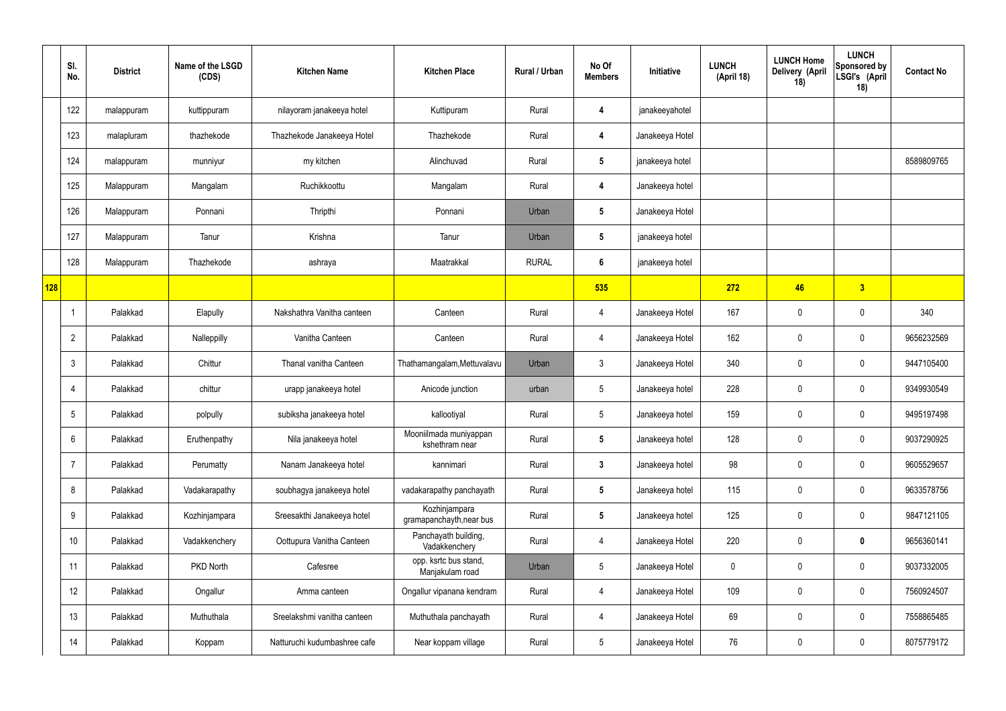|     | SI.<br>No.     | <b>District</b> | Name of the LSGD<br>(CDS) | <b>Kitchen Name</b>          | <b>Kitchen Place</b>                      | Rural / Urban | No Of<br><b>Members</b> | Initiative      | <b>LUNCH</b><br>(April 18) | <b>LUNCH Home</b><br>Delivery (April<br>18) | <b>LUNCH</b><br>Sponsored by<br>LSGI's (April<br>18) | <b>Contact No</b> |
|-----|----------------|-----------------|---------------------------|------------------------------|-------------------------------------------|---------------|-------------------------|-----------------|----------------------------|---------------------------------------------|------------------------------------------------------|-------------------|
|     | 122            | malappuram      | kuttippuram               | nilayoram janakeeya hotel    | Kuttipuram                                | Rural         | 4                       | janakeeyahotel  |                            |                                             |                                                      |                   |
|     | 123            | malapluram      | thazhekode                | Thazhekode Janakeeya Hotel   | Thazhekode                                | Rural         | 4                       | Janakeeya Hotel |                            |                                             |                                                      |                   |
|     | 124            | malappuram      | munniyur                  | my kitchen                   | Alinchuvad                                | Rural         | $5\phantom{.0}$         | janakeeya hotel |                            |                                             |                                                      | 8589809765        |
|     | 125            | Malappuram      | Mangalam                  | Ruchikkoottu                 | Mangalam                                  | Rural         | 4                       | Janakeeya hotel |                            |                                             |                                                      |                   |
|     | 126            | Malappuram      | Ponnani                   | Thripthi                     | Ponnani                                   | Urban         | $5\phantom{.0}$         | Janakeeya Hotel |                            |                                             |                                                      |                   |
|     | 127            | Malappuram      | Tanur                     | Krishna                      | Tanur                                     | Urban         | $5\phantom{.0}$         | janakeeya hotel |                            |                                             |                                                      |                   |
|     | 128            | Malappuram      | Thazhekode                | ashraya                      | Maatrakkal                                | <b>RURAL</b>  | $6\phantom{.}6$         | janakeeya hotel |                            |                                             |                                                      |                   |
| 128 |                |                 |                           |                              |                                           |               | 535                     |                 | 272                        | 46                                          | 3                                                    |                   |
|     |                | Palakkad        | Elapully                  | Nakshathra Vanitha canteen   | Canteen                                   | Rural         | 4                       | Janakeeya Hotel | 167                        | 0                                           | $\mathbf 0$                                          | 340               |
|     | $\overline{2}$ | Palakkad        | Nalleppilly               | Vanitha Canteen              | Canteen                                   | Rural         | $\overline{4}$          | Janakeeya Hotel | 162                        | $\mathbf 0$                                 | $\mathbf 0$                                          | 9656232569        |
|     | 3              | Palakkad        | Chittur                   | Thanal vanitha Canteen       | Thathamangalam, Mettuvalavu               | Urban         | $\mathbf{3}$            | Janakeeya Hotel | 340                        | 0                                           | $\mathbf 0$                                          | 9447105400        |
|     | 4              | Palakkad        | chittur                   | urapp janakeeya hotel        | Anicode junction                          | urban         | $5\overline{)}$         | Janakeeya hotel | 228                        | $\mathbf 0$                                 | $\mathbf 0$                                          | 9349930549        |
|     | 5              | Palakkad        | polpully                  | subiksha janakeeya hotel     | kallootiyal                               | Rural         | $5\phantom{.0}$         | Janakeeya hotel | 159                        | $\mathbf 0$                                 | $\mathbf 0$                                          | 9495197498        |
|     | 6              | Palakkad        | Eruthenpathy              | Nila janakeeya hotel         | Mooniilmada muniyappan<br>kshethram near  | Rural         | $5\phantom{.0}$         | Janakeeya hotel | 128                        | 0                                           | $\mathbf 0$                                          | 9037290925        |
|     | 7              | Palakkad        | Perumatty                 | Nanam Janakeeya hotel        | kannimari                                 | Rural         | $3\phantom{a}$          | Janakeeya hotel | 98                         | $\mathbf 0$                                 | $\mathbf 0$                                          | 9605529657        |
|     | 8              | Palakkad        | Vadakarapathy             | soubhagya janakeeya hotel    | vadakarapathy panchayath                  | Rural         | $5\phantom{.0}$         | Janakeeya hotel | 115                        | 0                                           | $\mathbf 0$                                          | 9633578756        |
|     | 9              | Palakkad        | Kozhinjampara             | Sreesakthi Janakeeya hotel   | Kozhinjampara<br>gramapanchayth, near bus | Rural         | $5\phantom{.0}$         | Janakeeya hotel | 125                        | $\pmb{0}$                                   | $\mathbf 0$                                          | 9847121105        |
|     | 10             | Palakkad        | Vadakkenchery             | Oottupura Vanitha Canteen    | Panchayath building,<br>Vadakkenchery     | Rural         | $\overline{4}$          | Janakeeya Hotel | 220                        | 0                                           | $\mathbf 0$                                          | 9656360141        |
|     | 11             | Palakkad        | <b>PKD North</b>          | Cafesree                     | opp. ksrtc bus stand,<br>Manjakulam road  | Urban         | $5\phantom{.0}$         | Janakeeya Hotel | $\mathbf 0$                | $\pmb{0}$                                   | $\mathbf 0$                                          | 9037332005        |
|     | 12             | Palakkad        | Ongallur                  | Amma canteen                 | Ongallur vipanana kendram                 | Rural         | $\overline{4}$          | Janakeeya Hotel | 109                        | $\pmb{0}$                                   | $\mathbf 0$                                          | 7560924507        |
|     | 13             | Palakkad        | Muthuthala                | Sreelakshmi vanitha canteen  | Muthuthala panchayath                     | Rural         | $\overline{4}$          | Janakeeya Hotel | 69                         | $\pmb{0}$                                   | $\mathbf 0$                                          | 7558865485        |
|     | 14             | Palakkad        | Koppam                    | Natturuchi kudumbashree cafe | Near koppam village                       | Rural         | $5\phantom{.0}$         | Janakeeya Hotel | 76                         | 0                                           | $\boldsymbol{0}$                                     | 8075779172        |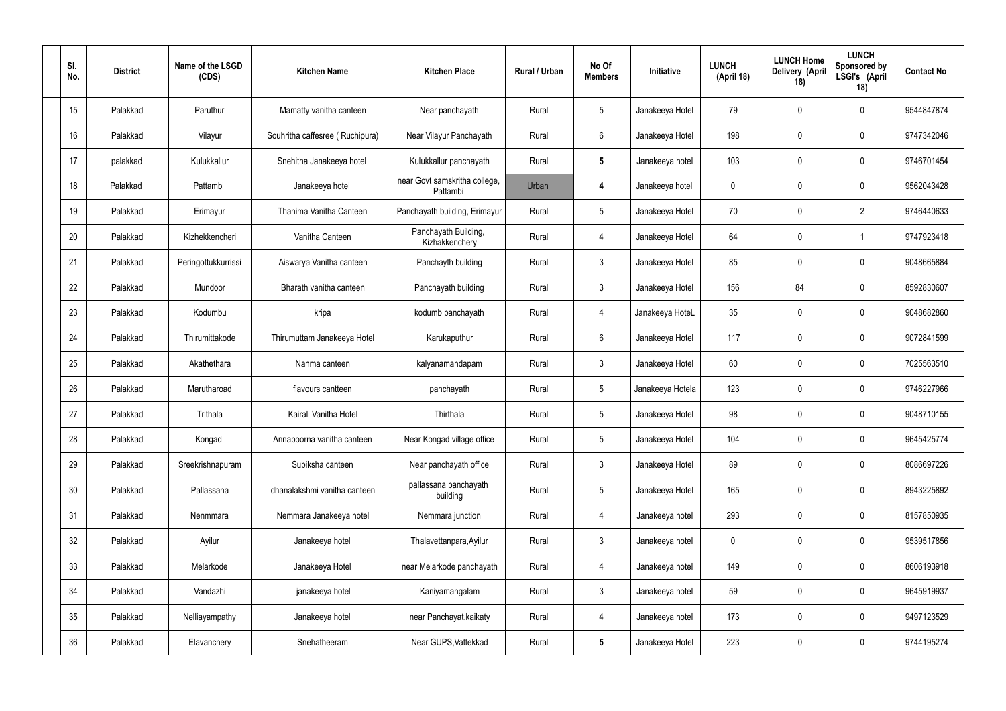| SI.<br>No. | <b>District</b> | Name of the LSGD<br>(CDS) | <b>Kitchen Name</b>             | <b>Kitchen Place</b>                      | Rural / Urban | No Of<br><b>Members</b> | Initiative       | <b>LUNCH</b><br>(April 18) | <b>LUNCH Home</b><br>Delivery (April<br>18) | <b>LUNCH</b><br>Sponsored by<br>LSGI's (April<br>18) | <b>Contact No</b> |
|------------|-----------------|---------------------------|---------------------------------|-------------------------------------------|---------------|-------------------------|------------------|----------------------------|---------------------------------------------|------------------------------------------------------|-------------------|
| 15         | Palakkad        | Paruthur                  | Mamatty vanitha canteen         | Near panchayath                           | Rural         | 5                       | Janakeeya Hotel  | 79                         | 0                                           | $\mathbf 0$                                          | 9544847874        |
| 16         | Palakkad        | Vilayur                   | Souhritha caffesree (Ruchipura) | Near Vilayur Panchayath                   | Rural         | 6                       | Janakeeya Hotel  | 198                        | 0                                           | $\mathbf 0$                                          | 9747342046        |
| 17         | palakkad        | Kulukkallur               | Snehitha Janakeeya hotel        | Kulukkallur panchayath                    | Rural         | $5\phantom{.0}$         | Janakeeya hotel  | 103                        | 0                                           | $\mathbf 0$                                          | 9746701454        |
| 18         | Palakkad        | Pattambi                  | Janakeeya hotel                 | near Govt samskritha college,<br>Pattambi | Urban         | 4                       | Janakeeya hotel  | $\mathbf 0$                | 0                                           | $\mathbf 0$                                          | 9562043428        |
| 19         | Palakkad        | Erimayur                  | Thanima Vanitha Canteen         | Panchayath building, Erimayur             | Rural         | $5\overline{)}$         | Janakeeya Hotel  | 70                         | 0                                           | $\overline{2}$                                       | 9746440633        |
| 20         | Palakkad        | Kizhekkencheri            | Vanitha Canteen                 | Panchayath Building,<br>Kizhakkenchery    | Rural         | 4                       | Janakeeya Hotel  | 64                         | 0                                           | -1                                                   | 9747923418        |
| 21         | Palakkad        | Peringottukkurrissi       | Aiswarya Vanitha canteen        | Panchayth building                        | Rural         | $\mathbf{3}$            | Janakeeya Hotel  | 85                         | 0                                           | $\mathbf 0$                                          | 9048665884        |
| 22         | Palakkad        | Mundoor                   | Bharath vanitha canteen         | Panchayath building                       | Rural         | $\mathbf{3}$            | Janakeeya Hotel  | 156                        | 84                                          | $\mathbf 0$                                          | 8592830607        |
| 23         | Palakkad        | Kodumbu                   | kripa                           | kodumb panchayath                         | Rural         | 4                       | Janakeeya HoteL  | 35                         | 0                                           | $\mathbf 0$                                          | 9048682860        |
| 24         | Palakkad        | Thirumittakode            | Thirumuttam Janakeeya Hotel     | Karukaputhur                              | Rural         | 6                       | Janakeeya Hotel  | 117                        | 0                                           | $\mathbf 0$                                          | 9072841599        |
| 25         | Palakkad        | Akathethara               | Nanma canteen                   | kalyanamandapam                           | Rural         | $\mathbf{3}$            | Janakeeya Hotel  | 60                         | 0                                           | $\boldsymbol{0}$                                     | 7025563510        |
| 26         | Palakkad        | Marutharoad               | flavours cantteen               | panchayath                                | Rural         | $5\phantom{.0}$         | Janakeeya Hotela | 123                        | 0                                           | $\boldsymbol{0}$                                     | 9746227966        |
| 27         | Palakkad        | Trithala                  | Kairali Vanitha Hotel           | Thirthala                                 | Rural         | $5\phantom{.0}$         | Janakeeya Hotel  | 98                         | 0                                           | 0                                                    | 9048710155        |
| 28         | Palakkad        | Kongad                    | Annapoorna vanitha canteen      | Near Kongad village office                | Rural         | $5\phantom{.0}$         | Janakeeya Hotel  | 104                        | $\mathbf 0$                                 | $\mathbf 0$                                          | 9645425774        |
| 29         | Palakkad        | Sreekrishnapuram          | Subiksha canteen                | Near panchayath office                    | Rural         | $3\phantom{a}$          | Janakeeya Hotel  | 89                         | $\mathbf 0$                                 | $\mathbf 0$                                          | 8086697226        |
| 30         | Palakkad        | Pallassana                | dhanalakshmi vanitha canteen    | pallassana panchayath<br>building         | Rural         | $5\phantom{.0}$         | Janakeeya Hotel  | 165                        | $\mathbf 0$                                 | $\mathbf 0$                                          | 8943225892        |
| 31         | Palakkad        | Nenmmara                  | Nemmara Janakeeya hotel         | Nemmara junction                          | Rural         | $\overline{4}$          | Janakeeya hotel  | 293                        | $\mathbf 0$                                 | $\mathbf 0$                                          | 8157850935        |
| 32         | Palakkad        | Ayilur                    | Janakeeya hotel                 | Thalavettanpara, Ayilur                   | Rural         | $\mathbf{3}$            | Janakeeya hotel  | $\mathbf 0$                | $\mathbf 0$                                 | $\mathbf 0$                                          | 9539517856        |
| 33         | Palakkad        | Melarkode                 | Janakeeya Hotel                 | near Melarkode panchayath                 | Rural         | 4                       | Janakeeya hotel  | 149                        | 0                                           | $\mathbf 0$                                          | 8606193918        |
| 34         | Palakkad        | Vandazhi                  | janakeeya hotel                 | Kaniyamangalam                            | Rural         | $\mathbf{3}$            | Janakeeya hotel  | 59                         | 0                                           | $\mathbf 0$                                          | 9645919937        |
| 35         | Palakkad        | Nelliayampathy            | Janakeeya hotel                 | near Panchayat, kaikaty                   | Rural         | $\overline{4}$          | Janakeeya hotel  | 173                        | 0                                           | $\mathbf 0$                                          | 9497123529        |
| 36         | Palakkad        | Elavanchery               | Snehatheeram                    | Near GUPS, Vattekkad                      | Rural         | $5\phantom{.0}$         | Janakeeya Hotel  | 223                        | 0                                           | $\boldsymbol{0}$                                     | 9744195274        |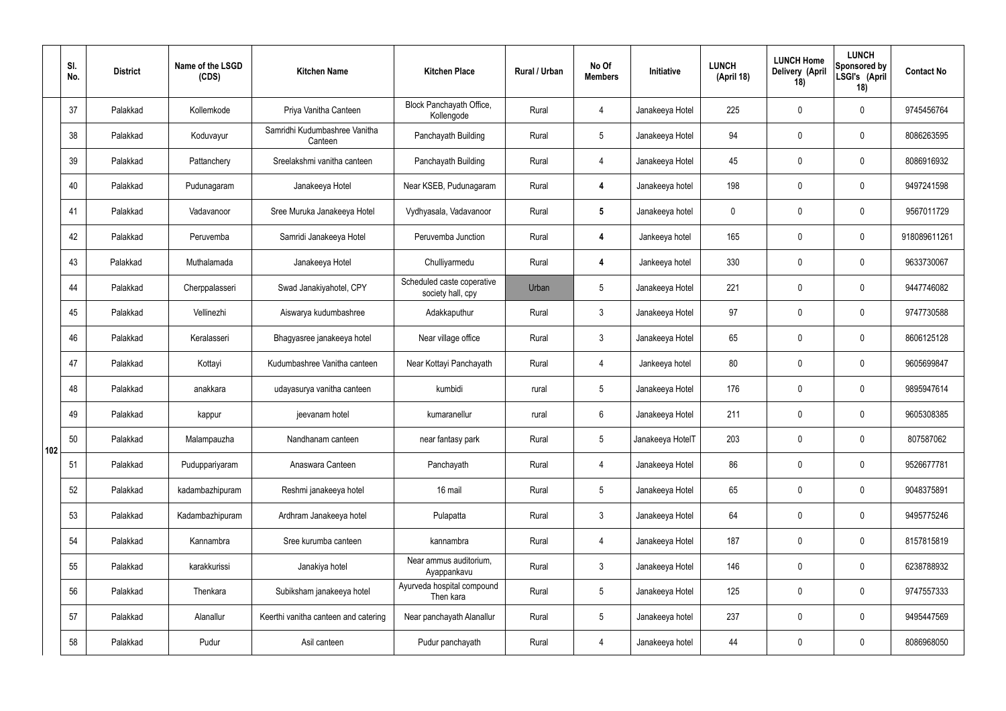|     | SI.<br>No. | <b>District</b> | Name of the LSGD<br>(CDS) | <b>Kitchen Name</b>                      | <b>Kitchen Place</b>                            | Rural / Urban | No Of<br><b>Members</b> | Initiative       | <b>LUNCH</b><br>(April 18) | <b>LUNCH Home</b><br>Delivery (April<br>18) | <b>LUNCH</b><br>Sponsored by<br>LSGI's (April<br>18) | <b>Contact No</b> |
|-----|------------|-----------------|---------------------------|------------------------------------------|-------------------------------------------------|---------------|-------------------------|------------------|----------------------------|---------------------------------------------|------------------------------------------------------|-------------------|
|     | 37         | Palakkad        | Kollemkode                | Priya Vanitha Canteen                    | Block Panchayath Office,<br>Kollengode          | Rural         | $\overline{4}$          | Janakeeya Hotel  | 225                        | $\mathbf 0$                                 | $\mathbf 0$                                          | 9745456764        |
|     | 38         | Palakkad        | Koduvayur                 | Samridhi Kudumbashree Vanitha<br>Canteen | Panchayath Building                             | Rural         | $5\overline{)}$         | Janakeeya Hotel  | 94                         | $\mathbf 0$                                 | $\mathbf 0$                                          | 8086263595        |
|     | 39         | Palakkad        | Pattanchery               | Sreelakshmi vanitha canteen              | Panchayath Building                             | Rural         | $\overline{4}$          | Janakeeya Hotel  | 45                         | $\mathbf 0$                                 | $\mathbf 0$                                          | 8086916932        |
|     | 40         | Palakkad        | Pudunagaram               | Janakeeya Hotel                          | Near KSEB, Pudunagaram                          | Rural         | $\boldsymbol{4}$        | Janakeeya hotel  | 198                        | $\mathbf 0$                                 | $\mathbf 0$                                          | 9497241598        |
|     | 41         | Palakkad        | Vadavanoor                | Sree Muruka Janakeeya Hotel              | Vydhyasala, Vadavanoor                          | Rural         | $5\phantom{.0}$         | Janakeeya hotel  | $\mathbf 0$                | $\mathbf 0$                                 | $\mathbf 0$                                          | 9567011729        |
|     | 42         | Palakkad        | Peruvemba                 | Samridi Janakeeya Hotel                  | Peruvemba Junction                              | Rural         | $\boldsymbol{4}$        | Jankeeya hotel   | 165                        | $\mathbf 0$                                 | $\mathbf 0$                                          | 918089611261      |
|     | 43         | Palakkad        | Muthalamada               | Janakeeya Hotel                          | Chulliyarmedu                                   | Rural         | $\boldsymbol{4}$        | Jankeeya hotel   | 330                        | $\mathbf 0$                                 | $\mathbf 0$                                          | 9633730067        |
|     | 44         | Palakkad        | Cherppalasseri            | Swad Janakiyahotel, CPY                  | Scheduled caste coperative<br>society hall, cpy | Urban         | 5                       | Janakeeya Hotel  | 221                        | $\mathbf 0$                                 | $\mathbf 0$                                          | 9447746082        |
|     | 45         | Palakkad        | Vellinezhi                | Aiswarya kudumbashree                    | Adakkaputhur                                    | Rural         | $\mathbf{3}$            | Janakeeya Hotel  | 97                         | $\mathbf 0$                                 | $\mathbf 0$                                          | 9747730588        |
|     | 46         | Palakkad        | Keralasseri               | Bhagyasree janakeeya hotel               | Near village office                             | Rural         | $\mathbf{3}$            | Janakeeya Hotel  | 65                         | $\mathbf 0$                                 | $\mathbf 0$                                          | 8606125128        |
|     | 47         | Palakkad        | Kottayi                   | Kudumbashree Vanitha canteen             | Near Kottayi Panchayath                         | Rural         | 4                       | Jankeeya hotel   | 80                         | $\mathbf 0$                                 | $\mathbf 0$                                          | 9605699847        |
|     | 48         | Palakkad        | anakkara                  | udayasurya vanitha canteen               | kumbidi                                         | rural         | $5\overline{)}$         | Janakeeya Hotel  | 176                        | $\mathbf 0$                                 | $\mathbf 0$                                          | 9895947614        |
|     | 49         | Palakkad        | kappur                    | jeevanam hotel                           | kumaranellur                                    | rural         | 6                       | Janakeeya Hotel  | 211                        | $\mathbf 0$                                 | $\mathbf 0$                                          | 9605308385        |
| 102 | 50         | Palakkad        | Malampauzha               | Nandhanam canteen                        | near fantasy park                               | Rural         | $5\phantom{.0}$         | Janakeeya HotelT | 203                        | $\mathbf 0$                                 | $\mathbf 0$                                          | 807587062         |
|     | 51         | Palakkad        | Puduppariyaram            | Anaswara Canteen                         | Panchayath                                      | Rural         | $\overline{4}$          | Janakeeya Hotel  | 86                         | $\mathbf 0$                                 | $\mathbf 0$                                          | 9526677781        |
|     | 52         | Palakkad        | kadambazhipuram           | Reshmi janakeeya hotel                   | 16 mail                                         | Rural         | 5 <sup>5</sup>          | Janakeeya Hotel  | 65                         | $\mathbf 0$                                 | $\mathbf 0$                                          | 9048375891        |
|     | 53         | Palakkad        | Kadambazhipuram           | Ardhram Janakeeya hotel                  | Pulapatta                                       | Rural         | $\mathbf{3}$            | Janakeeya Hotel  | 64                         | $\pmb{0}$                                   | $\mathbf 0$                                          | 9495775246        |
|     | 54         | Palakkad        | Kannambra                 | Sree kurumba canteen                     | kannambra                                       | Rural         | $\overline{4}$          | Janakeeya Hotel  | 187                        | $\mathbf 0$                                 | $\mathbf 0$                                          | 8157815819        |
|     | 55         | Palakkad        | karakkurissi              | Janakiya hotel                           | Near ammus auditorium,<br>Ayappankavu           | Rural         | $\mathbf{3}$            | Janakeeya Hotel  | 146                        | $\pmb{0}$                                   | $\mathbf 0$                                          | 6238788932        |
|     | 56         | Palakkad        | Thenkara                  | Subiksham janakeeya hotel                | Ayurveda hospital compound<br>Then kara         | Rural         | $5\phantom{.0}$         | Janakeeya Hotel  | 125                        | $\mathbf 0$                                 | $\mathbf 0$                                          | 9747557333        |
|     | 57         | Palakkad        | Alanallur                 | Keerthi vanitha canteen and catering     | Near panchayath Alanallur                       | Rural         | $5\phantom{.0}$         | Janakeeya hotel  | 237                        | $\mathbf 0$                                 | $\mathbf 0$                                          | 9495447569        |
|     | 58         | Palakkad        | Pudur                     | Asil canteen                             | Pudur panchayath                                | Rural         | 4                       | Janakeeya hotel  | 44                         | $\pmb{0}$                                   | $\boldsymbol{0}$                                     | 8086968050        |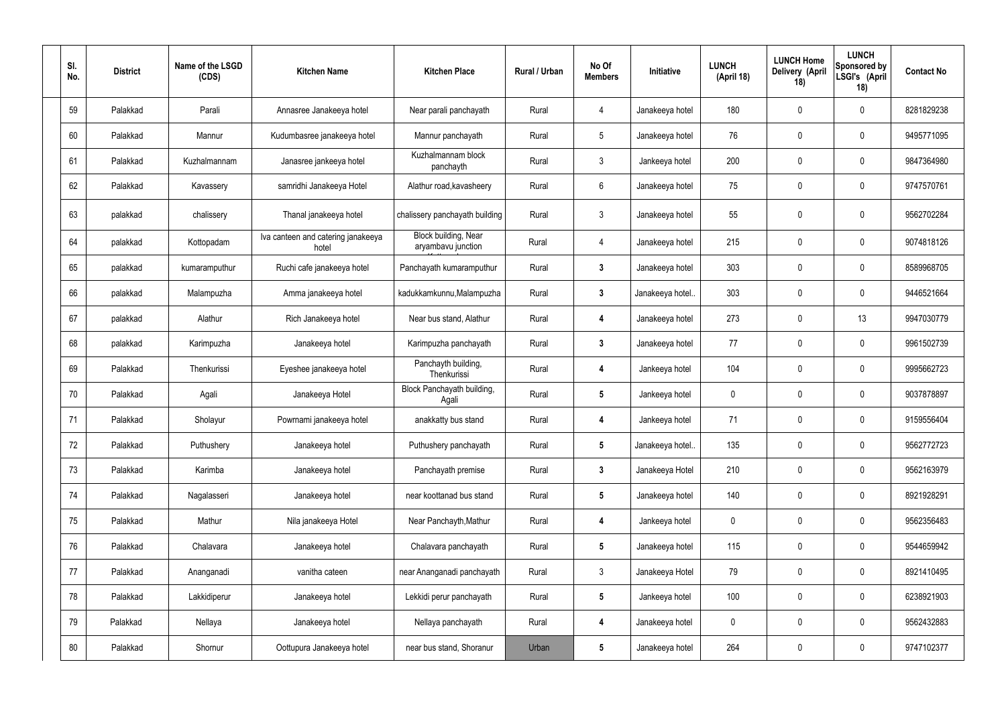| SI.<br>No. | <b>District</b> | Name of the LSGD<br>(CDS) | <b>Kitchen Name</b>                         | <b>Kitchen Place</b>                       | Rural / Urban | No Of<br><b>Members</b> | Initiative       | <b>LUNCH</b><br>(April 18) | <b>LUNCH Home</b><br>Delivery (April<br>18) | <b>LUNCH</b><br>Sponsored by<br>LSGI's (April<br>18) | <b>Contact No</b> |
|------------|-----------------|---------------------------|---------------------------------------------|--------------------------------------------|---------------|-------------------------|------------------|----------------------------|---------------------------------------------|------------------------------------------------------|-------------------|
| 59         | Palakkad        | Parali                    | Annasree Janakeeya hotel                    | Near parali panchayath                     | Rural         | $\overline{4}$          | Janakeeya hotel  | 180                        | 0                                           | $\pmb{0}$                                            | 8281829238        |
| 60         | Palakkad        | Mannur                    | Kudumbasree janakeeya hotel                 | Mannur panchayath                          | Rural         | $5\overline{)}$         | Janakeeya hotel  | 76                         | 0                                           | $\pmb{0}$                                            | 9495771095        |
| 61         | Palakkad        | Kuzhalmannam              | Janasree jankeeya hotel                     | Kuzhalmannam block<br>panchayth            | Rural         | $\mathbf{3}$            | Jankeeya hotel   | 200                        | 0                                           | $\pmb{0}$                                            | 9847364980        |
| 62         | Palakkad        | Kavassery                 | samridhi Janakeeya Hotel                    | Alathur road, kavasheery                   | Rural         | $6\overline{6}$         | Janakeeya hotel  | 75                         | 0                                           | $\pmb{0}$                                            | 9747570761        |
| 63         | palakkad        | chalissery                | Thanal janakeeya hotel                      | chalissery panchayath building             | Rural         | $\mathbf{3}$            | Janakeeya hotel  | 55                         | 0                                           | $\pmb{0}$                                            | 9562702284        |
| 64         | palakkad        | Kottopadam                | Iva canteen and catering janakeeya<br>hotel | Block building, Near<br>aryambavu junction | Rural         | 4                       | Janakeeya hotel  | 215                        | 0                                           | $\mathbf 0$                                          | 9074818126        |
| 65         | palakkad        | kumaramputhur             | Ruchi cafe janakeeya hotel                  | Panchayath kumaramputhur                   | Rural         | $\mathbf{3}$            | Janakeeya hotel  | 303                        | 0                                           | $\pmb{0}$                                            | 8589968705        |
| 66         | palakkad        | Malampuzha                | Amma janakeeya hotel                        | kadukkamkunnu, Malampuzha                  | Rural         | $3\phantom{a}$          | Janakeeya hotel. | 303                        | 0                                           | $\pmb{0}$                                            | 9446521664        |
| 67         | palakkad        | Alathur                   | Rich Janakeeya hotel                        | Near bus stand, Alathur                    | Rural         | 4                       | Janakeeya hotel  | 273                        | 0                                           | 13                                                   | 9947030779        |
| 68         | palakkad        | Karimpuzha                | Janakeeya hotel                             | Karimpuzha panchayath                      | Rural         | $3\phantom{a}$          | Janakeeya hotel  | 77                         | 0                                           | $\boldsymbol{0}$                                     | 9961502739        |
| 69         | Palakkad        | Thenkurissi               | Eyeshee janakeeya hotel                     | Panchayth building,<br>Thenkurissi         | Rural         | 4                       | Jankeeya hotel   | 104                        | 0                                           | $\boldsymbol{0}$                                     | 9995662723        |
| 70         | Palakkad        | Agali                     | Janakeeya Hotel                             | Block Panchayath building,<br>Agali        | Rural         | $5\phantom{.0}$         | Jankeeya hotel   | $\mathbf 0$                | 0                                           | $\boldsymbol{0}$                                     | 9037878897        |
| 71         | Palakkad        | Sholayur                  | Powrnami janakeeya hotel                    | anakkatty bus stand                        | Rural         | 4                       | Jankeeya hotel   | 71                         | 0                                           | 0                                                    | 9159556404        |
| 72         | Palakkad        | Puthushery                | Janakeeya hotel                             | Puthushery panchayath                      | Rural         | $5\phantom{.0}$         | Janakeeya hotel  | 135                        | 0                                           | $\pmb{0}$                                            | 9562772723        |
| 73         | Palakkad        | Karimba                   | Janakeeya hotel                             | Panchayath premise                         | Rural         | $3\phantom{a}$          | Janakeeya Hotel  | 210                        | 0                                           | $\pmb{0}$                                            | 9562163979        |
| 74         | Palakkad        | Nagalasseri               | Janakeeya hotel                             | near koottanad bus stand                   | Rural         | $5\phantom{.0}$         | Janakeeya hotel  | 140                        | 0                                           | $\pmb{0}$                                            | 8921928291        |
| 75         | Palakkad        | Mathur                    | Nila janakeeya Hotel                        | Near Panchayth, Mathur                     | Rural         | $\overline{\mathbf{4}}$ | Jankeeya hotel   | 0                          | 0                                           | $\pmb{0}$                                            | 9562356483        |
| 76         | Palakkad        | Chalavara                 | Janakeeya hotel                             | Chalavara panchayath                       | Rural         | $5\phantom{.0}$         | Janakeeya hotel  | 115                        | 0                                           | $\pmb{0}$                                            | 9544659942        |
| 77         | Palakkad        | Ananganadi                | vanitha cateen                              | near Ananganadi panchayath                 | Rural         | $\mathbf{3}$            | Janakeeya Hotel  | 79                         | 0                                           | $\pmb{0}$                                            | 8921410495        |
| 78         | Palakkad        | Lakkidiperur              | Janakeeya hotel                             | Lekkidi perur panchayath                   | Rural         | $5\phantom{.0}$         | Jankeeya hotel   | 100                        | 0                                           | $\pmb{0}$                                            | 6238921903        |
| 79         | Palakkad        | Nellaya                   | Janakeeya hotel                             | Nellaya panchayath                         | Rural         | $\overline{\mathbf{4}}$ | Janakeeya hotel  | 0                          | 0                                           | $\pmb{0}$                                            | 9562432883        |
| 80         | Palakkad        | Shornur                   | Oottupura Janakeeya hotel                   | near bus stand, Shoranur                   | Urban         | $\sqrt{5}$              | Janakeeya hotel  | 264                        | 0                                           | $\boldsymbol{0}$                                     | 9747102377        |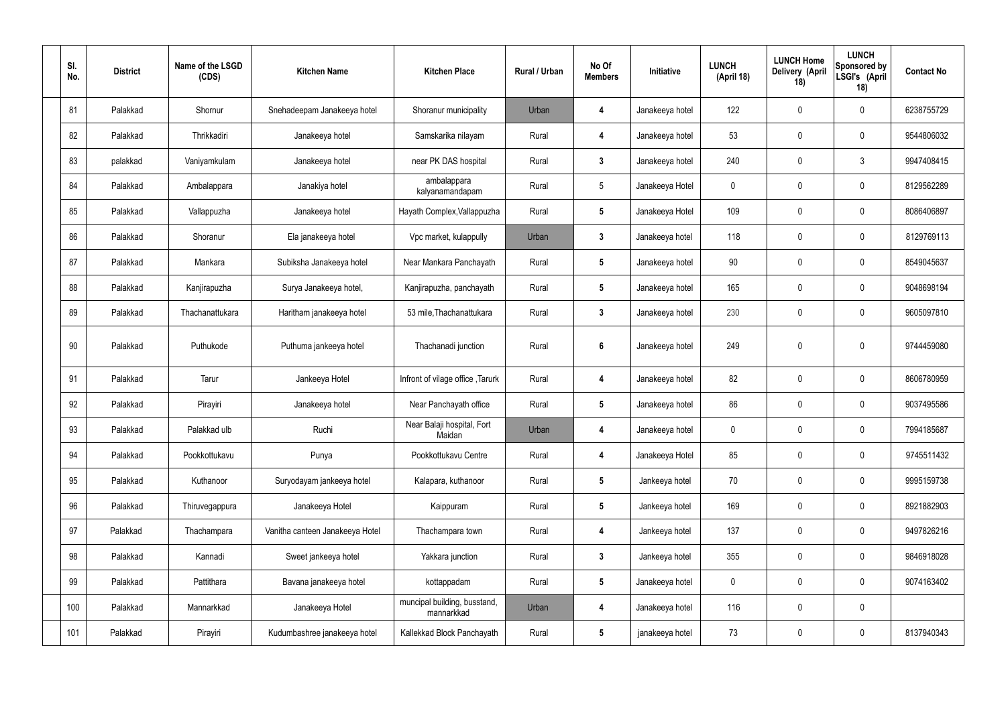| SI.<br>No. | <b>District</b> | Name of the LSGD<br>(CDS) | <b>Kitchen Name</b>             | <b>Kitchen Place</b>                       | Rural / Urban | No Of<br><b>Members</b> | Initiative      | <b>LUNCH</b><br>(April 18) | <b>LUNCH Home</b><br>Delivery (April<br>18) | <b>LUNCH</b><br>Sponsored by<br>LSGI's (April<br>18) | <b>Contact No</b> |
|------------|-----------------|---------------------------|---------------------------------|--------------------------------------------|---------------|-------------------------|-----------------|----------------------------|---------------------------------------------|------------------------------------------------------|-------------------|
| 81         | Palakkad        | Shornur                   | Snehadeepam Janakeeya hotel     | Shoranur municipality                      | Urban         | 4                       | Janakeeya hotel | 122                        | $\mathbf 0$                                 | $\mathbf 0$                                          | 6238755729        |
| 82         | Palakkad        | Thrikkadiri               | Janakeeya hotel                 | Samskarika nilayam                         | Rural         | 4                       | Janakeeya hotel | 53                         | $\mathbf 0$                                 | $\mathbf 0$                                          | 9544806032        |
| 83         | palakkad        | Vaniyamkulam              | Janakeeya hotel                 | near PK DAS hospital                       | Rural         | $3\phantom{a}$          | Janakeeya hotel | 240                        | 0                                           | $\mathfrak{Z}$                                       | 9947408415        |
| 84         | Palakkad        | Ambalappara               | Janakiya hotel                  | ambalappara<br>kalyanamandapam             | Rural         | $5\overline{)}$         | Janakeeya Hotel | $\mathbf 0$                | $\mathbf 0$                                 | $\mathbf 0$                                          | 8129562289        |
| 85         | Palakkad        | Vallappuzha               | Janakeeya hotel                 | Hayath Complex, Vallappuzha                | Rural         | $5\phantom{.0}$         | Janakeeya Hotel | 109                        | $\mathbf 0$                                 | $\mathbf 0$                                          | 8086406897        |
| 86         | Palakkad        | Shoranur                  | Ela janakeeya hotel             | Vpc market, kulappully                     | Urban         | $\mathbf{3}$            | Janakeeya hotel | 118                        | $\mathbf 0$                                 | $\mathbf 0$                                          | 8129769113        |
| 87         | Palakkad        | Mankara                   | Subiksha Janakeeya hotel        | Near Mankara Panchayath                    | Rural         | $5\phantom{.0}$         | Janakeeya hotel | 90                         | $\mathbf 0$                                 | $\mathbf 0$                                          | 8549045637        |
| 88         | Palakkad        | Kanjirapuzha              | Surya Janakeeya hotel,          | Kanjirapuzha, panchayath                   | Rural         | $5\phantom{.0}$         | Janakeeya hotel | 165                        | $\mathbf 0$                                 | $\mathbf 0$                                          | 9048698194        |
| 89         | Palakkad        | Thachanattukara           | Haritham janakeeya hotel        | 53 mile, Thachanattukara                   | Rural         | $3\phantom{a}$          | Janakeeya hotel | 230                        | 0                                           | $\mathbf 0$                                          | 9605097810        |
| 90         | Palakkad        | Puthukode                 | Puthuma jankeeya hotel          | Thachanadi junction                        | Rural         | $6\phantom{.}6$         | Janakeeya hotel | 249                        | 0                                           | $\mathbf 0$                                          | 9744459080        |
| 91         | Palakkad        | Tarur                     | Jankeeya Hotel                  | Infront of vilage office, Tarurk           | Rural         | 4                       | Janakeeya hotel | 82                         | 0                                           | $\mathbf 0$                                          | 8606780959        |
| 92         | Palakkad        | Pirayiri                  | Janakeeya hotel                 | Near Panchayath office                     | Rural         | $5\phantom{.0}$         | Janakeeya hotel | 86                         | 0                                           | $\mathbf 0$                                          | 9037495586        |
| 93         | Palakkad        | Palakkad ulb              | Ruchi                           | Near Balaji hospital, Fort<br>Maidan       | Urban         | 4                       | Janakeeya hotel | $\mathbf 0$                | $\pmb{0}$                                   | $\mathbf 0$                                          | 7994185687        |
| 94         | Palakkad        | Pookkottukavu             | Punya                           | Pookkottukavu Centre                       | Rural         | 4                       | Janakeeya Hotel | 85                         | $\pmb{0}$                                   | $\mathbf 0$                                          | 9745511432        |
| 95         | Palakkad        | Kuthanoor                 | Suryodayam jankeeya hotel       | Kalapara, kuthanoor                        | Rural         | $5\phantom{.0}$         | Jankeeya hotel  | 70                         | $\pmb{0}$                                   | $\mathbf 0$                                          | 9995159738        |
| 96         | Palakkad        | Thiruvegappura            | Janakeeya Hotel                 | Kaippuram                                  | Rural         | $5\phantom{.0}$         | Jankeeya hotel  | 169                        | $\pmb{0}$                                   | $\mathbf 0$                                          | 8921882903        |
| 97         | Palakkad        | Thachampara               | Vanitha canteen Janakeeya Hotel | Thachampara town                           | Rural         | 4                       | Jankeeya hotel  | 137                        | $\pmb{0}$                                   | $\mathbf 0$                                          | 9497826216        |
| 98         | Palakkad        | Kannadi                   | Sweet jankeeya hotel            | Yakkara junction                           | Rural         | $\mathbf{3}$            | Jankeeya hotel  | 355                        | $\pmb{0}$                                   | $\mathbf 0$                                          | 9846918028        |
| 99         | Palakkad        | Pattithara                | Bavana janakeeya hotel          | kottappadam                                | Rural         | $5\phantom{.0}$         | Janakeeya hotel | $\boldsymbol{0}$           | $\pmb{0}$                                   | $\mathbf 0$                                          | 9074163402        |
| 100        | Palakkad        | Mannarkkad                | Janakeeya Hotel                 | muncipal building, busstand,<br>mannarkkad | Urban         | 4                       | Janakeeya hotel | 116                        | $\pmb{0}$                                   | $\mathbf 0$                                          |                   |
| 101        | Palakkad        | Pirayiri                  | Kudumbashree janakeeya hotel    | Kallekkad Block Panchayath                 | Rural         | $5\phantom{.0}$         | janakeeya hotel | 73                         | $\pmb{0}$                                   | $\boldsymbol{0}$                                     | 8137940343        |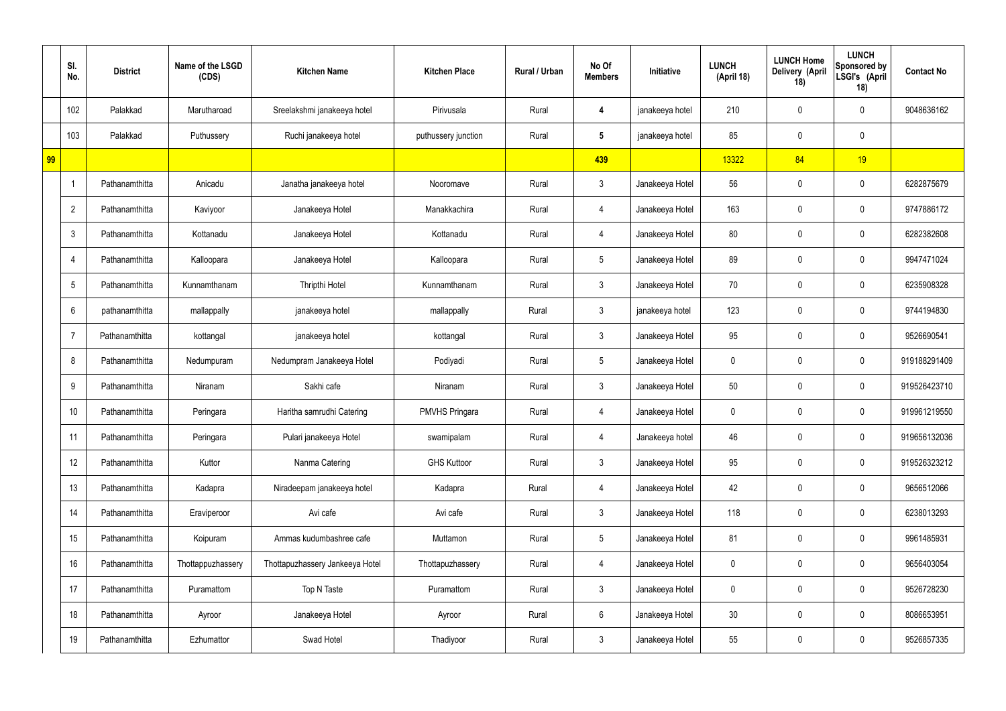| SI.<br>No.      | <b>District</b> | Name of the LSGD<br>(CDS) | <b>Kitchen Name</b>             | <b>Kitchen Place</b>  | Rural / Urban | No Of<br><b>Members</b> | Initiative      | <b>LUNCH</b><br>(April 18) | <b>LUNCH Home</b><br>Delivery (April<br>18) | <b>LUNCH</b><br>Sponsored by<br>LSGI's (April<br>18) | <b>Contact No</b> |
|-----------------|-----------------|---------------------------|---------------------------------|-----------------------|---------------|-------------------------|-----------------|----------------------------|---------------------------------------------|------------------------------------------------------|-------------------|
| 102             | Palakkad        | Marutharoad               | Sreelakshmi janakeeya hotel     | Pirivusala            | Rural         | 4                       | janakeeya hotel | 210                        | 0                                           | $\mathbf 0$                                          | 9048636162        |
| 103             | Palakkad        | Puthussery                | Ruchi janakeeya hotel           | puthussery junction   | Rural         | $5\overline{)}$         | janakeeya hotel | 85                         | $\mathbf 0$                                 | $\mathbf 0$                                          |                   |
| 99              |                 |                           |                                 |                       |               | 439                     |                 | 13322                      | 84                                          | 19                                                   |                   |
|                 | Pathanamthitta  | Anicadu                   | Janatha janakeeya hotel         | Nooromave             | Rural         | $\mathbf{3}$            | Janakeeya Hotel | 56                         | $\mathbf 0$                                 | $\mathbf 0$                                          | 6282875679        |
| $\overline{2}$  | Pathanamthitta  | Kaviyoor                  | Janakeeya Hotel                 | Manakkachira          | Rural         | 4                       | Janakeeya Hotel | 163                        | 0                                           | $\mathbf 0$                                          | 9747886172        |
| $\mathbf{3}$    | Pathanamthitta  | Kottanadu                 | Janakeeya Hotel                 | Kottanadu             | Rural         | 4                       | Janakeeya Hotel | 80                         | 0                                           | $\overline{0}$                                       | 6282382608        |
| $\overline{4}$  | Pathanamthitta  | Kalloopara                | Janakeeya Hotel                 | Kalloopara            | Rural         | $5\overline{)}$         | Janakeeya Hotel | 89                         | 0                                           | $\mathbf 0$                                          | 9947471024        |
| $5\phantom{.0}$ | Pathanamthitta  | Kunnamthanam              | Thripthi Hotel                  | Kunnamthanam          | Rural         | $\mathbf{3}$            | Janakeeya Hotel | 70                         | $\mathbf 0$                                 | $\mathbf 0$                                          | 6235908328        |
| 6               | pathanamthitta  | mallappally               | janakeeya hotel                 | mallappally           | Rural         | $\mathbf{3}$            | janakeeya hotel | 123                        | 0                                           | $\mathbf 0$                                          | 9744194830        |
| 7               | Pathanamthitta  | kottangal                 | janakeeya hotel                 | kottangal             | Rural         | $\mathbf{3}$            | Janakeeya Hotel | 95                         | $\mathbf 0$                                 | $\mathbf 0$                                          | 9526690541        |
| 8               | Pathanamthitta  | Nedumpuram                | Nedumpram Janakeeya Hotel       | Podiyadi              | Rural         | $5\overline{)}$         | Janakeeya Hotel | 0                          | 0                                           | $\mathbf 0$                                          | 919188291409      |
| 9               | Pathanamthitta  | Niranam                   | Sakhi cafe                      | Niranam               | Rural         | $\mathbf{3}$            | Janakeeya Hotel | 50                         | 0                                           | $\mathbf 0$                                          | 919526423710      |
| 10              | Pathanamthitta  | Peringara                 | Haritha samrudhi Catering       | <b>PMVHS Pringara</b> | Rural         | 4                       | Janakeeya Hotel | 0                          | 0                                           | $\mathbf 0$                                          | 919961219550      |
| 11              | Pathanamthitta  | Peringara                 | Pulari janakeeya Hotel          | swamipalam            | Rural         | 4                       | Janakeeya hotel | 46                         | $\mathbf 0$                                 | $\mathbf 0$                                          | 919656132036      |
| 12              | Pathanamthitta  | Kuttor                    | Nanma Catering                  | <b>GHS Kuttoor</b>    | Rural         | 3 <sup>1</sup>          | Janakeeya Hotel | 95                         | 0                                           | $\mathbf 0$                                          | 919526323212      |
| 13              | Pathanamthitta  | Kadapra                   | Niradeepam janakeeya hotel      | Kadapra               | Rural         | 4                       | Janakeeya Hotel | 42                         | 0                                           | $\mathbf 0$                                          | 9656512066        |
| 14              | Pathanamthitta  | Eraviperoor               | Avi cafe                        | Avi cafe              | Rural         | $\mathbf{3}$            | Janakeeya Hotel | 118                        | 0                                           | $\mathbf 0$                                          | 6238013293        |
| 15              | Pathanamthitta  | Koipuram                  | Ammas kudumbashree cafe         | Muttamon              | Rural         | $5\overline{)}$         | Janakeeya Hotel | 81                         | 0                                           | $\mathbf 0$                                          | 9961485931        |
| 16              | Pathanamthitta  | Thottappuzhassery         | Thottapuzhassery Jankeeya Hotel | Thottapuzhassery      | Rural         | 4                       | Janakeeya Hotel | $\mathbf 0$                | 0                                           | $\mathbf 0$                                          | 9656403054        |
| 17              | Pathanamthitta  | Puramattom                | Top N Taste                     | Puramattom            | Rural         | $\mathbf{3}$            | Janakeeya Hotel | 0                          | 0                                           | $\mathbf 0$                                          | 9526728230        |
| 18              | Pathanamthitta  | Ayroor                    | Janakeeya Hotel                 | Ayroor                | Rural         | $6\phantom{.}6$         | Janakeeya Hotel | 30 <sub>o</sub>            | 0                                           | $\mathbf 0$                                          | 8086653951        |
| 19              | Pathanamthitta  | Ezhumattor                | Swad Hotel                      | Thadiyoor             | Rural         | $\mathfrak{Z}$          | Janakeeya Hotel | 55                         | 0                                           | $\overline{0}$                                       | 9526857335        |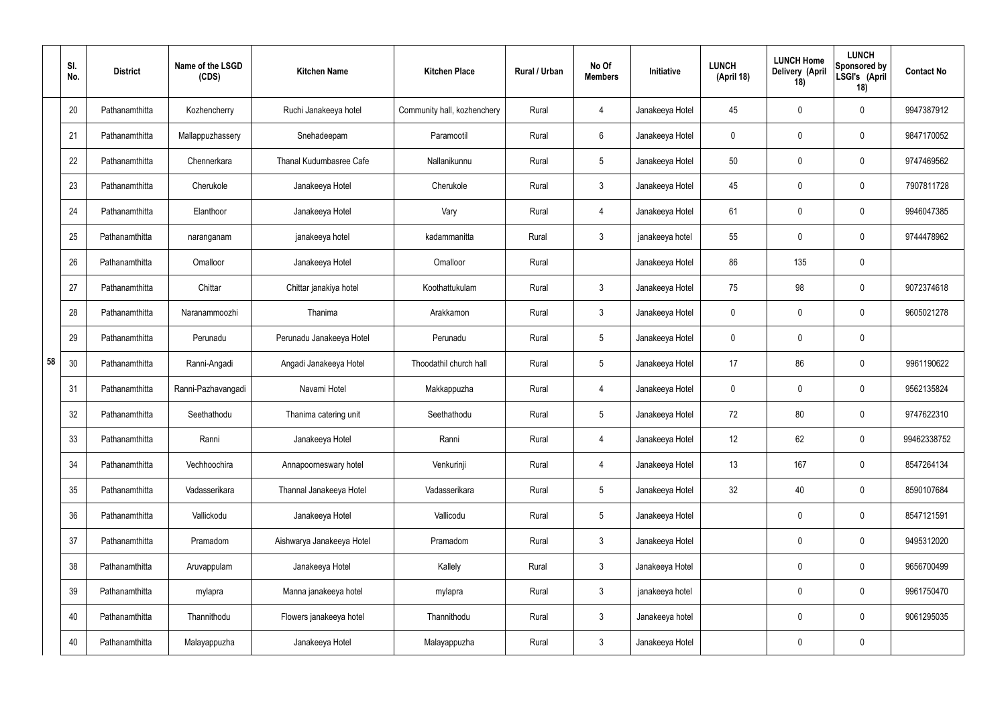|    | SI.<br>No. | <b>District</b> | Name of the LSGD<br>(CDS) | <b>Kitchen Name</b>       | <b>Kitchen Place</b>        | Rural / Urban | No Of<br><b>Members</b> | Initiative      | <b>LUNCH</b><br>(April 18) | <b>LUNCH Home</b><br>Delivery (April<br>18) | <b>LUNCH</b><br>Sponsored by<br>LSGI's (April<br>18) | <b>Contact No</b> |
|----|------------|-----------------|---------------------------|---------------------------|-----------------------------|---------------|-------------------------|-----------------|----------------------------|---------------------------------------------|------------------------------------------------------|-------------------|
|    | 20         | Pathanamthitta  | Kozhencherry              | Ruchi Janakeeya hotel     | Community hall, kozhenchery | Rural         | 4                       | Janakeeya Hotel | 45                         | 0                                           | $\mathbf 0$                                          | 9947387912        |
|    | 21         | Pathanamthitta  | Mallappuzhassery          | Snehadeepam               | Paramootil                  | Rural         | $6\phantom{.}6$         | Janakeeya Hotel | $\mathbf 0$                | $\mathbf 0$                                 | $\mathbf 0$                                          | 9847170052        |
|    | 22         | Pathanamthitta  | Chennerkara               | Thanal Kudumbasree Cafe   | Nallanikunnu                | Rural         | $5\phantom{.0}$         | Janakeeya Hotel | 50                         | $\boldsymbol{0}$                            | $\mathbf 0$                                          | 9747469562        |
|    | 23         | Pathanamthitta  | Cherukole                 | Janakeeya Hotel           | Cherukole                   | Rural         | $\mathbf{3}$            | Janakeeya Hotel | 45                         | $\mathbf 0$                                 | $\mathbf 0$                                          | 7907811728        |
|    | 24         | Pathanamthitta  | Elanthoor                 | Janakeeya Hotel           | Vary                        | Rural         | $\overline{4}$          | Janakeeya Hotel | 61                         | $\mathbf 0$                                 | $\mathbf 0$                                          | 9946047385        |
|    | 25         | Pathanamthitta  | naranganam                | janakeeya hotel           | kadammanitta                | Rural         | $\mathbf{3}$            | janakeeya hotel | 55                         | $\mathbf 0$                                 | $\mathbf 0$                                          | 9744478962        |
|    | 26         | Pathanamthitta  | Omalloor                  | Janakeeya Hotel           | Omalloor                    | Rural         |                         | Janakeeya Hotel | 86                         | 135                                         | $\mathbf 0$                                          |                   |
|    | 27         | Pathanamthitta  | Chittar                   | Chittar janakiya hotel    | Koothattukulam              | Rural         | $\mathbf{3}$            | Janakeeya Hotel | 75                         | 98                                          | $\mathbf 0$                                          | 9072374618        |
|    | 28         | Pathanamthitta  | Naranammoozhi             | Thanima                   | Arakkamon                   | Rural         | 3 <sup>1</sup>          | Janakeeya Hotel | $\mathbf 0$                | $\mathbf 0$                                 | $\mathbf 0$                                          | 9605021278        |
|    | 29         | Pathanamthitta  | Perunadu                  | Perunadu Janakeeya Hotel  | Perunadu                    | Rural         | $5\phantom{.0}$         | Janakeeya Hotel | $\mathbf 0$                | 0                                           | $\mathbf 0$                                          |                   |
| 58 | 30         | Pathanamthitta  | Ranni-Angadi              | Angadi Janakeeya Hotel    | Thoodathil church hall      | Rural         | $5\phantom{.0}$         | Janakeeya Hotel | 17                         | 86                                          | $\mathbf 0$                                          | 9961190622        |
|    | 31         | Pathanamthitta  | Ranni-Pazhavangadi        | Navami Hotel              | Makkappuzha                 | Rural         | 4                       | Janakeeya Hotel | $\mathbf 0$                | 0                                           | $\mathbf 0$                                          | 9562135824        |
|    | 32         | Pathanamthitta  | Seethathodu               | Thanima catering unit     | Seethathodu                 | Rural         | $5\phantom{.0}$         | Janakeeya Hotel | 72                         | 80                                          | $\mathbf 0$                                          | 9747622310        |
|    | 33         | Pathanamthitta  | Ranni                     | Janakeeya Hotel           | Ranni                       | Rural         | $\overline{4}$          | Janakeeya Hotel | 12 <sup>°</sup>            | 62                                          | $\mathbf 0$                                          | 99462338752       |
|    | 34         | Pathanamthitta  | Vechhoochira              | Annapoorneswary hotel     | Venkurinji                  | Rural         | $\overline{4}$          | Janakeeya Hotel | 13                         | 167                                         | $\mathbf 0$                                          | 8547264134        |
|    | 35         | Pathanamthitta  | Vadasserikara             | Thannal Janakeeya Hotel   | Vadasserikara               | Rural         | $5\phantom{.0}$         | Janakeeya Hotel | 32                         | 40                                          | $\mathbf 0$                                          | 8590107684        |
|    | 36         | Pathanamthitta  | Vallickodu                | Janakeeya Hotel           | Vallicodu                   | Rural         | $5\phantom{.0}$         | Janakeeya Hotel |                            | 0                                           | $\mathbf 0$                                          | 8547121591        |
|    | 37         | Pathanamthitta  | Pramadom                  | Aishwarya Janakeeya Hotel | Pramadom                    | Rural         | $\mathfrak{Z}$          | Janakeeya Hotel |                            | 0                                           | $\mathbf 0$                                          | 9495312020        |
|    | 38         | Pathanamthitta  | Aruvappulam               | Janakeeya Hotel           | Kallely                     | Rural         | $\mathfrak{Z}$          | Janakeeya Hotel |                            | 0                                           | $\mathbf 0$                                          | 9656700499        |
|    | 39         | Pathanamthitta  | mylapra                   | Manna janakeeya hotel     | mylapra                     | Rural         | $\mathfrak{Z}$          | janakeeya hotel |                            | $\boldsymbol{0}$                            | $\mathbf 0$                                          | 9961750470        |
|    | 40         | Pathanamthitta  | Thannithodu               | Flowers janakeeya hotel   | Thannithodu                 | Rural         | $\mathfrak{Z}$          | Janakeeya hotel |                            | 0                                           | $\mathbf 0$                                          | 9061295035        |
|    | 40         | Pathanamthitta  | Malayappuzha              | Janakeeya Hotel           | Malayappuzha                | Rural         | $\mathfrak{Z}$          | Janakeeya Hotel |                            | 0                                           | $\mathbf 0$                                          |                   |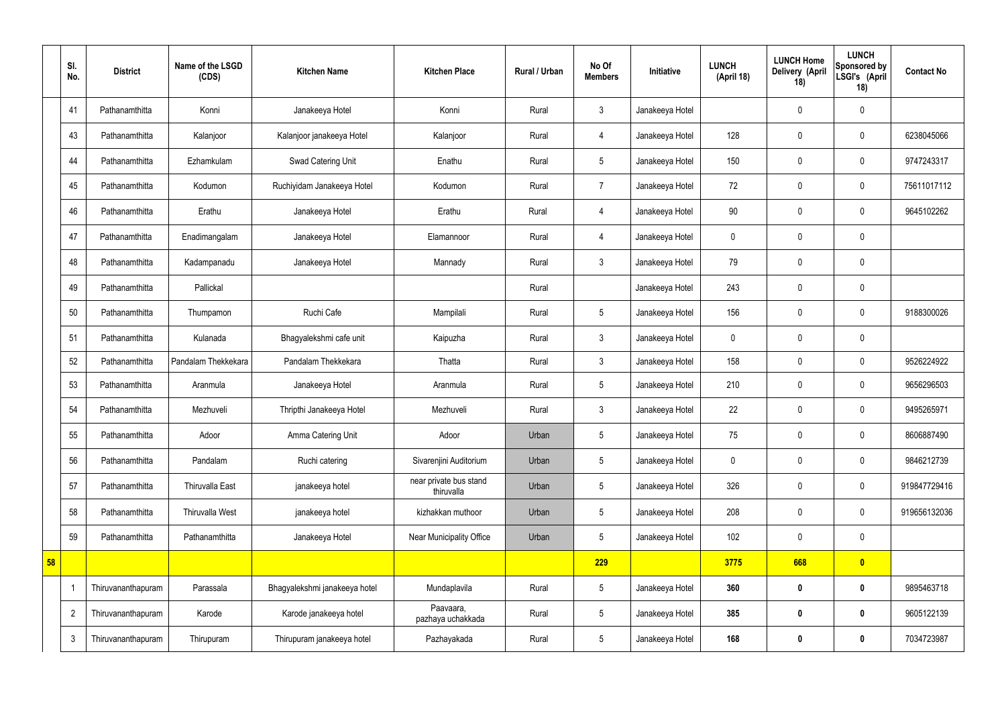|    | SI.<br>No.     | <b>District</b>    | Name of the LSGD<br>(CDS) | <b>Kitchen Name</b>           | <b>Kitchen Place</b>                 | Rural / Urban | No Of<br><b>Members</b> | Initiative      | <b>LUNCH</b><br>(April 18) | <b>LUNCH Home</b><br>Delivery (April<br>18) | <b>LUNCH</b><br>Sponsored by<br>LSGI's (April<br>18) | <b>Contact No</b> |
|----|----------------|--------------------|---------------------------|-------------------------------|--------------------------------------|---------------|-------------------------|-----------------|----------------------------|---------------------------------------------|------------------------------------------------------|-------------------|
|    | 41             | Pathanamthitta     | Konni                     | Janakeeya Hotel               | Konni                                | Rural         | $\mathbf{3}$            | Janakeeya Hotel |                            | $\mathbf 0$                                 | $\mathbf 0$                                          |                   |
|    | 43             | Pathanamthitta     | Kalanjoor                 | Kalanjoor janakeeya Hotel     | Kalanjoor                            | Rural         | $\overline{4}$          | Janakeeya Hotel | 128                        | $\mathbf 0$                                 | $\mathbf 0$                                          | 6238045066        |
|    | 44             | Pathanamthitta     | Ezhamkulam                | Swad Catering Unit            | Enathu                               | Rural         | $5\phantom{.0}$         | Janakeeya Hotel | 150                        | $\mathbf 0$                                 | $\mathbf 0$                                          | 9747243317        |
|    | 45             | Pathanamthitta     | Kodumon                   | Ruchiyidam Janakeeya Hotel    | Kodumon                              | Rural         | $\overline{7}$          | Janakeeya Hotel | 72                         | $\mathbf 0$                                 | $\mathbf 0$                                          | 75611017112       |
|    | 46             | Pathanamthitta     | Erathu                    | Janakeeya Hotel               | Erathu                               | Rural         | 4                       | Janakeeya Hotel | 90                         | $\mathbf 0$                                 | $\mathbf 0$                                          | 9645102262        |
|    | 47             | Pathanamthitta     | Enadimangalam             | Janakeeya Hotel               | Elamannoor                           | Rural         | $\overline{4}$          | Janakeeya Hotel | $\mathbf 0$                | $\mathbf 0$                                 | $\mathbf 0$                                          |                   |
|    | 48             | Pathanamthitta     | Kadampanadu               | Janakeeya Hotel               | Mannady                              | Rural         | $\mathbf{3}$            | Janakeeya Hotel | 79                         | $\pmb{0}$                                   | $\mathbf 0$                                          |                   |
|    | 49             | Pathanamthitta     | Pallickal                 |                               |                                      | Rural         |                         | Janakeeya Hotel | 243                        | $\mathbf 0$                                 | $\mathbf 0$                                          |                   |
|    | 50             | Pathanamthitta     | Thumpamon                 | Ruchi Cafe                    | Mampilali                            | Rural         | $5\phantom{.0}$         | Janakeeya Hotel | 156                        | $\mathbf 0$                                 | $\mathbf 0$                                          | 9188300026        |
|    | 51             | Pathanamthitta     | Kulanada                  | Bhagyalekshmi cafe unit       | Kaipuzha                             | Rural         | $\mathbf{3}$            | Janakeeya Hotel | $\mathbf 0$                | $\mathbf 0$                                 | $\mathbf 0$                                          |                   |
|    | 52             | Pathanamthitta     | Pandalam Thekkekara       | Pandalam Thekkekara           | Thatta                               | Rural         | $\mathbf{3}$            | Janakeeya Hotel | 158                        | $\mathbf 0$                                 | $\mathbf 0$                                          | 9526224922        |
|    | 53             | Pathanamthitta     | Aranmula                  | Janakeeya Hotel               | Aranmula                             | Rural         | $5\phantom{.0}$         | Janakeeya Hotel | 210                        | $\pmb{0}$                                   | $\mathbf 0$                                          | 9656296503        |
|    | 54             | Pathanamthitta     | Mezhuveli                 | Thripthi Janakeeya Hotel      | Mezhuveli                            | Rural         | $\mathbf{3}$            | Janakeeya Hotel | 22                         | $\mathbf 0$                                 | $\mathbf 0$                                          | 9495265971        |
|    | 55             | Pathanamthitta     | Adoor                     | Amma Catering Unit            | Adoor                                | Urban         | $5\phantom{.0}$         | Janakeeya Hotel | 75                         | $\pmb{0}$                                   | $\mathbf 0$                                          | 8606887490        |
|    | 56             | Pathanamthitta     | Pandalam                  | Ruchi catering                | Sivarenjini Auditorium               | Urban         | $5\overline{)}$         | Janakeeya Hotel | $\pmb{0}$                  | $\pmb{0}$                                   | $\mathbf 0$                                          | 9846212739        |
|    | 57             | Pathanamthitta     | Thiruvalla East           | janakeeya hotel               | near private bus stand<br>thiruvalla | Urban         | $5\phantom{.0}$         | Janakeeya Hotel | 326                        | $\pmb{0}$                                   | $\pmb{0}$                                            | 919847729416      |
|    | 58             | Pathanamthitta     | Thiruvalla West           | janakeeya hotel               | kizhakkan muthoor                    | Urban         | $5\phantom{.0}$         | Janakeeya Hotel | 208                        | $\mathbf 0$                                 | $\mathbf 0$                                          | 919656132036      |
|    | 59             | Pathanamthitta     | Pathanamthitta            | Janakeeya Hotel               | Near Municipality Office             | Urban         | $5\phantom{.0}$         | Janakeeya Hotel | 102                        | $\mathbf 0$                                 | $\mathbf 0$                                          |                   |
| 58 |                |                    |                           |                               |                                      |               | 229                     |                 | 3775                       | 668                                         | $\bullet$                                            |                   |
|    |                | Thiruvananthapuram | Parassala                 | Bhagyalekshmi janakeeya hotel | Mundaplavila                         | Rural         | $5\phantom{.0}$         | Janakeeya Hotel | 360                        | $\bm{0}$                                    | $\bf{0}$                                             | 9895463718        |
|    | $\overline{2}$ | Thiruvananthapuram | Karode                    | Karode janakeeya hotel        | Paavaara,<br>pazhaya uchakkada       | Rural         | $5\phantom{.0}$         | Janakeeya Hotel | 385                        | $\bm{0}$                                    | $\bf{0}$                                             | 9605122139        |
|    | $\mathbf{3}$   | Thiruvananthapuram | Thirupuram                | Thirupuram janakeeya hotel    | Pazhayakada                          | Rural         | $5\phantom{.0}$         | Janakeeya Hotel | 168                        | $\pmb{0}$                                   | $\bf{0}$                                             | 7034723987        |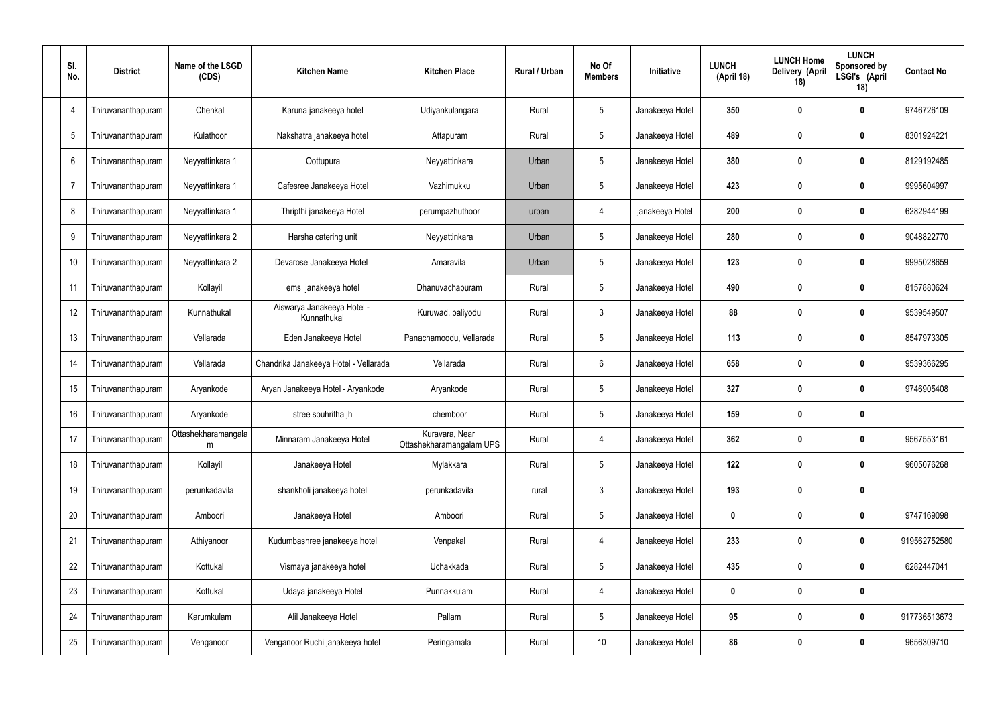| SI.<br>No.     | <b>District</b>    | Name of the LSGD<br>(CDS) | <b>Kitchen Name</b>                       | <b>Kitchen Place</b>                       | Rural / Urban | No Of<br><b>Members</b> | Initiative      | <b>LUNCH</b><br>(April 18) | <b>LUNCH Home</b><br>Delivery (April<br>18) | <b>LUNCH</b><br>Sponsored by<br>LSGI's (April<br>18) | <b>Contact No</b> |
|----------------|--------------------|---------------------------|-------------------------------------------|--------------------------------------------|---------------|-------------------------|-----------------|----------------------------|---------------------------------------------|------------------------------------------------------|-------------------|
| $\overline{4}$ | Thiruvananthapuram | Chenkal                   | Karuna janakeeya hotel                    | Udiyankulangara                            | Rural         | $5\phantom{.0}$         | Janakeeya Hotel | 350                        | 0                                           | $\boldsymbol{0}$                                     | 9746726109        |
| 5              | Thiruvananthapuram | Kulathoor                 | Nakshatra janakeeya hotel                 | Attapuram                                  | Rural         | $5\phantom{.0}$         | Janakeeya Hotel | 489                        | 0                                           | $\boldsymbol{0}$                                     | 8301924221        |
| 6              | Thiruvananthapuram | Neyyattinkara 1           | Oottupura                                 | Neyyattinkara                              | Urban         | $5\phantom{.0}$         | Janakeeya Hotel | 380                        | 0                                           | $\boldsymbol{0}$                                     | 8129192485        |
| $\overline{7}$ | Thiruvananthapuram | Neyyattinkara 1           | Cafesree Janakeeya Hotel                  | Vazhimukku                                 | Urban         | $5\phantom{.0}$         | Janakeeya Hotel | 423                        | 0                                           | $\boldsymbol{0}$                                     | 9995604997        |
| 8              | Thiruvananthapuram | Neyyattinkara 1           | Thripthi janakeeya Hotel                  | perumpazhuthoor                            | urban         | 4                       | janakeeya Hotel | 200                        | 0                                           | $\boldsymbol{0}$                                     | 6282944199        |
| 9              | Thiruvananthapuram | Neyyattinkara 2           | Harsha catering unit                      | Neyyattinkara                              | Urban         | $5\phantom{.0}$         | Janakeeya Hotel | 280                        | 0                                           | $\boldsymbol{0}$                                     | 9048822770        |
| 10             | Thiruvananthapuram | Neyyattinkara 2           | Devarose Janakeeya Hotel                  | Amaravila                                  | Urban         | $5\phantom{.0}$         | Janakeeya Hotel | 123                        | 0                                           | $\boldsymbol{0}$                                     | 9995028659        |
| 11             | Thiruvananthapuram | Kollayil                  | ems janakeeya hotel                       | Dhanuvachapuram                            | Rural         | $5\phantom{.0}$         | Janakeeya Hotel | 490                        | 0                                           | $\boldsymbol{0}$                                     | 8157880624        |
| 12             | Thiruvananthapuram | Kunnathukal               | Aiswarya Janakeeya Hotel -<br>Kunnathukal | Kuruwad, paliyodu                          | Rural         | $\mathfrak{Z}$          | Janakeeya Hotel | 88                         | 0                                           | $\boldsymbol{0}$                                     | 9539549507        |
| 13             | Thiruvananthapuram | Vellarada                 | Eden Janakeeya Hotel                      | Panachamoodu, Vellarada                    | Rural         | $5\phantom{.0}$         | Janakeeya Hotel | 113                        | 0                                           | $\mathbf 0$                                          | 8547973305        |
| 14             | Thiruvananthapuram | Vellarada                 | Chandrika Janakeeya Hotel - Vellarada     | Vellarada                                  | Rural         | $6\phantom{.}$          | Janakeeya Hotel | 658                        | 0                                           | $\mathbf 0$                                          | 9539366295        |
| 15             | Thiruvananthapuram | Aryankode                 | Aryan Janakeeya Hotel - Aryankode         | Aryankode                                  | Rural         | $5\phantom{.0}$         | Janakeeya Hotel | 327                        | 0                                           | $\boldsymbol{0}$                                     | 9746905408        |
| 16             | Thiruvananthapuram | Aryankode                 | stree souhritha jh                        | chemboor                                   | Rural         | $5\phantom{.0}$         | Janakeeya Hotel | 159                        | 0                                           | $\boldsymbol{0}$                                     |                   |
| 17             | Thiruvananthapuram | Ottashekharamangala<br>m  | Minnaram Janakeeya Hotel                  | Kuravara, Near<br>Ottashekharamangalam UPS | Rural         | 4                       | Janakeeya Hotel | 362                        | 0                                           | $\mathbf 0$                                          | 9567553161        |
| 18             | Thiruvananthapuram | Kollayil                  | Janakeeya Hotel                           | Mylakkara                                  | Rural         | $5\phantom{.0}$         | Janakeeya Hotel | 122                        | $\boldsymbol{0}$                            | $\mathbf 0$                                          | 9605076268        |
| 19             | Thiruvananthapuram | perunkadavila             | shankholi janakeeya hotel                 | perunkadavila                              | rural         | $\mathfrak{Z}$          | Janakeeya Hotel | 193                        | $\boldsymbol{0}$                            | $\pmb{0}$                                            |                   |
| 20             | Thiruvananthapuram | Amboori                   | Janakeeya Hotel                           | Amboori                                    | Rural         | $5\phantom{.0}$         | Janakeeya Hotel | 0                          | $\boldsymbol{0}$                            | $\pmb{0}$                                            | 9747169098        |
| 21             | Thiruvananthapuram | Athiyanoor                | Kudumbashree janakeeya hotel              | Venpakal                                   | Rural         | 4                       | Janakeeya Hotel | 233                        | $\boldsymbol{0}$                            | $\mathbf 0$                                          | 919562752580      |
| 22             | Thiruvananthapuram | Kottukal                  | Vismaya janakeeya hotel                   | Uchakkada                                  | Rural         | $5\phantom{.0}$         | Janakeeya Hotel | 435                        | $\boldsymbol{0}$                            | $\mathbf 0$                                          | 6282447041        |
| 23             | Thiruvananthapuram | Kottukal                  | Udaya janakeeya Hotel                     | Punnakkulam                                | Rural         | 4                       | Janakeeya Hotel | 0                          | $\boldsymbol{0}$                            | $\pmb{0}$                                            |                   |
| 24             | Thiruvananthapuram | Karumkulam                | Alil Janakeeya Hotel                      | Pallam                                     | Rural         | $5\phantom{.0}$         | Janakeeya Hotel | 95                         | $\boldsymbol{0}$                            | $\pmb{0}$                                            | 917736513673      |
| 25             | Thiruvananthapuram | Venganoor                 | Venganoor Ruchi janakeeya hotel           | Peringamala                                | Rural         | 10                      | Janakeeya Hotel | 86                         | $\boldsymbol{0}$                            | $\pmb{0}$                                            | 9656309710        |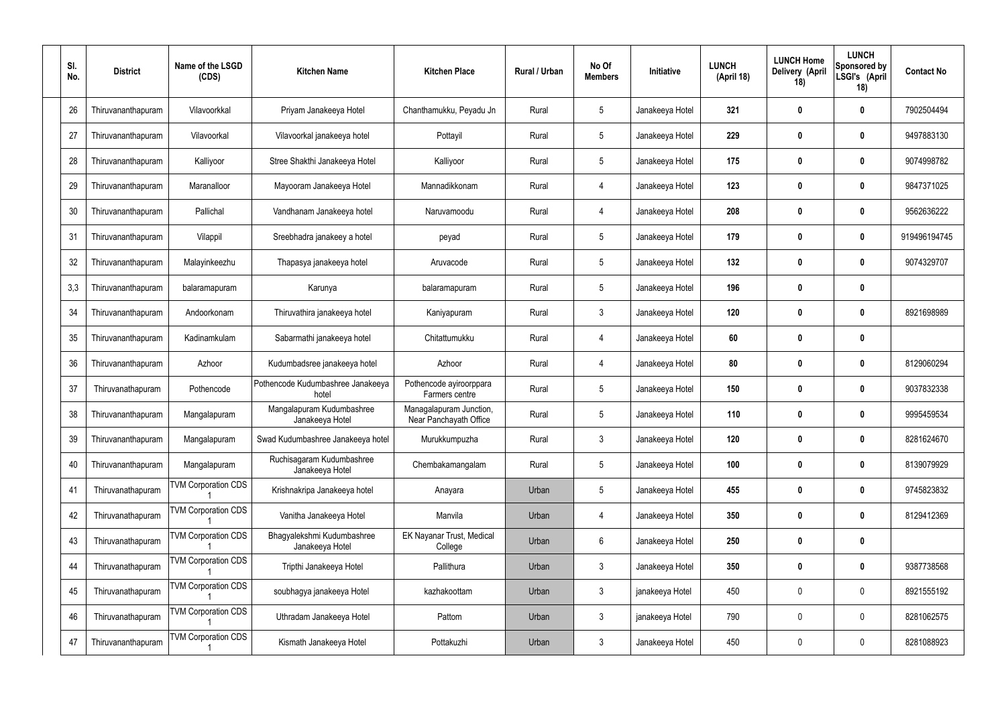| SI.<br>No. | <b>District</b>    | Name of the LSGD<br>(CDS)  | <b>Kitchen Name</b>                           | <b>Kitchen Place</b>                              | Rural / Urban | No Of<br><b>Members</b> | Initiative      | <b>LUNCH</b><br>(April 18) | <b>LUNCH Home</b><br>Delivery (April<br>18) | <b>LUNCH</b><br>Sponsored by<br>LSGI's (April<br>18) | <b>Contact No</b> |
|------------|--------------------|----------------------------|-----------------------------------------------|---------------------------------------------------|---------------|-------------------------|-----------------|----------------------------|---------------------------------------------|------------------------------------------------------|-------------------|
| 26         | Thiruvananthapuram | Vilavoorkkal               | Priyam Janakeeya Hotel                        | Chanthamukku, Peyadu Jn                           | Rural         | $\sqrt{5}$              | Janakeeya Hotel | 321                        | 0                                           | 0                                                    | 7902504494        |
| 27         | Thiruvananthapuram | Vilavoorkal                | Vilavoorkal janakeeya hotel                   | Pottayil                                          | Rural         | $5\phantom{.0}$         | Janakeeya Hotel | 229                        | 0                                           | $\boldsymbol{0}$                                     | 9497883130        |
| 28         | Thiruvananthapuram | Kalliyoor                  | Stree Shakthi Janakeeya Hotel                 | Kalliyoor                                         | Rural         | $\sqrt{5}$              | Janakeeya Hotel | 175                        | 0                                           | $\mathbf 0$                                          | 9074998782        |
| 29         | Thiruvananthapuram | Maranalloor                | Mayooram Janakeeya Hotel                      | Mannadikkonam                                     | Rural         | $\overline{4}$          | Janakeeya Hotel | 123                        | 0                                           | $\boldsymbol{0}$                                     | 9847371025        |
| 30         | Thiruvananthapuram | Pallichal                  | Vandhanam Janakeeya hotel                     | Naruvamoodu                                       | Rural         | $\overline{4}$          | Janakeeya Hotel | 208                        | 0                                           | $\boldsymbol{0}$                                     | 9562636222        |
| 31         | Thiruvananthapuram | Vilappil                   | Sreebhadra janakeey a hotel                   | peyad                                             | Rural         | $\sqrt{5}$              | Janakeeya Hotel | 179                        | 0                                           | $\boldsymbol{0}$                                     | 919496194745      |
| 32         | Thiruvananthapuram | Malayinkeezhu              | Thapasya janakeeya hotel                      | Aruvacode                                         | Rural         | $\sqrt{5}$              | Janakeeya Hotel | 132                        | 0                                           | $\boldsymbol{0}$                                     | 9074329707        |
| 3,3        | Thiruvananthapuram | balaramapuram              | Karunya                                       | balaramapuram                                     | Rural         | $\sqrt{5}$              | Janakeeya Hotel | 196                        | 0                                           | $\boldsymbol{0}$                                     |                   |
| 34         | Thiruvananthapuram | Andoorkonam                | Thiruvathira janakeeya hotel                  | Kaniyapuram                                       | Rural         | $\mathbf{3}$            | Janakeeya Hotel | 120                        | 0                                           | $\boldsymbol{0}$                                     | 8921698989        |
| 35         | Thiruvananthapuram | Kadinamkulam               | Sabarmathi janakeeya hotel                    | Chitattumukku                                     | Rural         | $\overline{4}$          | Janakeeya Hotel | 60                         | 0                                           | $\mathbf 0$                                          |                   |
| 36         | Thiruvananthapuram | Azhoor                     | Kudumbadsree janakeeya hotel                  | Azhoor                                            | Rural         | $\overline{4}$          | Janakeeya Hotel | 80                         | 0                                           | 0                                                    | 8129060294        |
| 37         | Thiruvanathapuram  | Pothencode                 | Pothencode Kudumbashree Janakeeya<br>hotel    | Pothencode ayiroorppara<br>Farmers centre         | Rural         | $\sqrt{5}$              | Janakeeya Hotel | 150                        | 0                                           | 0                                                    | 9037832338        |
| 38         | Thiruvananthapuram | Mangalapuram               | Mangalapuram Kudumbashree<br>Janakeeya Hotel  | Managalapuram Junction,<br>Near Panchayath Office | Rural         | 5                       | Janakeeya Hotel | 110                        | 0                                           | 0                                                    | 9995459534        |
| 39         | Thiruvananthapuram | Mangalapuram               | Swad Kudumbashree Janakeeya hotel             | Murukkumpuzha                                     | Rural         | $\mathfrak{Z}$          | Janakeeya Hotel | 120                        | 0                                           | $\pmb{0}$                                            | 8281624670        |
| 40         | Thiruvananthapuram | Mangalapuram               | Ruchisagaram Kudumbashree<br>Janakeeya Hotel  | Chembakamangalam                                  | Rural         | $5\,$                   | Janakeeya Hotel | 100                        | $\boldsymbol{0}$                            | $\mathbf 0$                                          | 8139079929        |
| 41         | Thiruvanathapuram  | <b>TVM Corporation CDS</b> | Krishnakripa Janakeeya hotel                  | Anayara                                           | Urban         | $\sqrt{5}$              | Janakeeya Hotel | 455                        | $\boldsymbol{0}$                            | $\mathbf 0$                                          | 9745823832        |
| 42         | Thiruvanathapuram  | <b>TVM Corporation CDS</b> | Vanitha Janakeeya Hotel                       | Manvila                                           | Urban         | $\overline{4}$          | Janakeeya Hotel | 350                        | $\boldsymbol{0}$                            | $\mathbf 0$                                          | 8129412369        |
| 43         | Thiruvanathapuram  | <b>TVM Corporation CDS</b> | Bhagyalekshmi Kudumbashree<br>Janakeeya Hotel | EK Nayanar Trust, Medical<br>College              | Urban         | $6\,$                   | Janakeeya Hotel | 250                        | $\boldsymbol{0}$                            | $\pmb{0}$                                            |                   |
| 44         | Thiruvanathapuram  | <b>TVM Corporation CDS</b> | Tripthi Janakeeya Hotel                       | Pallithura                                        | Urban         | $\mathfrak{Z}$          | Janakeeya Hotel | 350                        | $\boldsymbol{0}$                            | $\mathbf 0$                                          | 9387738568        |
| 45         | Thiruvanathapuram  | <b>TVM Corporation CDS</b> | soubhagya janakeeya Hotel                     | kazhakoottam                                      | Urban         | $\mathbf{3}$            | janakeeya Hotel | 450                        | $\boldsymbol{0}$                            | $\pmb{0}$                                            | 8921555192        |
| 46         | Thiruvanathapuram  | <b>TVM Corporation CDS</b> | Uthradam Janakeeya Hotel                      | Pattom                                            | Urban         | $\mathfrak{Z}$          | janakeeya Hotel | 790                        | $\boldsymbol{0}$                            | $\mathbf 0$                                          | 8281062575        |
| 47         | Thiruvananthapuram | <b>TVM Corporation CDS</b> | Kismath Janakeeya Hotel                       | Pottakuzhi                                        | Urban         | $\mathfrak{Z}$          | Janakeeya Hotel | 450                        | 0                                           | $\bf{0}$                                             | 8281088923        |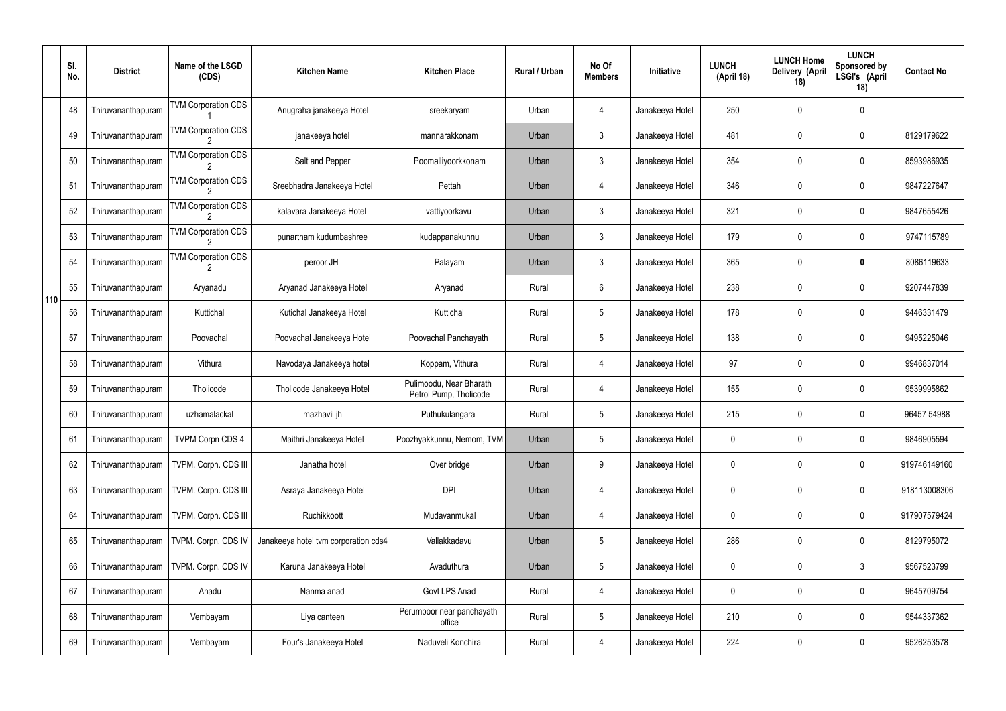|     | SI.<br>No. | <b>District</b>    | Name of the LSGD<br>(CDS)                    | <b>Kitchen Name</b>                  | <b>Kitchen Place</b>                              | Rural / Urban | No Of<br><b>Members</b> | Initiative      | <b>LUNCH</b><br>(April 18) | <b>LUNCH Home</b><br>Delivery (April<br>18) | <b>LUNCH</b><br>Sponsored by<br>LSGI's (April<br>18) | <b>Contact No</b> |
|-----|------------|--------------------|----------------------------------------------|--------------------------------------|---------------------------------------------------|---------------|-------------------------|-----------------|----------------------------|---------------------------------------------|------------------------------------------------------|-------------------|
|     | 48         | Thiruvananthapuram | <b>TVM Corporation CDS</b>                   | Anugraha janakeeya Hotel             | sreekaryam                                        | Urban         | 4                       | Janakeeya Hotel | 250                        | 0                                           | $\mathbf 0$                                          |                   |
|     | 49         | Thiruvananthapuram | <b>TVM Corporation CDS</b>                   | janakeeya hotel                      | mannarakkonam                                     | Urban         | $\mathbf{3}$            | Janakeeya Hotel | 481                        | 0                                           | $\pmb{0}$                                            | 8129179622        |
|     | 50         | Thiruvananthapuram | <b>TVM Corporation CDS</b>                   | Salt and Pepper                      | Poomalliyoorkkonam                                | Urban         | $\mathbf{3}$            | Janakeeya Hotel | 354                        | 0                                           | $\mathbf 0$                                          | 8593986935        |
|     | 51         | Thiruvananthapuram | <b>TVM Corporation CDS</b>                   | Sreebhadra Janakeeya Hotel           | Pettah                                            | Urban         | 4                       | Janakeeya Hotel | 346                        | 0                                           | $\pmb{0}$                                            | 9847227647        |
|     | 52         | Thiruvananthapuram | <b>TVM Corporation CDS</b>                   | kalavara Janakeeya Hotel             | vattiyoorkavu                                     | Urban         | $\mathbf{3}$            | Janakeeya Hotel | 321                        | 0                                           | $\mathbf 0$                                          | 9847655426        |
|     | 53         | Thiruvananthapuram | <b>TVM Corporation CDS</b>                   | punartham kudumbashree               | kudappanakunnu                                    | Urban         | $\mathfrak{Z}$          | Janakeeya Hotel | 179                        | 0                                           | $\pmb{0}$                                            | 9747115789        |
|     | 54         | Thiruvananthapuram | <b>TVM Corporation CDS</b><br>$\overline{2}$ | peroor JH                            | Palayam                                           | Urban         | $\mathbf{3}$            | Janakeeya Hotel | 365                        | 0                                           | 0                                                    | 8086119633        |
| 110 | 55         | Thiruvananthapuram | Aryanadu                                     | Aryanad Janakeeya Hotel              | Aryanad                                           | Rural         | 6                       | Janakeeya Hotel | 238                        | 0                                           | $\pmb{0}$                                            | 9207447839        |
|     | 56         | Thiruvananthapuram | Kuttichal                                    | Kutichal Janakeeya Hotel             | Kuttichal                                         | Rural         | $5\phantom{.0}$         | Janakeeya Hotel | 178                        | 0                                           | $\mathbf 0$                                          | 9446331479        |
|     | 57         | Thiruvananthapuram | Poovachal                                    | Poovachal Janakeeya Hotel            | Poovachal Panchayath                              | Rural         | $5\phantom{.0}$         | Janakeeya Hotel | 138                        | 0                                           | $\boldsymbol{0}$                                     | 9495225046        |
|     | 58         | Thiruvananthapuram | Vithura                                      | Navodaya Janakeeya hotel             | Koppam, Vithura                                   | Rural         | 4                       | Janakeeya Hotel | 97                         | 0                                           | $\mathbf 0$                                          | 9946837014        |
|     | 59         | Thiruvananthapuram | Tholicode                                    | Tholicode Janakeeya Hotel            | Pulimoodu, Near Bharath<br>Petrol Pump, Tholicode | Rural         | 4                       | Janakeeya Hotel | 155                        | 0                                           | $\mathbf 0$                                          | 9539995862        |
|     | 60         | Thiruvananthapuram | uzhamalackal                                 | mazhavil jh                          | Puthukulangara                                    | Rural         | $5\overline{)}$         | Janakeeya Hotel | 215                        | 0                                           | $\mathbf 0$                                          | 96457 54988       |
|     | 61         | Thiruvananthapuram | <b>TVPM Corpn CDS 4</b>                      | Maithri Janakeeya Hotel              | Poozhyakkunnu, Nemom, TVM                         | Urban         | 5                       | Janakeeya Hotel | 0                          | 0                                           | $\mathbf 0$                                          | 9846905594        |
|     | 62         | Thiruvananthapuram | TVPM. Corpn. CDS III                         | Janatha hotel                        | Over bridge                                       | Urban         | 9                       | Janakeeya Hotel | 0                          | 0                                           | $\pmb{0}$                                            | 919746149160      |
|     | 63         | Thiruvananthapuram | TVPM. Corpn. CDS III                         | Asraya Janakeeya Hotel               | <b>DPI</b>                                        | Urban         | 4                       | Janakeeya Hotel | 0                          | 0                                           | $\pmb{0}$                                            | 918113008306      |
|     | 64         | Thiruvananthapuram | TVPM. Corpn. CDS III                         | Ruchikkoott                          | Mudavanmukal                                      | Urban         | 4                       | Janakeeya Hotel | 0                          | 0                                           | $\pmb{0}$                                            | 917907579424      |
|     | 65         | Thiruvananthapuram | TVPM. Corpn. CDS IV                          | Janakeeya hotel tvm corporation cds4 | Vallakkadavu                                      | Urban         | 5                       | Janakeeya Hotel | 286                        | 0                                           | $\pmb{0}$                                            | 8129795072        |
|     | 66         | Thiruvananthapuram | TVPM. Corpn. CDS IV                          | Karuna Janakeeya Hotel               | Avaduthura                                        | Urban         | 5                       | Janakeeya Hotel | 0                          | 0                                           | $\mathfrak{Z}$                                       | 9567523799        |
|     | 67         | Thiruvananthapuram | Anadu                                        | Nanma anad                           | Govt LPS Anad                                     | Rural         | 4                       | Janakeeya Hotel | 0                          | 0                                           | $\pmb{0}$                                            | 9645709754        |
|     | 68         | Thiruvananthapuram | Vembayam                                     | Liya canteen                         | Perumboor near panchayath<br>office               | Rural         | 5                       | Janakeeya Hotel | 210                        | 0                                           | $\mathbf 0$                                          | 9544337362        |
|     | 69         | Thiruvananthapuram | Vembayam                                     | Four's Janakeeya Hotel               | Naduveli Konchira                                 | Rural         | 4                       | Janakeeya Hotel | 224                        | 0                                           | $\pmb{0}$                                            | 9526253578        |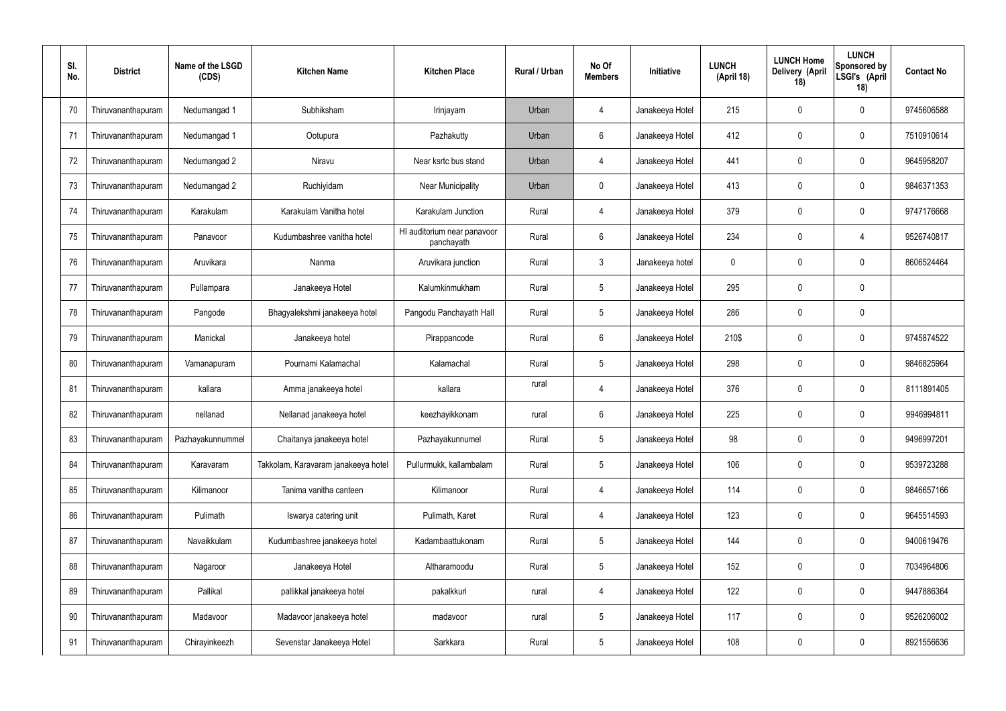| SI.<br>No. | <b>District</b>    | Name of the LSGD<br>(CDS) | <b>Kitchen Name</b>                 | <b>Kitchen Place</b>                      | Rural / Urban | No Of<br><b>Members</b> | Initiative      | <b>LUNCH</b><br>(April 18) | <b>LUNCH Home</b><br>Delivery (April<br>18) | <b>LUNCH</b><br>Sponsored by<br>LSGI's (April<br>18) | <b>Contact No</b> |
|------------|--------------------|---------------------------|-------------------------------------|-------------------------------------------|---------------|-------------------------|-----------------|----------------------------|---------------------------------------------|------------------------------------------------------|-------------------|
| 70         | Thiruvananthapuram | Nedumangad 1              | Subhiksham                          | Irinjayam                                 | Urban         | 4                       | Janakeeya Hotel | 215                        | 0                                           | 0                                                    | 9745606588        |
| 71         | Thiruvananthapuram | Nedumangad 1              | Ootupura                            | Pazhakutty                                | Urban         | 6                       | Janakeeya Hotel | 412                        | 0                                           | $\mathbf 0$                                          | 7510910614        |
| 72         | Thiruvananthapuram | Nedumangad 2              | Niravu                              | Near ksrtc bus stand                      | Urban         | $\overline{4}$          | Janakeeya Hotel | 441                        | 0                                           | $\mathbf 0$                                          | 9645958207        |
| 73         | Thiruvananthapuram | Nedumangad 2              | Ruchiyidam                          | Near Municipality                         | Urban         | $\mathbf 0$             | Janakeeya Hotel | 413                        | 0                                           | $\mathbf 0$                                          | 9846371353        |
| 74         | Thiruvananthapuram | Karakulam                 | Karakulam Vanitha hotel             | Karakulam Junction                        | Rural         | $\overline{4}$          | Janakeeya Hotel | 379                        | 0                                           | $\mathbf 0$                                          | 9747176668        |
| 75         | Thiruvananthapuram | Panavoor                  | Kudumbashree vanitha hotel          | HI auditorium near panavoor<br>panchayath | Rural         | $6\phantom{.}$          | Janakeeya Hotel | 234                        | 0                                           | 4                                                    | 9526740817        |
| 76         | Thiruvananthapuram | Aruvikara                 | Nanma                               | Aruvikara junction                        | Rural         | $\mathbf{3}$            | Janakeeya hotel | 0                          | 0                                           | $\mathbf 0$                                          | 8606524464        |
| 77         | Thiruvananthapuram | Pullampara                | Janakeeya Hotel                     | Kalumkinmukham                            | Rural         | $5\phantom{.0}$         | Janakeeya Hotel | 295                        | 0                                           | $\mathbf 0$                                          |                   |
| 78         | Thiruvananthapuram | Pangode                   | Bhagyalekshmi janakeeya hotel       | Pangodu Panchayath Hall                   | Rural         | $5\phantom{.0}$         | Janakeeya Hotel | 286                        | 0                                           | $\mathbf 0$                                          |                   |
| 79         | Thiruvananthapuram | Manickal                  | Janakeeya hotel                     | Pirappancode                              | Rural         | $6\phantom{.}$          | Janakeeya Hotel | 210\$                      | 0                                           | $\boldsymbol{0}$                                     | 9745874522        |
| 80         | Thiruvananthapuram | Vamanapuram               | Pournami Kalamachal                 | Kalamachal                                | Rural         | $5\phantom{.0}$         | Janakeeya Hotel | 298                        | 0                                           | $\mathbf 0$                                          | 9846825964        |
| 81         | Thiruvananthapuram | kallara                   | Amma janakeeya hotel                | kallara                                   | rural         | 4                       | Janakeeya Hotel | 376                        | 0                                           | $\boldsymbol{0}$                                     | 8111891405        |
| 82         | Thiruvananthapuram | nellanad                  | Nellanad janakeeya hotel            | keezhayikkonam                            | rural         | 6                       | Janakeeya Hotel | 225                        | 0                                           | 0                                                    | 9946994811        |
| 83         | Thiruvananthapuram | Pazhayakunnummel          | Chaitanya janakeeya hotel           | Pazhayakunnumel                           | Rural         | $5\phantom{.0}$         | Janakeeya Hotel | 98                         | 0                                           | $\mathbf 0$                                          | 9496997201        |
| 84         | Thiruvananthapuram | Karavaram                 | Takkolam, Karavaram janakeeya hotel | Pullurmukk, kallambalam                   | Rural         | $5\phantom{.0}$         | Janakeeya Hotel | 106                        | $\mathbf 0$                                 | $\mathbf 0$                                          | 9539723288        |
| 85         | Thiruvananthapuram | Kilimanoor                | Tanima vanitha canteen              | Kilimanoor                                | Rural         | $\overline{4}$          | Janakeeya Hotel | 114                        | 0                                           | $\mathbf 0$                                          | 9846657166        |
| 86         | Thiruvananthapuram | Pulimath                  | Iswarya catering unit               | Pulimath, Karet                           | Rural         | $\overline{4}$          | Janakeeya Hotel | 123                        | $\mathbf 0$                                 | $\mathbf 0$                                          | 9645514593        |
| 87         | Thiruvananthapuram | Navaikkulam               | Kudumbashree janakeeya hotel        | Kadambaattukonam                          | Rural         | $\sqrt{5}$              | Janakeeya Hotel | 144                        | 0                                           | $\mathbf 0$                                          | 9400619476        |
| 88         | Thiruvananthapuram | Nagaroor                  | Janakeeya Hotel                     | Altharamoodu                              | Rural         | $\sqrt{5}$              | Janakeeya Hotel | 152                        | 0                                           | $\mathbf 0$                                          | 7034964806        |
| 89         | Thiruvananthapuram | Pallikal                  | pallikkal janakeeya hotel           | pakalkkuri                                | rural         | 4                       | Janakeeya Hotel | 122                        | 0                                           | $\mathbf 0$                                          | 9447886364        |
| 90         | Thiruvananthapuram | Madavoor                  | Madavoor janakeeya hotel            | madavoor                                  | rural         | $5\phantom{.0}$         | Janakeeya Hotel | 117                        | $\boldsymbol{0}$                            | $\mathbf 0$                                          | 9526206002        |
| 91         | Thiruvananthapuram | Chirayinkeezh             | Sevenstar Janakeeya Hotel           | Sarkkara                                  | Rural         | $5\,$                   | Janakeeya Hotel | 108                        | $\boldsymbol{0}$                            | $\bf{0}$                                             | 8921556636        |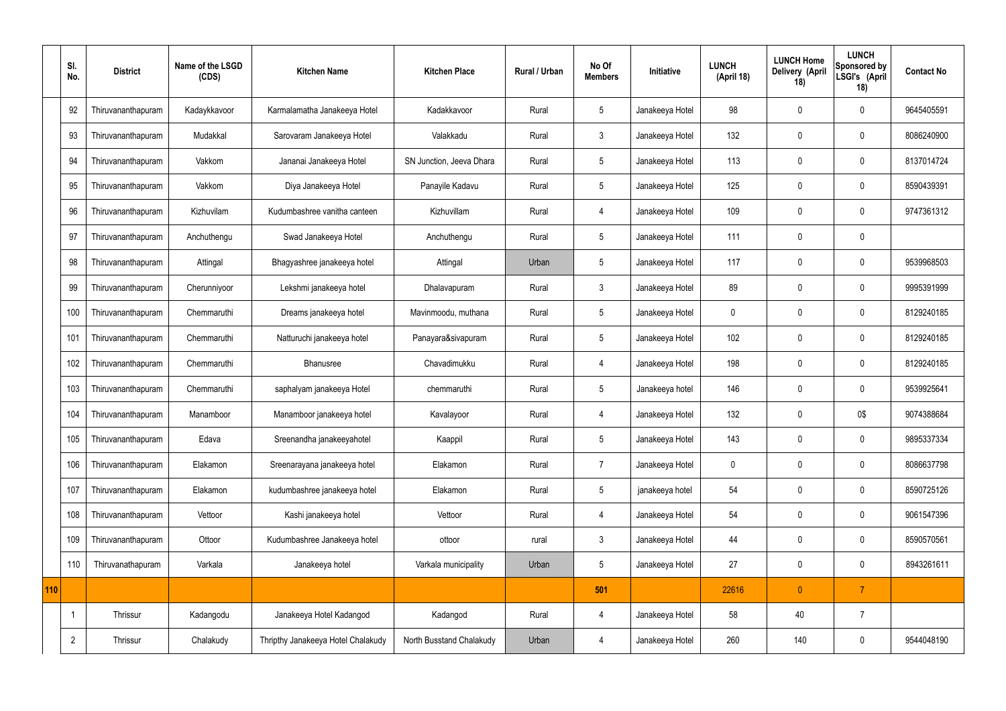|     | SI.<br>No.     | <b>District</b>    | Name of the LSGD<br>(CDS) | <b>Kitchen Name</b>                | <b>Kitchen Place</b>     | Rural / Urban | No Of<br><b>Members</b> | Initiative      | <b>LUNCH</b><br>(April 18) | <b>LUNCH Home</b><br>Delivery (April<br>18) | <b>LUNCH</b><br>Sponsored by<br>LSGI's (April<br>18) | <b>Contact No</b> |
|-----|----------------|--------------------|---------------------------|------------------------------------|--------------------------|---------------|-------------------------|-----------------|----------------------------|---------------------------------------------|------------------------------------------------------|-------------------|
|     | 92             | Thiruvananthapuram | Kadaykkavoor              | Karmalamatha Janakeeya Hotel       | Kadakkavoor              | Rural         | 5                       | Janakeeya Hotel | 98                         | 0                                           | $\mathbf 0$                                          | 9645405591        |
|     | 93             | Thiruvananthapuram | Mudakkal                  | Sarovaram Janakeeya Hotel          | Valakkadu                | Rural         | $\mathbf{3}$            | Janakeeya Hotel | 132                        | $\mathbf 0$                                 | $\mathbf 0$                                          | 8086240900        |
|     | 94             | Thiruvananthapuram | Vakkom                    | Jananai Janakeeya Hotel            | SN Junction, Jeeva Dhara | Rural         | $5\overline{)}$         | Janakeeya Hotel | 113                        | $\mathbf 0$                                 | $\mathbf 0$                                          | 8137014724        |
|     | 95             | Thiruvananthapuram | Vakkom                    | Diya Janakeeya Hotel               | Panayile Kadavu          | Rural         | $5\overline{)}$         | Janakeeya Hotel | 125                        | $\mathbf 0$                                 | $\mathbf 0$                                          | 8590439391        |
|     | 96             | Thiruvananthapuram | Kizhuvilam                | Kudumbashree vanitha canteen       | Kizhuvillam              | Rural         | $\overline{4}$          | Janakeeya Hotel | 109                        | $\mathbf 0$                                 | $\mathbf 0$                                          | 9747361312        |
|     | 97             | Thiruvananthapuram | Anchuthengu               | Swad Janakeeya Hotel               | Anchuthengu              | Rural         | $5\phantom{.0}$         | Janakeeya Hotel | 111                        | $\mathbf 0$                                 | $\mathbf 0$                                          |                   |
|     | 98             | Thiruvananthapuram | Attingal                  | Bhagyashree janakeeya hotel        | Attingal                 | Urban         | $5\phantom{.0}$         | Janakeeya Hotel | 117                        | $\mathbf 0$                                 | $\mathbf 0$                                          | 9539968503        |
|     | 99             | Thiruvananthapuram | Cherunniyoor              | Lekshmi janakeeya hotel            | Dhalavapuram             | Rural         | $\mathbf{3}$            | Janakeeya Hotel | 89                         | $\mathbf 0$                                 | $\mathbf 0$                                          | 9995391999        |
|     | 100            | Thiruvananthapuram | Chemmaruthi               | Dreams janakeeya hotel             | Mavinmoodu, muthana      | Rural         | 5                       | Janakeeya Hotel | $\mathbf 0$                | $\mathbf 0$                                 | $\mathbf 0$                                          | 8129240185        |
|     | 101            | Thiruvananthapuram | Chemmaruthi               | Natturuchi janakeeya hotel         | Panayara&sivapuram       | Rural         | $5\overline{)}$         | Janakeeya Hotel | 102                        | $\mathbf 0$                                 | $\mathbf 0$                                          | 8129240185        |
|     | 102            | Thiruvananthapuram | Chemmaruthi               | Bhanusree                          | Chavadimukku             | Rural         | 4                       | Janakeeya Hotel | 198                        | $\mathbf 0$                                 | $\mathbf 0$                                          | 8129240185        |
|     | 103            | Thiruvananthapuram | Chemmaruthi               | saphalyam janakeeya Hotel          | chemmaruthi              | Rural         | 5                       | Janakeeya hotel | 146                        | $\mathbf 0$                                 | $\mathbf 0$                                          | 9539925641        |
|     | 104            | Thiruvananthapuram | Manamboor                 | Manamboor janakeeya hotel          | Kavalayoor               | Rural         | 4                       | Janakeeya Hotel | 132                        | 0                                           | 0\$                                                  | 9074388684        |
|     | 105            | Thiruvananthapuram | Edava                     | Sreenandha janakeeyahotel          | Kaappil                  | Rural         | $5\phantom{.0}$         | Janakeeya Hotel | 143                        | $\mathbf 0$                                 | $\mathbf 0$                                          | 9895337334        |
|     | 106            | Thiruvananthapuram | Elakamon                  | Sreenarayana janakeeya hotel       | Elakamon                 | Rural         | $\overline{7}$          | Janakeeya Hotel | $\pmb{0}$                  | $\mathbf 0$                                 | $\mathbf 0$                                          | 8086637798        |
|     | 107            | Thiruvananthapuram | Elakamon                  | kudumbashree janakeeya hotel       | Elakamon                 | Rural         | $5\phantom{.0}$         | janakeeya hotel | 54                         | $\mathbf 0$                                 | $\mathbf 0$                                          | 8590725126        |
|     | 108            | Thiruvananthapuram | Vettoor                   | Kashi janakeeya hotel              | Vettoor                  | Rural         | $\overline{4}$          | Janakeeya Hotel | 54                         | $\mathbf 0$                                 | $\mathbf 0$                                          | 9061547396        |
|     | 109            | Thiruvananthapuram | Ottoor                    | Kudumbashree Janakeeya hotel       | ottoor                   | rural         | $\mathbf{3}$            | Janakeeya Hotel | 44                         | $\pmb{0}$                                   | $\mathbf 0$                                          | 8590570561        |
|     | 110            | Thiruvanathapuram  | Varkala                   | Janakeeya hotel                    | Varkala municipality     | Urban         | $5\phantom{.0}$         | Janakeeya Hotel | 27                         | $\pmb{0}$                                   | $\mathbf 0$                                          | 8943261611        |
| 110 |                |                    |                           |                                    |                          |               | 501                     |                 | 22616                      | $\mathbf{0}$                                | $\overline{7}$                                       |                   |
|     | -1             | Thrissur           | Kadangodu                 | Janakeeya Hotel Kadangod           | Kadangod                 | Rural         | 4                       | Janakeeya Hotel | 58                         | 40                                          | $\overline{7}$                                       |                   |
|     | $\overline{2}$ | Thrissur           | Chalakudy                 | Thripthy Janakeeya Hotel Chalakudy | North Busstand Chalakudy | Urban         | $\overline{4}$          | Janakeeya Hotel | 260                        | 140                                         | $\mathbf 0$                                          | 9544048190        |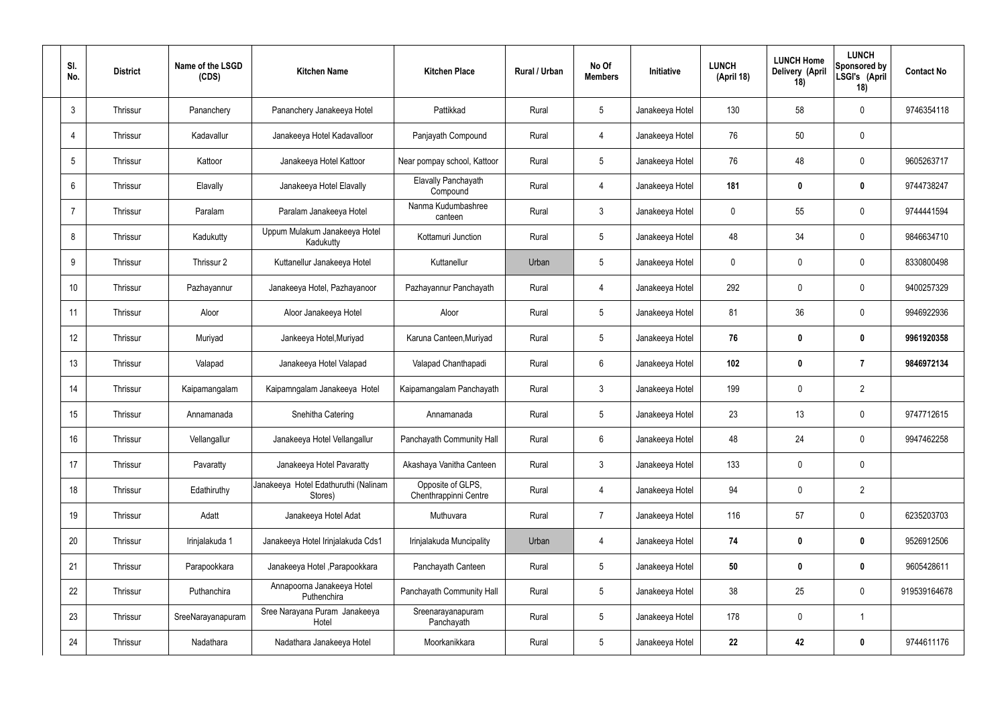| SI.<br>No.     | <b>District</b> | Name of the LSGD<br>(CDS) | <b>Kitchen Name</b>                             | <b>Kitchen Place</b>                       | <b>Rural / Urban</b> | No Of<br><b>Members</b> | Initiative      | <b>LUNCH</b><br>(April 18) | <b>LUNCH Home</b><br>Delivery (April<br>18) | <b>LUNCH</b><br>Sponsored by<br>LSGI's (April<br>18) | <b>Contact No</b> |
|----------------|-----------------|---------------------------|-------------------------------------------------|--------------------------------------------|----------------------|-------------------------|-----------------|----------------------------|---------------------------------------------|------------------------------------------------------|-------------------|
| 3              | Thrissur        | Pananchery                | Pananchery Janakeeya Hotel                      | Pattikkad                                  | Rural                | $5\phantom{.0}$         | Janakeeya Hotel | 130                        | 58                                          | $\mathbf 0$                                          | 9746354118        |
| 4              | Thrissur        | Kadavallur                | Janakeeya Hotel Kadavalloor                     | Panjayath Compound                         | Rural                | 4                       | Janakeeya Hotel | 76                         | 50                                          | $\mathbf 0$                                          |                   |
| 5              | Thrissur        | Kattoor                   | Janakeeya Hotel Kattoor                         | Near pompay school, Kattoor                | Rural                | $5\overline{)}$         | Janakeeya Hotel | 76                         | 48                                          | $\mathbf 0$                                          | 9605263717        |
| 6              | Thrissur        | Elavally                  | Janakeeya Hotel Elavally                        | Elavally Panchayath<br>Compound            | Rural                | $\overline{4}$          | Janakeeya Hotel | 181                        | 0                                           | $\mathbf 0$                                          | 9744738247        |
| $\overline{7}$ | Thrissur        | Paralam                   | Paralam Janakeeya Hotel                         | Nanma Kudumbashree<br>canteen              | Rural                | $\mathbf{3}$            | Janakeeya Hotel | 0                          | 55                                          | $\mathbf 0$                                          | 9744441594        |
| 8              | Thrissur        | Kadukutty                 | Uppum Mulakum Janakeeya Hotel<br>Kadukutty      | Kottamuri Junction                         | Rural                | $5\overline{)}$         | Janakeeya Hotel | 48                         | 34                                          | $\mathbf 0$                                          | 9846634710        |
| 9              | Thrissur        | Thrissur 2                | Kuttanellur Janakeeya Hotel                     | Kuttanellur                                | Urban                | $5\overline{)}$         | Janakeeya Hotel | 0                          | $\mathbf 0$                                 | $\mathbf 0$                                          | 8330800498        |
| 10             | Thrissur        | Pazhayannur               | Janakeeya Hotel, Pazhayanoor                    | Pazhayannur Panchayath                     | Rural                | $\overline{4}$          | Janakeeya Hotel | 292                        | $\mathbf 0$                                 | $\mathbf 0$                                          | 9400257329        |
| 11             | Thrissur        | Aloor                     | Aloor Janakeeya Hotel                           | Aloor                                      | Rural                | $5\overline{)}$         | Janakeeya Hotel | 81                         | 36                                          | $\mathbf 0$                                          | 9946922936        |
| 12             | Thrissur        | Muriyad                   | Jankeeya Hotel, Muriyad                         | Karuna Canteen, Muriyad                    | Rural                | $5\phantom{.0}$         | Janakeeya Hotel | 76                         | 0                                           | $\mathbf 0$                                          | 9961920358        |
| 13             | Thrissur        | Valapad                   | Janakeeya Hotel Valapad                         | Valapad Chanthapadi                        | Rural                | $6\overline{6}$         | Janakeeya Hotel | 102                        | $\boldsymbol{0}$                            | $\overline{7}$                                       | 9846972134        |
| 14             | Thrissur        | Kaipamangalam             | Kaipamngalam Janakeeya Hotel                    | Kaipamangalam Panchayath                   | Rural                | $\mathbf{3}$            | Janakeeya Hotel | 199                        | $\mathbf 0$                                 | $\overline{2}$                                       |                   |
| 15             | Thrissur        | Annamanada                | Snehitha Catering                               | Annamanada                                 | Rural                | $5\phantom{.0}$         | Janakeeya Hotel | 23                         | 13                                          | $\mathbf 0$                                          | 9747712615        |
| 16             | Thrissur        | Vellangallur              | Janakeeya Hotel Vellangallur                    | Panchayath Community Hall                  | Rural                | $6\phantom{.}6$         | Janakeeya Hotel | 48                         | 24                                          | $\mathbf 0$                                          | 9947462258        |
| 17             | Thrissur        | Pavaratty                 | Janakeeya Hotel Pavaratty                       | Akashaya Vanitha Canteen                   | Rural                | $\mathbf{3}$            | Janakeeya Hotel | 133                        | $\mathbf 0$                                 | $\mathbf 0$                                          |                   |
| 18             | Thrissur        | Edathiruthy               | Janakeeya Hotel Edathuruthi (Nalinam<br>Stores) | Opposite of GLPS,<br>Chenthrappinni Centre | Rural                | $\overline{4}$          | Janakeeya Hotel | 94                         | $\mathbf 0$                                 | $\overline{2}$                                       |                   |
| 19             | Thrissur        | Adatt                     | Janakeeya Hotel Adat                            | Muthuvara                                  | Rural                | $\overline{7}$          | Janakeeya Hotel | 116                        | 57                                          | $\mathbf 0$                                          | 6235203703        |
| 20             | Thrissur        | Irinjalakuda 1            | Janakeeya Hotel Irinjalakuda Cds1               | Irinjalakuda Muncipality                   | Urban                | $\overline{4}$          | Janakeeya Hotel | 74                         | $\boldsymbol{0}$                            | $\bf{0}$                                             | 9526912506        |
| 21             | Thrissur        | Parapookkara              | Janakeeya Hotel, Parapookkara                   | Panchayath Canteen                         | Rural                | $5\phantom{.0}$         | Janakeeya Hotel | 50                         | $\boldsymbol{0}$                            | $\bf{0}$                                             | 9605428611        |
| 22             | Thrissur        | Puthanchira               | Annapoorna Janakeeya Hotel<br>Puthenchira       | Panchayath Community Hall                  | Rural                | $5\overline{)}$         | Janakeeya Hotel | 38                         | 25                                          | $\mathbf 0$                                          | 919539164678      |
| 23             | Thrissur        | SreeNarayanapuram         | Sree Narayana Puram Janakeeya<br>Hotel          | Sreenarayanapuram<br>Panchayath            | Rural                | $5\phantom{.0}$         | Janakeeya Hotel | 178                        | 0                                           | $\overline{1}$                                       |                   |
| 24             | Thrissur        | Nadathara                 | Nadathara Janakeeya Hotel                       | Moorkanikkara                              | Rural                | $5\phantom{.0}$         | Janakeeya Hotel | 22                         | 42                                          | $\boldsymbol{0}$                                     | 9744611176        |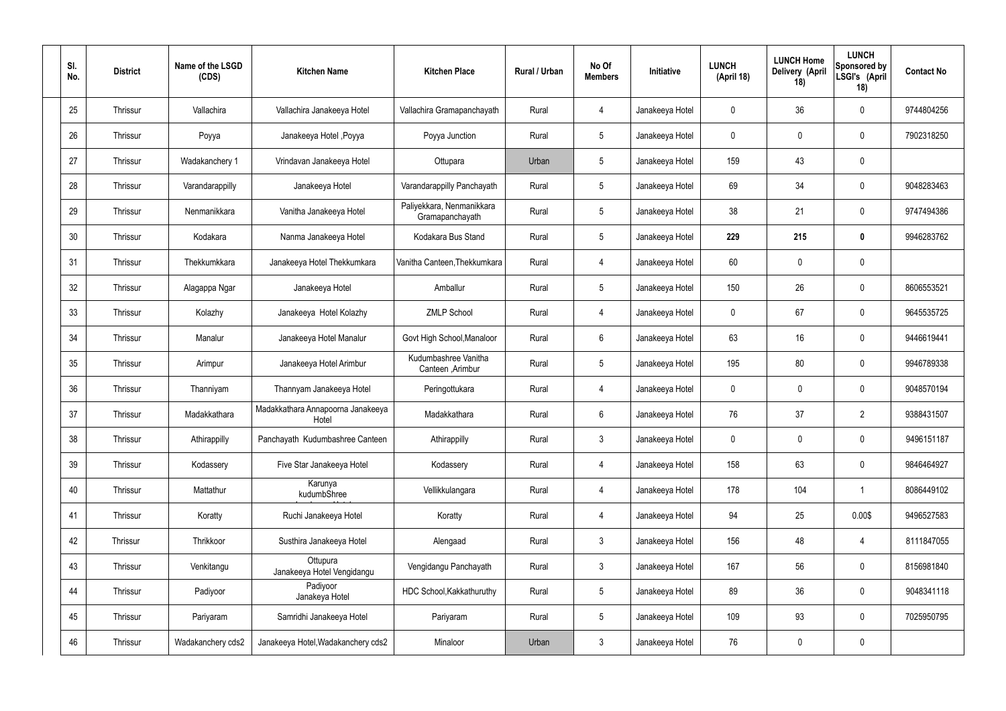| SI.<br>No. | <b>District</b> | Name of the LSGD<br>(CDS) | <b>Kitchen Name</b>                        | <b>Kitchen Place</b>                         | Rural / Urban | No Of<br><b>Members</b> | Initiative      | <b>LUNCH</b><br>(April 18) | <b>LUNCH Home</b><br>Delivery (April<br>18) | <b>LUNCH</b><br>Sponsored by<br>LSGI's (April<br>18) | <b>Contact No</b> |
|------------|-----------------|---------------------------|--------------------------------------------|----------------------------------------------|---------------|-------------------------|-----------------|----------------------------|---------------------------------------------|------------------------------------------------------|-------------------|
| 25         | Thrissur        | Vallachira                | Vallachira Janakeeya Hotel                 | Vallachira Gramapanchayath                   | Rural         | 4                       | Janakeeya Hotel | $\mathbf 0$                | 36                                          | $\mathbf 0$                                          | 9744804256        |
| 26         | Thrissur        | Poyya                     | Janakeeya Hotel , Poyya                    | Poyya Junction                               | Rural         | $5\phantom{.0}$         | Janakeeya Hotel | $\mathbf 0$                | 0                                           | $\mathbf 0$                                          | 7902318250        |
| 27         | Thrissur        | Wadakanchery 1            | Vrindavan Janakeeya Hotel                  | Ottupara                                     | Urban         | $5\phantom{.0}$         | Janakeeya Hotel | 159                        | 43                                          | $\mathbf 0$                                          |                   |
| 28         | Thrissur        | Varandarappilly           | Janakeeya Hotel                            | Varandarappilly Panchayath                   | Rural         | $5\phantom{.0}$         | Janakeeya Hotel | 69                         | 34                                          | $\mathbf 0$                                          | 9048283463        |
| 29         | Thrissur        | Nenmanikkara              | Vanitha Janakeeya Hotel                    | Paliyekkara, Nenmanikkara<br>Gramapanchayath | Rural         | $5\phantom{.0}$         | Janakeeya Hotel | 38                         | 21                                          | $\mathbf 0$                                          | 9747494386        |
| 30         | Thrissur        | Kodakara                  | Nanma Janakeeya Hotel                      | Kodakara Bus Stand                           | Rural         | $5\,$                   | Janakeeya Hotel | 229                        | 215                                         | $\mathbf 0$                                          | 9946283762        |
| 31         | Thrissur        | Thekkumkkara              | Janakeeya Hotel Thekkumkara                | Vanitha Canteen, Thekkumkara                 | Rural         | $\overline{4}$          | Janakeeya Hotel | 60                         | $\mathbf 0$                                 | $\mathbf 0$                                          |                   |
| 32         | Thrissur        | Alagappa Ngar             | Janakeeya Hotel                            | Amballur                                     | Rural         | $5\phantom{.0}$         | Janakeeya Hotel | 150                        | 26                                          | $\mathbf 0$                                          | 8606553521        |
| 33         | Thrissur        | Kolazhy                   | Janakeeya Hotel Kolazhy                    | <b>ZMLP School</b>                           | Rural         | $\overline{4}$          | Janakeeya Hotel | $\mathbf 0$                | 67                                          | $\mathbf 0$                                          | 9645535725        |
| 34         | Thrissur        | Manalur                   | Janakeeya Hotel Manalur                    | Govt High School, Manaloor                   | Rural         | 6                       | Janakeeya Hotel | 63                         | 16                                          | $\mathbf 0$                                          | 9446619441        |
| 35         | Thrissur        | Arimpur                   | Janakeeya Hotel Arimbur                    | Kudumbashree Vanitha<br>Canteen, Arimbur     | Rural         | $5\,$                   | Janakeeya Hotel | 195                        | 80                                          | $\mathbf 0$                                          | 9946789338        |
| 36         | Thrissur        | Thanniyam                 | Thannyam Janakeeya Hotel                   | Peringottukara                               | Rural         | 4                       | Janakeeya Hotel | $\mathbf 0$                | 0                                           | $\boldsymbol{0}$                                     | 9048570194        |
| 37         | Thrissur        | Madakkathara              | Madakkathara Annapoorna Janakeeya<br>Hotel | Madakkathara                                 | Rural         | 6                       | Janakeeya Hotel | 76                         | 37                                          | $\overline{2}$                                       | 9388431507        |
| 38         | Thrissur        | Athirappilly              | Panchayath Kudumbashree Canteen            | Athirappilly                                 | Rural         | $\mathbf{3}$            | Janakeeya Hotel | $\mathbf 0$                | $\mathbf 0$                                 | $\mathbf 0$                                          | 9496151187        |
| 39         | Thrissur        | Kodassery                 | Five Star Janakeeya Hotel                  | Kodassery                                    | Rural         | $\overline{4}$          | Janakeeya Hotel | 158                        | 63                                          | $\mathbf 0$                                          | 9846464927        |
| 40         | Thrissur        | Mattathur                 | Karunya<br>kudumbShree                     | Vellikkulangara                              | Rural         | $\overline{4}$          | Janakeeya Hotel | 178                        | 104                                         | $\mathbf 1$                                          | 8086449102        |
| 41         | Thrissur        | Koratty                   | Ruchi Janakeeya Hotel                      | Koratty                                      | Rural         | $\overline{4}$          | Janakeeya Hotel | 94                         | 25                                          | 0.00\$                                               | 9496527583        |
| 42         | Thrissur        | Thrikkoor                 | Susthira Janakeeya Hotel                   | Alengaad                                     | Rural         | $\mathfrak{Z}$          | Janakeeya Hotel | 156                        | 48                                          | $\overline{4}$                                       | 8111847055        |
| 43         | Thrissur        | Venkitangu                | Ottupura<br>Janakeeya Hotel Vengidangu     | Vengidangu Panchayath                        | Rural         | $\mathfrak{Z}$          | Janakeeya Hotel | 167                        | 56                                          | $\mathbf 0$                                          | 8156981840        |
| 44         | Thrissur        | Padiyoor                  | Padiyoor<br>Janakeya Hotel                 | HDC School, Kakkathuruthy                    | Rural         | $5\phantom{.0}$         | Janakeeya Hotel | 89                         | 36                                          | $\mathbf 0$                                          | 9048341118        |
| 45         | Thrissur        | Pariyaram                 | Samridhi Janakeeya Hotel                   | Pariyaram                                    | Rural         | $5\phantom{.0}$         | Janakeeya Hotel | 109                        | 93                                          | $\mathbf 0$                                          | 7025950795        |
| 46         | Thrissur        | Wadakanchery cds2         | Janakeeya Hotel, Wadakanchery cds2         | Minaloor                                     | Urban         | $\mathfrak{Z}$          | Janakeeya Hotel | 76                         | 0                                           | $\pmb{0}$                                            |                   |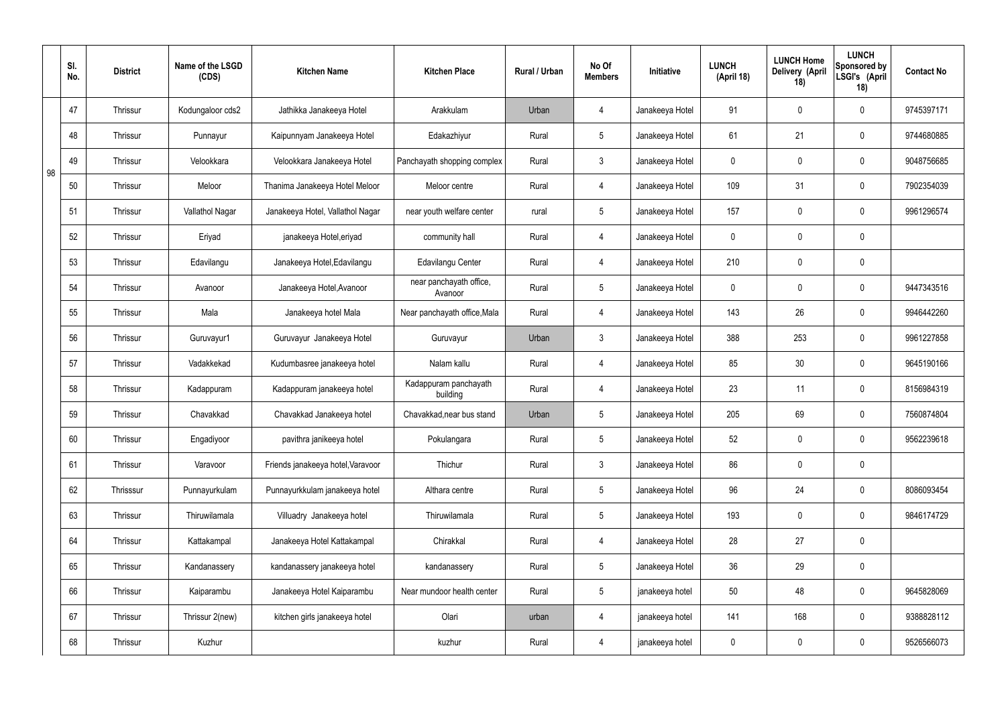|    | SI.<br>No. | <b>District</b> | Name of the LSGD<br>(CDS) | <b>Kitchen Name</b>               | <b>Kitchen Place</b>               | Rural / Urban | No Of<br><b>Members</b> | Initiative      | <b>LUNCH</b><br>(April 18) | <b>LUNCH Home</b><br>Delivery (April<br>18) | <b>LUNCH</b><br>Sponsored by<br>LSGI's (April<br>18) | <b>Contact No</b> |
|----|------------|-----------------|---------------------------|-----------------------------------|------------------------------------|---------------|-------------------------|-----------------|----------------------------|---------------------------------------------|------------------------------------------------------|-------------------|
|    | 47         | <b>Thrissur</b> | Kodungaloor cds2          | Jathikka Janakeeya Hotel          | Arakkulam                          | Urban         | 4                       | Janakeeya Hotel | 91                         | $\mathbf 0$                                 | $\mathbf 0$                                          | 9745397171        |
|    | 48         | <b>Thrissur</b> | Punnayur                  | Kaipunnyam Janakeeya Hotel        | Edakazhiyur                        | Rural         | $5\overline{)}$         | Janakeeya Hotel | 61                         | 21                                          | $\mathbf 0$                                          | 9744680885        |
| 98 | 49         | <b>Thrissur</b> | Velookkara                | Velookkara Janakeeya Hotel        | Panchayath shopping complex        | Rural         | 3                       | Janakeeya Hotel | $\mathbf 0$                | $\mathbf 0$                                 | $\mathbf 0$                                          | 9048756685        |
|    | 50         | <b>Thrissur</b> | Meloor                    | Thanima Janakeeya Hotel Meloor    | Meloor centre                      | Rural         | 4                       | Janakeeya Hotel | 109                        | 31                                          | $\mathbf 0$                                          | 7902354039        |
|    | 51         | <b>Thrissur</b> | Vallathol Nagar           | Janakeeya Hotel, Vallathol Nagar  | near youth welfare center          | rural         | $5\overline{)}$         | Janakeeya Hotel | 157                        | $\mathbf 0$                                 | $\mathbf 0$                                          | 9961296574        |
|    | 52         | <b>Thrissur</b> | Eriyad                    | janakeeya Hotel, eriyad           | community hall                     | Rural         | 4                       | Janakeeya Hotel | $\mathbf 0$                | $\mathbf 0$                                 | $\mathbf 0$                                          |                   |
|    | 53         | <b>Thrissur</b> | Edavilangu                | Janakeeya Hotel, Edavilangu       | Edavilangu Center                  | Rural         | $\overline{4}$          | Janakeeya Hotel | 210                        | $\mathbf 0$                                 | $\mathbf 0$                                          |                   |
|    | 54         | <b>Thrissur</b> | Avanoor                   | Janakeeya Hotel, Avanoor          | near panchayath office,<br>Avanoor | Rural         | $5\overline{)}$         | Janakeeya Hotel | $\mathbf 0$                | $\mathbf 0$                                 | $\mathbf 0$                                          | 9447343516        |
|    | 55         | <b>Thrissur</b> | Mala                      | Janakeeya hotel Mala              | Near panchayath office, Mala       | Rural         | $\overline{4}$          | Janakeeya Hotel | 143                        | 26                                          | $\mathbf 0$                                          | 9946442260        |
|    | 56         | Thrissur        | Guruvayur1                | Guruvayur Janakeeya Hotel         | Guruvayur                          | Urban         | $\mathbf{3}$            | Janakeeya Hotel | 388                        | 253                                         | $\mathbf 0$                                          | 9961227858        |
|    | 57         | Thrissur        | Vadakkekad                | Kudumbasree janakeeya hotel       | Nalam kallu                        | Rural         | 4                       | Janakeeya Hotel | 85                         | 30                                          | $\mathbf 0$                                          | 9645190166        |
|    | 58         | Thrissur        | Kadappuram                | Kadappuram janakeeya hotel        | Kadappuram panchayath<br>building  | Rural         | 4                       | Janakeeya Hotel | 23                         | 11                                          | $\mathbf 0$                                          | 8156984319        |
|    | 59         | <b>Thrissur</b> | Chavakkad                 | Chavakkad Janakeeya hotel         | Chavakkad, near bus stand          | Urban         | 5 <sup>5</sup>          | Janakeeya Hotel | 205                        | 69                                          | $\mathbf 0$                                          | 7560874804        |
|    | 60         | Thrissur        | Engadiyoor                | pavithra janikeeya hotel          | Pokulangara                        | Rural         | $5\overline{)}$         | Janakeeya Hotel | 52                         | $\pmb{0}$                                   | $\mathbf 0$                                          | 9562239618        |
|    | 61         | Thrissur        | Varavoor                  | Friends janakeeya hotel, Varavoor | Thichur                            | Rural         | $\mathbf{3}$            | Janakeeya Hotel | 86                         | $\pmb{0}$                                   | $\mathbf 0$                                          |                   |
|    | 62         | Thrisssur       | Punnayurkulam             | Punnayurkkulam janakeeya hotel    | Althara centre                     | Rural         | $5\overline{)}$         | Janakeeya Hotel | 96                         | 24                                          | $\mathbf 0$                                          | 8086093454        |
|    | 63         | Thrissur        | Thiruwilamala             | Villuadry Janakeeya hotel         | Thiruwilamala                      | Rural         | $5\overline{)}$         | Janakeeya Hotel | 193                        | $\pmb{0}$                                   | $\mathbf 0$                                          | 9846174729        |
|    | 64         | Thrissur        | Kattakampal               | Janakeeya Hotel Kattakampal       | Chirakkal                          | Rural         | $\overline{4}$          | Janakeeya Hotel | 28                         | 27                                          | $\mathbf 0$                                          |                   |
|    | 65         | Thrissur        | Kandanassery              | kandanassery janakeeya hotel      | kandanassery                       | Rural         | $5\overline{)}$         | Janakeeya Hotel | 36                         | 29                                          | $\mathbf 0$                                          |                   |
|    | 66         | Thrissur        | Kaiparambu                | Janakeeya Hotel Kaiparambu        | Near mundoor health center         | Rural         | $5\overline{)}$         | janakeeya hotel | 50                         | 48                                          | $\mathbf 0$                                          | 9645828069        |
|    | 67         | Thrissur        | Thrissur 2(new)           | kitchen girls janakeeya hotel     | Olari                              | urban         | 4                       | janakeeya hotel | 141                        | 168                                         | $\mathbf 0$                                          | 9388828112        |
|    | 68         | Thrissur        | Kuzhur                    |                                   | kuzhur                             | Rural         | $\overline{4}$          | janakeeya hotel | $\pmb{0}$                  | $\pmb{0}$                                   | $\boldsymbol{0}$                                     | 9526566073        |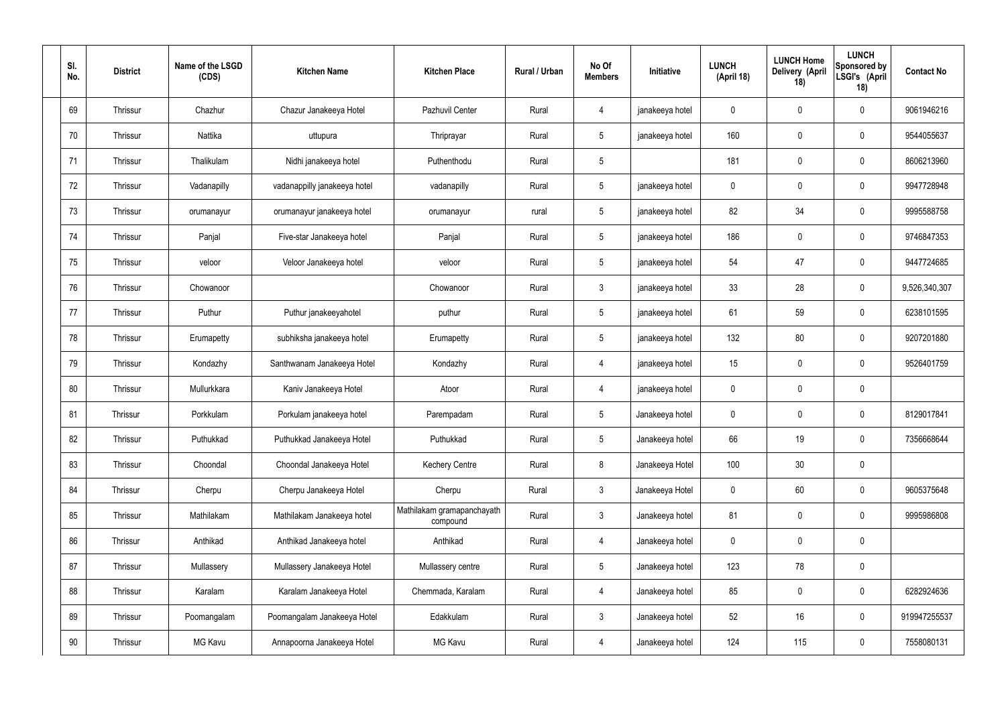| SI.<br>No. | <b>District</b> | Name of the LSGD<br>(CDS) | <b>Kitchen Name</b>          | <b>Kitchen Place</b>                   | Rural / Urban | No Of<br><b>Members</b> | Initiative      | <b>LUNCH</b><br>(April 18) | <b>LUNCH Home</b><br>Delivery (April<br>18) | <b>LUNCH</b><br>Sponsored by<br>LSGI's (April<br>18) | <b>Contact No</b> |
|------------|-----------------|---------------------------|------------------------------|----------------------------------------|---------------|-------------------------|-----------------|----------------------------|---------------------------------------------|------------------------------------------------------|-------------------|
| 69         | Thrissur        | Chazhur                   | Chazur Janakeeya Hotel       | Pazhuvil Center                        | Rural         | 4                       | janakeeya hotel | $\mathbf 0$                | 0                                           | $\mathbf 0$                                          | 9061946216        |
| 70         | Thrissur        | Nattika                   | uttupura                     | Thriprayar                             | Rural         | $5\phantom{.0}$         | janakeeya hotel | 160                        | $\mathbf 0$                                 | $\mathbf 0$                                          | 9544055637        |
| 71         | Thrissur        | Thalikulam                | Nidhi janakeeya hotel        | Puthenthodu                            | Rural         | $5\phantom{.0}$         |                 | 181                        | $\mathbf 0$                                 | $\mathbf 0$                                          | 8606213960        |
| 72         | Thrissur        | Vadanapilly               | vadanappilly janakeeya hotel | vadanapilly                            | Rural         | $5\phantom{.0}$         | janakeeya hotel | $\mathbf 0$                | $\mathbf 0$                                 | $\mathbf 0$                                          | 9947728948        |
| 73         | Thrissur        | orumanayur                | orumanayur janakeeya hotel   | orumanayur                             | rural         | $5\phantom{.0}$         | janakeeya hotel | 82                         | 34                                          | $\mathbf 0$                                          | 9995588758        |
| 74         | Thrissur        | Panjal                    | Five-star Janakeeya hotel    | Panjal                                 | Rural         | $5\overline{)}$         | janakeeya hotel | 186                        | $\mathbf 0$                                 | $\mathbf 0$                                          | 9746847353        |
| 75         | Thrissur        | veloor                    | Veloor Janakeeya hotel       | veloor                                 | Rural         | $5\overline{)}$         | janakeeya hotel | 54                         | 47                                          | $\mathbf 0$                                          | 9447724685        |
| 76         | Thrissur        | Chowanoor                 |                              | Chowanoor                              | Rural         | $\mathbf{3}$            | janakeeya hotel | 33                         | 28                                          | $\mathbf 0$                                          | 9,526,340,307     |
| 77         | Thrissur        | Puthur                    | Puthur janakeeyahotel        | puthur                                 | Rural         | $5\overline{)}$         | janakeeya hotel | 61                         | 59                                          | $\mathbf 0$                                          | 6238101595        |
| 78         | Thrissur        | Erumapetty                | subhiksha janakeeya hotel    | Erumapetty                             | Rural         | $5\phantom{.0}$         | janakeeya hotel | 132                        | 80                                          | $\mathbf 0$                                          | 9207201880        |
| 79         | Thrissur        | Kondazhy                  | Santhwanam Janakeeya Hotel   | Kondazhy                               | Rural         | 4                       | janakeeya hotel | 15                         | $\mathbf 0$                                 | $\mathbf 0$                                          | 9526401759        |
| 80         | Thrissur        | Mullurkkara               | Kaniv Janakeeya Hotel        | Atoor                                  | Rural         | 4                       | janakeeya hotel | $\mathbf 0$                | $\mathbf 0$                                 | $\mathbf 0$                                          |                   |
| 81         | Thrissur        | Porkkulam                 | Porkulam janakeeya hotel     | Parempadam                             | Rural         | 5                       | Janakeeya hotel | $\mathbf 0$                | $\mathbf 0$                                 | $\mathbf 0$                                          | 8129017841        |
| 82         | Thrissur        | Puthukkad                 | Puthukkad Janakeeya Hotel    | Puthukkad                              | Rural         | 5 <sup>5</sup>          | Janakeeya hotel | 66                         | 19                                          | $\mathbf 0$                                          | 7356668644        |
| 83         | Thrissur        | Choondal                  | Choondal Janakeeya Hotel     | <b>Kechery Centre</b>                  | Rural         | 8                       | Janakeeya Hotel | 100                        | 30                                          | $\mathbf 0$                                          |                   |
| 84         | Thrissur        | Cherpu                    | Cherpu Janakeeya Hotel       | Cherpu                                 | Rural         | $3\phantom{a}$          | Janakeeya Hotel | $\mathbf 0$                | 60                                          | $\mathbf 0$                                          | 9605375648        |
| 85         | Thrissur        | Mathilakam                | Mathilakam Janakeeya hotel   | Mathilakam gramapanchayath<br>compound | Rural         | $3\phantom{a}$          | Janakeeya hotel | 81                         | $\pmb{0}$                                   | $\mathbf 0$                                          | 9995986808        |
| 86         | Thrissur        | Anthikad                  | Anthikad Janakeeya hotel     | Anthikad                               | Rural         | $\overline{4}$          | Janakeeya hotel | $\mathbf 0$                | $\pmb{0}$                                   | $\mathbf 0$                                          |                   |
| 87         | Thrissur        | Mullassery                | Mullassery Janakeeya Hotel   | Mullassery centre                      | Rural         | 5 <sup>5</sup>          | Janakeeya hotel | 123                        | 78                                          | $\mathbf 0$                                          |                   |
| 88         | Thrissur        | Karalam                   | Karalam Janakeeya Hotel      | Chemmada, Karalam                      | Rural         | $\overline{4}$          | Janakeeya hotel | 85                         | $\pmb{0}$                                   | $\mathbf 0$                                          | 6282924636        |
| 89         | Thrissur        | Poomangalam               | Poomangalam Janakeeya Hotel  | Edakkulam                              | Rural         | $3\phantom{a}$          | Janakeeya hotel | 52                         | 16                                          | $\mathbf 0$                                          | 919947255537      |
| 90         | Thrissur        | MG Kavu                   | Annapoorna Janakeeya Hotel   | MG Kavu                                | Rural         | 4                       | Janakeeya hotel | 124                        | 115                                         | $\mathbf 0$                                          | 7558080131        |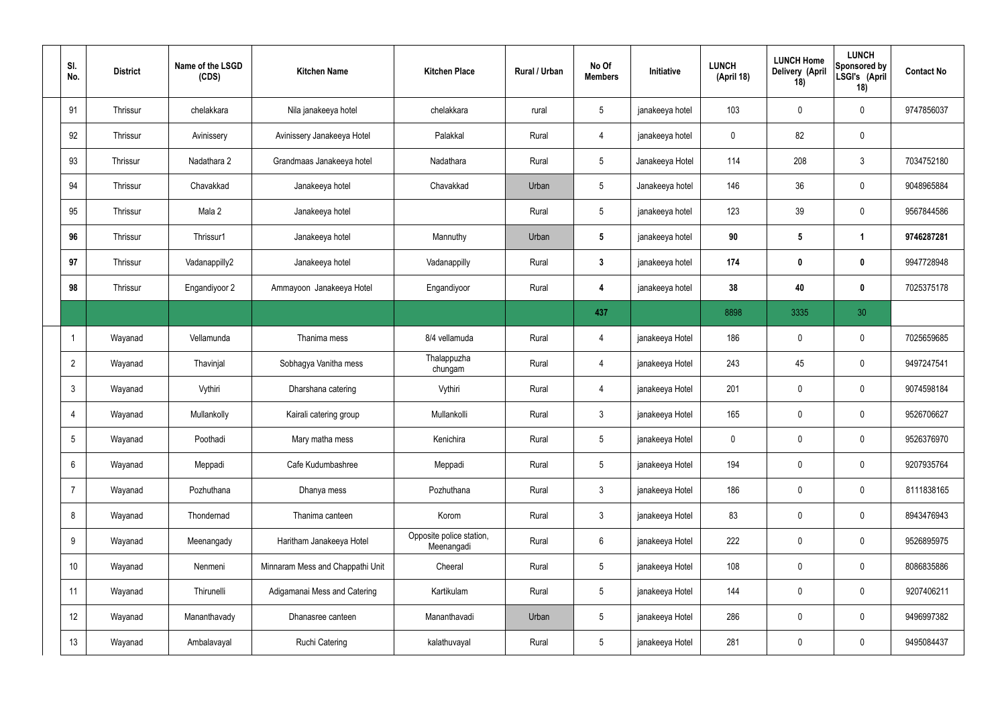| SI.<br>No.      | <b>District</b> | Name of the LSGD<br>(CDS) | <b>Kitchen Name</b>              | <b>Kitchen Place</b>                   | Rural / Urban | No Of<br><b>Members</b> | Initiative      | <b>LUNCH</b><br>(April 18) | <b>LUNCH Home</b><br>Delivery (April<br>18) | <b>LUNCH</b><br>Sponsored by<br>LSGI's (April<br>18) | <b>Contact No</b> |
|-----------------|-----------------|---------------------------|----------------------------------|----------------------------------------|---------------|-------------------------|-----------------|----------------------------|---------------------------------------------|------------------------------------------------------|-------------------|
| 91              | Thrissur        | chelakkara                | Nila janakeeya hotel             | chelakkara                             | rural         | $5\overline{)}$         | janakeeya hotel | 103                        | 0                                           | $\mathbf 0$                                          | 9747856037        |
| 92              | Thrissur        | Avinissery                | Avinissery Janakeeya Hotel       | Palakkal                               | Rural         | $\overline{4}$          | janakeeya hotel | $\mathbf 0$                | 82                                          | $\mathbf 0$                                          |                   |
| 93              | Thrissur        | Nadathara 2               | Grandmaas Janakeeya hotel        | Nadathara                              | Rural         | $5\overline{)}$         | Janakeeya Hotel | 114                        | 208                                         | $\mathbf{3}$                                         | 7034752180        |
| 94              | Thrissur        | Chavakkad                 | Janakeeya hotel                  | Chavakkad                              | Urban         | $5\overline{)}$         | Janakeeya hotel | 146                        | 36                                          | $\mathbf 0$                                          | 9048965884        |
| 95              | <b>Thrissur</b> | Mala 2                    | Janakeeya hotel                  |                                        | Rural         | $5\overline{)}$         | janakeeya hotel | 123                        | 39                                          | $\mathbf 0$                                          | 9567844586        |
| 96              | Thrissur        | Thrissur1                 | Janakeeya hotel                  | Mannuthy                               | Urban         | $5\phantom{.0}$         | janakeeya hotel | 90                         | $5\phantom{.0}$                             | $\mathbf 1$                                          | 9746287281        |
| 97              | <b>Thrissur</b> | Vadanappilly2             | Janakeeya hotel                  | Vadanappilly                           | Rural         | $3\phantom{a}$          | janakeeya hotel | 174                        | $\bm{0}$                                    | $\mathbf 0$                                          | 9947728948        |
| 98              | Thrissur        | Engandiyoor 2             | Ammayoon Janakeeya Hotel         | Engandiyoor                            | Rural         | 4                       | janakeeya hotel | 38                         | 40                                          | $\mathbf 0$                                          | 7025375178        |
|                 |                 |                           |                                  |                                        |               | 437                     |                 | 8898                       | 3335                                        | 30                                                   |                   |
| -1              | Wayanad         | Vellamunda                | Thanima mess                     | 8/4 vellamuda                          | Rural         | 4                       | janakeeya Hotel | 186                        | $\mathbf 0$                                 | $\mathbf 0$                                          | 7025659685        |
| $\overline{2}$  | Wayanad         | Thavinjal                 | Sobhagya Vanitha mess            | Thalappuzha<br>chungam                 | Rural         | $\overline{4}$          | janakeeya Hotel | 243                        | 45                                          | $\mathbf 0$                                          | 9497247541        |
| $\mathbf{3}$    | Wayanad         | Vythiri                   | Dharshana catering               | Vythiri                                | Rural         | $\overline{4}$          | janakeeya Hotel | 201                        | $\mathbf 0$                                 | $\mathbf 0$                                          | 9074598184        |
| $\overline{4}$  | Wayanad         | Mullankolly               | Kairali catering group           | Mullankolli                            | Rural         | $\mathbf{3}$            | janakeeya Hotel | 165                        | $\mathbf 0$                                 | $\mathbf 0$                                          | 9526706627        |
| $5\overline{)}$ | Wayanad         | Poothadi                  | Mary matha mess                  | Kenichira                              | Rural         | $5\phantom{.0}$         | janakeeya Hotel | $\mathbf 0$                | $\pmb{0}$                                   | $\mathbf 0$                                          | 9526376970        |
| 6               | Wayanad         | Meppadi                   | Cafe Kudumbashree                | Meppadi                                | Rural         | $5\overline{)}$         | janakeeya Hotel | 194                        | $\pmb{0}$                                   | $\mathbf 0$                                          | 9207935764        |
| $\overline{7}$  | Wayanad         | Pozhuthana                | Dhanya mess                      | Pozhuthana                             | Rural         | $3\phantom{a}$          | janakeeya Hotel | 186                        | $\mathbf 0$                                 | $\mathbf 0$                                          | 8111838165        |
| 8               | Wayanad         | Thondernad                | Thanima canteen                  | Korom                                  | Rural         | $3\phantom{a}$          | janakeeya Hotel | 83                         | $\pmb{0}$                                   | $\mathbf 0$                                          | 8943476943        |
| 9               | Wayanad         | Meenangady                | Haritham Janakeeya Hotel         | Opposite police station,<br>Meenangadi | Rural         | $6\overline{6}$         | janakeeya Hotel | 222                        | 0                                           | $\mathbf 0$                                          | 9526895975        |
| 10              | Wayanad         | Nenmeni                   | Minnaram Mess and Chappathi Unit | Cheeral                                | Rural         | $5\overline{)}$         | janakeeya Hotel | 108                        | $\pmb{0}$                                   | $\mathbf 0$                                          | 8086835886        |
| 11              | Wayanad         | Thirunelli                | Adigamanai Mess and Catering     | Kartikulam                             | Rural         | $5\overline{)}$         | janakeeya Hotel | 144                        | 0                                           | $\mathbf 0$                                          | 9207406211        |
| 12              | Wayanad         | Mananthavady              | Dhanasree canteen                | Mananthavadi                           | Urban         | $5\phantom{.0}$         | janakeeya Hotel | 286                        | 0                                           | $\mathbf 0$                                          | 9496997382        |
| 13              | Wayanad         | Ambalavayal               | <b>Ruchi Catering</b>            | kalathuvayal                           | Rural         | $5\phantom{.0}$         | janakeeya Hotel | 281                        | 0                                           | $\boldsymbol{0}$                                     | 9495084437        |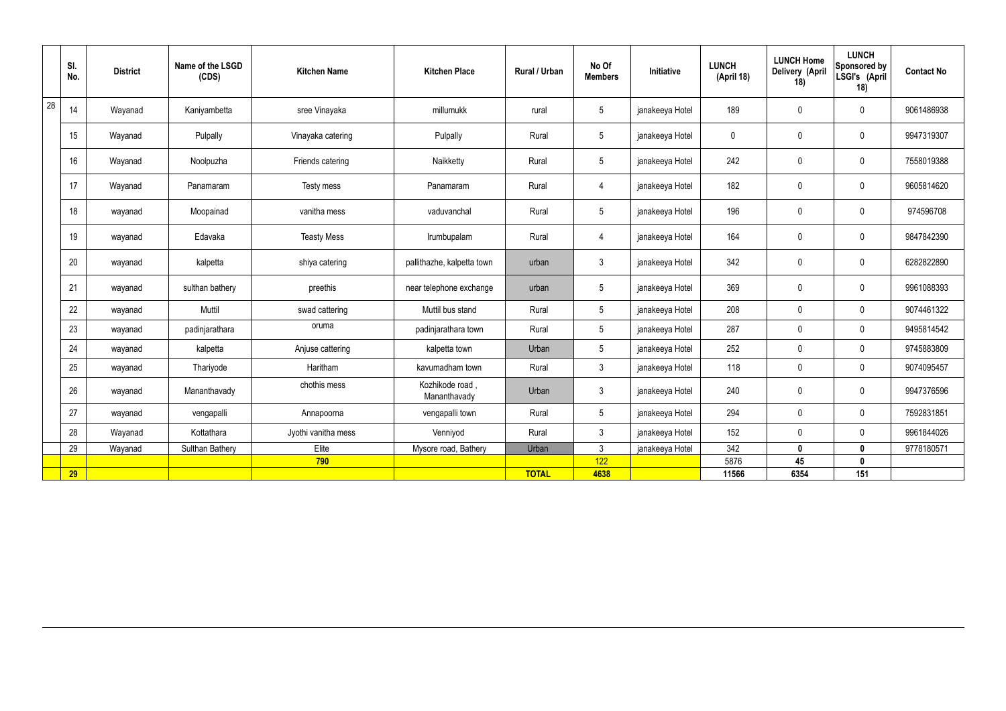|    | SI.<br>No. | <b>District</b> | Name of the LSGD<br>(CDS) | <b>Kitchen Name</b> | <b>Kitchen Place</b>           | Rural / Urban | No Of<br><b>Members</b> | Initiative      | <b>LUNCH</b><br>(April 18) | <b>LUNCH Home</b><br>Delivery (April<br>18) | <b>LUNCH</b><br>Sponsored by<br>LSGI's (April<br>18) | <b>Contact No</b> |
|----|------------|-----------------|---------------------------|---------------------|--------------------------------|---------------|-------------------------|-----------------|----------------------------|---------------------------------------------|------------------------------------------------------|-------------------|
| 28 | 14         | Wayanad         | Kaniyambetta              | sree Vinayaka       | millumukk                      | rural         | $5\overline{)}$         | janakeeya Hotel | 189                        | $\mathbf 0$                                 | $\mathbf 0$                                          | 9061486938        |
|    | 15         | Wayanad         | Pulpally                  | Vinayaka catering   | Pulpally                       | Rural         | $5\overline{)}$         | janakeeya Hotel | $\mathbf 0$                | $\mathbf 0$                                 | $\mathbf 0$                                          | 9947319307        |
|    | 16         | Wayanad         | Noolpuzha                 | Friends catering    | Naikketty                      | Rural         | $5\overline{)}$         | janakeeya Hotel | 242                        | $\pmb{0}$                                   | $\mathbf 0$                                          | 7558019388        |
|    | 17         | Wayanad         | Panamaram                 | Testy mess          | Panamaram                      | Rural         | $\overline{4}$          | janakeeya Hotel | 182                        | $\pmb{0}$                                   | $\mathbf 0$                                          | 9605814620        |
|    | 18         | wayanad         | Moopainad                 | vanitha mess        | vaduvanchal                    | Rural         | $5\overline{)}$         | janakeeya Hotel | 196                        | $\mathbf 0$                                 | $\mathbf 0$                                          | 974596708         |
|    | 19         | wayanad         | Edavaka                   | <b>Teasty Mess</b>  | Irumbupalam                    | Rural         | $\overline{4}$          | janakeeya Hotel | 164                        | $\pmb{0}$                                   | $\mathbf 0$                                          | 9847842390        |
|    | 20         | wayanad         | kalpetta                  | shiya catering      | pallithazhe, kalpetta town     | urban         | $\mathbf{3}$            | janakeeya Hotel | 342                        | $\pmb{0}$                                   | $\mathbf 0$                                          | 6282822890        |
|    | 21         | wayanad         | sulthan bathery           | preethis            | near telephone exchange        | urban         | $5\overline{)}$         | janakeeya Hotel | 369                        | $\mathbf 0$                                 | $\mathbf 0$                                          | 9961088393        |
|    | 22         | wayanad         | Muttil                    | swad cattering      | Muttil bus stand               | Rural         | $5\overline{)}$         | janakeeya Hotel | 208                        | $\mathbf 0$                                 | $\mathbf 0$                                          | 9074461322        |
|    | 23         | wayanad         | padinjarathara            | oruma               | padinjarathara town            | Rural         | $5\overline{)}$         | janakeeya Hotel | 287                        | $\pmb{0}$                                   | $\mathbf 0$                                          | 9495814542        |
|    | 24         | wayanad         | kalpetta                  | Anjuse cattering    | kalpetta town                  | Urban         | $5\phantom{.0}$         | janakeeya Hotel | 252                        | $\pmb{0}$                                   | $\mathbf 0$                                          | 9745883809        |
|    | 25         | wayanad         | Thariyode                 | Haritham            | kavumadham town                | Rural         | $\mathbf{3}$            | janakeeya Hotel | 118                        | $\pmb{0}$                                   | $\mathbf 0$                                          | 9074095457        |
|    | 26         | wayanad         | Mananthavady              | chothis mess        | Kozhikode road<br>Mananthavady | Urban         | $\mathbf{3}$            | janakeeya Hotel | 240                        | $\pmb{0}$                                   | $\mathbf 0$                                          | 9947376596        |
|    | 27         | wayanad         | vengapalli                | Annapoorna          | vengapalli town                | Rural         | $5\overline{)}$         | janakeeya Hotel | 294                        | $\pmb{0}$                                   | $\mathbf 0$                                          | 7592831851        |
|    | 28         | Wayanad         | Kottathara                | Jyothi vanitha mess | Venniyod                       | Rural         | $\mathbf{3}$            | janakeeya Hotel | 152                        | $\mathbf 0$                                 | $\mathbf 0$                                          | 9961844026        |
|    | 29         | Wayanad         | Sulthan Bathery           | Elite               | Mysore road, Bathery           | Urban         | $\mathbf{3}$            | janakeeya Hotel | 342                        | $\mathbf 0$                                 | $\mathbf 0$                                          | 9778180571        |
|    |            |                 |                           | 790                 |                                |               | 122                     |                 | 5876                       | 45                                          | $\mathbf 0$                                          |                   |
|    | 29         |                 |                           |                     |                                | <b>TOTAL</b>  | 4638                    |                 | 11566                      | 6354                                        | 151                                                  |                   |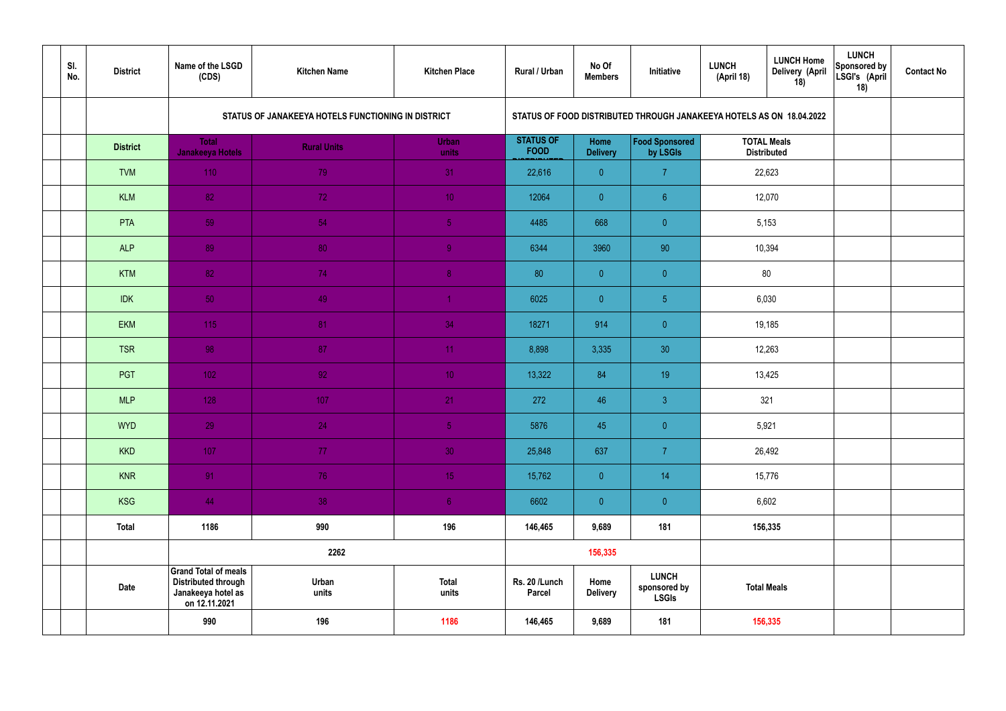| SI.<br>No. | <b>District</b> | Name of the LSGD<br>(CDS)                                                                        | <b>Kitchen Name</b>                                | <b>Kitchen Place</b>  | <b>Rural / Urban</b>            | No Of<br><b>Members</b> | Initiative                                                           | <b>LUNCH</b><br>(April 18) | <b>LUNCH Home</b><br>Delivery (April<br>18) | <b>LUNCH</b><br>Sponsored by<br>LSGI's (April<br>18) | <b>Contact No</b> |
|------------|-----------------|--------------------------------------------------------------------------------------------------|----------------------------------------------------|-----------------------|---------------------------------|-------------------------|----------------------------------------------------------------------|----------------------------|---------------------------------------------|------------------------------------------------------|-------------------|
|            |                 |                                                                                                  | STATUS OF JANAKEEYA HOTELS FUNCTIONING IN DISTRICT |                       |                                 |                         | STATUS OF FOOD DISTRIBUTED THROUGH JANAKEEYA HOTELS AS ON 18.04.2022 |                            |                                             |                                                      |                   |
|            | <b>District</b> | <b>Total</b><br><b>Janakeeya Hotels</b>                                                          | <b>Rural Units</b>                                 | <b>Urban</b><br>units | <b>STATUS OF</b><br><b>FOOD</b> | Home<br><b>Delivery</b> | Food Sponsored<br>by LSGIs                                           |                            | <b>TOTAL Meals</b><br><b>Distributed</b>    |                                                      |                   |
|            | <b>TVM</b>      | 110                                                                                              | 79                                                 | 31                    | 22,616                          | $\overline{0}$          | $\overline{7}$                                                       |                            | 22,623                                      |                                                      |                   |
|            | <b>KLM</b>      | 82                                                                                               | 72                                                 | 10 <sup>°</sup>       | 12064                           | $\overline{0}$          | $6^{\circ}$                                                          |                            | 12,070                                      |                                                      |                   |
|            | PTA             | 59                                                                                               | 54                                                 | 5 <sub>1</sub>        | 4485                            | 668                     | $\overline{0}$                                                       |                            | 5,153                                       |                                                      |                   |
|            | <b>ALP</b>      | 89                                                                                               | 80                                                 | 9                     | 6344                            | 3960                    | 90                                                                   | 10,394                     |                                             |                                                      |                   |
|            | <b>KTM</b>      | 82                                                                                               | 74                                                 | 8 <sup>°</sup>        | 80                              | $\overline{0}$          | $\overline{0}$                                                       | 80                         |                                             |                                                      |                   |
|            | <b>IDK</b>      | 50                                                                                               | 49                                                 | $\blacktriangleleft$  | 6025                            | $\overline{0}$          | 5 <sub>5</sub>                                                       | 6,030                      |                                             |                                                      |                   |
|            | <b>EKM</b>      | 115                                                                                              | 81                                                 | 34                    | 18271                           | 914                     | $\overline{0}$                                                       | 19,185                     |                                             |                                                      |                   |
|            | <b>TSR</b>      | 98                                                                                               | 87                                                 | 11                    | 8,898                           | 3,335                   | 30                                                                   |                            | 12,263                                      |                                                      |                   |
|            | <b>PGT</b>      | $102$                                                                                            | 92                                                 | 10 <sup>°</sup>       | 13,322                          | 84                      | 19 <sup>°</sup>                                                      |                            | 13,425                                      |                                                      |                   |
|            | <b>MLP</b>      | 128                                                                                              | 107                                                | 21                    | 272                             | 46                      | $\mathbf{3}$                                                         |                            | 321                                         |                                                      |                   |
|            | <b>WYD</b>      | 29                                                                                               | 24                                                 | 5 <sub>5</sub>        | 5876                            | 45                      | $\overline{0}$                                                       |                            | 5,921                                       |                                                      |                   |
|            | <b>KKD</b>      | 107                                                                                              | 77 <sub>z</sub>                                    | 30 <sup>°</sup>       | 25,848                          | 637                     | $\overline{7}$                                                       |                            | 26,492                                      |                                                      |                   |
|            | <b>KNR</b>      | 91                                                                                               | 76                                                 | 15 <sub>1</sub>       | 15,762                          | $\overline{0}$          | 14                                                                   |                            | 15,776                                      |                                                      |                   |
|            | <b>KSG</b>      | 44                                                                                               | 38                                                 | 6 <sup>1</sup>        | 6602                            | $\overline{0}$          | $\pmb{0}$                                                            |                            | 6,602                                       |                                                      |                   |
|            | <b>Total</b>    | 1186                                                                                             | 990                                                | 196                   | 146,465                         | 9,689                   | 181                                                                  |                            | 156,335                                     |                                                      |                   |
|            |                 |                                                                                                  | 2262                                               |                       |                                 | 156,335                 |                                                                      |                            |                                             |                                                      |                   |
|            | Date            | <b>Grand Total of meals</b><br><b>Distributed through</b><br>Janakeeya hotel as<br>on 12.11.2021 | Urban<br>units                                     | <b>Total</b><br>units | Rs. 20 /Lunch<br><b>Parcel</b>  | Home<br><b>Delivery</b> | <b>LUNCH</b><br>sponsored by<br><b>LSGIs</b>                         |                            | <b>Total Meals</b>                          |                                                      |                   |
|            |                 | 990                                                                                              | 196                                                | 1186                  | 146,465                         | 9,689                   | 181                                                                  |                            | 156,335                                     |                                                      |                   |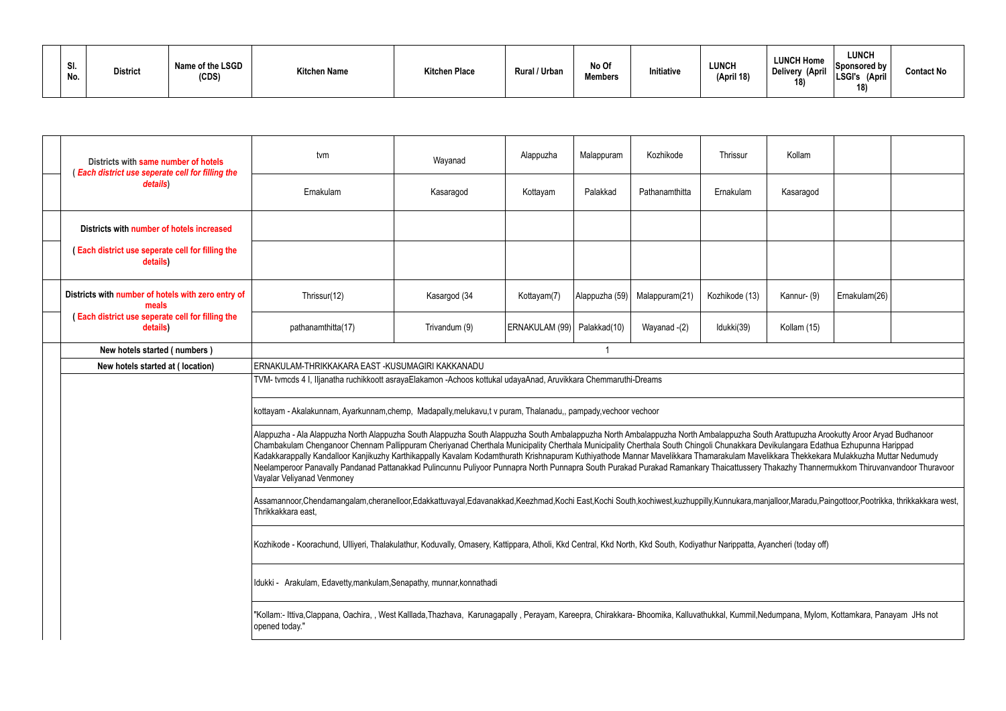| SI.<br>No. | <b>District</b> | Name of the LSGD<br>(CDS) | <b>Kitchen Name</b> | <b>Kitchen Place</b> | <b>Rural / Urban</b> | No Of<br><b>Members</b> | Initiative | LUNCH<br>(April 18) | <b>LUNCH Home</b><br><b>Delivery (April</b><br>$\overline{A}$ | LUNCH<br>$ S$ ponsored by $ $<br>LSGI's<br>(April<br>18) | <b>Contact No</b> |
|------------|-----------------|---------------------------|---------------------|----------------------|----------------------|-------------------------|------------|---------------------|---------------------------------------------------------------|----------------------------------------------------------|-------------------|
|------------|-----------------|---------------------------|---------------------|----------------------|----------------------|-------------------------|------------|---------------------|---------------------------------------------------------------|----------------------------------------------------------|-------------------|

| Districts with same number of hotels<br>(Each district use seperate cell for filling the | tvm                                                                                                                                                                                                                                                                                                                                                                                                                                                                                                                                                                                                                                                                                                                                                                     | Wayanad       | Alappuzha                     | Malappuram     | Kozhikode      | Thrissur       | Kollam      |               |  |  |
|------------------------------------------------------------------------------------------|-------------------------------------------------------------------------------------------------------------------------------------------------------------------------------------------------------------------------------------------------------------------------------------------------------------------------------------------------------------------------------------------------------------------------------------------------------------------------------------------------------------------------------------------------------------------------------------------------------------------------------------------------------------------------------------------------------------------------------------------------------------------------|---------------|-------------------------------|----------------|----------------|----------------|-------------|---------------|--|--|
| details)                                                                                 | Ernakulam                                                                                                                                                                                                                                                                                                                                                                                                                                                                                                                                                                                                                                                                                                                                                               | Kasaragod     | Kottayam                      | Palakkad       | Pathanamthitta | Ernakulam      | Kasaragod   |               |  |  |
| Districts with number of hotels increased                                                |                                                                                                                                                                                                                                                                                                                                                                                                                                                                                                                                                                                                                                                                                                                                                                         |               |                               |                |                |                |             |               |  |  |
| (Each district use seperate cell for filling the<br>details)                             |                                                                                                                                                                                                                                                                                                                                                                                                                                                                                                                                                                                                                                                                                                                                                                         |               |                               |                |                |                |             |               |  |  |
| Districts with number of hotels with zero entry of<br>meals                              | Thrissur(12)                                                                                                                                                                                                                                                                                                                                                                                                                                                                                                                                                                                                                                                                                                                                                            | Kasargod (34  | Kottayam(7)                   | Alappuzha (59) | Malappuram(21) | Kozhikode (13) | Kannur- (9) | Ernakulam(26) |  |  |
| (Each district use seperate cell for filling the<br>details)                             | pathanamthitta(17)                                                                                                                                                                                                                                                                                                                                                                                                                                                                                                                                                                                                                                                                                                                                                      | Trivandum (9) | ERNAKULAM (99)   Palakkad(10) |                | Wayanad -(2)   | Idukki(39)     | Kollam (15) |               |  |  |
| New hotels started (numbers)                                                             |                                                                                                                                                                                                                                                                                                                                                                                                                                                                                                                                                                                                                                                                                                                                                                         |               |                               |                |                |                |             |               |  |  |
| New hotels started at (location)                                                         | ERNAKULAM-THRIKKAKARA EAST -KUSUMAGIRI KAKKANADU                                                                                                                                                                                                                                                                                                                                                                                                                                                                                                                                                                                                                                                                                                                        |               |                               |                |                |                |             |               |  |  |
|                                                                                          | TVM-tvmcds 4 I, Iljanatha ruchikkoott asrayaElakamon -Achoos kottukal udayaAnad, Aruvikkara Chemmaruthi-Dreams                                                                                                                                                                                                                                                                                                                                                                                                                                                                                                                                                                                                                                                          |               |                               |                |                |                |             |               |  |  |
|                                                                                          | kottayam - Akalakunnam, Ayarkunnam, chemp, Madapally, melukavu, tv puram, Thalanadu,, pampady, vechoor vechoor                                                                                                                                                                                                                                                                                                                                                                                                                                                                                                                                                                                                                                                          |               |                               |                |                |                |             |               |  |  |
|                                                                                          | Alappuzha - Ala Alappuzha North Alappuzha South Alappuzha South Alappuzha South Ambalappuzha North Ambalappuzha South Arattupuzha Arookutty Aroor Aryad Budhanoor<br>Chambakulam Chenganoor Chennam Pallippuram Cheriyanad Cherthala Municipality Cherthala Municipality Cherthala South Chingoli Chunakkara Devikulangara Edathua Ezhupunna Harippad<br>Kadakkarappally Kandalloor Kanjikuzhy Karthikappally Kavalam Kodamthurath Krishnapuram Kuthiyathode Mannar Mavelikkara Thamarakulam Mavelikkara Thekkekara Mulakkuzha Muttar Nedumudy<br>Neelamperoor Panavally Pandanad Pattanakkad Pulincunnu Puliyoor Punnapra North Punnapra South Purakad Purakad Ramankary Thaicattussery Thakazhy Thannermukkom Thiruvanvandoor Thuravoor<br>Vayalar Veliyanad Venmoney |               |                               |                |                |                |             |               |  |  |
|                                                                                          | Assamannoor,Chendamangalam,cheranelloor,Edakkattuvayal,Edavanakkad,Keezhmad,Kochi East,Kochi South,kochiwest,kuzhuppilly,Kunnukara,manjalloor,Maradu,Paingottoor,Pootrikka, thrikkakkara west,<br>Thrikkakkara east,                                                                                                                                                                                                                                                                                                                                                                                                                                                                                                                                                    |               |                               |                |                |                |             |               |  |  |
|                                                                                          | Kozhikode - Koorachund, Ulliyeri, Thalakulathur, Koduvally, Omasery, Kattippara, Atholi, Kkd Central, Kkd North, Kkd South, Kodiyathur Narippatta, Ayancheri (today off)                                                                                                                                                                                                                                                                                                                                                                                                                                                                                                                                                                                                |               |                               |                |                |                |             |               |  |  |
|                                                                                          | Idukki - Arakulam, Edavetty, mankulam, Senapathy, munnar, konnathadi                                                                                                                                                                                                                                                                                                                                                                                                                                                                                                                                                                                                                                                                                                    |               |                               |                |                |                |             |               |  |  |
|                                                                                          | "Kollam:- Ittiva,Clappana, Oachira,, West Kalllada,Thazhava, Karunagapally, Perayam, Kareepra, Chirakkara-Bhoomika, Kalluvathukkal, Kummil,Nedumpana, Mylom, Kottamkara, Panayam JHs not<br>opened today."                                                                                                                                                                                                                                                                                                                                                                                                                                                                                                                                                              |               |                               |                |                |                |             |               |  |  |